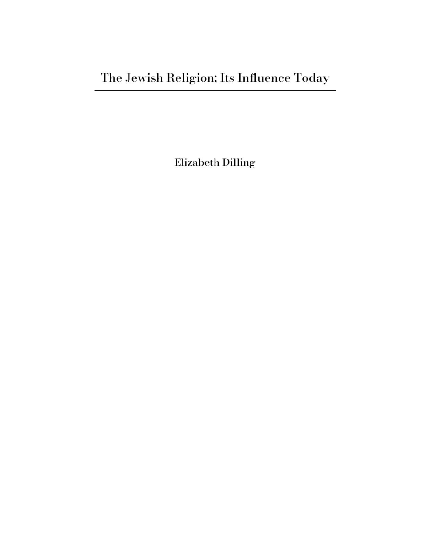**Elizabeth Dilling**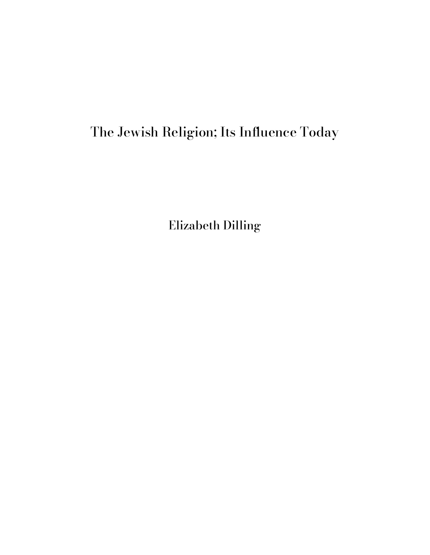# The Jewish Religion; Its Influence Today

Elizabeth Dilling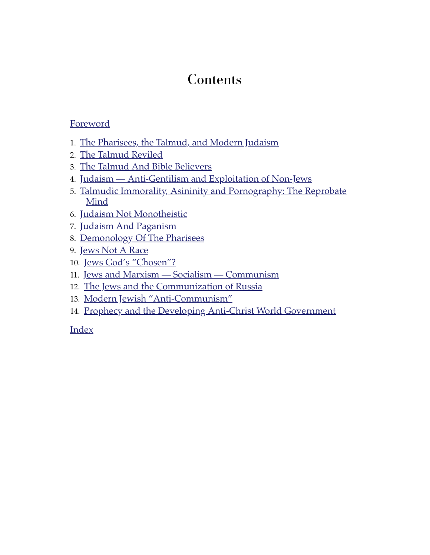# Contents

#### [Foreword](#page-3-0)

- 1. [The Pharisees, the Talmud, and Modern Judaism](#page-9-0)
- 2. [The Talmud Reviled](#page-23-0)
- 3. [The Talmud And Bible Believers](#page-43-0)
- 4. [Judaism Anti-Gentilism and Exploitation of Non-Jews](#page-55-0)
- 5. [Talmudic Immorality, Asininity and Pornography: The Reprobate](#page-72-0) Mind
- 6. [Judaism Not Monotheistic](#page-97-0)
- 7. [Judaism And Paganism](#page-118-0)
- 8. [Demonology Of The Pharisees](#page-141-0)
- 9. [Jews Not A Race](#page-169-0)
- 10. [Jews God's "Chosen"?](#page-180-0)
- 11. [Jews and Marxism Socialism Communism](#page-185-0)
- 12. [The Jews and the Communization of Russia](#page-206-0)
- 13. [Modern Jewish "Anti-Communism"](#page-234-0)
- 14. [Prophecy and the Developing Anti-Christ World Government](#page-238-0)

#### [Index](#page-251-0)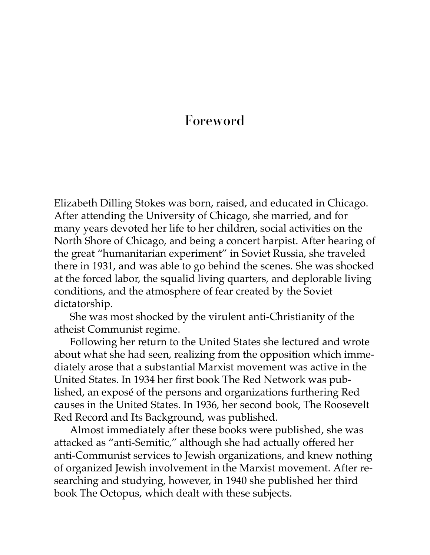# <span id="page-3-0"></span>Foreword

Elizabeth Dilling Stokes was born, raised, and educated in Chicago. After attending the University of Chicago, she married, and for many years devoted her life to her children, social activities on the North Shore of Chicago, and being a concert harpist. After hearing of the great "humanitarian experiment" in Soviet Russia, she traveled there in 1931, and was able to go behind the scenes. She was shocked at the forced labor, the squalid living quarters, and deplorable living conditions, and the atmosphere of fear created by the Soviet dictatorship.

She was most shocked by the virulent anti-Christianity of the atheist Communist regime.

Following her return to the United States she lectured and wrote about what she had seen, realizing from the opposition which immediately arose that a substantial Marxist movement was active in the United States. In 1934 her first book The Red Network was published, an exposé of the persons and organizations furthering Red causes in the United States. In 1936, her second book, The Roosevelt Red Record and Its Background, was published.

Almost immediately after these books were published, she was attacked as "anti-Semitic," although she had actually offered her anti-Communist services to Jewish organizations, and knew nothing of organized Jewish involvement in the Marxist movement. After researching and studying, however, in 1940 she published her third book The Octopus, which dealt with these subjects.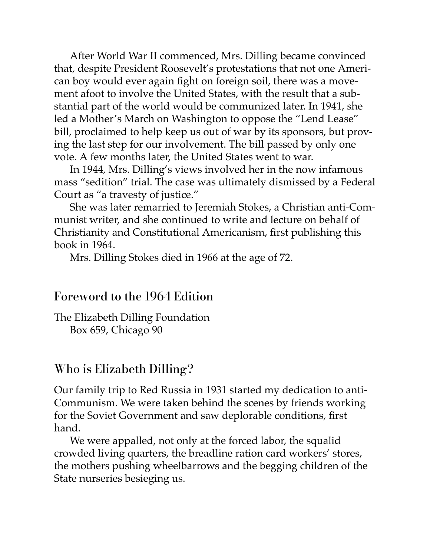After World War II commenced, Mrs. Dilling became convinced that, despite President Roosevelt's protestations that not one American boy would ever again fight on foreign soil, there was a movement afoot to involve the United States, with the result that a substantial part of the world would be communized later. In 1941, she led a Mother's March on Washington to oppose the "Lend Lease" bill, proclaimed to help keep us out of war by its sponsors, but proving the last step for our involvement. The bill passed by only one vote. A few months later, the United States went to war.

In 1944, Mrs. Dilling's views involved her in the now infamous mass "sedition" trial. The case was ultimately dismissed by a Federal Court as "a travesty of justice."

She was later remarried to Jeremiah Stokes, a Christian anti-Communist writer, and she continued to write and lecture on behalf of Christianity and Constitutional Americanism, first publishing this book in 1964.

Mrs. Dilling Stokes died in 1966 at the age of 72.

#### Foreword to the 1964 Edition

The Elizabeth Dilling Foundation Box 659, Chicago 90

#### Who is Elizabeth Dilling?

Our family trip to Red Russia in 1931 started my dedication to anti-Communism. We were taken behind the scenes by friends working for the Soviet Government and saw deplorable conditions, first hand.

We were appalled, not only at the forced labor, the squalid crowded living quarters, the breadline ration card workers' stores, the mothers pushing wheelbarrows and the begging children of the State nurseries besieging us.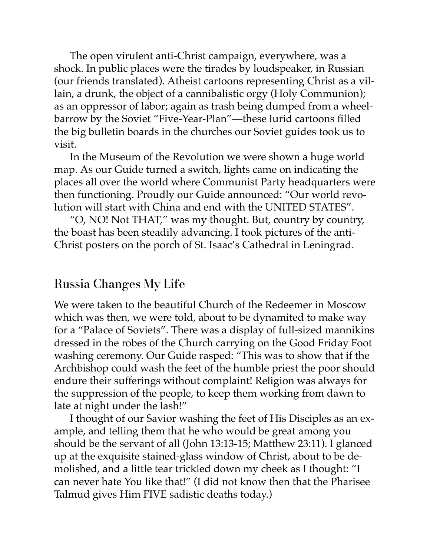The open virulent anti-Christ campaign, everywhere, was a shock. In public places were the tirades by loudspeaker, in Russian (our friends translated). Atheist cartoons representing Christ as a villain, a drunk, the object of a cannibalistic orgy (Holy Communion); as an oppressor of labor; again as trash being dumped from a wheelbarrow by the Soviet "Five-Year-Plan"—these lurid cartoons filled the big bulletin boards in the churches our Soviet guides took us to visit.

In the Museum of the Revolution we were shown a huge world map. As our Guide turned a switch, lights came on indicating the places all over the world where Communist Party headquarters were then functioning. Proudly our Guide announced: "Our world revolution will start with China and end with the UNITED STATES".

"O, NO! Not THAT," was my thought. But, country by country, the boast has been steadily advancing. I took pictures of the anti-Christ posters on the porch of St. Isaac's Cathedral in Leningrad.

#### Russia Changes My Life

We were taken to the beautiful Church of the Redeemer in Moscow which was then, we were told, about to be dynamited to make way for a "Palace of Soviets". There was a display of full-sized mannikins dressed in the robes of the Church carrying on the Good Friday Foot washing ceremony. Our Guide rasped: "This was to show that if the Archbishop could wash the feet of the humble priest the poor should endure their sufferings without complaint! Religion was always for the suppression of the people, to keep them working from dawn to late at night under the lash!"

I thought of our Savior washing the feet of His Disciples as an example, and telling them that he who would be great among you should be the servant of all (John 13:13-15; Matthew 23:11). I glanced up at the exquisite stained-glass window of Christ, about to be demolished, and a little tear trickled down my cheek as I thought: "I can never hate You like that!" (I did not know then that the Pharisee Talmud gives Him FIVE sadistic deaths today.)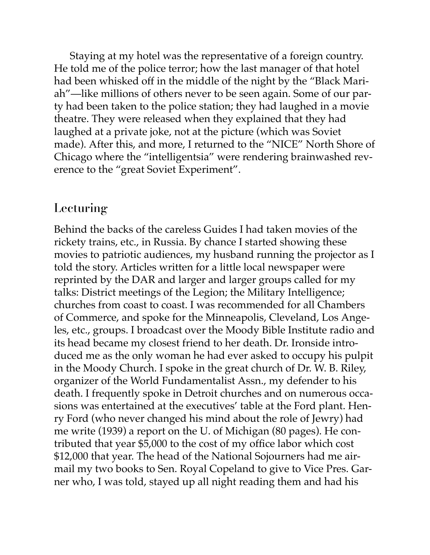Staying at my hotel was the representative of a foreign country. He told me of the police terror; how the last manager of that hotel had been whisked off in the middle of the night by the "Black Mariah"—like millions of others never to be seen again. Some of our party had been taken to the police station; they had laughed in a movie theatre. They were released when they explained that they had laughed at a private joke, not at the picture (which was Soviet made). After this, and more, I returned to the "NICE" North Shore of Chicago where the "intelligentsia" were rendering brainwashed reverence to the "great Soviet Experiment".

### Lecturing

Behind the backs of the careless Guides I had taken movies of the rickety trains, etc., in Russia. By chance I started showing these movies to patriotic audiences, my husband running the projector as I told the story. Articles written for a little local newspaper were reprinted by the DAR and larger and larger groups called for my talks: District meetings of the Legion; the Military Intelligence; churches from coast to coast. I was recommended for all Chambers of Commerce, and spoke for the Minneapolis, Cleveland, Los Angeles, etc., groups. I broadcast over the Moody Bible Institute radio and its head became my closest friend to her death. Dr. Ironside introduced me as the only woman he had ever asked to occupy his pulpit in the Moody Church. I spoke in the great church of Dr. W. B. Riley, organizer of the World Fundamentalist Assn., my defender to his death. I frequently spoke in Detroit churches and on numerous occasions was entertained at the executives' table at the Ford plant. Henry Ford (who never changed his mind about the role of Jewry) had me write (1939) a report on the U. of Michigan (80 pages). He contributed that year \$5,000 to the cost of my office labor which cost \$12,000 that year. The head of the National Sojourners had me airmail my two books to Sen. Royal Copeland to give to Vice Pres. Garner who, I was told, stayed up all night reading them and had his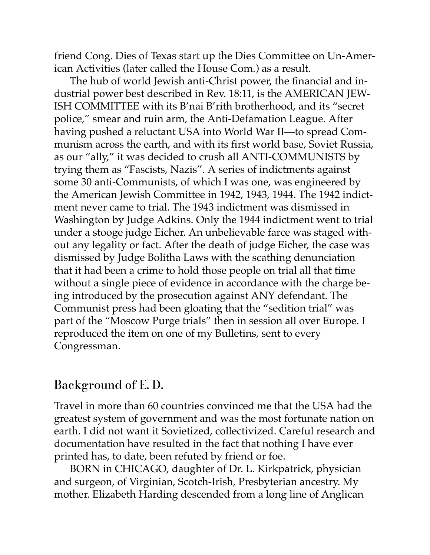friend Cong. Dies of Texas start up the Dies Committee on Un-American Activities (later called the House Com.) as a result.

The hub of world Jewish anti-Christ power, the financial and industrial power best described in Rev. 18:11, is the AMERICAN JEW-ISH COMMITTEE with its B'nai B'rith brotherhood, and its "secret police," smear and ruin arm, the Anti-Defamation League. After having pushed a reluctant USA into World War II—to spread Communism across the earth, and with its first world base, Soviet Russia, as our "ally," it was decided to crush all ANTI-COMMUNISTS by trying them as "Fascists, Nazis". A series of indictments against some 30 anti-Communists, of which I was one, was engineered by the American Jewish Committee in 1942, 1943, 1944. The 1942 indictment never came to trial. The 1943 indictment was dismissed in Washington by Judge Adkins. Only the 1944 indictment went to trial under a stooge judge Eicher. An unbelievable farce was staged without any legality or fact. After the death of judge Eicher, the case was dismissed by Judge Bolitha Laws with the scathing denunciation that it had been a crime to hold those people on trial all that time without a single piece of evidence in accordance with the charge being introduced by the prosecution against ANY defendant. The Communist press had been gloating that the "sedition trial" was part of the "Moscow Purge trials" then in session all over Europe. I reproduced the item on one of my Bulletins, sent to every Congressman.

### Background of E. D.

Travel in more than 60 countries convinced me that the USA had the greatest system of government and was the most fortunate nation on earth. I did not want it Sovietized, collectivized. Careful research and documentation have resulted in the fact that nothing I have ever printed has, to date, been refuted by friend or foe.

BORN in CHICAGO, daughter of Dr. L. Kirkpatrick, physician and surgeon, of Virginian, Scotch-Irish, Presbyterian ancestry. My mother. Elizabeth Harding descended from a long line of Anglican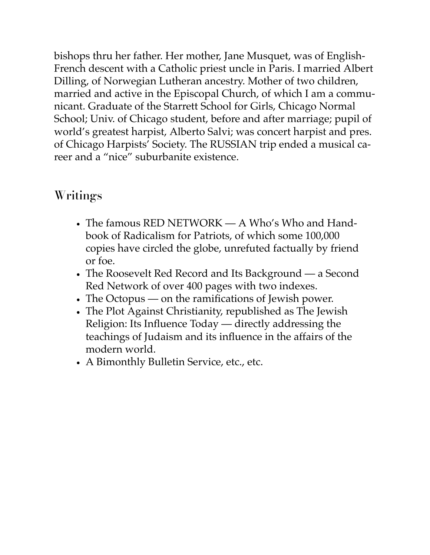bishops thru her father. Her mother, Jane Musquet, was of English-French descent with a Catholic priest uncle in Paris. I married Albert Dilling, of Norwegian Lutheran ancestry. Mother of two children, married and active in the Episcopal Church, of which I am a communicant. Graduate of the Starrett School for Girls, Chicago Normal School; Univ. of Chicago student, before and after marriage; pupil of world's greatest harpist, Alberto Salvi; was concert harpist and pres. of Chicago Harpists' Society. The RUSSIAN trip ended a musical career and a "nice" suburbanite existence.

# Writings

- The famous RED NETWORK A Who's Who and Handbook of Radicalism for Patriots, of which some 100,000 copies have circled the globe, unrefuted factually by friend or foe.
- The Roosevelt Red Record and Its Background a Second Red Network of over 400 pages with two indexes.
- The Octopus on the ramifications of Jewish power.
- The Plot Against Christianity, republished as The Jewish Religion: Its Influence Today — directly addressing the teachings of Judaism and its influence in the affairs of the modern world.
- A Bimonthly Bulletin Service, etc., etc.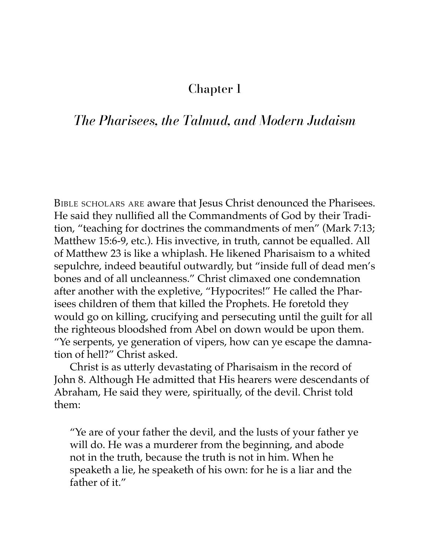# Chapter 1

# <span id="page-9-0"></span>*The Pharisees, the Talmud, and Modern Judaism*

BIBLE SCHOLARS ARE aware that Jesus Christ denounced the Pharisees. He said they nullified all the Commandments of God by their Tradition, "teaching for doctrines the commandments of men" (Mark 7:13; Matthew 15:6-9, etc.). His invective, in truth, cannot be equalled. All of Matthew 23 is like a whiplash. He likened Pharisaism to a whited sepulchre, indeed beautiful outwardly, but "inside full of dead men's bones and of all uncleanness." Christ climaxed one condemnation after another with the expletive, "Hypocrites!" He called the Pharisees children of them that killed the Prophets. He foretold they would go on killing, crucifying and persecuting until the guilt for all the righteous bloodshed from Abel on down would be upon them. "Ye serpents, ye generation of vipers, how can ye escape the damnation of hell?" Christ asked.

Christ is as utterly devastating of Pharisaism in the record of John 8. Although He admitted that His hearers were descendants of Abraham, He said they were, spiritually, of the devil. Christ told them:

"Ye are of your father the devil, and the lusts of your father ye will do. He was a murderer from the beginning, and abode not in the truth, because the truth is not in him. When he speaketh a lie, he speaketh of his own: for he is a liar and the father of it."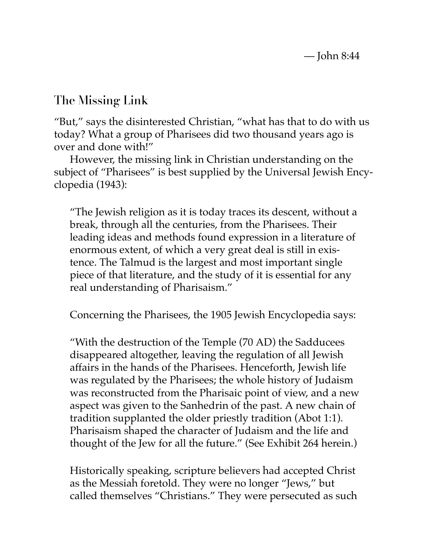# The Missing Link

"But," says the disinterested Christian, "what has that to do with us today? What a group of Pharisees did two thousand years ago is over and done with!"

However, the missing link in Christian understanding on the subject of "Pharisees" is best supplied by the Universal Jewish Encyclopedia (1943):

"The Jewish religion as it is today traces its descent, without a break, through all the centuries, from the Pharisees. Their leading ideas and methods found expression in a literature of enormous extent, of which a very great deal is still in existence. The Talmud is the largest and most important single piece of that literature, and the study of it is essential for any real understanding of Pharisaism."

Concerning the Pharisees, the 1905 Jewish Encyclopedia says:

"With the destruction of the Temple (70 AD) the Sadducees disappeared altogether, leaving the regulation of all Jewish affairs in the hands of the Pharisees. Henceforth, Jewish life was regulated by the Pharisees; the whole history of Judaism was reconstructed from the Pharisaic point of view, and a new aspect was given to the Sanhedrin of the past. A new chain of tradition supplanted the older priestly tradition (Abot 1:1). Pharisaism shaped the character of Judaism and the life and thought of the Jew for all the future." (See Exhibit 264 herein.)

Historically speaking, scripture believers had accepted Christ as the Messiah foretold. They were no longer "Jews," but called themselves "Christians." They were persecuted as such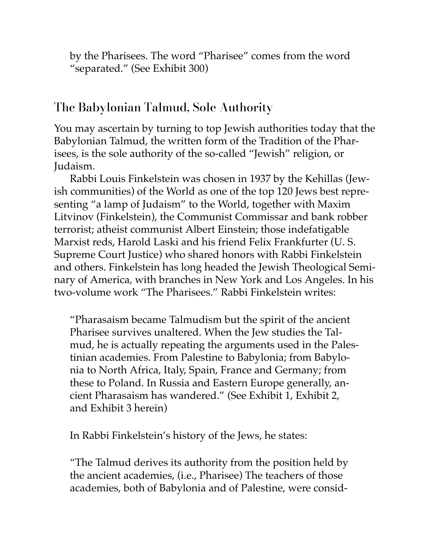by the Pharisees. The word "Pharisee" comes from the word "separated." (See Exhibit 300)

### The Babylonian Talmud, Sole Authority

You may ascertain by turning to top Jewish authorities today that the Babylonian Talmud, the written form of the Tradition of the Pharisees, is the sole authority of the so-called "Jewish" religion, or Judaism.

Rabbi Louis Finkelstein was chosen in 1937 by the Kehillas (Jewish communities) of the World as one of the top 120 Jews best representing "a lamp of Judaism" to the World, together with Maxim Litvinov (Finkelstein), the Communist Commissar and bank robber terrorist; atheist communist Albert Einstein; those indefatigable Marxist reds, Harold Laski and his friend Felix Frankfurter (U. S. Supreme Court Justice) who shared honors with Rabbi Finkelstein and others. Finkelstein has long headed the Jewish Theological Seminary of America, with branches in New York and Los Angeles. In his two-volume work "The Pharisees." Rabbi Finkelstein writes:

"Pharasaism became Talmudism but the spirit of the ancient Pharisee survives unaltered. When the Jew studies the Talmud, he is actually repeating the arguments used in the Palestinian academies. From Palestine to Babylonia; from Babylonia to North Africa, Italy, Spain, France and Germany; from these to Poland. In Russia and Eastern Europe generally, ancient Pharasaism has wandered." (See Exhibit 1, Exhibit 2, and Exhibit 3 herein)

In Rabbi Finkelstein's history of the Jews, he states:

"The Talmud derives its authority from the position held by the ancient academies, (i.e., Pharisee) The teachers of those academies, both of Babylonia and of Palestine, were consid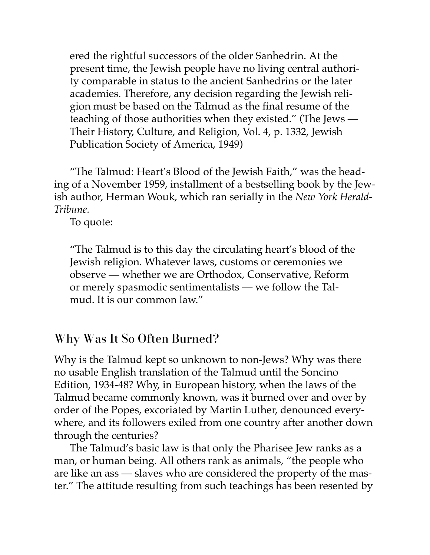ered the rightful successors of the older Sanhedrin. At the present time, the Jewish people have no living central authority comparable in status to the ancient Sanhedrins or the later academies. Therefore, any decision regarding the Jewish religion must be based on the Talmud as the final resume of the teaching of those authorities when they existed." (The Jews — Their History, Culture, and Religion, Vol. 4, p. 1332, Jewish Publication Society of America, 1949)

"The Talmud: Heart's Blood of the Jewish Faith," was the heading of a November 1959, installment of a bestselling book by the Jewish author, Herman Wouk, which ran serially in the *New York Herald-Tribune.*

To quote:

"The Talmud is to this day the circulating heart's blood of the Jewish religion. Whatever laws, customs or ceremonies we observe — whether we are Orthodox, Conservative, Reform or merely spasmodic sentimentalists — we follow the Talmud. It is our common law."

Why Was It So Often Burned?

Why is the Talmud kept so unknown to non-Jews? Why was there no usable English translation of the Talmud until the Soncino Edition, 1934-48? Why, in European history, when the laws of the Talmud became commonly known, was it burned over and over by order of the Popes, excoriated by Martin Luther, denounced everywhere, and its followers exiled from one country after another down through the centuries?

The Talmud's basic law is that only the Pharisee Jew ranks as a man, or human being. All others rank as animals, "the people who are like an ass — slaves who are considered the property of the master." The attitude resulting from such teachings has been resented by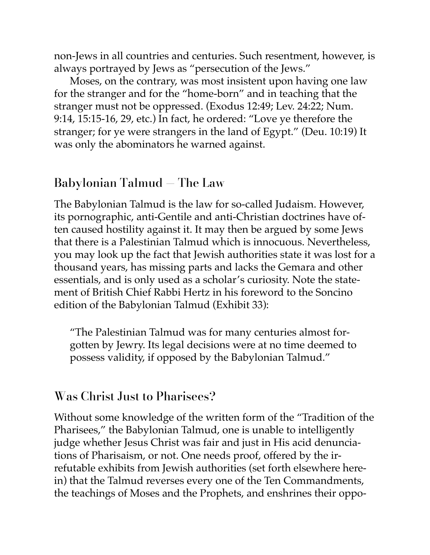non-Jews in all countries and centuries. Such resentment, however, is always portrayed by Jews as "persecution of the Jews."

Moses, on the contrary, was most insistent upon having one law for the stranger and for the "home-born" and in teaching that the stranger must not be oppressed. (Exodus 12:49; Lev. 24:22; Num. 9:14, 15:15-16, 29, etc.) In fact, he ordered: "Love ye therefore the stranger; for ye were strangers in the land of Egypt." (Deu. 10:19) It was only the abominators he warned against.

# Babylonian Talmud — The Law

The Babylonian Talmud is the law for so-called Judaism. However, its pornographic, anti-Gentile and anti-Christian doctrines have often caused hostility against it. It may then be argued by some Jews that there is a Palestinian Talmud which is innocuous. Nevertheless, you may look up the fact that Jewish authorities state it was lost for a thousand years, has missing parts and lacks the Gemara and other essentials, and is only used as a scholar's curiosity. Note the statement of British Chief Rabbi Hertz in his foreword to the Soncino edition of the Babylonian Talmud (Exhibit 33):

"The Palestinian Talmud was for many centuries almost forgotten by Jewry. Its legal decisions were at no time deemed to possess validity, if opposed by the Babylonian Talmud."

#### Was Christ Just to Pharisees?

Without some knowledge of the written form of the "Tradition of the Pharisees," the Babylonian Talmud, one is unable to intelligently judge whether Jesus Christ was fair and just in His acid denunciations of Pharisaism, or not. One needs proof, offered by the irrefutable exhibits from Jewish authorities (set forth elsewhere herein) that the Talmud reverses every one of the Ten Commandments, the teachings of Moses and the Prophets, and enshrines their oppo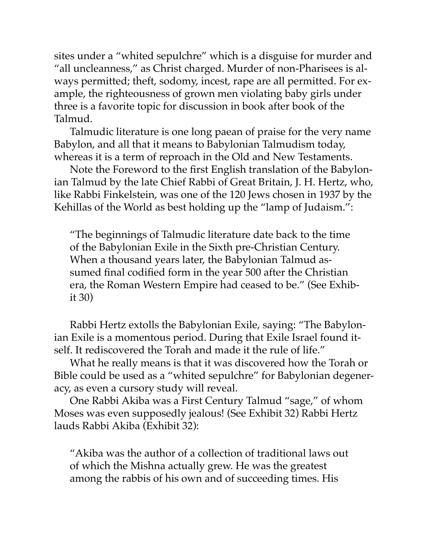sites under a "whited sepulchre" which is a disguise for murder and "all uncleanness," as Christ charged. Murder of non-Pharisees is always permitted; theft, sodomy, incest, rape are all permitted. For example, the righteousness of grown men violating baby girls under three is a favorite topic for discussion in book after book of the Talmud.

Talmudic literature is one long paean of praise for the very name Babylon, and all that it means to Babylonian Talmudism today, whereas it is a term of reproach in the Old and New Testaments.

Note the Foreword to the first English translation of the Babylonian Talmud by the late Chief Rabbi of Great Britain, J. H. Hertz, who, like Rabbi Finkelstein, was one of the 120 Jews chosen in 1937 by the Kehillas of the World as best holding up the "lamp of Judaism.":

"The beginnings of Talmudic literature date back to the time of the Babylonian Exile in the Sixth pre-Christian Century. When a thousand years later, the Babylonian Talmud assumed final codified form in the year 500 after the Christian era, the Roman Western Empire had ceased to be." (See Exhibit 30)

Rabbi Hertz extolls the Babylonian Exile, saying: "The Babylonian Exile is a momentous period. During that Exile Israel found itself. It rediscovered the Torah and made it the rule of life."

What he really means is that it was discovered how the Torah or Bible could be used as a "whited sepulchre" for Babylonian degeneracy, as even a cursory study will reveal.

One Rabbi Akiba was a First Century Talmud "sage," of whom Moses was even supposedly jealous! (See Exhibit 32) Rabbi Hertz lauds Rabbi Akiba (Exhibit 32):

"Akiba was the author of a collection of traditional laws out of which the Mishna actually grew. He was the greatest among the rabbis of his own and of succeeding times. His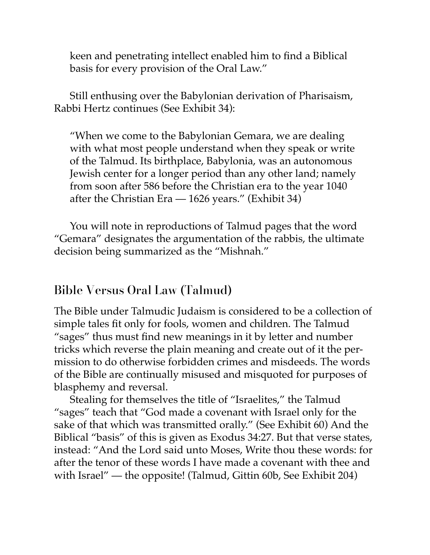keen and penetrating intellect enabled him to find a Biblical basis for every provision of the Oral Law."

Still enthusing over the Babylonian derivation of Pharisaism, Rabbi Hertz continues (See Exhibit 34):

"When we come to the Babylonian Gemara, we are dealing with what most people understand when they speak or write of the Talmud. Its birthplace, Babylonia, was an autonomous Jewish center for a longer period than any other land; namely from soon after 586 before the Christian era to the year 1040 after the Christian Era — 1626 years." (Exhibit 34)

You will note in reproductions of Talmud pages that the word "Gemara" designates the argumentation of the rabbis, the ultimate decision being summarized as the "Mishnah."

### Bible Versus Oral Law (Talmud)

The Bible under Talmudic Judaism is considered to be a collection of simple tales fit only for fools, women and children. The Talmud "sages" thus must find new meanings in it by letter and number tricks which reverse the plain meaning and create out of it the permission to do otherwise forbidden crimes and misdeeds. The words of the Bible are continually misused and misquoted for purposes of blasphemy and reversal.

Stealing for themselves the title of "Israelites," the Talmud "sages" teach that "God made a covenant with Israel only for the sake of that which was transmitted orally." (See Exhibit 60) And the Biblical "basis" of this is given as Exodus 34:27. But that verse states, instead: "And the Lord said unto Moses, Write thou these words: for after the tenor of these words I have made a covenant with thee and with Israel" — the opposite! (Talmud, Gittin 60b, See Exhibit 204)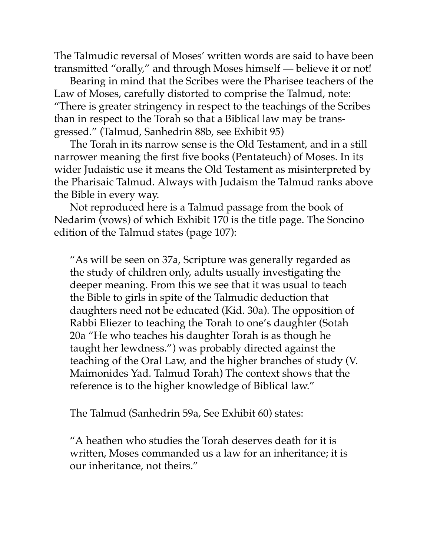The Talmudic reversal of Moses' written words are said to have been transmitted "orally," and through Moses himself — believe it or not!

Bearing in mind that the Scribes were the Pharisee teachers of the Law of Moses, carefully distorted to comprise the Talmud, note: "There is greater stringency in respect to the teachings of the Scribes than in respect to the Torah so that a Biblical law may be transgressed." (Talmud, Sanhedrin 88b, see Exhibit 95)

The Torah in its narrow sense is the Old Testament, and in a still narrower meaning the first five books (Pentateuch) of Moses. In its wider Judaistic use it means the Old Testament as misinterpreted by the Pharisaic Talmud. Always with Judaism the Talmud ranks above the Bible in every way.

Not reproduced here is a Talmud passage from the book of Nedarim (vows) of which Exhibit 170 is the title page. The Soncino edition of the Talmud states (page 107):

"As will be seen on 37a, Scripture was generally regarded as the study of children only, adults usually investigating the deeper meaning. From this we see that it was usual to teach the Bible to girls in spite of the Talmudic deduction that daughters need not be educated (Kid. 30a). The opposition of Rabbi Eliezer to teaching the Torah to one's daughter (Sotah 20a "He who teaches his daughter Torah is as though he taught her lewdness.") was probably directed against the teaching of the Oral Law, and the higher branches of study (V. Maimonides Yad. Talmud Torah) The context shows that the reference is to the higher knowledge of Biblical law."

The Talmud (Sanhedrin 59a, See Exhibit 60) states:

"A heathen who studies the Torah deserves death for it is written, Moses commanded us a law for an inheritance; it is our inheritance, not theirs."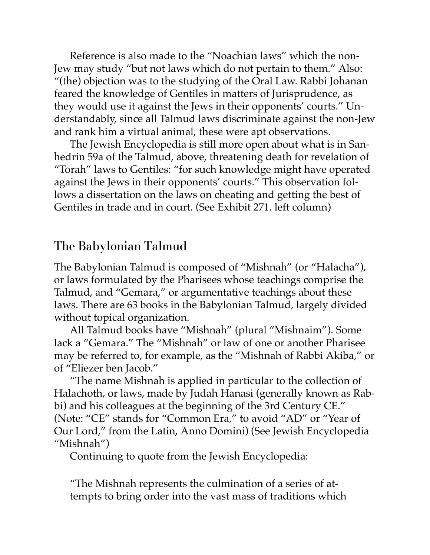Reference is also made to the "Noachian laws" which the non-Jew may study "but not laws which do not pertain to them." Also: "(the) objection was to the studying of the Oral Law. Rabbi Johanan feared the knowledge of Gentiles in matters of Jurisprudence, as they would use it against the Jews in their opponents' courts." Understandably, since all Talmud laws discriminate against the non-Jew and rank him a virtual animal, these were apt observations.

The Jewish Encyclopedia is still more open about what is in Sanhedrin 59a of the Talmud, above, threatening death for revelation of "Torah" laws to Gentiles: "for such knowledge might have operated against the Jews in their opponents' courts." This observation follows a dissertation on the laws on cheating and getting the best of Gentiles in trade and in court. (See Exhibit 271. left column)

### The Babylonian Talmud

The Babylonian Talmud is composed of "Mishnah" (or "Halacha"), or laws formulated by the Pharisees whose teachings comprise the Talmud, and "Gemara," or argumentative teachings about these laws. There are 63 books in the Babylonian Talmud, largely divided without topical organization.

All Talmud books have "Mishnah" (plural "Mishnaim"). Some lack a "Gemara." The "Mishnah" or law of one or another Pharisee may be referred to, for example, as the "Mishnah of Rabbi Akiba," or of "Eliezer ben Jacob."

"The name Mishnah is applied in particular to the collection of Halachoth, or laws, made by Judah Hanasi (generally known as Rabbi) and his colleagues at the beginning of the 3rd Century CE." (Note: "CE" stands for "Common Era," to avoid "AD" or "Year of Our Lord," from the Latin, Anno Domini) (See Jewish Encyclopedia "Mishnah")

Continuing to quote from the Jewish Encyclopedia:

"The Mishnah represents the culmination of a series of attempts to bring order into the vast mass of traditions which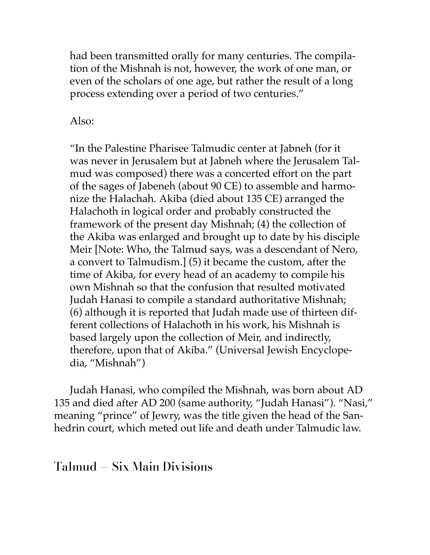had been transmitted orally for many centuries. The compilation of the Mishnah is not, however, the work of one man, or even of the scholars of one age, but rather the result of a long process extending over a period of two centuries."

Also:

"In the Palestine Pharisee Talmudic center at Jabneh (for it was never in Jerusalem but at Jabneh where the Jerusalem Talmud was composed) there was a concerted effort on the part of the sages of Jabeneh (about 90 CE) to assemble and harmonize the Halachah. Akiba (died about 135 CE) arranged the Halachoth in logical order and probably constructed the framework of the present day Mishnah; (4) the collection of the Akiba was enlarged and brought up to date by his disciple Meir [Note: Who, the Talmud says, was a descendant of Nero, a convert to Talmudism.] (5) it became the custom, after the time of Akiba, for every head of an academy to compile his own Mishnah so that the confusion that resulted motivated Judah Hanasi to compile a standard authoritative Mishnah; (6) although it is reported that Judah made use of thirteen different collections of Halachoth in his work, his Mishnah is based largely upon the collection of Meir, and indirectly, therefore, upon that of Akiba." (Universal Jewish Encyclopedia, "Mishnah")

Judah Hanasi, who compiled the Mishnah, was born about AD 135 and died after AD 200 (same authority, "Judah Hanasi"). "Nasi," meaning "prince" of Jewry, was the title given the head of the Sanhedrin court, which meted out life and death under Talmudic law.

Talmud — Six Main Divisions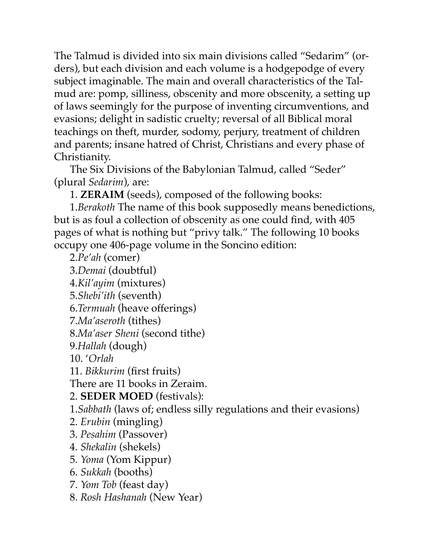The Talmud is divided into six main divisions called "Sedarim" (orders), but each division and each volume is a hodgepodge of every subject imaginable. The main and overall characteristics of the Talmud are: pomp, silliness, obscenity and more obscenity, a setting up of laws seemingly for the purpose of inventing circumventions, and evasions; delight in sadistic cruelty; reversal of all Biblical moral teachings on theft, murder, sodomy, perjury, treatment of children and parents; insane hatred of Christ, Christians and every phase of Christianity.

The Six Divisions of the Babylonian Talmud, called "Seder" (plural *Sedarim*), are:

1. **ZERAIM** (seeds), composed of the following books:

1. *Berakoth* The name of this book supposedly means benedictions, but is as foul a collection of obscenity as one could find, with 405 pages of what is nothing but "privy talk." The following 10 books occupy one 406-page volume in the Soncino edition:

2. *Pe'ah* (comer) 3. *Demai* (doubtful)

4. *Kil'ayim* (mixtures)

5. *Shebi'ith* (seventh)

6. *Termuah* (heave offerings)

7. *Ma'aseroth* (tithes)

8. *Ma'aser Sheni* (second tithe)

9. *Hallah* (dough)

10. '*Orlah*

11. *Bikkurim* (first fruits)

There are 11 books in Zeraim.

2. **SEDER MOED** (festivals):

1. *Sabbath* (laws of; endless silly regulations and their evasions)

- 2. *Erubin* (mingling)
- 3. *Pesahim* (Passover)
- 4. *Shekalin* (shekels)
- 5. *Yoma* (Yom Kippur)
- 6. *Sukkah* (booths)
- 7. *Yom Tob* (feast day)

8. *Rosh Hashanah* (New Year)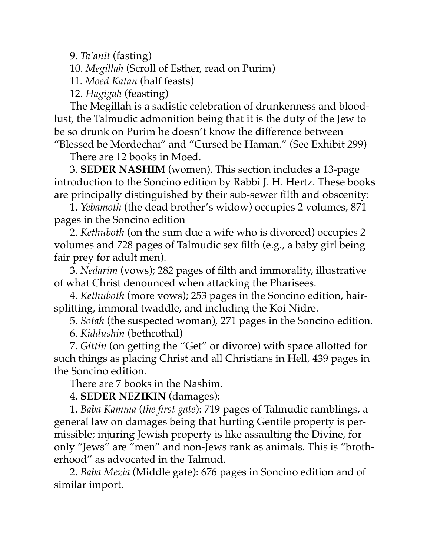9. *Ta'anit* (fasting)

10. *Megillah* (Scroll of Esther, read on Purim)

11. *Moed Katan* (half feasts)

12. *Hagigah* (feasting)

The Megillah is a sadistic celebration of drunkenness and bloodlust, the Talmudic admonition being that it is the duty of the Jew to be so drunk on Purim he doesn't know the difference between "Blessed be Mordechai" and "Cursed be Haman." (See Exhibit 299)

There are 12 books in Moed.

3. **SEDER NASHIM** (women). This section includes a 13-page introduction to the Soncino edition by Rabbi J. H. Hertz. These books are principally distinguished by their sub-sewer filth and obscenity:

1. *Yebamoth* (the dead brother's widow) occupies 2 volumes, 871 pages in the Soncino edition

2. *Kethuboth* (on the sum due a wife who is divorced) occupies 2 volumes and 728 pages of Talmudic sex filth (e.g., a baby girl being fair prey for adult men).

3. *Nedarim* (vows); 282 pages of filth and immorality, illustrative of what Christ denounced when attacking the Pharisees.

4. *Kethuboth* (more vows); 253 pages in the Soncino edition, hairsplitting, immoral twaddle, and including the Koi Nidre.

5. *Sotah* (the suspected woman), 271 pages in the Soncino edition.

6. *Kiddushin* (bethrothal)

7. *Gittin* (on getting the "Get" or divorce) with space allotted for such things as placing Christ and all Christians in Hell, 439 pages in the Soncino edition.

There are 7 books in the Nashim.

4. **SEDER NEZIKIN** (damages):

1. *Baba Kamma* (*the first gate*): 719 pages of Talmudic ramblings, a general law on damages being that hurting Gentile property is permissible; injuring Jewish property is like assaulting the Divine, for only "Jews" are "men" and non-Jews rank as animals. This is "brotherhood" as advocated in the Talmud.

2. *Baba Mezia* (Middle gate): 676 pages in Soncino edition and of similar import.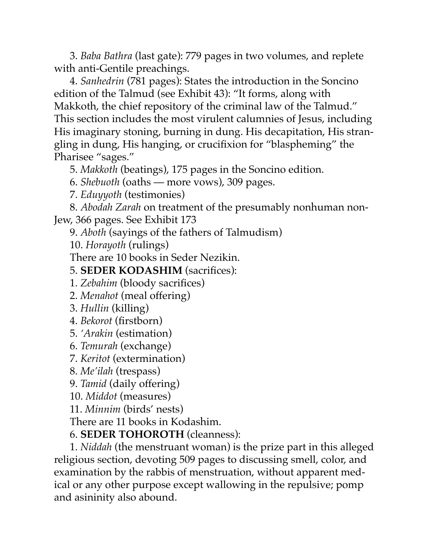3. *Baba Bathra* (last gate): 779 pages in two volumes, and replete with anti-Gentile preachings.

4. *Sanhedrin* (781 pages): States the introduction in the Soncino edition of the Talmud (see Exhibit 43): "It forms, along with Makkoth, the chief repository of the criminal law of the Talmud." This section includes the most virulent calumnies of Jesus, including His imaginary stoning, burning in dung. His decapitation, His strangling in dung, His hanging, or crucifixion for "blaspheming" the Pharisee "sages."

5. *Makkoth* (beatings), 175 pages in the Soncino edition.

6. *Shebuoth* (oaths — more vows), 309 pages.

7. *Eduyyoth* (testimonies)

8. *Abodah Zarah* on treatment of the presumably nonhuman non-Jew, 366 pages. See Exhibit 173

9. *Aboth* (sayings of the fathers of Talmudism)

10. *Horayoth* (rulings)

There are 10 books in Seder Nezikin.

#### 5. **SEDER KODASHIM** (sacrifices):

1. *Zebahim* (bloody sacrifices)

- 2. *Menahot* (meal offering)
- 3. *Hullin* (killing)
- 4. *Bekorot* (firstborn)
- 5. *'Arakin* (estimation)
- 6. *Temurah* (exchange)
- 7. *Keritot* (extermination)
- 8. *Me'ilah* (trespass)

9. *Tamid* (daily offering)

10. *Middot* (measures)

11. *Minnim* (birds' nests)

There are 11 books in Kodashim.

#### 6. **SEDER TOHOROTH** (cleanness):

1. *Niddah* (the menstruant woman) is the prize part in this alleged religious section, devoting 509 pages to discussing smell, color, and examination by the rabbis of menstruation, without apparent medical or any other purpose except wallowing in the repulsive; pomp and asininity also abound.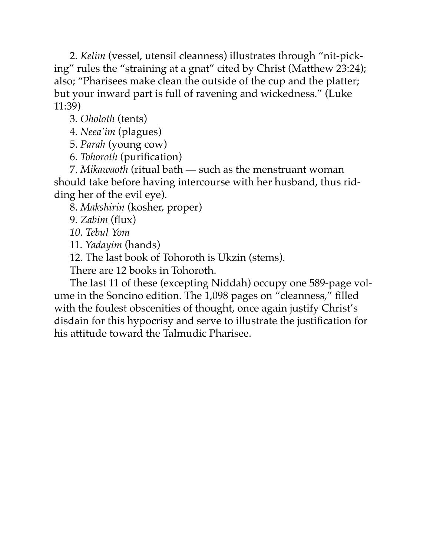2. *Kelim* (vessel, utensil cleanness) illustrates through "nit-picking" rules the "straining at a gnat" cited by Christ (Matthew 23:24); also; "Pharisees make clean the outside of the cup and the platter; but your inward part is full of ravening and wickedness." (Luke 11:39)

3. *Oholoth* (tents)

4. *Neea'im* (plagues)

5. *Parah* (young cow)

6. *Tohoroth* (purification)

7. *Mikawaoth* (ritual bath — such as the menstruant woman should take before having intercourse with her husband, thus ridding her of the evil eye).

8. *Makshirin* (kosher, proper)

9. *Zabim* (flux)

*10. Tebul Yom*

11. *Yadayim* (hands)

12. The last book of Tohoroth is Ukzin (stems).

There are 12 books in Tohoroth.

The last 11 of these (excepting Niddah) occupy one 589-page volume in the Soncino edition. The 1,098 pages on "cleanness," filled with the foulest obscenities of thought, once again justify Christ's disdain for this hypocrisy and serve to illustrate the justification for his attitude toward the Talmudic Pharisee.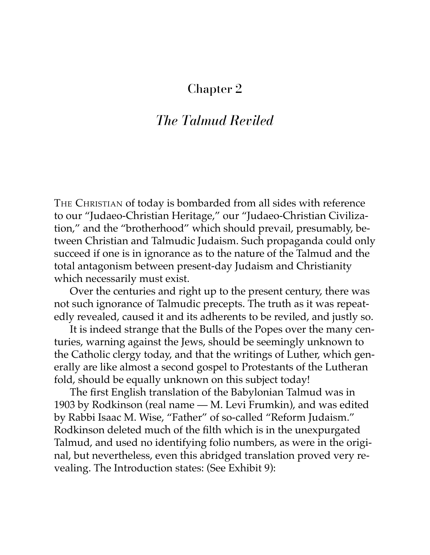# Chapter 2

# <span id="page-23-0"></span>*The Talmud Reviled*

THE CHRISTIAN of today is bombarded from all sides with reference to our "Judaeo-Christian Heritage," our "Judaeo-Christian Civilization," and the "brotherhood" which should prevail, presumably, between Christian and Talmudic Judaism. Such propaganda could only succeed if one is in ignorance as to the nature of the Talmud and the total antagonism between present-day Judaism and Christianity which necessarily must exist.

Over the centuries and right up to the present century, there was not such ignorance of Talmudic precepts. The truth as it was repeatedly revealed, caused it and its adherents to be reviled, and justly so.

It is indeed strange that the Bulls of the Popes over the many centuries, warning against the Jews, should be seemingly unknown to the Catholic clergy today, and that the writings of Luther, which generally are like almost a second gospel to Protestants of the Lutheran fold, should be equally unknown on this subject today!

The first English translation of the Babylonian Talmud was in 1903 by Rodkinson (real name — M. Levi Frumkin), and was edited by Rabbi Isaac M. Wise, "Father" of so-called "Reform Judaism." Rodkinson deleted much of the filth which is in the unexpurgated Talmud, and used no identifying folio numbers, as were in the original, but nevertheless, even this abridged translation proved very revealing. The Introduction states: (See Exhibit 9):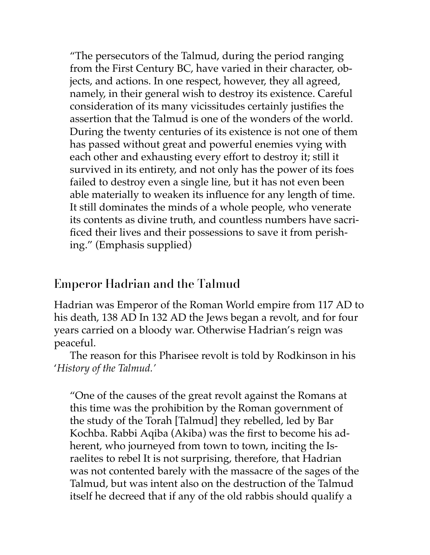"The persecutors of the Talmud, during the period ranging from the First Century BC, have varied in their character, objects, and actions. In one respect, however, they all agreed, namely, in their general wish to destroy its existence. Careful consideration of its many vicissitudes certainly justifies the assertion that the Talmud is one of the wonders of the world. During the twenty centuries of its existence is not one of them has passed without great and powerful enemies vying with each other and exhausting every effort to destroy it; still it survived in its entirety, and not only has the power of its foes failed to destroy even a single line, but it has not even been able materially to weaken its influence for any length of time. It still dominates the minds of a whole people, who venerate its contents as divine truth, and countless numbers have sacrificed their lives and their possessions to save it from perishing." (Emphasis supplied)

### Emperor Hadrian and the Talmud

Hadrian was Emperor of the Roman World empire from 117 AD to his death, 138 AD In 132 AD the Jews began a revolt, and for four years carried on a bloody war. Otherwise Hadrian's reign was peaceful.

The reason for this Pharisee revolt is told by Rodkinson in his '*History of the Talmud.'*

"One of the causes of the great revolt against the Romans at this time was the prohibition by the Roman government of the study of the Torah [Talmud] they rebelled, led by Bar Kochba. Rabbi Aqiba (Akiba) was the first to become his adherent, who journeyed from town to town, inciting the Israelites to rebel It is not surprising, therefore, that Hadrian was not contented barely with the massacre of the sages of the Talmud, but was intent also on the destruction of the Talmud itself he decreed that if any of the old rabbis should qualify a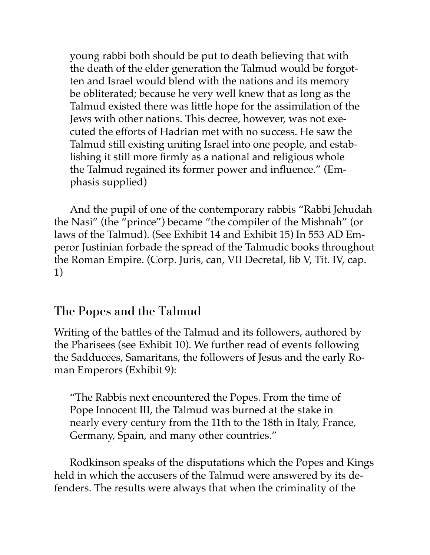young rabbi both should be put to death believing that with the death of the elder generation the Talmud would be forgotten and Israel would blend with the nations and its memory be obliterated; because he very well knew that as long as the Talmud existed there was little hope for the assimilation of the Jews with other nations. This decree, however, was not executed the efforts of Hadrian met with no success. He saw the Talmud still existing uniting Israel into one people, and establishing it still more firmly as a national and religious whole the Talmud regained its former power and influence." (Emphasis supplied)

And the pupil of one of the contemporary rabbis "Rabbi Jehudah the Nasi" (the "prince") became "the compiler of the Mishnah" (or laws of the Talmud). (See Exhibit 14 and Exhibit 15) In 553 AD Emperor Justinian forbade the spread of the Talmudic books throughout the Roman Empire. (Corp. Juris, can, VII Decretal, lib V, Tit. IV, cap. 1)

### The Popes and the Talmud

Writing of the battles of the Talmud and its followers, authored by the Pharisees (see Exhibit 10). We further read of events following the Sadducees, Samaritans, the followers of Jesus and the early Roman Emperors (Exhibit 9):

"The Rabbis next encountered the Popes. From the time of Pope Innocent III, the Talmud was burned at the stake in nearly every century from the 11th to the 18th in Italy, France, Germany, Spain, and many other countries."

Rodkinson speaks of the disputations which the Popes and Kings held in which the accusers of the Talmud were answered by its defenders. The results were always that when the criminality of the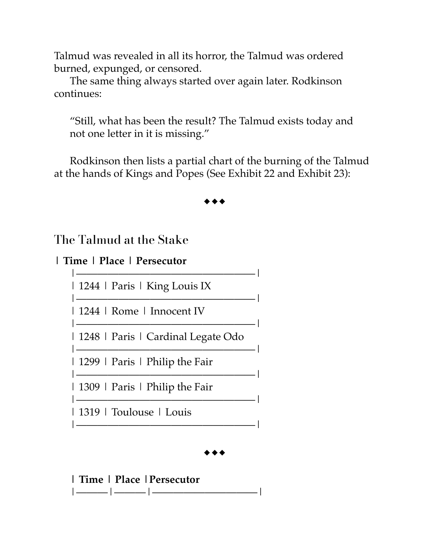Talmud was revealed in all its horror, the Talmud was ordered burned, expunged, or censored.

The same thing always started over again later. Rodkinson continues:

"Still, what has been the result? The Talmud exists today and not one letter in it is missing."

Rodkinson then lists a partial chart of the burning of the Talmud at the hands of Kings and Popes (See Exhibit 22 and Exhibit 23):

#### ◆◆◆

|—————————————————|

|—————————————————|

### The Talmud at the Stake

**| Time | Place | Persecutor** |—————————————————|

| 1244 | Paris | King Louis IX |—————————————————|

| 1244 | Rome | Innocent IV

| 1248 | Paris | Cardinal Legate Odo

|—————————————————|

| 1299 | Paris | Philip the Fair |—————————————————|

| 1309 | Paris | Philip the Fair

| 1319 | Toulouse | Louis |—————————————————|

◆◆◆

**| Time | Place |Persecutor** |———|———|——————————|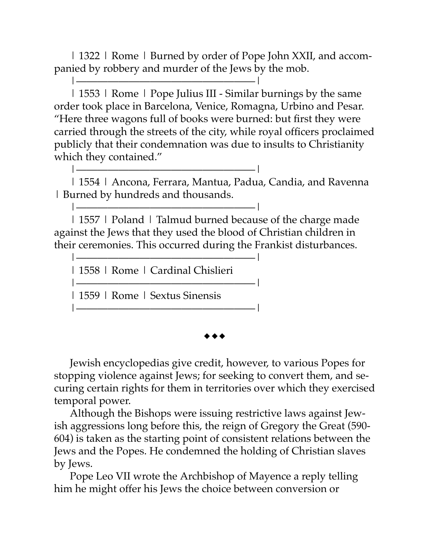| 1322 | Rome | Burned by order of Pope John XXII, and accompanied by robbery and murder of the Jews by the mob.

| 1553 | Rome | Pope Julius III - Similar burnings by the same order took place in Barcelona, Venice, Romagna, Urbino and Pesar. "Here three wagons full of books were burned: but first they were carried through the streets of the city, while royal officers proclaimed publicly that their condemnation was due to insults to Christianity which they contained."

| 1554 | Ancona, Ferrara, Mantua, Padua, Candia, and Ravenna | Burned by hundreds and thousands.

| 1557 | Poland | Talmud burned because of the charge made against the Jews that they used the blood of Christian children in their ceremonies. This occurred during the Frankist disturbances.

| 1558 | Rome | Cardinal Chislieri

|—————————————————|

|—————————————————|

|—————————————————|

|—————————————————|

|—————————————————|

|—————————————————|

| 1559 | Rome | Sextus Sinensis

#### ◆◆◆

Jewish encyclopedias give credit, however, to various Popes for stopping violence against Jews; for seeking to convert them, and securing certain rights for them in territories over which they exercised temporal power.

Although the Bishops were issuing restrictive laws against Jewish aggressions long before this, the reign of Gregory the Great (590- 604) is taken as the starting point of consistent relations between the Jews and the Popes. He condemned the holding of Christian slaves by Jews.

Pope Leo VII wrote the Archbishop of Mayence a reply telling him he might offer his Jews the choice between conversion or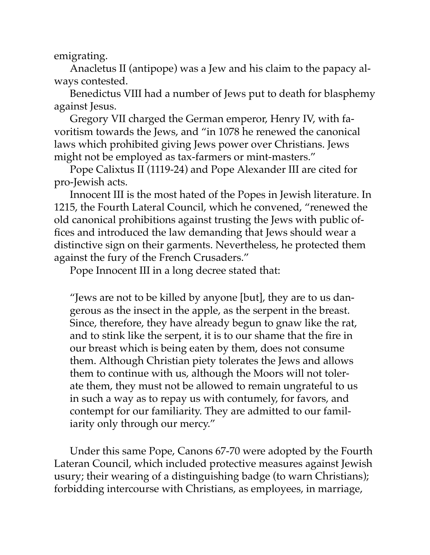emigrating.

Anacletus II (antipope) was a Jew and his claim to the papacy always contested.

Benedictus VIII had a number of Jews put to death for blasphemy against Jesus.

Gregory VII charged the German emperor, Henry IV, with favoritism towards the Jews, and "in 1078 he renewed the canonical laws which prohibited giving Jews power over Christians. Jews might not be employed as tax-farmers or mint-masters."

Pope Calixtus II (1119-24) and Pope Alexander III are cited for pro-Jewish acts.

Innocent III is the most hated of the Popes in Jewish literature. In 1215, the Fourth Lateral Council, which he convened, "renewed the old canonical prohibitions against trusting the Jews with public offices and introduced the law demanding that Jews should wear a distinctive sign on their garments. Nevertheless, he protected them against the fury of the French Crusaders."

Pope Innocent III in a long decree stated that:

"Jews are not to be killed by anyone [but], they are to us dangerous as the insect in the apple, as the serpent in the breast. Since, therefore, they have already begun to gnaw like the rat, and to stink like the serpent, it is to our shame that the fire in our breast which is being eaten by them, does not consume them. Although Christian piety tolerates the Jews and allows them to continue with us, although the Moors will not tolerate them, they must not be allowed to remain ungrateful to us in such a way as to repay us with contumely, for favors, and contempt for our familiarity. They are admitted to our familiarity only through our mercy."

Under this same Pope, Canons 67-70 were adopted by the Fourth Lateran Council, which included protective measures against Jewish usury; their wearing of a distinguishing badge (to warn Christians); forbidding intercourse with Christians, as employees, in marriage,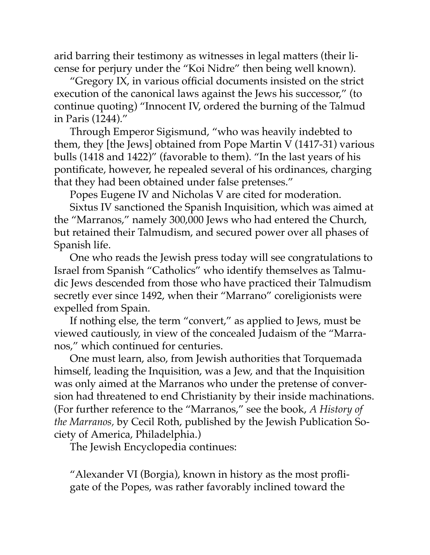arid barring their testimony as witnesses in legal matters (their license for perjury under the "Koi Nidre" then being well known).

"Gregory IX, in various official documents insisted on the strict execution of the canonical laws against the Jews his successor," (to continue quoting) "Innocent IV, ordered the burning of the Talmud in Paris (1244)."

Through Emperor Sigismund, "who was heavily indebted to them, they [the Jews] obtained from Pope Martin V (1417-31) various bulls (1418 and 1422)" (favorable to them). "In the last years of his pontificate, however, he repealed several of his ordinances, charging that they had been obtained under false pretenses."

Popes Eugene IV and Nicholas V are cited for moderation.

Sixtus IV sanctioned the Spanish Inquisition, which was aimed at the "Marranos," namely 300,000 Jews who had entered the Church, but retained their Talmudism, and secured power over all phases of Spanish life.

One who reads the Jewish press today will see congratulations to Israel from Spanish "Catholics" who identify themselves as Talmudic Jews descended from those who have practiced their Talmudism secretly ever since 1492, when their "Marrano" coreligionists were expelled from Spain.

If nothing else, the term "convert," as applied to Jews, must be viewed cautiously, in view of the concealed Judaism of the "Marranos," which continued for centuries.

One must learn, also, from Jewish authorities that Torquemada himself, leading the Inquisition, was a Jew, and that the Inquisition was only aimed at the Marranos who under the pretense of conversion had threatened to end Christianity by their inside machinations. (For further reference to the "Marranos," see the book, *A History of the Marranos,* by Cecil Roth, published by the Jewish Publication Society of America, Philadelphia.)

The Jewish Encyclopedia continues:

"Alexander VI (Borgia), known in history as the most profligate of the Popes, was rather favorably inclined toward the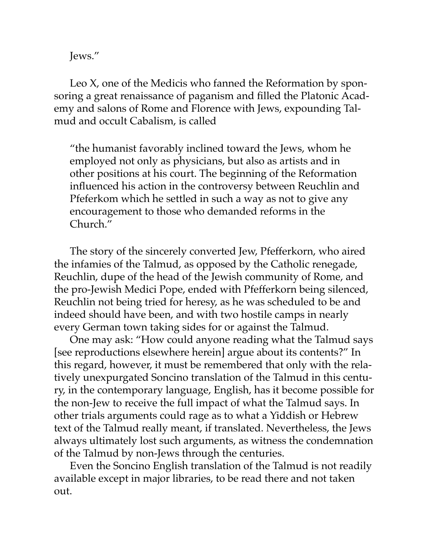Jews."

Leo X, one of the Medicis who fanned the Reformation by sponsoring a great renaissance of paganism and filled the Platonic Academy and salons of Rome and Florence with Jews, expounding Talmud and occult Cabalism, is called

"the humanist favorably inclined toward the Jews, whom he employed not only as physicians, but also as artists and in other positions at his court. The beginning of the Reformation influenced his action in the controversy between Reuchlin and Pfeferkom which he settled in such a way as not to give any encouragement to those who demanded reforms in the Church."

The story of the sincerely converted Jew, Pfefferkorn, who aired the infamies of the Talmud, as opposed by the Catholic renegade, Reuchlin, dupe of the head of the Jewish community of Rome, and the pro-Jewish Medici Pope, ended with Pfefferkorn being silenced, Reuchlin not being tried for heresy, as he was scheduled to be and indeed should have been, and with two hostile camps in nearly every German town taking sides for or against the Talmud.

One may ask: "How could anyone reading what the Talmud says [see reproductions elsewhere herein] argue about its contents?" In this regard, however, it must be remembered that only with the relatively unexpurgated Soncino translation of the Talmud in this century, in the contemporary language, English, has it become possible for the non-Jew to receive the full impact of what the Talmud says. In other trials arguments could rage as to what a Yiddish or Hebrew text of the Talmud really meant, if translated. Nevertheless, the Jews always ultimately lost such arguments, as witness the condemnation of the Talmud by non-Jews through the centuries.

Even the Soncino English translation of the Talmud is not readily available except in major libraries, to be read there and not taken out.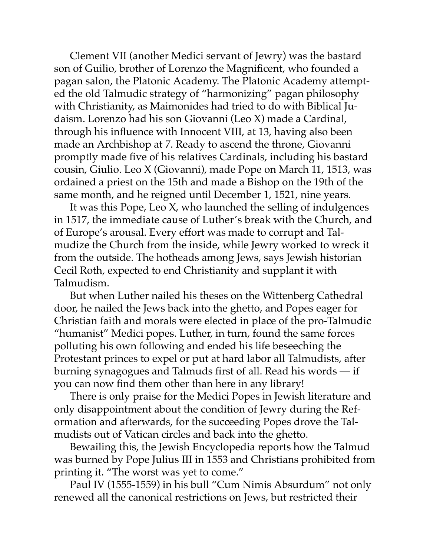Clement VII (another Medici servant of Jewry) was the bastard son of Guilio, brother of Lorenzo the Magnificent, who founded a pagan salon, the Platonic Academy. The Platonic Academy attempted the old Talmudic strategy of "harmonizing" pagan philosophy with Christianity, as Maimonides had tried to do with Biblical Judaism. Lorenzo had his son Giovanni (Leo X) made a Cardinal, through his influence with Innocent VIII, at 13, having also been made an Archbishop at 7. Ready to ascend the throne, Giovanni promptly made five of his relatives Cardinals, including his bastard cousin, Giulio. Leo X (Giovanni), made Pope on March 11, 1513, was ordained a priest on the 15th and made a Bishop on the 19th of the same month, and he reigned until December 1, 1521, nine years.

It was this Pope, Leo X, who launched the selling of indulgences in 1517, the immediate cause of Luther's break with the Church, and of Europe's arousal. Every effort was made to corrupt and Talmudize the Church from the inside, while Jewry worked to wreck it from the outside. The hotheads among Jews, says Jewish historian Cecil Roth, expected to end Christianity and supplant it with Talmudism.

But when Luther nailed his theses on the Wittenberg Cathedral door, he nailed the Jews back into the ghetto, and Popes eager for Christian faith and morals were elected in place of the pro-Talmudic "humanist" Medici popes. Luther, in turn, found the same forces polluting his own following and ended his life beseeching the Protestant princes to expel or put at hard labor all Talmudists, after burning synagogues and Talmuds first of all. Read his words — if you can now find them other than here in any library!

There is only praise for the Medici Popes in Jewish literature and only disappointment about the condition of Jewry during the Reformation and afterwards, for the succeeding Popes drove the Talmudists out of Vatican circles and back into the ghetto.

Bewailing this, the Jewish Encyclopedia reports how the Talmud was burned by Pope Julius III in 1553 and Christians prohibited from printing it. "The worst was yet to come."

Paul IV (1555-1559) in his bull "Cum Nimis Absurdum" not only renewed all the canonical restrictions on Jews, but restricted their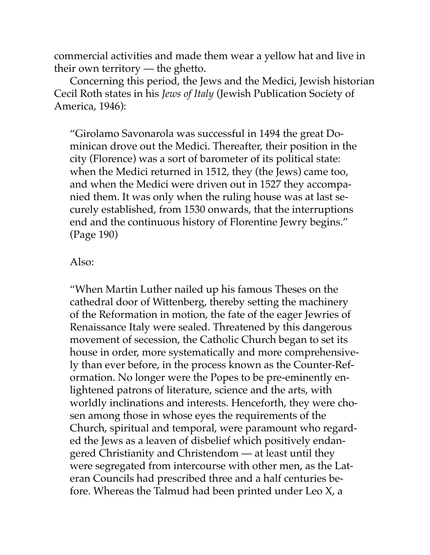commercial activities and made them wear a yellow hat and live in their own territory — the ghetto.

Concerning this period, the Jews and the Medici, Jewish historian Cecil Roth states in his *Jews of Italy* (Jewish Publication Society of America, 1946):

"Girolamo Savonarola was successful in 1494 the great Dominican drove out the Medici. Thereafter, their position in the city (Florence) was a sort of barometer of its political state: when the Medici returned in 1512, they (the Jews) came too, and when the Medici were driven out in 1527 they accompanied them. It was only when the ruling house was at last securely established, from 1530 onwards, that the interruptions end and the continuous history of Florentine Jewry begins." (Page 190)

Also:

"When Martin Luther nailed up his famous Theses on the cathedral door of Wittenberg, thereby setting the machinery of the Reformation in motion, the fate of the eager Jewries of Renaissance Italy were sealed. Threatened by this dangerous movement of secession, the Catholic Church began to set its house in order, more systematically and more comprehensively than ever before, in the process known as the Counter-Reformation. No longer were the Popes to be pre-eminently enlightened patrons of literature, science and the arts, with worldly inclinations and interests. Henceforth, they were chosen among those in whose eyes the requirements of the Church, spiritual and temporal, were paramount who regarded the Jews as a leaven of disbelief which positively endangered Christianity and Christendom — at least until they were segregated from intercourse with other men, as the Lateran Councils had prescribed three and a half centuries before. Whereas the Talmud had been printed under Leo X, a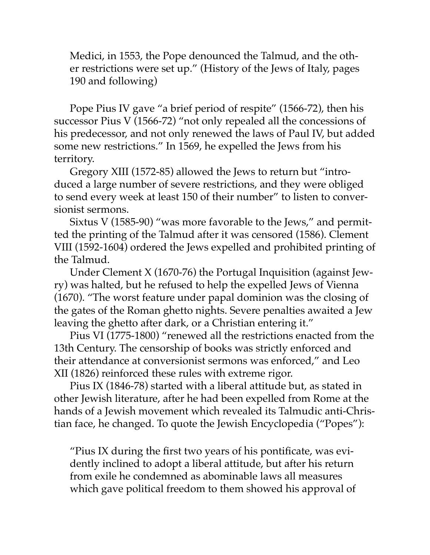Medici, in 1553, the Pope denounced the Talmud, and the other restrictions were set up." (History of the Jews of Italy, pages 190 and following)

Pope Pius IV gave "a brief period of respite" (1566-72), then his successor Pius V (1566-72) "not only repealed all the concessions of his predecessor, and not only renewed the laws of Paul IV, but added some new restrictions." In 1569, he expelled the Jews from his territory.

Gregory XIII (1572-85) allowed the Jews to return but "introduced a large number of severe restrictions, and they were obliged to send every week at least 150 of their number" to listen to conversionist sermons.

Sixtus V (1585-90) "was more favorable to the Jews," and permitted the printing of the Talmud after it was censored (1586). Clement VIII (1592-1604) ordered the Jews expelled and prohibited printing of the Talmud.

Under Clement X (1670-76) the Portugal Inquisition (against Jewry) was halted, but he refused to help the expelled Jews of Vienna (1670). "The worst feature under papal dominion was the closing of the gates of the Roman ghetto nights. Severe penalties awaited a Jew leaving the ghetto after dark, or a Christian entering it."

Pius VI (1775-1800) "renewed all the restrictions enacted from the 13th Century. The censorship of books was strictly enforced and their attendance at conversionist sermons was enforced," and Leo XII (1826) reinforced these rules with extreme rigor.

Pius IX (1846-78) started with a liberal attitude but, as stated in other Jewish literature, after he had been expelled from Rome at the hands of a Jewish movement which revealed its Talmudic anti-Christian face, he changed. To quote the Jewish Encyclopedia ("Popes"):

"Pius IX during the first two years of his pontificate, was evidently inclined to adopt a liberal attitude, but after his return from exile he condemned as abominable laws all measures which gave political freedom to them showed his approval of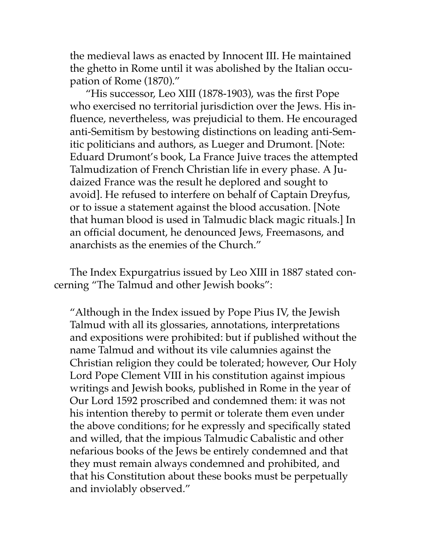the medieval laws as enacted by Innocent III. He maintained the ghetto in Rome until it was abolished by the Italian occupation of Rome (1870)."

"His successor, Leo XIII (1878-1903), was the first Pope who exercised no territorial jurisdiction over the Jews. His influence, nevertheless, was prejudicial to them. He encouraged anti-Semitism by bestowing distinctions on leading anti-Semitic politicians and authors, as Lueger and Drumont. [Note: Eduard Drumont's book, La France Juive traces the attempted Talmudization of French Christian life in every phase. A Judaized France was the result he deplored and sought to avoid]. He refused to interfere on behalf of Captain Dreyfus, or to issue a statement against the blood accusation. [Note that human blood is used in Talmudic black magic rituals.] In an official document, he denounced Jews, Freemasons, and anarchists as the enemies of the Church."

The Index Expurgatrius issued by Leo XIII in 1887 stated concerning "The Talmud and other Jewish books":

"Although in the Index issued by Pope Pius IV, the Jewish Talmud with all its glossaries, annotations, interpretations and expositions were prohibited: but if published without the name Talmud and without its vile calumnies against the Christian religion they could be tolerated; however, Our Holy Lord Pope Clement VIII in his constitution against impious writings and Jewish books, published in Rome in the year of Our Lord 1592 proscribed and condemned them: it was not his intention thereby to permit or tolerate them even under the above conditions; for he expressly and specifically stated and willed, that the impious Talmudic Cabalistic and other nefarious books of the Jews be entirely condemned and that they must remain always condemned and prohibited, and that his Constitution about these books must be perpetually and inviolably observed."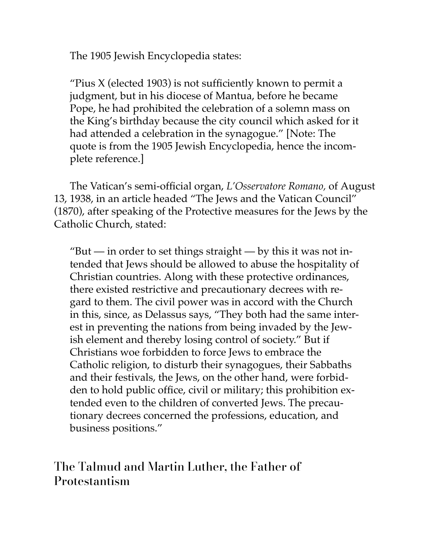The 1905 Jewish Encyclopedia states:

"Pius X (elected 1903) is not sufficiently known to permit a judgment, but in his diocese of Mantua, before he became Pope, he had prohibited the celebration of a solemn mass on the King's birthday because the city council which asked for it had attended a celebration in the synagogue." [Note: The quote is from the 1905 Jewish Encyclopedia, hence the incomplete reference.]

The Vatican's semi-official organ, *L'Osservatore Romano,* of August 13, 1938, in an article headed "The Jews and the Vatican Council" (1870), after speaking of the Protective measures for the Jews by the Catholic Church, stated:

"But — in order to set things straight — by this it was not intended that Jews should be allowed to abuse the hospitality of Christian countries. Along with these protective ordinances, there existed restrictive and precautionary decrees with regard to them. The civil power was in accord with the Church in this, since, as Delassus says, "They both had the same interest in preventing the nations from being invaded by the Jewish element and thereby losing control of society." But if Christians woe forbidden to force Jews to embrace the Catholic religion, to disturb their synagogues, their Sabbaths and their festivals, the Jews, on the other hand, were forbidden to hold public office, civil or military; this prohibition extended even to the children of converted Jews. The precautionary decrees concerned the professions, education, and business positions."

The Talmud and Martin Luther, the Father of Protestantism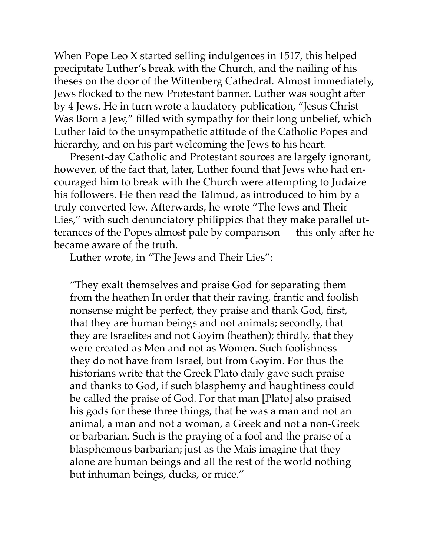When Pope Leo X started selling indulgences in 1517, this helped precipitate Luther's break with the Church, and the nailing of his theses on the door of the Wittenberg Cathedral. Almost immediately, Jews flocked to the new Protestant banner. Luther was sought after by 4 Jews. He in turn wrote a laudatory publication, "Jesus Christ Was Born a Jew," filled with sympathy for their long unbelief, which Luther laid to the unsympathetic attitude of the Catholic Popes and hierarchy, and on his part welcoming the Jews to his heart.

Present-day Catholic and Protestant sources are largely ignorant, however, of the fact that, later, Luther found that Jews who had encouraged him to break with the Church were attempting to Judaize his followers. He then read the Talmud, as introduced to him by a truly converted Jew. Afterwards, he wrote "The Jews and Their Lies," with such denunciatory philippics that they make parallel utterances of the Popes almost pale by comparison — this only after he became aware of the truth.

Luther wrote, in "The Jews and Their Lies":

"They exalt themselves and praise God for separating them from the heathen In order that their raving, frantic and foolish nonsense might be perfect, they praise and thank God, first, that they are human beings and not animals; secondly, that they are Israelites and not Goyim (heathen); thirdly, that they were created as Men and not as Women. Such foolishness they do not have from Israel, but from Goyim. For thus the historians write that the Greek Plato daily gave such praise and thanks to God, if such blasphemy and haughtiness could be called the praise of God. For that man [Plato] also praised his gods for these three things, that he was a man and not an animal, a man and not a woman, a Greek and not a non-Greek or barbarian. Such is the praying of a fool and the praise of a blasphemous barbarian; just as the Mais imagine that they alone are human beings and all the rest of the world nothing but inhuman beings, ducks, or mice."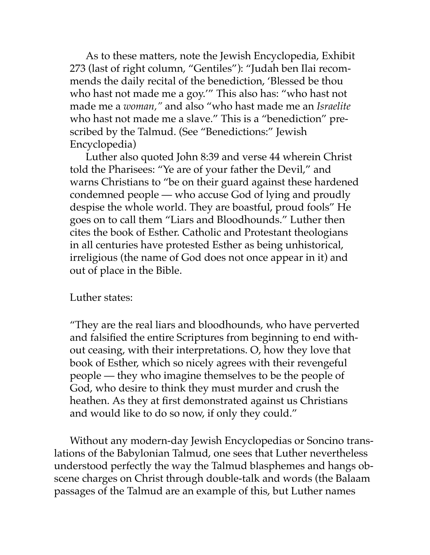As to these matters, note the Jewish Encyclopedia, Exhibit 273 (last of right column, "Gentiles"): "Judah ben Ilai recommends the daily recital of the benediction, 'Blessed be thou who hast not made me a goy.'" This also has: "who hast not made me a *woman,"* and also "who hast made me an *Israelite* who hast not made me a slave." This is a "benediction" prescribed by the Talmud. (See "Benedictions:" Jewish Encyclopedia)

Luther also quoted John 8:39 and verse 44 wherein Christ told the Pharisees: "Ye are of your father the Devil," and warns Christians to "be on their guard against these hardened condemned people — who accuse God of lying and proudly despise the whole world. They are boastful, proud fools" He goes on to call them "Liars and Bloodhounds." Luther then cites the book of Esther. Catholic and Protestant theologians in all centuries have protested Esther as being unhistorical, irreligious (the name of God does not once appear in it) and out of place in the Bible.

#### Luther states:

"They are the real liars and bloodhounds, who have perverted and falsified the entire Scriptures from beginning to end without ceasing, with their interpretations. O, how they love that book of Esther, which so nicely agrees with their revengeful people — they who imagine themselves to be the people of God, who desire to think they must murder and crush the heathen. As they at first demonstrated against us Christians and would like to do so now, if only they could."

Without any modern-day Jewish Encyclopedias or Soncino translations of the Babylonian Talmud, one sees that Luther nevertheless understood perfectly the way the Talmud blasphemes and hangs obscene charges on Christ through double-talk and words (the Balaam passages of the Talmud are an example of this, but Luther names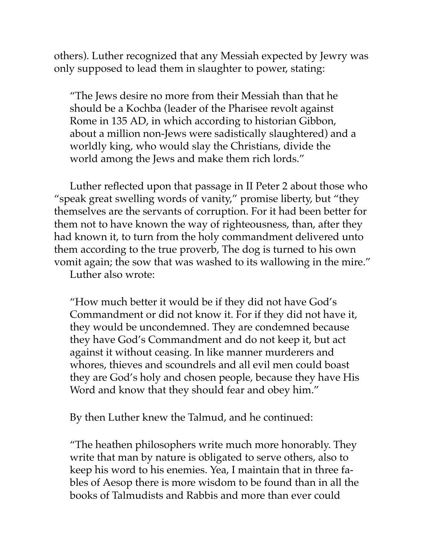others). Luther recognized that any Messiah expected by Jewry was only supposed to lead them in slaughter to power, stating:

"The Jews desire no more from their Messiah than that he should be a Kochba (leader of the Pharisee revolt against Rome in 135 AD, in which according to historian Gibbon, about a million non-Jews were sadistically slaughtered) and a worldly king, who would slay the Christians, divide the world among the Jews and make them rich lords."

Luther reflected upon that passage in II Peter 2 about those who "speak great swelling words of vanity," promise liberty, but "they themselves are the servants of corruption. For it had been better for them not to have known the way of righteousness, than, after they had known it, to turn from the holy commandment delivered unto them according to the true proverb, The dog is turned to his own vomit again; the sow that was washed to its wallowing in the mire." Luther also wrote:

"How much better it would be if they did not have God's Commandment or did not know it. For if they did not have it, they would be uncondemned. They are condemned because they have God's Commandment and do not keep it, but act against it without ceasing. In like manner murderers and whores, thieves and scoundrels and all evil men could boast they are God's holy and chosen people, because they have His Word and know that they should fear and obey him."

By then Luther knew the Talmud, and he continued:

"The heathen philosophers write much more honorably. They write that man by nature is obligated to serve others, also to keep his word to his enemies. Yea, I maintain that in three fables of Aesop there is more wisdom to be found than in all the books of Talmudists and Rabbis and more than ever could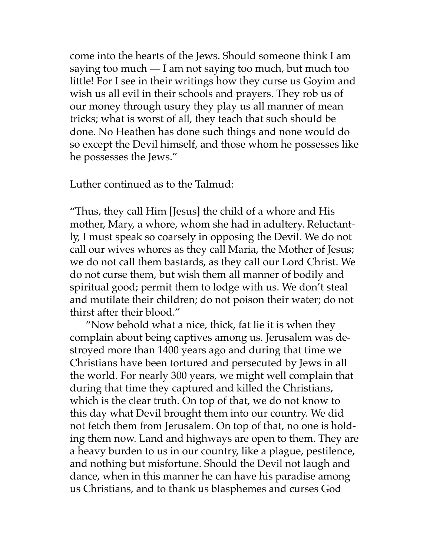come into the hearts of the Jews. Should someone think I am saying too much — I am not saying too much, but much too little! For I see in their writings how they curse us Goyim and wish us all evil in their schools and prayers. They rob us of our money through usury they play us all manner of mean tricks; what is worst of all, they teach that such should be done. No Heathen has done such things and none would do so except the Devil himself, and those whom he possesses like he possesses the Jews."

Luther continued as to the Talmud:

"Thus, they call Him [Jesus] the child of a whore and His mother, Mary, a whore, whom she had in adultery. Reluctantly, I must speak so coarsely in opposing the Devil. We do not call our wives whores as they call Maria, the Mother of Jesus; we do not call them bastards, as they call our Lord Christ. We do not curse them, but wish them all manner of bodily and spiritual good; permit them to lodge with us. We don't steal and mutilate their children; do not poison their water; do not thirst after their blood."

"Now behold what a nice, thick, fat lie it is when they complain about being captives among us. Jerusalem was destroyed more than 1400 years ago and during that time we Christians have been tortured and persecuted by Jews in all the world. For nearly 300 years, we might well complain that during that time they captured and killed the Christians, which is the clear truth. On top of that, we do not know to this day what Devil brought them into our country. We did not fetch them from Jerusalem. On top of that, no one is holding them now. Land and highways are open to them. They are a heavy burden to us in our country, like a plague, pestilence, and nothing but misfortune. Should the Devil not laugh and dance, when in this manner he can have his paradise among us Christians, and to thank us blasphemes and curses God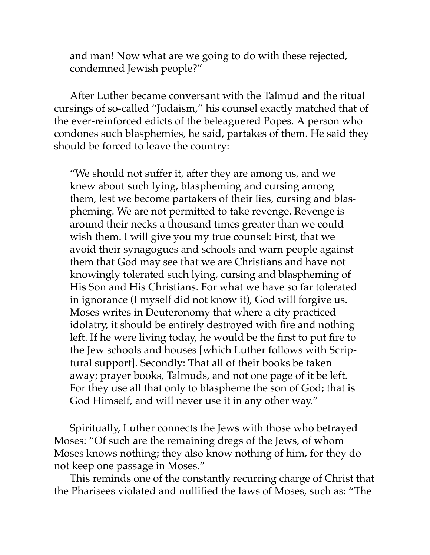and man! Now what are we going to do with these rejected, condemned Jewish people?"

After Luther became conversant with the Talmud and the ritual cursings of so-called "Judaism," his counsel exactly matched that of the ever-reinforced edicts of the beleaguered Popes. A person who condones such blasphemies, he said, partakes of them. He said they should be forced to leave the country:

"We should not suffer it, after they are among us, and we knew about such lying, blaspheming and cursing among them, lest we become partakers of their lies, cursing and blaspheming. We are not permitted to take revenge. Revenge is around their necks a thousand times greater than we could wish them. I will give you my true counsel: First, that we avoid their synagogues and schools and warn people against them that God may see that we are Christians and have not knowingly tolerated such lying, cursing and blaspheming of His Son and His Christians. For what we have so far tolerated in ignorance (I myself did not know it), God will forgive us. Moses writes in Deuteronomy that where a city practiced idolatry, it should be entirely destroyed with fire and nothing left. If he were living today, he would be the first to put fire to the Jew schools and houses [which Luther follows with Scriptural support]. Secondly: That all of their books be taken away; prayer books, Talmuds, and not one page of it be left. For they use all that only to blaspheme the son of God; that is God Himself, and will never use it in any other way."

Spiritually, Luther connects the Jews with those who betrayed Moses: "Of such are the remaining dregs of the Jews, of whom Moses knows nothing; they also know nothing of him, for they do not keep one passage in Moses."

This reminds one of the constantly recurring charge of Christ that the Pharisees violated and nullified the laws of Moses, such as: "The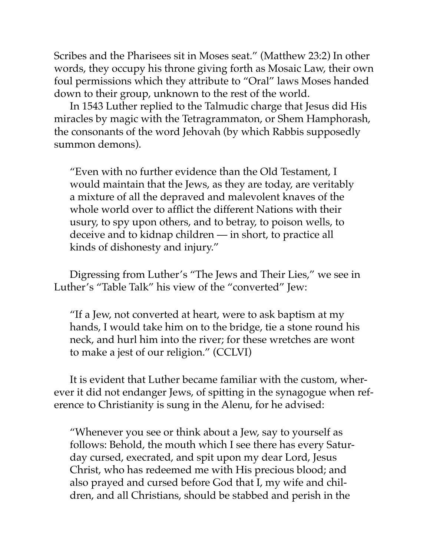Scribes and the Pharisees sit in Moses seat." (Matthew 23:2) In other words, they occupy his throne giving forth as Mosaic Law, their own foul permissions which they attribute to "Oral" laws Moses handed down to their group, unknown to the rest of the world.

In 1543 Luther replied to the Talmudic charge that Jesus did His miracles by magic with the Tetragrammaton, or Shem Hamphorash, the consonants of the word Jehovah (by which Rabbis supposedly summon demons).

"Even with no further evidence than the Old Testament, I would maintain that the Jews, as they are today, are veritably a mixture of all the depraved and malevolent knaves of the whole world over to afflict the different Nations with their usury, to spy upon others, and to betray, to poison wells, to deceive and to kidnap children — in short, to practice all kinds of dishonesty and injury."

Digressing from Luther's "The Jews and Their Lies," we see in Luther's "Table Talk" his view of the "converted" Jew:

"If a Jew, not converted at heart, were to ask baptism at my hands, I would take him on to the bridge, tie a stone round his neck, and hurl him into the river; for these wretches are wont to make a jest of our religion." (CCLVI)

It is evident that Luther became familiar with the custom, wherever it did not endanger Jews, of spitting in the synagogue when reference to Christianity is sung in the Alenu, for he advised:

"Whenever you see or think about a Jew, say to yourself as follows: Behold, the mouth which I see there has every Saturday cursed, execrated, and spit upon my dear Lord, Jesus Christ, who has redeemed me with His precious blood; and also prayed and cursed before God that I, my wife and children, and all Christians, should be stabbed and perish in the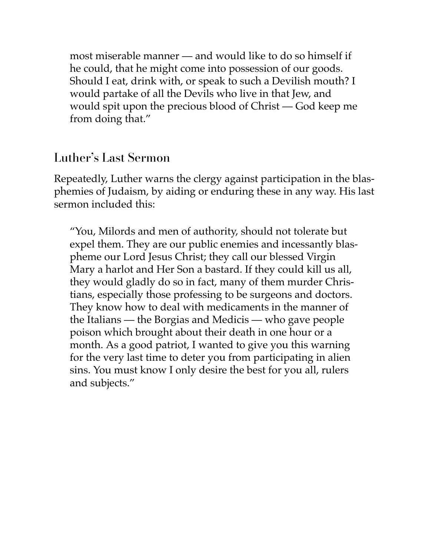most miserable manner — and would like to do so himself if he could, that he might come into possession of our goods. Should I eat, drink with, or speak to such a Devilish mouth? I would partake of all the Devils who live in that Jew, and would spit upon the precious blood of Christ — God keep me from doing that."

### Luther ' s Last Sermon

Repeatedly, Luther warns the clergy against participation in the blasphemies of Judaism, by aiding or enduring these in any way. His last sermon included this:

"You, Milords and men of authority, should not tolerate but expel them. They are our public enemies and incessantly blaspheme our Lord Jesus Christ; they call our blessed Virgin Mary a harlot and Her Son a bastard. If they could kill us all, they would gladly do so in fact, many of them murder Christians, especially those professing to be surgeons and doctors. They know how to deal with medicaments in the manner of the Italians — the Borgias and Medicis — who gave people poison which brought about their death in one hour or a month. As a good patriot, I wanted to give you this warning for the very last time to deter you from participating in alien sins. You must know I only desire the best for you all, rulers and subjects."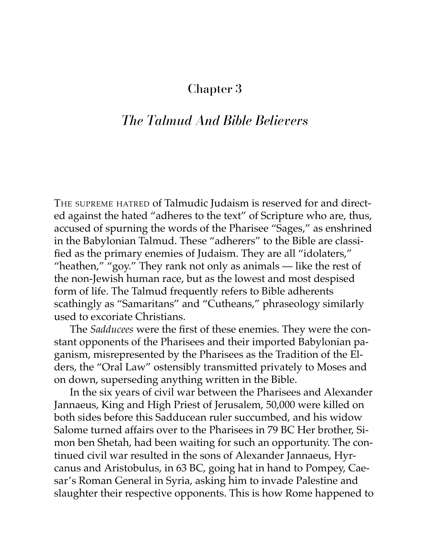# Chapter 3

### *The Talmud And Bible Believers*

THE SUPREME HATRED of Talmudic Judaism is reserved for and directed against the hated "adheres to the text" of Scripture who are, thus, accused of spurning the words of the Pharisee "Sages," as enshrined in the Babylonian Talmud. These "adherers" to the Bible are classified as the primary enemies of Judaism. They are all "idolaters," "heathen," "goy." They rank not only as animals — like the rest of the non-Jewish human race, but as the lowest and most despised form of life. The Talmud frequently refers to Bible adherents scathingly as "Samaritans" and "Cutheans," phraseology similarly used to excoriate Christians.

The *Sadducees* were the first of these enemies. They were the constant opponents of the Pharisees and their imported Babylonian paganism, misrepresented by the Pharisees as the Tradition of the Elders, the "Oral Law" ostensibly transmitted privately to Moses and on down, superseding anything written in the Bible.

In the six years of civil war between the Pharisees and Alexander Jannaeus, King and High Priest of Jerusalem, 50,000 were killed on both sides before this Sadducean ruler succumbed, and his widow Salome turned affairs over to the Pharisees in 79 BC Her brother, Simon ben Shetah, had been waiting for such an opportunity. The continued civil war resulted in the sons of Alexander Jannaeus, Hyrcanus and Aristobulus, in 63 BC, going hat in hand to Pompey, Caesar's Roman General in Syria, asking him to invade Palestine and slaughter their respective opponents. This is how Rome happened to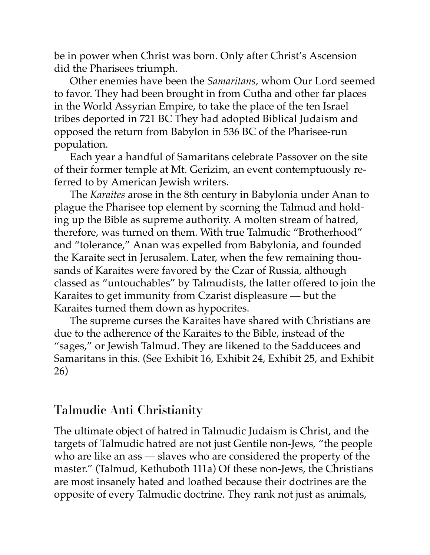be in power when Christ was born. Only after Christ's Ascension did the Pharisees triumph.

Other enemies have been the *Samaritans,* whom Our Lord seemed to favor. They had been brought in from Cutha and other far places in the World Assyrian Empire, to take the place of the ten Israel tribes deported in 721 BC They had adopted Biblical Judaism and opposed the return from Babylon in 536 BC of the Pharisee-run population.

Each year a handful of Samaritans celebrate Passover on the site of their former temple at Mt. Gerizim, an event contemptuously referred to by American Jewish writers.

The *Karaites* arose in the 8th century in Babylonia under Anan to plague the Pharisee top element by scorning the Talmud and holding up the Bible as supreme authority. A molten stream of hatred, therefore, was turned on them. With true Talmudic "Brotherhood" and "tolerance," Anan was expelled from Babylonia, and founded the Karaite sect in Jerusalem. Later, when the few remaining thousands of Karaites were favored by the Czar of Russia, although classed as "untouchables" by Talmudists, the latter offered to join the Karaites to get immunity from Czarist displeasure — but the Karaites turned them down as hypocrites.

The supreme curses the Karaites have shared with Christians are due to the adherence of the Karaites to the Bible, instead of the "sages," or Jewish Talmud. They are likened to the Sadducees and Samaritans in this. (See Exhibit 16, Exhibit 24, Exhibit 25, and Exhibit 26)

#### Talmudic Anti-Christianity

The ultimate object of hatred in Talmudic Judaism is Christ, and the targets of Talmudic hatred are not just Gentile non-Jews, "the people who are like an ass — slaves who are considered the property of the master." (Talmud, Kethuboth 111a) Of these non-Jews, the Christians are most insanely hated and loathed because their doctrines are the opposite of every Talmudic doctrine. They rank not just as animals,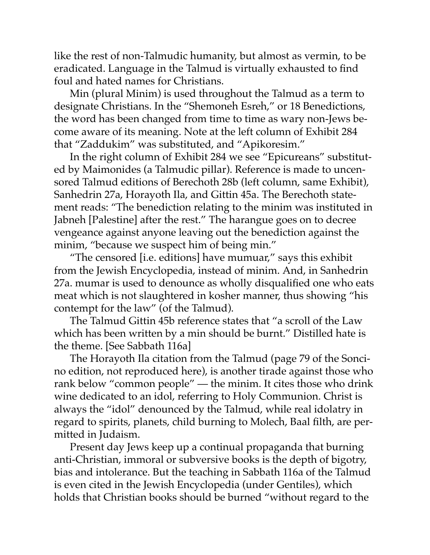like the rest of non-Talmudic humanity, but almost as vermin, to be eradicated. Language in the Talmud is virtually exhausted to find foul and hated names for Christians.

Min (plural Minim) is used throughout the Talmud as a term to designate Christians. In the "Shemoneh Esreh," or 18 Benedictions, the word has been changed from time to time as wary non-Jews become aware of its meaning. Note at the left column of Exhibit 284 that "Zaddukim" was substituted, and "Apikoresim."

In the right column of Exhibit 284 we see "Epicureans" substituted by Maimonides (a Talmudic pillar). Reference is made to uncensored Talmud editions of Berechoth 28b (left column, same Exhibit), Sanhedrin 27a, Horayoth Ila, and Gittin 45a. The Berechoth statement reads: "The benediction relating to the minim was instituted in Jabneh [Palestine] after the rest." The harangue goes on to decree vengeance against anyone leaving out the benediction against the minim, "because we suspect him of being min."

"The censored [i.e. editions] have mumuar," says this exhibit from the Jewish Encyclopedia, instead of minim. And, in Sanhedrin 27a. mumar is used to denounce as wholly disqualified one who eats meat which is not slaughtered in kosher manner, thus showing "his contempt for the law" (of the Talmud).

The Talmud Gittin 45b reference states that "a scroll of the Law which has been written by a min should be burnt." Distilled hate is the theme. [See Sabbath 116a]

The Horayoth Ila citation from the Talmud (page 79 of the Soncino edition, not reproduced here), is another tirade against those who rank below "common people" — the minim. It cites those who drink wine dedicated to an idol, referring to Holy Communion. Christ is always the "idol" denounced by the Talmud, while real idolatry in regard to spirits, planets, child burning to Molech, Baal filth, are permitted in Judaism.

Present day Jews keep up a continual propaganda that burning anti-Christian, immoral or subversive books is the depth of bigotry, bias and intolerance. But the teaching in Sabbath 116a of the Talmud is even cited in the Jewish Encyclopedia (under Gentiles), which holds that Christian books should be burned "without regard to the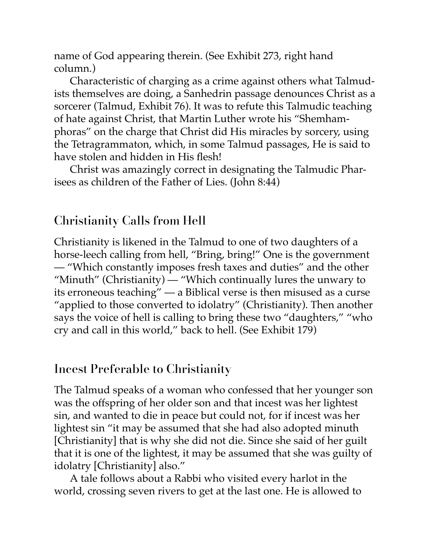name of God appearing therein. (See Exhibit 273, right hand column.)

Characteristic of charging as a crime against others what Talmudists themselves are doing, a Sanhedrin passage denounces Christ as a sorcerer (Talmud, Exhibit 76). It was to refute this Talmudic teaching of hate against Christ, that Martin Luther wrote his "Shemhamphoras" on the charge that Christ did His miracles by sorcery, using the Tetragrammaton, which, in some Talmud passages, He is said to have stolen and hidden in His flesh!

Christ was amazingly correct in designating the Talmudic Pharisees as children of the Father of Lies. (John 8:44)

### Christianity Calls from Hell

Christianity is likened in the Talmud to one of two daughters of a horse-leech calling from hell, "Bring, bring!" One is the government — "Which constantly imposes fresh taxes and duties" and the other "Minuth" (Christianity) — "Which continually lures the unwary to its erroneous teaching" — a Biblical verse is then misused as a curse "applied to those converted to idolatry" (Christianity). Then another says the voice of hell is calling to bring these two "daughters," "who cry and call in this world," back to hell. (See Exhibit 179)

## Incest Preferable to Christianity

The Talmud speaks of a woman who confessed that her younger son was the offspring of her older son and that incest was her lightest sin, and wanted to die in peace but could not, for if incest was her lightest sin "it may be assumed that she had also adopted minuth [Christianity] that is why she did not die. Since she said of her guilt that it is one of the lightest, it may be assumed that she was guilty of idolatry [Christianity] also."

A tale follows about a Rabbi who visited every harlot in the world, crossing seven rivers to get at the last one. He is allowed to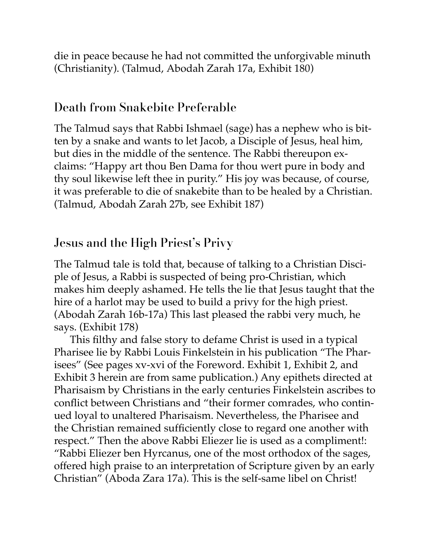die in peace because he had not committed the unforgivable minuth (Christianity). (Talmud, Abodah Zarah 17a, Exhibit 180)

## Death from Snakebite Preferable

The Talmud says that Rabbi Ishmael (sage) has a nephew who is bitten by a snake and wants to let Jacob, a Disciple of Jesus, heal him, but dies in the middle of the sentence. The Rabbi thereupon exclaims: "Happy art thou Ben Dama for thou wert pure in body and thy soul likewise left thee in purity." His joy was because, of course, it was preferable to die of snakebite than to be healed by a Christian. (Talmud, Abodah Zarah 27b, see Exhibit 187)

# Jesus and the High Priest' s Privy

The Talmud tale is told that, because of talking to a Christian Disciple of Jesus, a Rabbi is suspected of being pro-Christian, which makes him deeply ashamed. He tells the lie that Jesus taught that the hire of a harlot may be used to build a privy for the high priest. (Abodah Zarah 16b-17a) This last pleased the rabbi very much, he says. (Exhibit 178)

This filthy and false story to defame Christ is used in a typical Pharisee lie by Rabbi Louis Finkelstein in his publication "The Pharisees" (See pages xv-xvi of the Foreword. Exhibit 1, Exhibit 2, and Exhibit 3 herein are from same publication.) Any epithets directed at Pharisaism by Christians in the early centuries Finkelstein ascribes to conflict between Christians and "their former comrades, who continued loyal to unaltered Pharisaism. Nevertheless, the Pharisee and the Christian remained sufficiently close to regard one another with respect." Then the above Rabbi Eliezer lie is used as a compliment!: "Rabbi Eliezer ben Hyrcanus, one of the most orthodox of the sages, offered high praise to an interpretation of Scripture given by an early Christian" (Aboda Zara 17a). This is the self-same libel on Christ!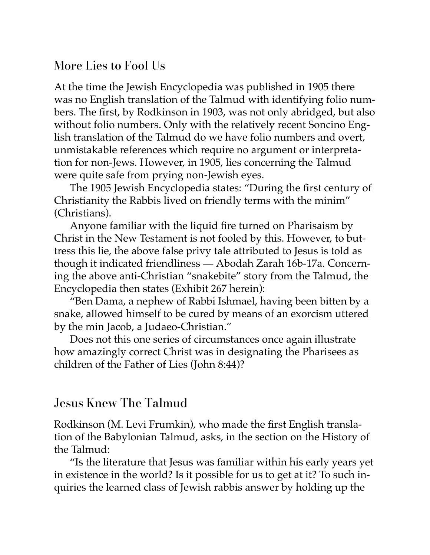#### More Lies to Fool Us

At the time the Jewish Encyclopedia was published in 1905 there was no English translation of the Talmud with identifying folio numbers. The first, by Rodkinson in 1903, was not only abridged, but also without folio numbers. Only with the relatively recent Soncino English translation of the Talmud do we have folio numbers and overt, unmistakable references which require no argument or interpretation for non-Jews. However, in 1905, lies concerning the Talmud were quite safe from prying non-Jewish eyes.

The 1905 Jewish Encyclopedia states: "During the first century of Christianity the Rabbis lived on friendly terms with the minim" (Christians).

Anyone familiar with the liquid fire turned on Pharisaism by Christ in the New Testament is not fooled by this. However, to buttress this lie, the above false privy tale attributed to Jesus is told as though it indicated friendliness — Abodah Zarah 16b-17a. Concerning the above anti-Christian "snakebite" story from the Talmud, the Encyclopedia then states (Exhibit 267 herein):

"Ben Dama, a nephew of Rabbi Ishmael, having been bitten by a snake, allowed himself to be cured by means of an exorcism uttered by the min Jacob, a Judaeo-Christian."

Does not this one series of circumstances once again illustrate how amazingly correct Christ was in designating the Pharisees as children of the Father of Lies (John 8:44)?

#### Jesus Knew The Talmud

Rodkinson (M. Levi Frumkin), who made the first English translation of the Babylonian Talmud, asks, in the section on the History of the Talmud:

"Is the literature that Jesus was familiar within his early years yet in existence in the world? Is it possible for us to get at it? To such inquiries the learned class of Jewish rabbis answer by holding up the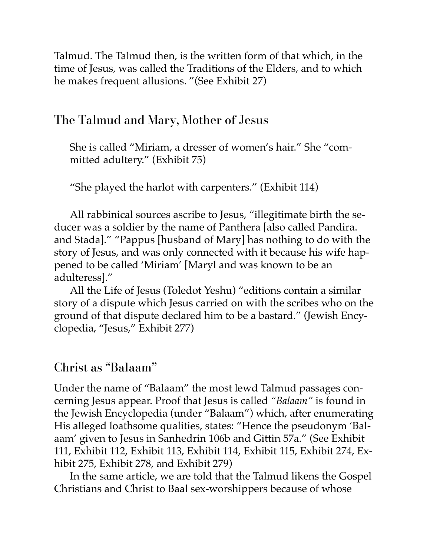Talmud. The Talmud then, is the written form of that which, in the time of Jesus, was called the Traditions of the Elders, and to which he makes frequent allusions. "(See Exhibit 27)

# The Talmud and Mary, Mother of Jesus

She is called "Miriam, a dresser of women's hair." She "committed adultery." (Exhibit 75)

"She played the harlot with carpenters." (Exhibit 114)

All rabbinical sources ascribe to Jesus, "illegitimate birth the seducer was a soldier by the name of Panthera [also called Pandira. and Stada]." "Pappus [husband of Mary] has nothing to do with the story of Jesus, and was only connected with it because his wife happened to be called 'Miriam' [Maryl and was known to be an adulteress]."

All the Life of Jesus (Toledot Yeshu) "editions contain a similar story of a dispute which Jesus carried on with the scribes who on the ground of that dispute declared him to be a bastard." (Jewish Encyclopedia, "Jesus," Exhibit 277)

# Christ as "Balaam "

Under the name of "Balaam" the most lewd Talmud passages concerning Jesus appear. Proof that Jesus is called *"Balaam"* is found in the Jewish Encyclopedia (under "Balaam") which, after enumerating His alleged loathsome qualities, states: "Hence the pseudonym 'Balaam' given to Jesus in Sanhedrin 106b and Gittin 57a." (See Exhibit 111, Exhibit 112, Exhibit 113, Exhibit 114, Exhibit 115, Exhibit 274, Exhibit 275, Exhibit 278, and Exhibit 279)

In the same article, we are told that the Talmud likens the Gospel Christians and Christ to Baal sex-worshippers because of whose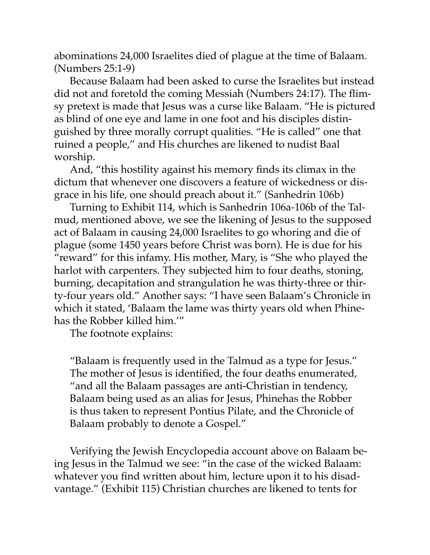abominations 24,000 Israelites died of plague at the time of Balaam. (Numbers 25:1-9)

Because Balaam had been asked to curse the Israelites but instead did not and foretold the coming Messiah (Numbers 24:17). The flimsy pretext is made that Jesus was a curse like Balaam. "He is pictured as blind of one eye and lame in one foot and his disciples distinguished by three morally corrupt qualities. "He is called" one that ruined a people," and His churches are likened to nudist Baal worship.

And, "this hostility against his memory finds its climax in the dictum that whenever one discovers a feature of wickedness or disgrace in his life, one should preach about it." (Sanhedrin 106b)

Turning to Exhibit 114, which is Sanhedrin 106a-106b of the Talmud, mentioned above, we see the likening of Jesus to the supposed act of Balaam in causing 24,000 Israelites to go whoring and die of plague (some 1450 years before Christ was born). He is due for his "reward" for this infamy. His mother, Mary, is "She who played the harlot with carpenters. They subjected him to four deaths, stoning, burning, decapitation and strangulation he was thirty-three or thirty-four years old." Another says: "I have seen Balaam's Chronicle in which it stated, 'Balaam the lame was thirty years old when Phinehas the Robber killed him.'"

The footnote explains:

"Balaam is frequently used in the Talmud as a type for Jesus." The mother of Jesus is identified, the four deaths enumerated, "and all the Balaam passages are anti-Christian in tendency, Balaam being used as an alias for Jesus, Phinehas the Robber is thus taken to represent Pontius Pilate, and the Chronicle of Balaam probably to denote a Gospel."

Verifying the Jewish Encyclopedia account above on Balaam being Jesus in the Talmud we see: "in the case of the wicked Balaam: whatever you find written about him, lecture upon it to his disadvantage." (Exhibit 115) Christian churches are likened to tents for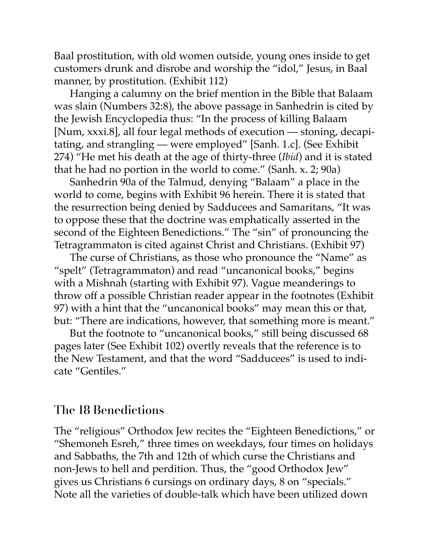Baal prostitution, with old women outside, young ones inside to get customers drunk and disrobe and worship the "idol," Jesus, in Baal manner, by prostitution. (Exhibit 112)

Hanging a calumny on the brief mention in the Bible that Balaam was slain (Numbers 32:8), the above passage in Sanhedrin is cited by the Jewish Encyclopedia thus: "In the process of killing Balaam [Num, xxxi.8], all four legal methods of execution — stoning, decapitating, and strangling — were employed" [Sanh. 1.c]. (See Exhibit 274) "He met his death at the age of thirty-three (*Ibid*) and it is stated that he had no portion in the world to come." (Sanh. x. 2; 90a)

Sanhedrin 90a of the Talmud, denying "Balaam" a place in the world to come, begins with Exhibit 96 herein. There it is stated that the resurrection being denied by Sadducees and Samaritans, "It was to oppose these that the doctrine was emphatically asserted in the second of the Eighteen Benedictions." The "sin" of pronouncing the Tetragrammaton is cited against Christ and Christians. (Exhibit 97)

The curse of Christians, as those who pronounce the "Name" as "spelt" (Tetragrammaton) and read "uncanonical books," begins with a Mishnah (starting with Exhibit 97). Vague meanderings to throw off a possible Christian reader appear in the footnotes (Exhibit 97) with a hint that the "uncanonical books" may mean this or that, but: "There are indications, however, that something more is meant."

But the footnote to "uncanonical books," still being discussed 68 pages later (See Exhibit 102) overtly reveals that the reference is to the New Testament, and that the word "Sadducees" is used to indicate "Gentiles."

#### The 18 Benedictions

The "religious" Orthodox Jew recites the "Eighteen Benedictions," or "Shemoneh Esreh," three times on weekdays, four times on holidays and Sabbaths, the 7th and 12th of which curse the Christians and non-Jews to hell and perdition. Thus, the "good Orthodox Jew" gives us Christians 6 cursings on ordinary days, 8 on "specials." Note all the varieties of double-talk which have been utilized down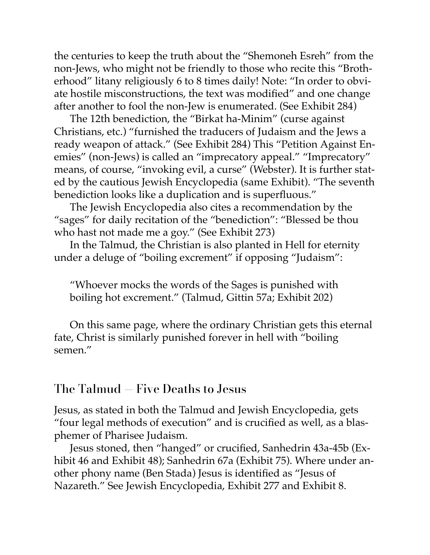the centuries to keep the truth about the "Shemoneh Esreh" from the non-Jews, who might not be friendly to those who recite this "Brotherhood" litany religiously 6 to 8 times daily! Note: "In order to obviate hostile misconstructions, the text was modified" and one change after another to fool the non-Jew is enumerated. (See Exhibit 284)

The 12th benediction, the "Birkat ha-Minim" (curse against Christians, etc.) "furnished the traducers of Judaism and the Jews a ready weapon of attack." (See Exhibit 284) This "Petition Against Enemies" (non-Jews) is called an "imprecatory appeal." "Imprecatory" means, of course, "invoking evil, a curse" (Webster). It is further stated by the cautious Jewish Encyclopedia (same Exhibit). "The seventh benediction looks like a duplication and is superfluous."

The Jewish Encyclopedia also cites a recommendation by the "sages" for daily recitation of the "benediction": "Blessed be thou who hast not made me a goy." (See Exhibit 273)

In the Talmud, the Christian is also planted in Hell for eternity under a deluge of "boiling excrement" if opposing "Judaism":

"Whoever mocks the words of the Sages is punished with boiling hot excrement." (Talmud, Gittin 57a; Exhibit 202)

On this same page, where the ordinary Christian gets this eternal fate, Christ is similarly punished forever in hell with "boiling semen."

#### The Talmud — Five Deaths to Jesus

Jesus, as stated in both the Talmud and Jewish Encyclopedia, gets "four legal methods of execution" and is crucified as well, as a blasphemer of Pharisee Judaism.

Jesus stoned, then "hanged" or crucified, Sanhedrin 43a-45b (Exhibit 46 and Exhibit 48); Sanhedrin 67a (Exhibit 75). Where under another phony name (Ben Stada) Jesus is identified as "Jesus of Nazareth." See Jewish Encyclopedia, Exhibit 277 and Exhibit 8.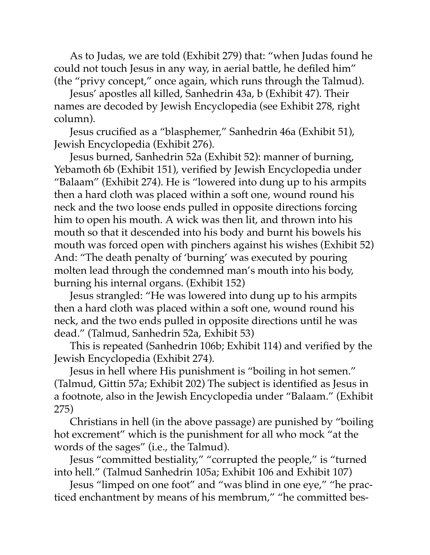As to Judas, we are told (Exhibit 279) that: "when Judas found he could not touch Jesus in any way, in aerial battle, he defiled him" (the "privy concept," once again, which runs through the Talmud).

Jesus' apostles all killed, Sanhedrin 43a, b (Exhibit 47). Their names are decoded by Jewish Encyclopedia (see Exhibit 278, right column).

Jesus crucified as a "blasphemer," Sanhedrin 46a (Exhibit 51), Jewish Encyclopedia (Exhibit 276).

Jesus burned, Sanhedrin 52a (Exhibit 52): manner of burning, Yebamoth 6b (Exhibit 151), verified by Jewish Encyclopedia under "Balaam" (Exhibit 274). He is "lowered into dung up to his armpits then a hard cloth was placed within a soft one, wound round his neck and the two loose ends pulled in opposite directions forcing him to open his mouth. A wick was then lit, and thrown into his mouth so that it descended into his body and burnt his bowels his mouth was forced open with pinchers against his wishes (Exhibit 52) And: "The death penalty of 'burning' was executed by pouring molten lead through the condemned man's mouth into his body, burning his internal organs. (Exhibit 152)

Jesus strangled: "He was lowered into dung up to his armpits then a hard cloth was placed within a soft one, wound round his neck, and the two ends pulled in opposite directions until he was dead." (Talmud, Sanhedrin 52a, Exhibit 53)

This is repeated (Sanhedrin 106b; Exhibit 114) and verified by the Jewish Encyclopedia (Exhibit 274).

Jesus in hell where His punishment is "boiling in hot semen." (Talmud, Gittin 57a; Exhibit 202) The subject is identified as Jesus in a footnote, also in the Jewish Encyclopedia under "Balaam." (Exhibit 275)

Christians in hell (in the above passage) are punished by "boiling hot excrement" which is the punishment for all who mock "at the words of the sages" (i.e., the Talmud).

Jesus "committed bestiality," "corrupted the people," is "turned into hell." (Talmud Sanhedrin 105a; Exhibit 106 and Exhibit 107)

Jesus "limped on one foot" and "was blind in one eye," "he practiced enchantment by means of his membrum," "he committed bes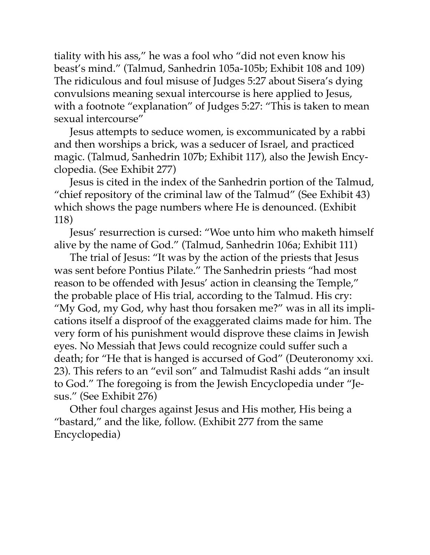tiality with his ass," he was a fool who "did not even know his beast's mind." (Talmud, Sanhedrin 105a-105b; Exhibit 108 and 109) The ridiculous and foul misuse of Judges 5:27 about Sisera's dying convulsions meaning sexual intercourse is here applied to Jesus, with a footnote "explanation" of Judges 5:27: "This is taken to mean sexual intercourse"

Jesus attempts to seduce women, is excommunicated by a rabbi and then worships a brick, was a seducer of Israel, and practiced magic. (Talmud, Sanhedrin 107b; Exhibit 117), also the Jewish Encyclopedia. (See Exhibit 277)

Jesus is cited in the index of the Sanhedrin portion of the Talmud, "chief repository of the criminal law of the Talmud" (See Exhibit 43) which shows the page numbers where He is denounced. (Exhibit 118)

Jesus' resurrection is cursed: "Woe unto him who maketh himself alive by the name of God." (Talmud, Sanhedrin 106a; Exhibit 111)

The trial of Jesus: "It was by the action of the priests that Jesus was sent before Pontius Pilate." The Sanhedrin priests "had most reason to be offended with Jesus' action in cleansing the Temple," the probable place of His trial, according to the Talmud. His cry: "My God, my God, why hast thou forsaken me?" was in all its implications itself a disproof of the exaggerated claims made for him. The very form of his punishment would disprove these claims in Jewish eyes. No Messiah that Jews could recognize could suffer such a death; for "He that is hanged is accursed of God" (Deuteronomy xxi. 23). This refers to an "evil son" and Talmudist Rashi adds "an insult to God." The foregoing is from the Jewish Encyclopedia under "Jesus." (See Exhibit 276)

Other foul charges against Jesus and His mother, His being a "bastard," and the like, follow. (Exhibit 277 from the same Encyclopedia)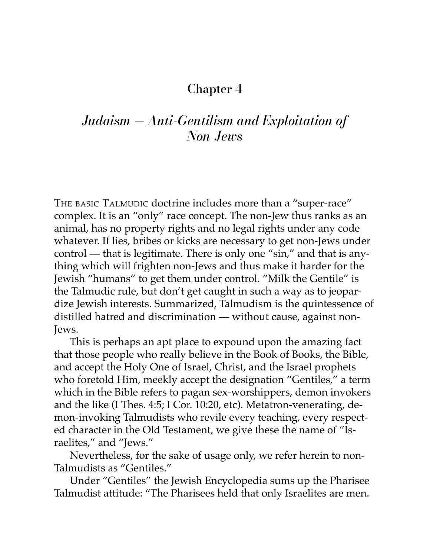## Chapter 4

# *Judaism — Anti-Gentilism and Exploitation of Non-Jews*

THE BASIC TALMUDIC doctrine includes more than a "super-race" complex. It is an "only" race concept. The non-Jew thus ranks as an animal, has no property rights and no legal rights under any code whatever. If lies, bribes or kicks are necessary to get non-Jews under control — that is legitimate. There is only one "sin," and that is anything which will frighten non-Jews and thus make it harder for the Jewish "humans" to get them under control. "Milk the Gentile" is the Talmudic rule, but don't get caught in such a way as to jeopardize Jewish interests. Summarized, Talmudism is the quintessence of distilled hatred and discrimination — without cause, against non-Jews.

This is perhaps an apt place to expound upon the amazing fact that those people who really believe in the Book of Books, the Bible, and accept the Holy One of Israel, Christ, and the Israel prophets who foretold Him, meekly accept the designation "Gentiles," a term which in the Bible refers to pagan sex-worshippers, demon invokers and the like (I Thes. 4:5; I Cor. 10:20, etc). Metatron-venerating, demon-invoking Talmudists who revile every teaching, every respected character in the Old Testament, we give these the name of "Israelites," and "Jews."

Nevertheless, for the sake of usage only, we refer herein to non-Talmudists as "Gentiles."

Under "Gentiles" the Jewish Encyclopedia sums up the Pharisee Talmudist attitude: "The Pharisees held that only Israelites are men.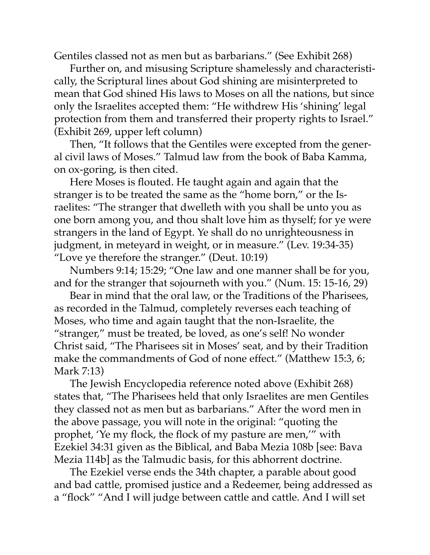Gentiles classed not as men but as barbarians." (See Exhibit 268)

Further on, and misusing Scripture shamelessly and characteristically, the Scriptural lines about God shining are misinterpreted to mean that God shined His laws to Moses on all the nations, but since only the Israelites accepted them: "He withdrew His 'shining' legal protection from them and transferred their property rights to Israel." (Exhibit 269, upper left column)

Then, "It follows that the Gentiles were excepted from the general civil laws of Moses." Talmud law from the book of Baba Kamma, on ox-goring, is then cited.

Here Moses is flouted. He taught again and again that the stranger is to be treated the same as the "home born," or the Israelites: "The stranger that dwelleth with you shall be unto you as one born among you, and thou shalt love him as thyself; for ye were strangers in the land of Egypt. Ye shall do no unrighteousness in judgment, in meteyard in weight, or in measure." (Lev. 19:34-35) "Love ye therefore the stranger." (Deut. 10:19)

Numbers 9:14; 15:29; "One law and one manner shall be for you, and for the stranger that sojourneth with you." (Num. 15: 15-16, 29)

Bear in mind that the oral law, or the Traditions of the Pharisees, as recorded in the Talmud, completely reverses each teaching of Moses, who time and again taught that the non-Israelite, the "stranger," must be treated, be loved, as one's self! No wonder Christ said, "The Pharisees sit in Moses' seat, and by their Tradition make the commandments of God of none effect." (Matthew 15:3, 6; Mark 7:13)

The Jewish Encyclopedia reference noted above (Exhibit 268) states that, "The Pharisees held that only Israelites are men Gentiles they classed not as men but as barbarians." After the word men in the above passage, you will note in the original: "quoting the prophet, 'Ye my flock, the flock of my pasture are men,'" with Ezekiel 34:31 given as the Biblical, and Baba Mezia 108b [see: Bava Mezia 114b] as the Talmudic basis, for this abhorrent doctrine.

The Ezekiel verse ends the 34th chapter, a parable about good and bad cattle, promised justice and a Redeemer, being addressed as a "flock" "And I will judge between cattle and cattle. And I will set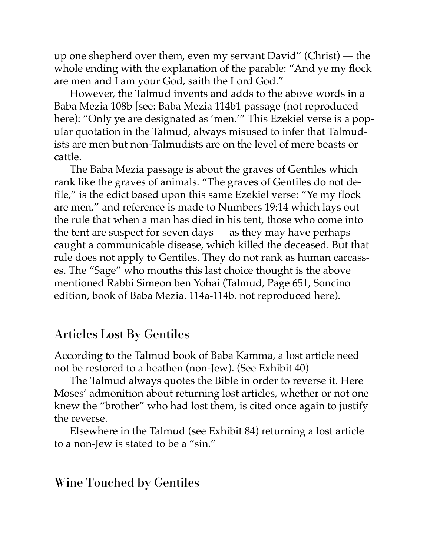up one shepherd over them, even my servant David" (Christ) — the whole ending with the explanation of the parable: "And ye my flock are men and I am your God, saith the Lord God."

However, the Talmud invents and adds to the above words in a Baba Mezia 108b [see: Baba Mezia 114b1 passage (not reproduced here): "Only ye are designated as 'men.'" This Ezekiel verse is a popular quotation in the Talmud, always misused to infer that Talmudists are men but non-Talmudists are on the level of mere beasts or cattle.

The Baba Mezia passage is about the graves of Gentiles which rank like the graves of animals. "The graves of Gentiles do not defile," is the edict based upon this same Ezekiel verse: "Ye my flock are men," and reference is made to Numbers 19:14 which lays out the rule that when a man has died in his tent, those who come into the tent are suspect for seven days — as they may have perhaps caught a communicable disease, which killed the deceased. But that rule does not apply to Gentiles. They do not rank as human carcasses. The "Sage" who mouths this last choice thought is the above mentioned Rabbi Simeon ben Yohai (Talmud, Page 651, Soncino edition, book of Baba Mezia. 114a-114b. not reproduced here).

#### Articles Lost By Gentiles

According to the Talmud book of Baba Kamma, a lost article need not be restored to a heathen (non-Jew). (See Exhibit 40)

The Talmud always quotes the Bible in order to reverse it. Here Moses' admonition about returning lost articles, whether or not one knew the "brother" who had lost them, is cited once again to justify the reverse.

Elsewhere in the Talmud (see Exhibit 84) returning a lost article to a non-Jew is stated to be a "sin."

#### Wine Touched by Gentiles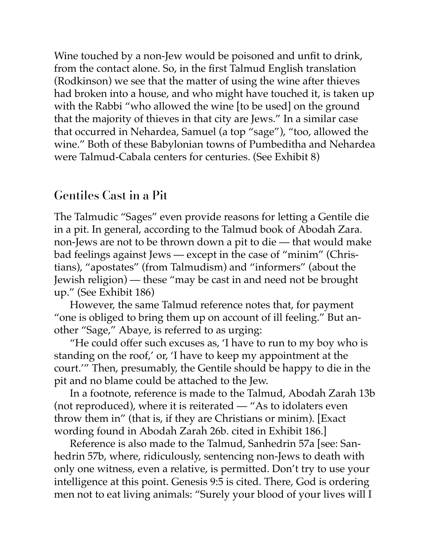Wine touched by a non-Jew would be poisoned and unfit to drink, from the contact alone. So, in the first Talmud English translation (Rodkinson) we see that the matter of using the wine after thieves had broken into a house, and who might have touched it, is taken up with the Rabbi "who allowed the wine [to be used] on the ground that the majority of thieves in that city are Jews." In a similar case that occurred in Nehardea, Samuel (a top "sage"), "too, allowed the wine." Both of these Babylonian towns of Pumbeditha and Nehardea were Talmud-Cabala centers for centuries. (See Exhibit 8)

## Gentiles Cast in a Pit

The Talmudic "Sages" even provide reasons for letting a Gentile die in a pit. In general, according to the Talmud book of Abodah Zara. non-Jews are not to be thrown down a pit to die — that would make bad feelings against Jews — except in the case of "minim" (Christians), "apostates" (from Talmudism) and "informers" (about the Jewish religion) — these "may be cast in and need not be brought up." (See Exhibit 186)

However, the same Talmud reference notes that, for payment "one is obliged to bring them up on account of ill feeling." But another "Sage," Abaye, is referred to as urging:

"He could offer such excuses as, 'I have to run to my boy who is standing on the roof,' or, 'I have to keep my appointment at the court.'" Then, presumably, the Gentile should be happy to die in the pit and no blame could be attached to the Jew.

In a footnote, reference is made to the Talmud, Abodah Zarah 13b (not reproduced), where it is reiterated — "As to idolaters even throw them in" (that is, if they are Christians or minim). [Exact wording found in Abodah Zarah 26b. cited in Exhibit 186.]

Reference is also made to the Talmud, Sanhedrin 57a [see: Sanhedrin 57b, where, ridiculously, sentencing non-Jews to death with only one witness, even a relative, is permitted. Don't try to use your intelligence at this point. Genesis 9:5 is cited. There, God is ordering men not to eat living animals: "Surely your blood of your lives will I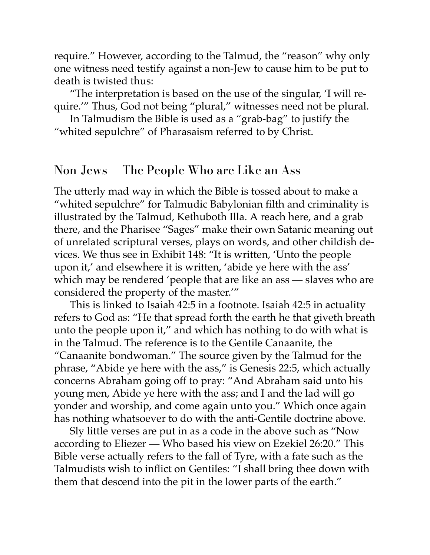require." However, according to the Talmud, the "reason" why only one witness need testify against a non-Jew to cause him to be put to death is twisted thus:

"The interpretation is based on the use of the singular, 'I will require.'" Thus, God not being "plural," witnesses need not be plural.

In Talmudism the Bible is used as a "grab-bag" to justify the "whited sepulchre" of Pharasaism referred to by Christ.

#### Non-Jews — The People Who are Like an Ass

The utterly mad way in which the Bible is tossed about to make a "whited sepulchre" for Talmudic Babylonian filth and criminality is illustrated by the Talmud, Kethuboth Illa. A reach here, and a grab there, and the Pharisee "Sages" make their own Satanic meaning out of unrelated scriptural verses, plays on words, and other childish devices. We thus see in Exhibit 148: "It is written, 'Unto the people upon it,' and elsewhere it is written, 'abide ye here with the ass' which may be rendered 'people that are like an ass — slaves who are considered the property of the master.'"

This is linked to Isaiah 42:5 in a footnote. Isaiah 42:5 in actuality refers to God as: "He that spread forth the earth he that giveth breath unto the people upon it," and which has nothing to do with what is in the Talmud. The reference is to the Gentile Canaanite, the "Canaanite bondwoman." The source given by the Talmud for the phrase, "Abide ye here with the ass," is Genesis 22:5, which actually concerns Abraham going off to pray: "And Abraham said unto his young men, Abide ye here with the ass; and I and the lad will go yonder and worship, and come again unto you." Which once again has nothing whatsoever to do with the anti-Gentile doctrine above.

Sly little verses are put in as a code in the above such as "Now according to Eliezer — Who based his view on Ezekiel 26:20." This Bible verse actually refers to the fall of Tyre, with a fate such as the Talmudists wish to inflict on Gentiles: "I shall bring thee down with them that descend into the pit in the lower parts of the earth."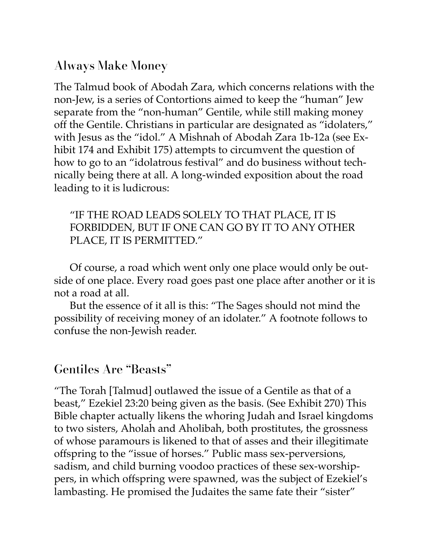# Always Make Money

The Talmud book of Abodah Zara, which concerns relations with the non-Jew, is a series of Contortions aimed to keep the "human" Jew separate from the "non-human" Gentile, while still making money off the Gentile. Christians in particular are designated as "idolaters," with Jesus as the "idol." A Mishnah of Abodah Zara 1b-12a (see Exhibit 174 and Exhibit 175) attempts to circumvent the question of how to go to an "idolatrous festival" and do business without technically being there at all. A long-winded exposition about the road leading to it is ludicrous:

#### "IF THE ROAD LEADS SOLELY TO THAT PLACE, IT IS FORBIDDEN, BUT IF ONE CAN GO BY IT TO ANY OTHER PLACE, IT IS PERMITTED."

Of course, a road which went only one place would only be outside of one place. Every road goes past one place after another or it is not a road at all.

But the essence of it all is this: "The Sages should not mind the possibility of receiving money of an idolater." A footnote follows to confuse the non-Jewish reader.

# Gentiles Are "Beasts "

"The Torah [Talmud] outlawed the issue of a Gentile as that of a beast," Ezekiel 23:20 being given as the basis. (See Exhibit 270) This Bible chapter actually likens the whoring Judah and Israel kingdoms to two sisters, Aholah and Aholibah, both prostitutes, the grossness of whose paramours is likened to that of asses and their illegitimate offspring to the "issue of horses." Public mass sex-perversions, sadism, and child burning voodoo practices of these sex-worshippers, in which offspring were spawned, was the subject of Ezekiel's lambasting. He promised the Judaites the same fate their "sister"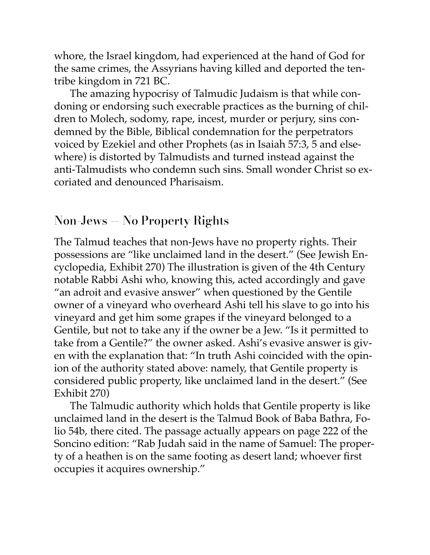whore, the Israel kingdom, had experienced at the hand of God for the same crimes, the Assyrians having killed and deported the tentribe kingdom in 721 BC.

The amazing hypocrisy of Talmudic Judaism is that while condoning or endorsing such execrable practices as the burning of children to Molech, sodomy, rape, incest, murder or perjury, sins condemned by the Bible, Biblical condemnation for the perpetrators voiced by Ezekiel and other Prophets (as in Isaiah 57:3, 5 and elsewhere) is distorted by Talmudists and turned instead against the anti-Talmudists who condemn such sins. Small wonder Christ so excoriated and denounced Pharisaism.

### Non-Jews — No Property Rights

The Talmud teaches that non-Jews have no property rights. Their possessions are "like unclaimed land in the desert." (See Jewish Encyclopedia, Exhibit 270) The illustration is given of the 4th Century notable Rabbi Ashi who, knowing this, acted accordingly and gave "an adroit and evasive answer" when questioned by the Gentile owner of a vineyard who overheard Ashi tell his slave to go into his vineyard and get him some grapes if the vineyard belonged to a Gentile, but not to take any if the owner be a Jew. "Is it permitted to take from a Gentile?" the owner asked. Ashi's evasive answer is given with the explanation that: "In truth Ashi coincided with the opinion of the authority stated above: namely, that Gentile property is considered public property, like unclaimed land in the desert." (See Exhibit 270)

The Talmudic authority which holds that Gentile property is like unclaimed land in the desert is the Talmud Book of Baba Bathra, Folio 54b, there cited. The passage actually appears on page 222 of the Soncino edition: "Rab Judah said in the name of Samuel: The property of a heathen is on the same footing as desert land; whoever first occupies it acquires ownership."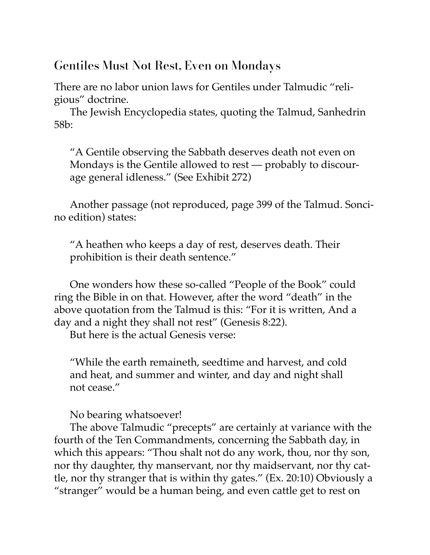## Gentiles Must Not Rest, Even on Mondays

There are no labor union laws for Gentiles under Talmudic "religious" doctrine.

The Jewish Encyclopedia states, quoting the Talmud, Sanhedrin 58b:

"A Gentile observing the Sabbath deserves death not even on Mondays is the Gentile allowed to rest — probably to discourage general idleness." (See Exhibit 272)

Another passage (not reproduced, page 399 of the Talmud. Soncino edition) states:

"A heathen who keeps a day of rest, deserves death. Their prohibition is their death sentence."

One wonders how these so-called "People of the Book" could ring the Bible in on that. However, after the word "death" in the above quotation from the Talmud is this: "For it is written, And a day and a night they shall not rest" (Genesis 8:22).

But here is the actual Genesis verse:

"While the earth remaineth, seedtime and harvest, and cold and heat, and summer and winter, and day and night shall not cease."

No bearing whatsoever!

The above Talmudic "precepts" are certainly at variance with the fourth of the Ten Commandments, concerning the Sabbath day, in which this appears: "Thou shalt not do any work, thou, nor thy son, nor thy daughter, thy manservant, nor thy maidservant, nor thy cattle, nor thy stranger that is within thy gates." (Ex. 20:10) Obviously a "stranger" would be a human being, and even cattle get to rest on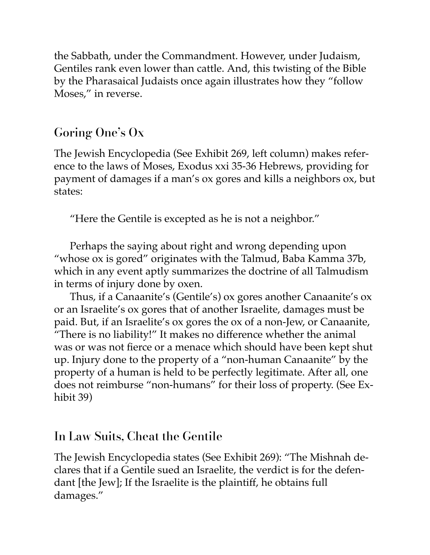the Sabbath, under the Commandment. However, under Judaism, Gentiles rank even lower than cattle. And, this twisting of the Bible by the Pharasaical Judaists once again illustrates how they "follow Moses," in reverse.

# Goring One ' s Ox

The Jewish Encyclopedia (See Exhibit 269, left column) makes reference to the laws of Moses, Exodus xxi 35-36 Hebrews, providing for payment of damages if a man's ox gores and kills a neighbors ox, but states:

"Here the Gentile is excepted as he is not a neighbor."

Perhaps the saying about right and wrong depending upon "whose ox is gored" originates with the Talmud, Baba Kamma 37b, which in any event aptly summarizes the doctrine of all Talmudism in terms of injury done by oxen.

Thus, if a Canaanite's (Gentile's) ox gores another Canaanite's ox or an Israelite's ox gores that of another Israelite, damages must be paid. But, if an Israelite's ox gores the ox of a non-Jew, or Canaanite, "There is no liability!" It makes no difference whether the animal was or was not fierce or a menace which should have been kept shut up. Injury done to the property of a "non-human Canaanite" by the property of a human is held to be perfectly legitimate. After all, one does not reimburse "non-humans" for their loss of property. (See Exhibit 39)

## In Law Suits, Cheat the Gentile

The Jewish Encyclopedia states (See Exhibit 269): "The Mishnah declares that if a Gentile sued an Israelite, the verdict is for the defendant [the Jew]; If the Israelite is the plaintiff, he obtains full damages."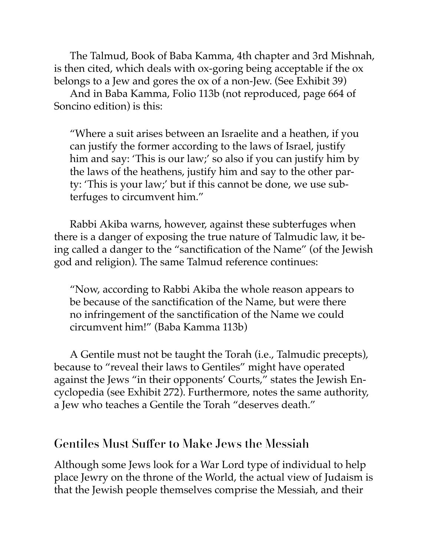The Talmud, Book of Baba Kamma, 4th chapter and 3rd Mishnah, is then cited, which deals with ox-goring being acceptable if the ox belongs to a Jew and gores the ox of a non-Jew. (See Exhibit 39)

And in Baba Kamma, Folio 113b (not reproduced, page 664 of Soncino edition) is this:

"Where a suit arises between an Israelite and a heathen, if you can justify the former according to the laws of Israel, justify him and say: 'This is our law;' so also if you can justify him by the laws of the heathens, justify him and say to the other party: 'This is your law;' but if this cannot be done, we use subterfuges to circumvent him."

Rabbi Akiba warns, however, against these subterfuges when there is a danger of exposing the true nature of Talmudic law, it being called a danger to the "sanctification of the Name" (of the Jewish god and religion). The same Talmud reference continues:

"Now, according to Rabbi Akiba the whole reason appears to be because of the sanctification of the Name, but were there no infringement of the sanctification of the Name we could circumvent him!" (Baba Kamma 113b)

A Gentile must not be taught the Torah (i.e., Talmudic precepts), because to "reveal their laws to Gentiles" might have operated against the Jews "in their opponents' Courts," states the Jewish Encyclopedia (see Exhibit 272). Furthermore, notes the same authority, a Jew who teaches a Gentile the Torah "deserves death."

#### Gentiles Must Suffer to Make Jews the Messiah

Although some Jews look for a War Lord type of individual to help place Jewry on the throne of the World, the actual view of Judaism is that the Jewish people themselves comprise the Messiah, and their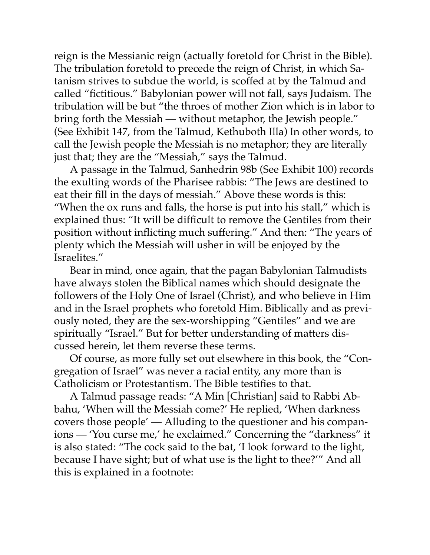reign is the Messianic reign (actually foretold for Christ in the Bible). The tribulation foretold to precede the reign of Christ, in which Satanism strives to subdue the world, is scoffed at by the Talmud and called "fictitious." Babylonian power will not fall, says Judaism. The tribulation will be but "the throes of mother Zion which is in labor to bring forth the Messiah — without metaphor, the Jewish people." (See Exhibit 147, from the Talmud, Kethuboth Illa) In other words, to call the Jewish people the Messiah is no metaphor; they are literally just that; they are the "Messiah," says the Talmud.

A passage in the Talmud, Sanhedrin 98b (See Exhibit 100) records the exulting words of the Pharisee rabbis: "The Jews are destined to eat their fill in the days of messiah." Above these words is this: "When the ox runs and falls, the horse is put into his stall," which is explained thus: "It will be difficult to remove the Gentiles from their position without inflicting much suffering." And then: "The years of plenty which the Messiah will usher in will be enjoyed by the Israelites."

Bear in mind, once again, that the pagan Babylonian Talmudists have always stolen the Biblical names which should designate the followers of the Holy One of Israel (Christ), and who believe in Him and in the Israel prophets who foretold Him. Biblically and as previously noted, they are the sex-worshipping "Gentiles" and we are spiritually "Israel." But for better understanding of matters discussed herein, let them reverse these terms.

Of course, as more fully set out elsewhere in this book, the "Congregation of Israel" was never a racial entity, any more than is Catholicism or Protestantism. The Bible testifies to that.

A Talmud passage reads: "A Min [Christian] said to Rabbi Abbahu, 'When will the Messiah come?' He replied, 'When darkness covers those people' — Alluding to the questioner and his companions — 'You curse me,' he exclaimed." Concerning the "darkness" it is also stated: "The cock said to the bat, 'I look forward to the light, because I have sight; but of what use is the light to thee?'" And all this is explained in a footnote: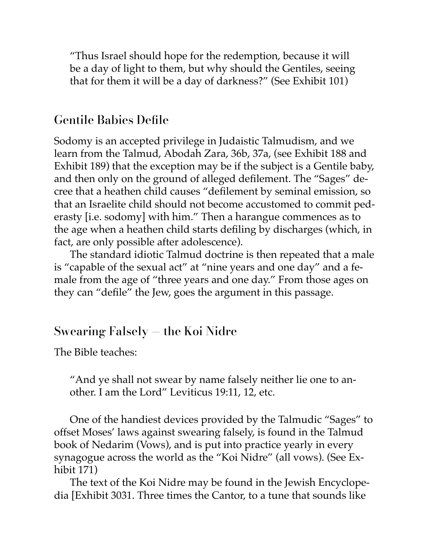"Thus Israel should hope for the redemption, because it will be a day of light to them, but why should the Gentiles, seeing that for them it will be a day of darkness?" (See Exhibit 101)

# Gentile Babies Defile

Sodomy is an accepted privilege in Judaistic Talmudism, and we learn from the Talmud, Abodah Zara, 36b, 37a, (see Exhibit 188 and Exhibit 189) that the exception may be if the subject is a Gentile baby, and then only on the ground of alleged defilement. The "Sages" decree that a heathen child causes "defilement by seminal emission, so that an Israelite child should not become accustomed to commit pederasty [i.e. sodomy] with him." Then a harangue commences as to the age when a heathen child starts defiling by discharges (which, in fact, are only possible after adolescence).

The standard idiotic Talmud doctrine is then repeated that a male is "capable of the sexual act" at "nine years and one day" and a female from the age of "three years and one day." From those ages on they can "defile" the Jew, goes the argument in this passage.

## Swearing Falsely — the Koi Nidre

The Bible teaches:

"And ye shall not swear by name falsely neither lie one to another. I am the Lord" Leviticus 19:11, 12, etc.

One of the handiest devices provided by the Talmudic "Sages" to offset Moses' laws against swearing falsely, is found in the Talmud book of Nedarim (Vows), and is put into practice yearly in every synagogue across the world as the "Koi Nidre" (all vows). (See Exhibit 171)

The text of the Koi Nidre may be found in the Jewish Encyclopedia [Exhibit 3031. Three times the Cantor, to a tune that sounds like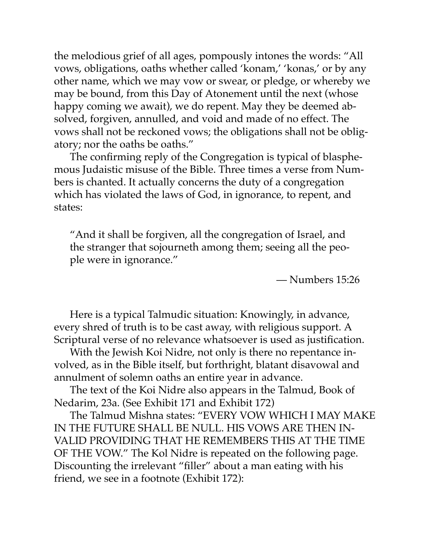the melodious grief of all ages, pompously intones the words: "All vows, obligations, oaths whether called 'konam,' 'konas,' or by any other name, which we may vow or swear, or pledge, or whereby we may be bound, from this Day of Atonement until the next (whose happy coming we await), we do repent. May they be deemed absolved, forgiven, annulled, and void and made of no effect. The vows shall not be reckoned vows; the obligations shall not be obligatory; nor the oaths be oaths."

The confirming reply of the Congregation is typical of blasphemous Judaistic misuse of the Bible. Three times a verse from Numbers is chanted. It actually concerns the duty of a congregation which has violated the laws of God, in ignorance, to repent, and states:

"And it shall be forgiven, all the congregation of Israel, and the stranger that sojourneth among them; seeing all the people were in ignorance."

— Numbers 15:26

Here is a typical Talmudic situation: Knowingly, in advance, every shred of truth is to be cast away, with religious support. A Scriptural verse of no relevance whatsoever is used as justification.

With the Jewish Koi Nidre, not only is there no repentance involved, as in the Bible itself, but forthright, blatant disavowal and annulment of solemn oaths an entire year in advance.

The text of the Koi Nidre also appears in the Talmud, Book of Nedarim, 23a. (See Exhibit 171 and Exhibit 172)

The Talmud Mishna states: "EVERY VOW WHICH I MAY MAKE IN THE FUTURE SHALL BE NULL. HIS VOWS ARE THEN IN-VALID PROVIDING THAT HE REMEMBERS THIS AT THE TIME OF THE VOW." The Kol Nidre is repeated on the following page. Discounting the irrelevant "filler" about a man eating with his friend, we see in a footnote (Exhibit 172):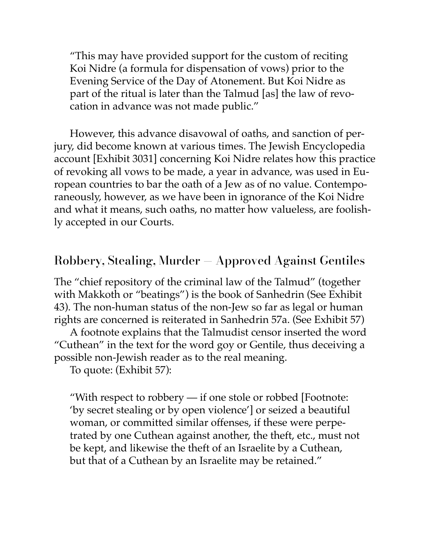"This may have provided support for the custom of reciting Koi Nidre (a formula for dispensation of vows) prior to the Evening Service of the Day of Atonement. But Koi Nidre as part of the ritual is later than the Talmud [as] the law of revocation in advance was not made public."

However, this advance disavowal of oaths, and sanction of perjury, did become known at various times. The Jewish Encyclopedia account [Exhibit 3031] concerning Koi Nidre relates how this practice of revoking all vows to be made, a year in advance, was used in European countries to bar the oath of a Jew as of no value. Contemporaneously, however, as we have been in ignorance of the Koi Nidre and what it means, such oaths, no matter how valueless, are foolishly accepted in our Courts.

#### Robbery, Stealing, Murder — Approved Against Gentiles

The "chief repository of the criminal law of the Talmud" (together with Makkoth or "beatings") is the book of Sanhedrin (See Exhibit 43). The non-human status of the non-Jew so far as legal or human rights are concerned is reiterated in Sanhedrin 57a. (See Exhibit 57)

A footnote explains that the Talmudist censor inserted the word "Cuthean" in the text for the word goy or Gentile, thus deceiving a possible non-Jewish reader as to the real meaning.

To quote: (Exhibit 57):

"With respect to robbery — if one stole or robbed [Footnote: 'by secret stealing or by open violence'] or seized a beautiful woman, or committed similar offenses, if these were perpetrated by one Cuthean against another, the theft, etc., must not be kept, and likewise the theft of an Israelite by a Cuthean, but that of a Cuthean by an Israelite may be retained."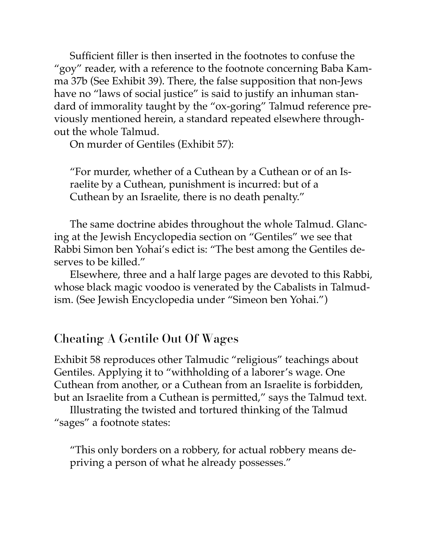Sufficient filler is then inserted in the footnotes to confuse the "goy" reader, with a reference to the footnote concerning Baba Kamma 37b (See Exhibit 39). There, the false supposition that non-Jews have no "laws of social justice" is said to justify an inhuman standard of immorality taught by the "ox-goring" Talmud reference previously mentioned herein, a standard repeated elsewhere throughout the whole Talmud.

On murder of Gentiles (Exhibit 57):

"For murder, whether of a Cuthean by a Cuthean or of an Israelite by a Cuthean, punishment is incurred: but of a Cuthean by an Israelite, there is no death penalty."

The same doctrine abides throughout the whole Talmud. Glancing at the Jewish Encyclopedia section on "Gentiles" we see that Rabbi Simon ben Yohai's edict is: "The best among the Gentiles deserves to be killed."

Elsewhere, three and a half large pages are devoted to this Rabbi, whose black magic voodoo is venerated by the Cabalists in Talmudism. (See Jewish Encyclopedia under "Simeon ben Yohai.")

### Cheating A Gentile Out Of Wages

Exhibit 58 reproduces other Talmudic "religious" teachings about Gentiles. Applying it to "withholding of a laborer's wage. One Cuthean from another, or a Cuthean from an Israelite is forbidden, but an Israelite from a Cuthean is permitted," says the Talmud text.

Illustrating the twisted and tortured thinking of the Talmud "sages" a footnote states:

"This only borders on a robbery, for actual robbery means depriving a person of what he already possesses."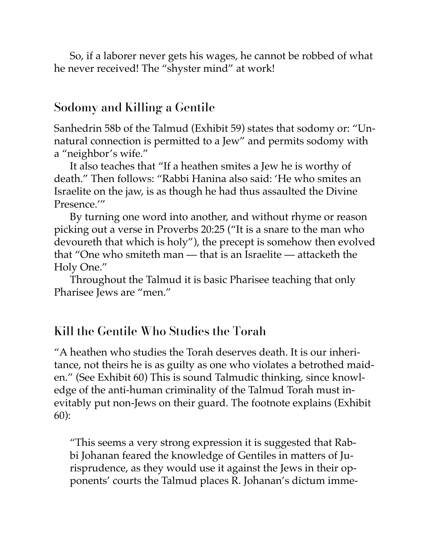So, if a laborer never gets his wages, he cannot be robbed of what he never received! The "shyster mind" at work!

### Sodomy and Killing a Gentile

Sanhedrin 58b of the Talmud (Exhibit 59) states that sodomy or: "Unnatural connection is permitted to a Jew" and permits sodomy with a "neighbor's wife."

It also teaches that "If a heathen smites a Jew he is worthy of death." Then follows: "Rabbi Hanina also said: 'He who smites an Israelite on the jaw, is as though he had thus assaulted the Divine Presence.'"

By turning one word into another, and without rhyme or reason picking out a verse in Proverbs 20:25 ("It is a snare to the man who devoureth that which is holy"), the precept is somehow then evolved that "One who smiteth man — that is an Israelite — attacketh the Holy One."

Throughout the Talmud it is basic Pharisee teaching that only Pharisee Jews are "men."

#### Kill the Gentile Who Studies the Torah

"A heathen who studies the Torah deserves death. It is our inheritance, not theirs he is as guilty as one who violates a betrothed maiden." (See Exhibit 60) This is sound Talmudic thinking, since knowledge of the anti-human criminality of the Talmud Torah must inevitably put non-Jews on their guard. The footnote explains (Exhibit 60):

"This seems a very strong expression it is suggested that Rabbi Johanan feared the knowledge of Gentiles in matters of Jurisprudence, as they would use it against the Jews in their opponents' courts the Talmud places R. Johanan's dictum imme-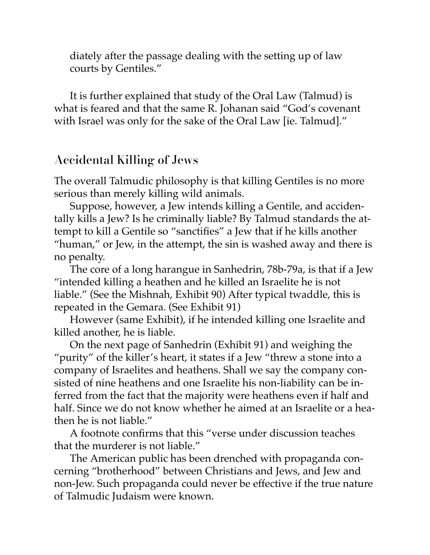diately after the passage dealing with the setting up of law courts by Gentiles."

It is further explained that study of the Oral Law (Talmud) is what is feared and that the same R. Johanan said "God's covenant with Israel was only for the sake of the Oral Law [ie. Talmud]."

## Accidental Killing of Jews

The overall Talmudic philosophy is that killing Gentiles is no more serious than merely killing wild animals.

Suppose, however, a Jew intends killing a Gentile, and accidentally kills a Jew? Is he criminally liable? By Talmud standards the attempt to kill a Gentile so "sanctifies" a Jew that if he kills another "human," or Jew, in the attempt, the sin is washed away and there is no penalty.

The core of a long harangue in Sanhedrin, 78b-79a, is that if a Jew "intended killing a heathen and he killed an Israelite he is not liable." (See the Mishnah, Exhibit 90) After typical twaddle, this is repeated in the Gemara. (See Exhibit 91)

However (same Exhibit), if he intended killing one Israelite and killed another, he is liable.

On the next page of Sanhedrin (Exhibit 91) and weighing the "purity" of the killer's heart, it states if a Jew "threw a stone into a company of Israelites and heathens. Shall we say the company consisted of nine heathens and one Israelite his non-liability can be inferred from the fact that the majority were heathens even if half and half. Since we do not know whether he aimed at an Israelite or a heathen he is not liable."

A footnote confirms that this "verse under discussion teaches that the murderer is not liable."

The American public has been drenched with propaganda concerning "brotherhood" between Christians and Jews, and Jew and non-Jew. Such propaganda could never be effective if the true nature of Talmudic Judaism were known.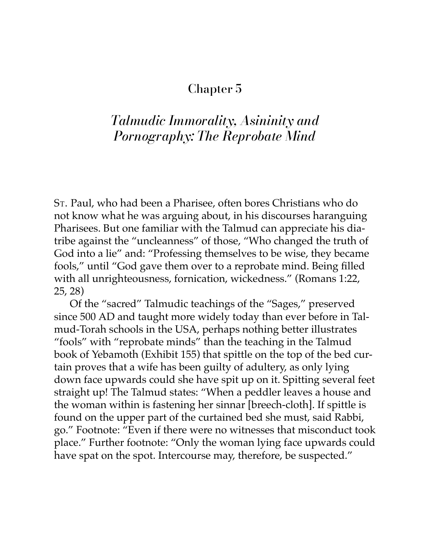# Chapter 5

# *Talmudic Immorality, Asininity and Pornography: The Reprobate Mind*

ST. Paul, who had been a Pharisee, often bores Christians who do not know what he was arguing about, in his discourses haranguing Pharisees. But one familiar with the Talmud can appreciate his diatribe against the "uncleanness" of those, "Who changed the truth of God into a lie" and: "Professing themselves to be wise, they became fools," until "God gave them over to a reprobate mind. Being filled with all unrighteousness, fornication, wickedness." (Romans 1:22, 25, 28)

Of the "sacred" Talmudic teachings of the "Sages," preserved since 500 AD and taught more widely today than ever before in Talmud-Torah schools in the USA, perhaps nothing better illustrates "fools" with "reprobate minds" than the teaching in the Talmud book of Yebamoth (Exhibit 155) that spittle on the top of the bed curtain proves that a wife has been guilty of adultery, as only lying down face upwards could she have spit up on it. Spitting several feet straight up! The Talmud states: "When a peddler leaves a house and the woman within is fastening her sinnar [breech-cloth]. If spittle is found on the upper part of the curtained bed she must, said Rabbi, go." Footnote: "Even if there were no witnesses that misconduct took place." Further footnote: "Only the woman lying face upwards could have spat on the spot. Intercourse may, therefore, be suspected."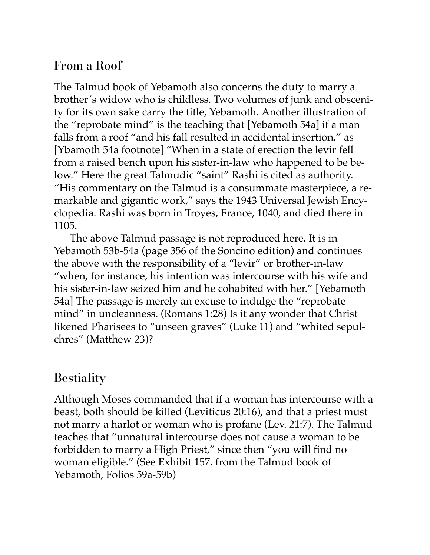# From a Roof

The Talmud book of Yebamoth also concerns the duty to marry a brother's widow who is childless. Two volumes of junk and obscenity for its own sake carry the title, Yebamoth. Another illustration of the "reprobate mind" is the teaching that [Yebamoth 54a] if a man falls from a roof "and his fall resulted in accidental insertion," as [Ybamoth 54a footnote] "When in a state of erection the levir fell from a raised bench upon his sister-in-law who happened to be below." Here the great Talmudic "saint" Rashi is cited as authority. "His commentary on the Talmud is a consummate masterpiece, a remarkable and gigantic work," says the 1943 Universal Jewish Encyclopedia. Rashi was born in Troyes, France, 1040, and died there in 1105.

The above Talmud passage is not reproduced here. It is in Yebamoth 53b-54a (page 356 of the Soncino edition) and continues the above with the responsibility of a "levir" or brother-in-law "when, for instance, his intention was intercourse with his wife and his sister-in-law seized him and he cohabited with her." [Yebamoth 54a] The passage is merely an excuse to indulge the "reprobate mind" in uncleanness. (Romans 1:28) Is it any wonder that Christ likened Pharisees to "unseen graves" (Luke 11) and "whited sepulchres" (Matthew 23)?

# **Bestiality**

Although Moses commanded that if a woman has intercourse with a beast, both should be killed (Leviticus 20:16), and that a priest must not marry a harlot or woman who is profane (Lev. 21:7). The Talmud teaches that "unnatural intercourse does not cause a woman to be forbidden to marry a High Priest," since then "you will find no woman eligible." (See Exhibit 157. from the Talmud book of Yebamoth, Folios 59a-59b)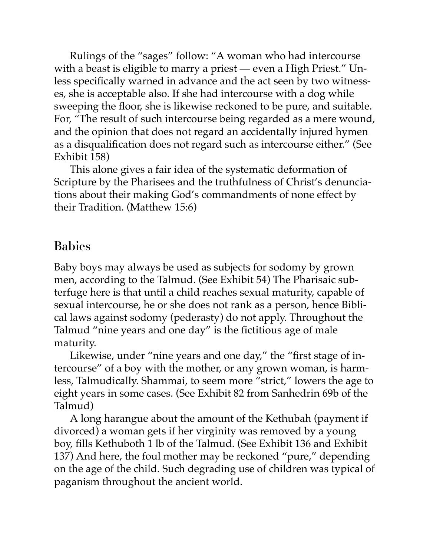Rulings of the "sages" follow: "A woman who had intercourse with a beast is eligible to marry a priest — even a High Priest." Unless specifically warned in advance and the act seen by two witnesses, she is acceptable also. If she had intercourse with a dog while sweeping the floor, she is likewise reckoned to be pure, and suitable. For, "The result of such intercourse being regarded as a mere wound, and the opinion that does not regard an accidentally injured hymen as a disqualification does not regard such as intercourse either." (See Exhibit 158)

This alone gives a fair idea of the systematic deformation of Scripture by the Pharisees and the truthfulness of Christ's denunciations about their making God's commandments of none effect by their Tradition. (Matthew 15:6)

#### Babies

Baby boys may always be used as subjects for sodomy by grown men, according to the Talmud. (See Exhibit 54) The Pharisaic subterfuge here is that until a child reaches sexual maturity, capable of sexual intercourse, he or she does not rank as a person, hence Biblical laws against sodomy (pederasty) do not apply. Throughout the Talmud "nine years and one day" is the fictitious age of male maturity.

Likewise, under "nine years and one day," the "first stage of intercourse" of a boy with the mother, or any grown woman, is harmless, Talmudically. Shammai, to seem more "strict," lowers the age to eight years in some cases. (See Exhibit 82 from Sanhedrin 69b of the Talmud)

A long harangue about the amount of the Kethubah (payment if divorced) a woman gets if her virginity was removed by a young boy, fills Kethuboth 1 lb of the Talmud. (See Exhibit 136 and Exhibit 137) And here, the foul mother may be reckoned "pure," depending on the age of the child. Such degrading use of children was typical of paganism throughout the ancient world.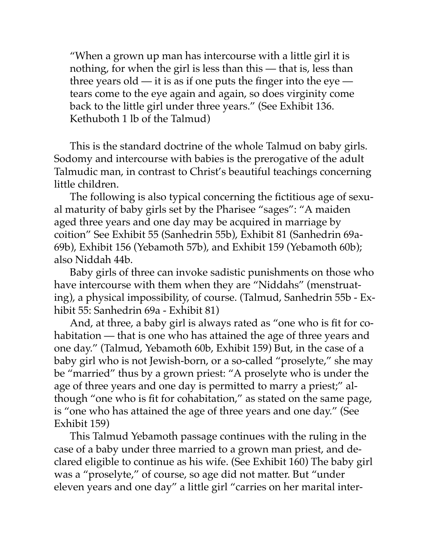"When a grown up man has intercourse with a little girl it is nothing, for when the girl is less than this — that is, less than three years old — it is as if one puts the finger into the  $eye$  tears come to the eye again and again, so does virginity come back to the little girl under three years." (See Exhibit 136. Kethuboth 1 lb of the Talmud)

This is the standard doctrine of the whole Talmud on baby girls. Sodomy and intercourse with babies is the prerogative of the adult Talmudic man, in contrast to Christ's beautiful teachings concerning little children.

The following is also typical concerning the fictitious age of sexual maturity of baby girls set by the Pharisee "sages": "A maiden aged three years and one day may be acquired in marriage by coition" See Exhibit 55 (Sanhedrin 55b), Exhibit 81 (Sanhedrin 69a-69b), Exhibit 156 (Yebamoth 57b), and Exhibit 159 (Yebamoth 60b); also Niddah 44b.

Baby girls of three can invoke sadistic punishments on those who have intercourse with them when they are "Niddahs" (menstruating), a physical impossibility, of course. (Talmud, Sanhedrin 55b - Exhibit 55: Sanhedrin 69a - Exhibit 81)

And, at three, a baby girl is always rated as "one who is fit for cohabitation — that is one who has attained the age of three years and one day." (Talmud, Yebamoth 60b, Exhibit 159) But, in the case of a baby girl who is not Jewish-born, or a so-called "proselyte," she may be "married" thus by a grown priest: "A proselyte who is under the age of three years and one day is permitted to marry a priest;" although "one who is fit for cohabitation," as stated on the same page, is "one who has attained the age of three years and one day." (See Exhibit 159)

This Talmud Yebamoth passage continues with the ruling in the case of a baby under three married to a grown man priest, and declared eligible to continue as his wife. (See Exhibit 160) The baby girl was a "proselyte," of course, so age did not matter. But "under eleven years and one day" a little girl "carries on her marital inter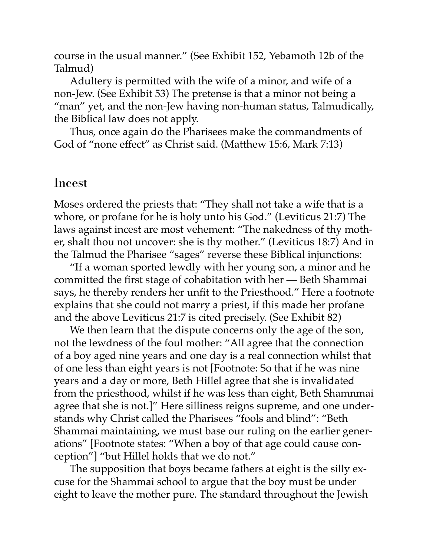course in the usual manner." (See Exhibit 152, Yebamoth 12b of the Talmud)

Adultery is permitted with the wife of a minor, and wife of a non-Jew. (See Exhibit 53) The pretense is that a minor not being a "man" yet, and the non-Jew having non-human status, Talmudically, the Biblical law does not apply.

Thus, once again do the Pharisees make the commandments of God of "none effect" as Christ said. (Matthew 15:6, Mark 7:13)

#### Incest

Moses ordered the priests that: "They shall not take a wife that is a whore, or profane for he is holy unto his God." (Leviticus 21:7) The laws against incest are most vehement: "The nakedness of thy mother, shalt thou not uncover: she is thy mother." (Leviticus 18:7) And in the Talmud the Pharisee "sages" reverse these Biblical injunctions:

"If a woman sported lewdly with her young son, a minor and he committed the first stage of cohabitation with her — Beth Shammai says, he thereby renders her unfit to the Priesthood." Here a footnote explains that she could not marry a priest, if this made her profane and the above Leviticus 21:7 is cited precisely. (See Exhibit 82)

We then learn that the dispute concerns only the age of the son, not the lewdness of the foul mother: "All agree that the connection of a boy aged nine years and one day is a real connection whilst that of one less than eight years is not [Footnote: So that if he was nine years and a day or more, Beth Hillel agree that she is invalidated from the priesthood, whilst if he was less than eight, Beth Shamnmai agree that she is not.]" Here silliness reigns supreme, and one understands why Christ called the Pharisees "fools and blind": "Beth Shammai maintaining, we must base our ruling on the earlier generations" [Footnote states: "When a boy of that age could cause conception"] "but Hillel holds that we do not."

The supposition that boys became fathers at eight is the silly excuse for the Shammai school to argue that the boy must be under eight to leave the mother pure. The standard throughout the Jewish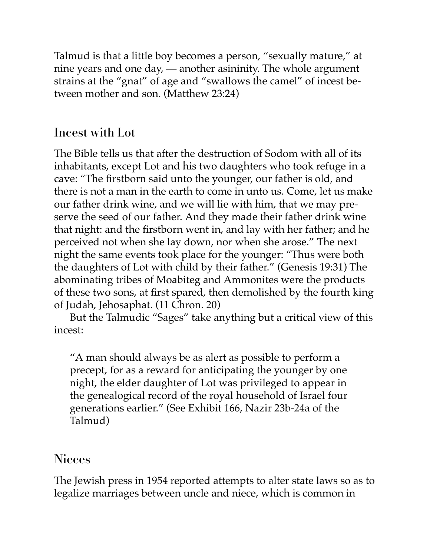Talmud is that a little boy becomes a person, "sexually mature," at nine years and one day, — another asininity. The whole argument strains at the "gnat" of age and "swallows the camel" of incest between mother and son. (Matthew 23:24)

#### Incest with Lot

The Bible tells us that after the destruction of Sodom with all of its inhabitants, except Lot and his two daughters who took refuge in a cave: "The firstborn said unto the younger, our father is old, and there is not a man in the earth to come in unto us. Come, let us make our father drink wine, and we will lie with him, that we may preserve the seed of our father. And they made their father drink wine that night: and the firstborn went in, and lay with her father; and he perceived not when she lay down, nor when she arose." The next night the same events took place for the younger: "Thus were both the daughters of Lot with child by their father." (Genesis 19:31) The abominating tribes of Moabiteg and Ammonites were the products of these two sons, at first spared, then demolished by the fourth king of Judah, Jehosaphat. (11 Chron. 20)

But the Talmudic "Sages" take anything but a critical view of this incest:

"A man should always be as alert as possible to perform a precept, for as a reward for anticipating the younger by one night, the elder daughter of Lot was privileged to appear in the genealogical record of the royal household of Israel four generations earlier." (See Exhibit 166, Nazir 23b-24a of the Talmud)

#### **Nieces**

The Jewish press in 1954 reported attempts to alter state laws so as to legalize marriages between uncle and niece, which is common in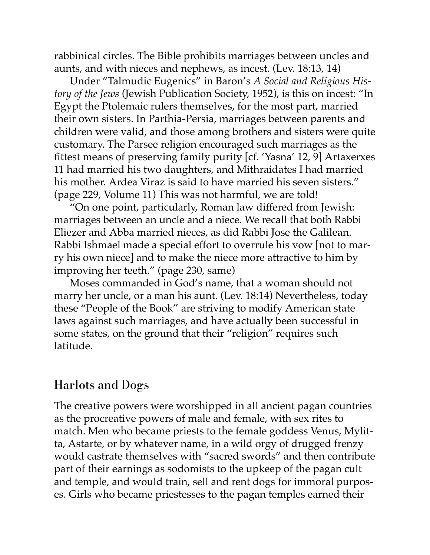rabbinical circles. The Bible prohibits marriages between uncles and aunts, and with nieces and nephews, as incest. (Lev. 18:13, 14)

Under "Talmudic Eugenics" in Baron's *A Social and Religious History of the Jews* (Jewish Publication Society, 1952), is this on incest: "In Egypt the Ptolemaic rulers themselves, for the most part, married their own sisters. In Parthia-Persia, marriages between parents and children were valid, and those among brothers and sisters were quite customary. The Parsee religion encouraged such marriages as the fittest means of preserving family purity [cf. 'Yasna' 12, 9] Artaxerxes 11 had married his two daughters, and Mithraidates I had married his mother. Ardea Viraz is said to have married his seven sisters." (page 229, Volume 11) This was not harmful, we are told!

"On one point, particularly, Roman law differed from Jewish: marriages between an uncle and a niece. We recall that both Rabbi Eliezer and Abba married nieces, as did Rabbi Jose the Galilean. Rabbi Ishmael made a special effort to overrule his vow [not to marry his own niece] and to make the niece more attractive to him by improving her teeth." (page 230, same)

Moses commanded in God's name, that a woman should not marry her uncle, or a man his aunt. (Lev. 18:14) Nevertheless, today these "People of the Book" are striving to modify American state laws against such marriages, and have actually been successful in some states, on the ground that their "religion" requires such latitude.

#### Harlots and Dogs

The creative powers were worshipped in all ancient pagan countries as the procreative powers of male and female, with sex rites to match. Men who became priests to the female goddess Venus, Mylitta, Astarte, or by whatever name, in a wild orgy of drugged frenzy would castrate themselves with "sacred swords" and then contribute part of their earnings as sodomists to the upkeep of the pagan cult and temple, and would train, sell and rent dogs for immoral purposes. Girls who became priestesses to the pagan temples earned their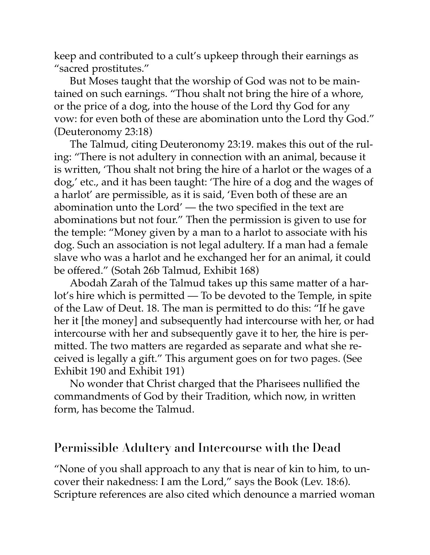keep and contributed to a cult's upkeep through their earnings as "sacred prostitutes."

But Moses taught that the worship of God was not to be maintained on such earnings. "Thou shalt not bring the hire of a whore, or the price of a dog, into the house of the Lord thy God for any vow: for even both of these are abomination unto the Lord thy God." (Deuteronomy 23:18)

The Talmud, citing Deuteronomy 23:19. makes this out of the ruling: "There is not adultery in connection with an animal, because it is written, 'Thou shalt not bring the hire of a harlot or the wages of a dog,' etc., and it has been taught: 'The hire of a dog and the wages of a harlot' are permissible, as it is said, 'Even both of these are an abomination unto the Lord' — the two specified in the text are abominations but not four." Then the permission is given to use for the temple: "Money given by a man to a harlot to associate with his dog. Such an association is not legal adultery. If a man had a female slave who was a harlot and he exchanged her for an animal, it could be offered." (Sotah 26b Talmud, Exhibit 168)

Abodah Zarah of the Talmud takes up this same matter of a harlot's hire which is permitted — To be devoted to the Temple, in spite of the Law of Deut. 18. The man is permitted to do this: "If he gave her it [the money] and subsequently had intercourse with her, or had intercourse with her and subsequently gave it to her, the hire is permitted. The two matters are regarded as separate and what she received is legally a gift." This argument goes on for two pages. (See Exhibit 190 and Exhibit 191)

No wonder that Christ charged that the Pharisees nullified the commandments of God by their Tradition, which now, in written form, has become the Talmud.

#### Permissible Adultery and Intercourse with the Dead

"None of you shall approach to any that is near of kin to him, to uncover their nakedness: I am the Lord," says the Book (Lev. 18:6). Scripture references are also cited which denounce a married woman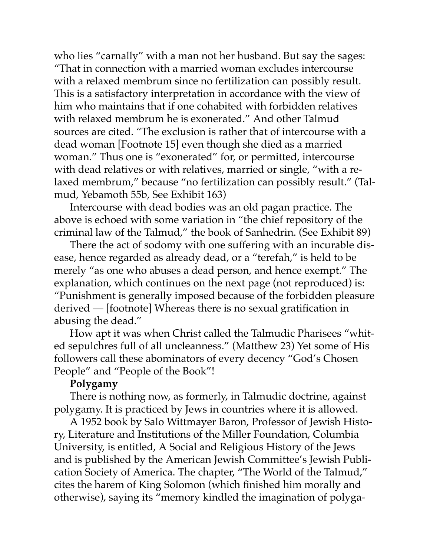who lies "carnally" with a man not her husband. But say the sages: "That in connection with a married woman excludes intercourse with a relaxed membrum since no fertilization can possibly result. This is a satisfactory interpretation in accordance with the view of him who maintains that if one cohabited with forbidden relatives with relaxed membrum he is exonerated." And other Talmud sources are cited. "The exclusion is rather that of intercourse with a dead woman [Footnote 15] even though she died as a married woman." Thus one is "exonerated" for, or permitted, intercourse with dead relatives or with relatives, married or single, "with a relaxed membrum," because "no fertilization can possibly result." (Talmud, Yebamoth 55b, See Exhibit 163)

Intercourse with dead bodies was an old pagan practice. The above is echoed with some variation in "the chief repository of the criminal law of the Talmud," the book of Sanhedrin. (See Exhibit 89)

There the act of sodomy with one suffering with an incurable disease, hence regarded as already dead, or a "terefah," is held to be merely "as one who abuses a dead person, and hence exempt." The explanation, which continues on the next page (not reproduced) is: "Punishment is generally imposed because of the forbidden pleasure derived — [footnote] Whereas there is no sexual gratification in abusing the dead."

How apt it was when Christ called the Talmudic Pharisees "whited sepulchres full of all uncleanness." (Matthew 23) Yet some of His followers call these abominators of every decency "God's Chosen People" and "People of the Book"!

#### **Polygamy**

There is nothing now, as formerly, in Talmudic doctrine, against polygamy. It is practiced by Jews in countries where it is allowed.

A 1952 book by Salo Wittmayer Baron, Professor of Jewish History, Literature and Institutions of the Miller Foundation, Columbia University, is entitled, A Social and Religious History of the Jews and is published by the American Jewish Committee's Jewish Publication Society of America. The chapter, "The World of the Talmud," cites the harem of King Solomon (which finished him morally and otherwise), saying its "memory kindled the imagination of polyga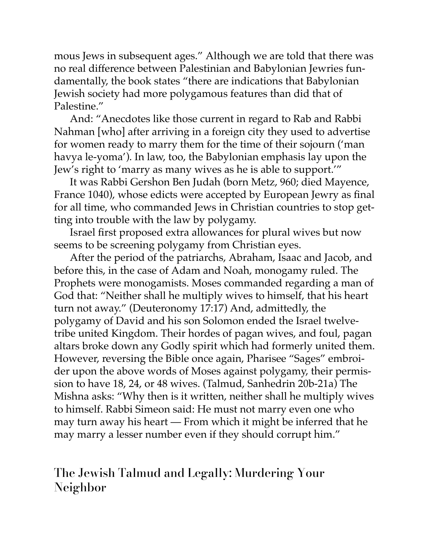mous Jews in subsequent ages." Although we are told that there was no real difference between Palestinian and Babylonian Jewries fundamentally, the book states "there are indications that Babylonian Jewish society had more polygamous features than did that of Palestine."

And: "Anecdotes like those current in regard to Rab and Rabbi Nahman [who] after arriving in a foreign city they used to advertise for women ready to marry them for the time of their sojourn ('man havya le-yoma'). In law, too, the Babylonian emphasis lay upon the Jew's right to 'marry as many wives as he is able to support.'"

It was Rabbi Gershon Ben Judah (born Metz, 960; died Mayence, France 1040), whose edicts were accepted by European Jewry as final for all time, who commanded Jews in Christian countries to stop getting into trouble with the law by polygamy.

Israel first proposed extra allowances for plural wives but now seems to be screening polygamy from Christian eyes.

After the period of the patriarchs, Abraham, Isaac and Jacob, and before this, in the case of Adam and Noah, monogamy ruled. The Prophets were monogamists. Moses commanded regarding a man of God that: "Neither shall he multiply wives to himself, that his heart turn not away." (Deuteronomy 17:17) And, admittedly, the polygamy of David and his son Solomon ended the Israel twelvetribe united Kingdom. Their hordes of pagan wives, and foul, pagan altars broke down any Godly spirit which had formerly united them. However, reversing the Bible once again, Pharisee "Sages" embroider upon the above words of Moses against polygamy, their permission to have 18, 24, or 48 wives. (Talmud, Sanhedrin 20b-21a) The Mishna asks: "Why then is it written, neither shall he multiply wives to himself. Rabbi Simeon said: He must not marry even one who may turn away his heart — From which it might be inferred that he may marry a lesser number even if they should corrupt him."

The Jewish Talmud and Legally: Murdering Your Neighbor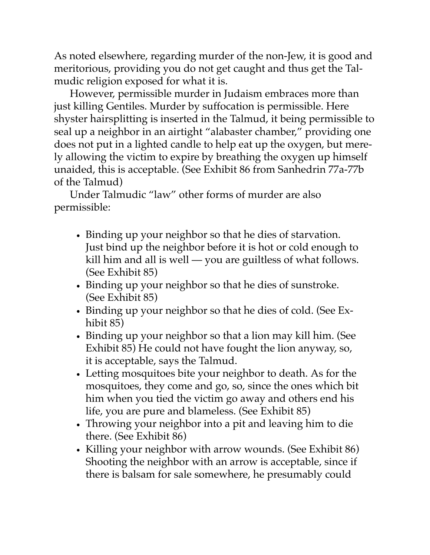As noted elsewhere, regarding murder of the non-Jew, it is good and meritorious, providing you do not get caught and thus get the Talmudic religion exposed for what it is.

However, permissible murder in Judaism embraces more than just killing Gentiles. Murder by suffocation is permissible. Here shyster hairsplitting is inserted in the Talmud, it being permissible to seal up a neighbor in an airtight "alabaster chamber," providing one does not put in a lighted candle to help eat up the oxygen, but merely allowing the victim to expire by breathing the oxygen up himself unaided, this is acceptable. (See Exhibit 86 from Sanhedrin 77a-77b of the Talmud)

Under Talmudic "law" other forms of murder are also permissible:

- Binding up your neighbor so that he dies of starvation. Just bind up the neighbor before it is hot or cold enough to kill him and all is well — you are guiltless of what follows. (See Exhibit 85)
- Binding up your neighbor so that he dies of sunstroke. (See Exhibit 85)
- Binding up your neighbor so that he dies of cold. (See Exhibit 85)
- Binding up your neighbor so that a lion may kill him. (See Exhibit 85) He could not have fought the lion anyway, so, it is acceptable, says the Talmud.
- Letting mosquitoes bite your neighbor to death. As for the mosquitoes, they come and go, so, since the ones which bit him when you tied the victim go away and others end his life, you are pure and blameless. (See Exhibit 85)
- Throwing your neighbor into a pit and leaving him to die there. (See Exhibit 86)
- Killing your neighbor with arrow wounds. (See Exhibit 86) Shooting the neighbor with an arrow is acceptable, since if there is balsam for sale somewhere, he presumably could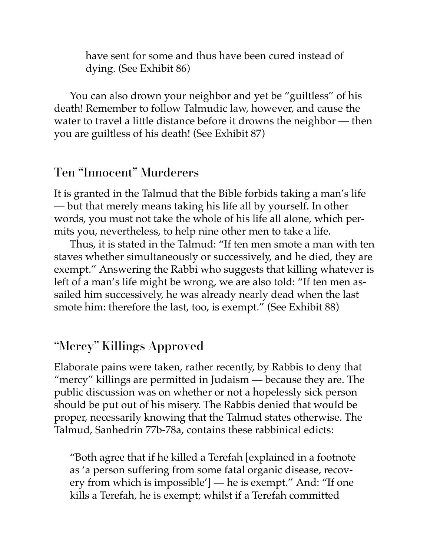have sent for some and thus have been cured instead of dying. (See Exhibit 86)

You can also drown your neighbor and yet be "guiltless" of his death! Remember to follow Talmudic law, however, and cause the water to travel a little distance before it drowns the neighbor — then you are guiltless of his death! (See Exhibit 87)

# Ten "Innocent" Murderers

It is granted in the Talmud that the Bible forbids taking a man's life — but that merely means taking his life all by yourself. In other words, you must not take the whole of his life all alone, which permits you, nevertheless, to help nine other men to take a life.

Thus, it is stated in the Talmud: "If ten men smote a man with ten staves whether simultaneously or successively, and he died, they are exempt." Answering the Rabbi who suggests that killing whatever is left of a man's life might be wrong, we are also told: "If ten men assailed him successively, he was already nearly dead when the last smote him: therefore the last, too, is exempt." (See Exhibit 88)

# "Mercy " Killings Approved

Elaborate pains were taken, rather recently, by Rabbis to deny that "mercy" killings are permitted in Judaism — because they are. The public discussion was on whether or not a hopelessly sick person should be put out of his misery. The Rabbis denied that would be proper, necessarily knowing that the Talmud states otherwise. The Talmud, Sanhedrin 77b-78a, contains these rabbinical edicts:

"Both agree that if he killed a Terefah [explained in a footnote as 'a person suffering from some fatal organic disease, recovery from which is impossible'] — he is exempt." And: "If one kills a Terefah, he is exempt; whilst if a Terefah committed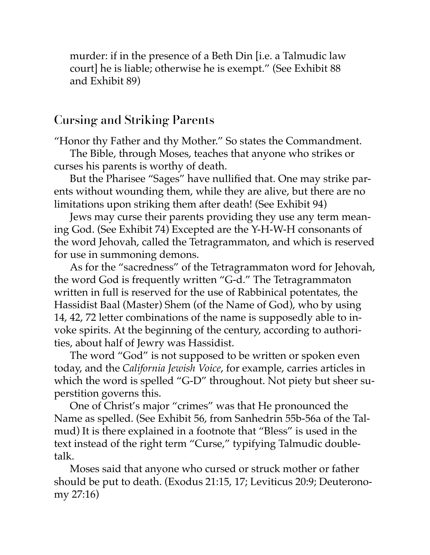murder: if in the presence of a Beth Din [i.e. a Talmudic law court] he is liable; otherwise he is exempt." (See Exhibit 88 and Exhibit 89)

# Cursing and Striking Parents

"Honor thy Father and thy Mother." So states the Commandment.

The Bible, through Moses, teaches that anyone who strikes or curses his parents is worthy of death.

But the Pharisee "Sages" have nullified that. One may strike parents without wounding them, while they are alive, but there are no limitations upon striking them after death! (See Exhibit 94)

Jews may curse their parents providing they use any term meaning God. (See Exhibit 74) Excepted are the Y-H-W-H consonants of the word Jehovah, called the Tetragrammaton, and which is reserved for use in summoning demons.

As for the "sacredness" of the Tetragrammaton word for Jehovah, the word God is frequently written "G-d." The Tetragrammaton written in full is reserved for the use of Rabbinical potentates, the Hassidist Baal (Master) Shem (of the Name of God), who by using 14, 42, 72 letter combinations of the name is supposedly able to invoke spirits. At the beginning of the century, according to authorities, about half of Jewry was Hassidist.

The word "God" is not supposed to be written or spoken even today, and the *California Jewish Voice*, for example, carries articles in which the word is spelled "G-D" throughout. Not piety but sheer superstition governs this.

One of Christ's major "crimes" was that He pronounced the Name as spelled. (See Exhibit 56, from Sanhedrin 55b-56a of the Talmud) It is there explained in a footnote that "Bless" is used in the text instead of the right term "Curse," typifying Talmudic doubletalk.

Moses said that anyone who cursed or struck mother or father should be put to death. (Exodus 21:15, 17; Leviticus 20:9; Deuteronomy 27:16)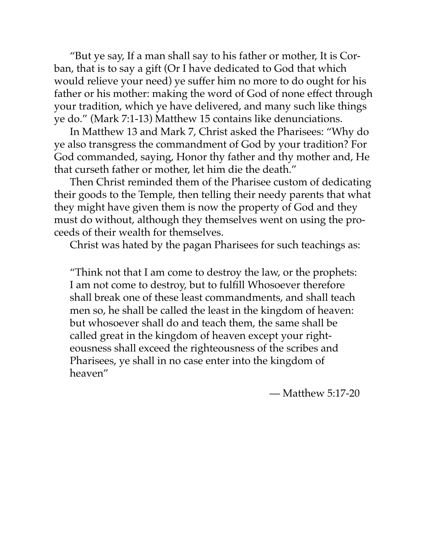"But ye say, If a man shall say to his father or mother, It is Corban, that is to say a gift (Or I have dedicated to God that which would relieve your need) ye suffer him no more to do ought for his father or his mother: making the word of God of none effect through your tradition, which ye have delivered, and many such like things ye do." (Mark 7:1-13) Matthew 15 contains like denunciations.

In Matthew 13 and Mark 7, Christ asked the Pharisees: "Why do ye also transgress the commandment of God by your tradition? For God commanded, saying, Honor thy father and thy mother and, He that curseth father or mother, let him die the death."

Then Christ reminded them of the Pharisee custom of dedicating their goods to the Temple, then telling their needy parents that what they might have given them is now the property of God and they must do without, although they themselves went on using the proceeds of their wealth for themselves.

Christ was hated by the pagan Pharisees for such teachings as:

"Think not that I am come to destroy the law, or the prophets: I am not come to destroy, but to fulfill Whosoever therefore shall break one of these least commandments, and shall teach men so, he shall be called the least in the kingdom of heaven: but whosoever shall do and teach them, the same shall be called great in the kingdom of heaven except your righteousness shall exceed the righteousness of the scribes and Pharisees, ye shall in no case enter into the kingdom of heaven"

— Matthew 5:17-20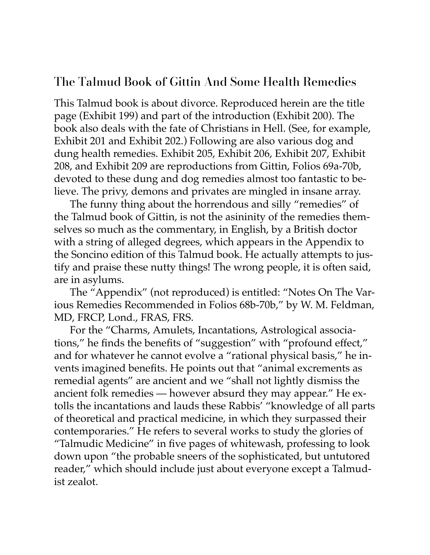### The Talmud Book of Gittin And Some Health Remedies

This Talmud book is about divorce. Reproduced herein are the title page (Exhibit 199) and part of the introduction (Exhibit 200). The book also deals with the fate of Christians in Hell. (See, for example, Exhibit 201 and Exhibit 202.) Following are also various dog and dung health remedies. Exhibit 205, Exhibit 206, Exhibit 207, Exhibit 208, and Exhibit 209 are reproductions from Gittin, Folios 69a-70b, devoted to these dung and dog remedies almost too fantastic to believe. The privy, demons and privates are mingled in insane array.

The funny thing about the horrendous and silly "remedies" of the Talmud book of Gittin, is not the asininity of the remedies themselves so much as the commentary, in English, by a British doctor with a string of alleged degrees, which appears in the Appendix to the Soncino edition of this Talmud book. He actually attempts to justify and praise these nutty things! The wrong people, it is often said, are in asylums.

The "Appendix" (not reproduced) is entitled: "Notes On The Various Remedies Recommended in Folios 68b-70b," by W. M. Feldman, MD, FRCP, Lond., FRAS, FRS.

For the "Charms, Amulets, Incantations, Astrological associations," he finds the benefits of "suggestion" with "profound effect," and for whatever he cannot evolve a "rational physical basis," he invents imagined benefits. He points out that "animal excrements as remedial agents" are ancient and we "shall not lightly dismiss the ancient folk remedies — however absurd they may appear." He extolls the incantations and lauds these Rabbis' "knowledge of all parts of theoretical and practical medicine, in which they surpassed their contemporaries." He refers to several works to study the glories of "Talmudic Medicine" in five pages of whitewash, professing to look down upon "the probable sneers of the sophisticated, but untutored reader," which should include just about everyone except a Talmudist zealot.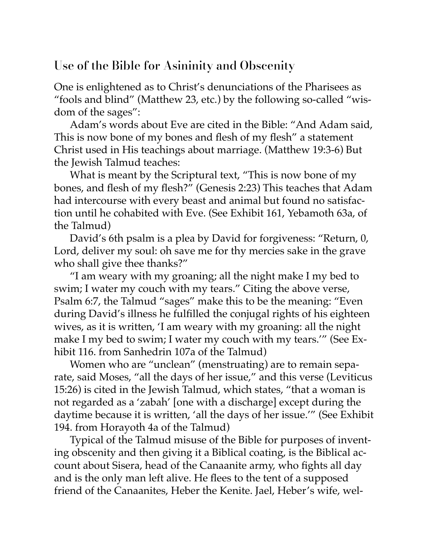# Use of the Bible for Asininity and Obscenity

One is enlightened as to Christ's denunciations of the Pharisees as "fools and blind" (Matthew 23, etc.) by the following so-called "wisdom of the sages":

Adam's words about Eve are cited in the Bible: "And Adam said, This is now bone of my bones and flesh of my flesh" a statement Christ used in His teachings about marriage. (Matthew 19:3-6) But the Jewish Talmud teaches:

What is meant by the Scriptural text, "This is now bone of my bones, and flesh of my flesh?" (Genesis 2:23) This teaches that Adam had intercourse with every beast and animal but found no satisfaction until he cohabited with Eve. (See Exhibit 161, Yebamoth 63a, of the Talmud)

David's 6th psalm is a plea by David for forgiveness: "Return, 0, Lord, deliver my soul: oh save me for thy mercies sake in the grave who shall give thee thanks?"

"I am weary with my groaning; all the night make I my bed to swim; I water my couch with my tears." Citing the above verse, Psalm 6:7, the Talmud "sages" make this to be the meaning: "Even during David's illness he fulfilled the conjugal rights of his eighteen wives, as it is written, 'I am weary with my groaning: all the night make I my bed to swim; I water my couch with my tears.'" (See Exhibit 116. from Sanhedrin 107a of the Talmud)

Women who are "unclean" (menstruating) are to remain separate, said Moses, "all the days of her issue," and this verse (Leviticus 15:26) is cited in the Jewish Talmud, which states, "that a woman is not regarded as a 'zabah' [one with a discharge] except during the daytime because it is written, 'all the days of her issue.'" (See Exhibit 194. from Horayoth 4a of the Talmud)

Typical of the Talmud misuse of the Bible for purposes of inventing obscenity and then giving it a Biblical coating, is the Biblical account about Sisera, head of the Canaanite army, who fights all day and is the only man left alive. He flees to the tent of a supposed friend of the Canaanites, Heber the Kenite. Jael, Heber's wife, wel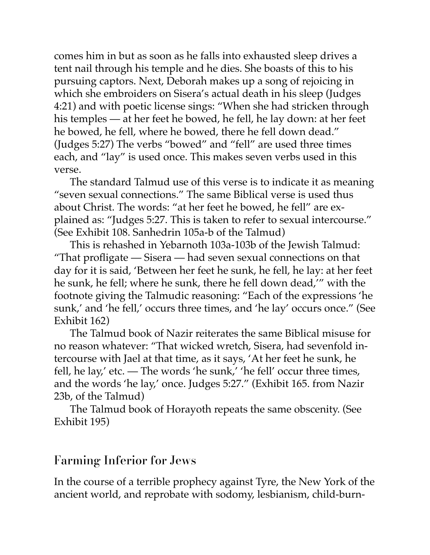comes him in but as soon as he falls into exhausted sleep drives a tent nail through his temple and he dies. She boasts of this to his pursuing captors. Next, Deborah makes up a song of rejoicing in which she embroiders on Sisera's actual death in his sleep (Judges 4:21) and with poetic license sings: "When she had stricken through his temples — at her feet he bowed, he fell, he lay down: at her feet he bowed, he fell, where he bowed, there he fell down dead." (Judges 5:27) The verbs "bowed" and "fell" are used three times each, and "lay" is used once. This makes seven verbs used in this verse.

The standard Talmud use of this verse is to indicate it as meaning "seven sexual connections." The same Biblical verse is used thus about Christ. The words: "at her feet he bowed, he fell" are explained as: "Judges 5:27. This is taken to refer to sexual intercourse." (See Exhibit 108. Sanhedrin 105a-b of the Talmud)

This is rehashed in Yebarnoth 103a-103b of the Jewish Talmud: "That profligate — Sisera — had seven sexual connections on that day for it is said, 'Between her feet he sunk, he fell, he lay: at her feet he sunk, he fell; where he sunk, there he fell down dead,'" with the footnote giving the Talmudic reasoning: "Each of the expressions 'he sunk,' and 'he fell,' occurs three times, and 'he lay' occurs once." (See Exhibit 162)

The Talmud book of Nazir reiterates the same Biblical misuse for no reason whatever: "That wicked wretch, Sisera, had sevenfold intercourse with Jael at that time, as it says, 'At her feet he sunk, he fell, he lay,' etc. — The words 'he sunk,' 'he fell' occur three times, and the words 'he lay,' once. Judges 5:27." (Exhibit 165. from Nazir 23b, of the Talmud)

The Talmud book of Horayoth repeats the same obscenity. (See Exhibit 195)

#### Farming Inferior for Jews

In the course of a terrible prophecy against Tyre, the New York of the ancient world, and reprobate with sodomy, lesbianism, child-burn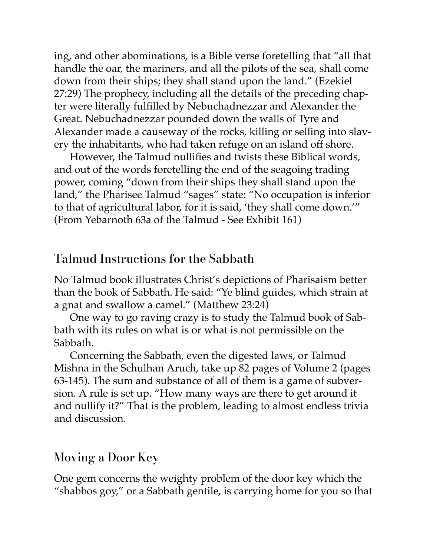ing, and other abominations, is a Bible verse foretelling that "all that handle the oar, the mariners, and all the pilots of the sea, shall come down from their ships; they shall stand upon the land." (Ezekiel 27:29) The prophecy, including all the details of the preceding chapter were literally fulfilled by Nebuchadnezzar and Alexander the Great. Nebuchadnezzar pounded down the walls of Tyre and Alexander made a causeway of the rocks, killing or selling into slavery the inhabitants, who had taken refuge on an island off shore.

However, the Talmud nullifies and twists these Biblical words, and out of the words foretelling the end of the seagoing trading power, coming "down from their ships they shall stand upon the land," the Pharisee Talmud "sages" state: "No occupation is inferior to that of agricultural labor, for it is said, 'they shall come down.'" (From Yebarnoth 63a of the Talmud - See Exhibit 161)

#### Talmud Instructions for the Sabbath

No Talmud book illustrates Christ's depictions of Pharisaism better than the book of Sabbath. He said: "Ye blind guides, which strain at a gnat and swallow a camel." (Matthew 23:24)

One way to go raving crazy is to study the Talmud book of Sabbath with its rules on what is or what is not permissible on the Sabbath.

Concerning the Sabbath, even the digested laws, or Talmud Mishna in the Schulhan Aruch, take up 82 pages of Volume 2 (pages 63-145). The sum and substance of all of them is a game of subversion. A rule is set up. "How many ways are there to get around it and nullify it?" That is the problem, leading to almost endless trivia and discussion.

### Moving a Door Key

One gem concerns the weighty problem of the door key which the "shabbos goy," or a Sabbath gentile, is carrying home for you so that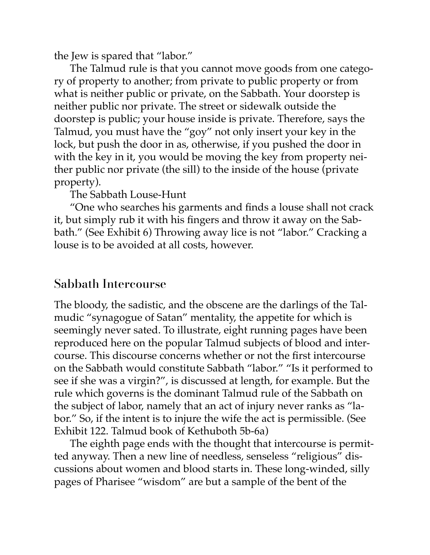the Jew is spared that "labor."

The Talmud rule is that you cannot move goods from one category of property to another; from private to public property or from what is neither public or private, on the Sabbath. Your doorstep is neither public nor private. The street or sidewalk outside the doorstep is public; your house inside is private. Therefore, says the Talmud, you must have the "goy" not only insert your key in the lock, but push the door in as, otherwise, if you pushed the door in with the key in it, you would be moving the key from property neither public nor private (the sill) to the inside of the house (private property).

#### The Sabbath Louse-Hunt

"One who searches his garments and finds a louse shall not crack it, but simply rub it with his fingers and throw it away on the Sabbath." (See Exhibit 6) Throwing away lice is not "labor." Cracking a louse is to be avoided at all costs, however.

# Sabbath Intercourse

The bloody, the sadistic, and the obscene are the darlings of the Talmudic "synagogue of Satan" mentality, the appetite for which is seemingly never sated. To illustrate, eight running pages have been reproduced here on the popular Talmud subjects of blood and intercourse. This discourse concerns whether or not the first intercourse on the Sabbath would constitute Sabbath "labor." "Is it performed to see if she was a virgin?", is discussed at length, for example. But the rule which governs is the dominant Talmud rule of the Sabbath on the subject of labor, namely that an act of injury never ranks as "labor." So, if the intent is to injure the wife the act is permissible. (See Exhibit 122. Talmud book of Kethuboth 5b-6a)

The eighth page ends with the thought that intercourse is permitted anyway. Then a new line of needless, senseless "religious" discussions about women and blood starts in. These long-winded, silly pages of Pharisee "wisdom" are but a sample of the bent of the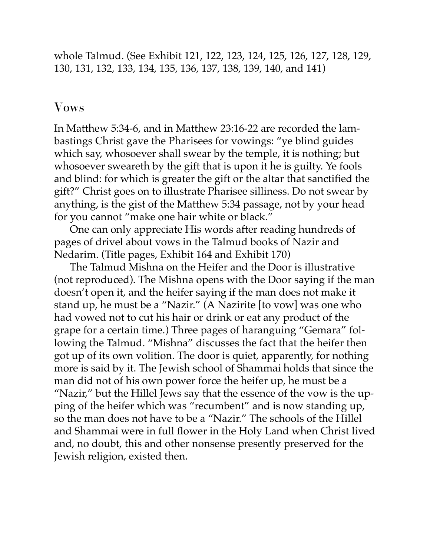whole Talmud. (See Exhibit 121, 122, 123, 124, 125, 126, 127, 128, 129, 130, 131, 132, 133, 134, 135, 136, 137, 138, 139, 140, and 141)

#### Vows

In Matthew 5:34-6, and in Matthew 23:16-22 are recorded the lambastings Christ gave the Pharisees for vowings: "ye blind guides which say, whosoever shall swear by the temple, it is nothing; but whosoever sweareth by the gift that is upon it he is guilty. Ye fools and blind: for which is greater the gift or the altar that sanctified the gift?" Christ goes on to illustrate Pharisee silliness. Do not swear by anything, is the gist of the Matthew 5:34 passage, not by your head for you cannot "make one hair white or black."

One can only appreciate His words after reading hundreds of pages of drivel about vows in the Talmud books of Nazir and Nedarim. (Title pages, Exhibit 164 and Exhibit 170)

The Talmud Mishna on the Heifer and the Door is illustrative (not reproduced). The Mishna opens with the Door saying if the man doesn't open it, and the heifer saying if the man does not make it stand up, he must be a "Nazir." (A Nazirite [to vow] was one who had vowed not to cut his hair or drink or eat any product of the grape for a certain time.) Three pages of haranguing "Gemara" following the Talmud. "Mishna" discusses the fact that the heifer then got up of its own volition. The door is quiet, apparently, for nothing more is said by it. The Jewish school of Shammai holds that since the man did not of his own power force the heifer up, he must be a "Nazir," but the Hillel Jews say that the essence of the vow is the upping of the heifer which was "recumbent" and is now standing up, so the man does not have to be a "Nazir." The schools of the Hillel and Shammai were in full flower in the Holy Land when Christ lived and, no doubt, this and other nonsense presently preserved for the Jewish religion, existed then.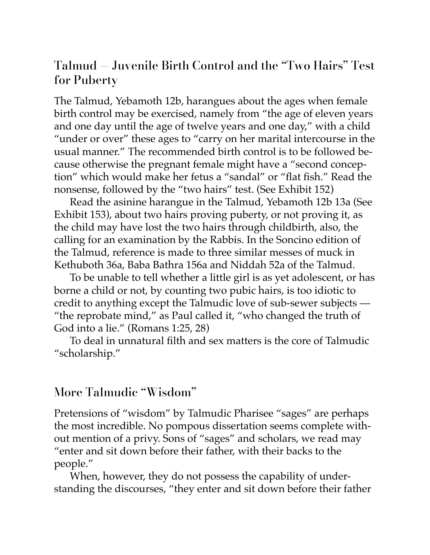# Talmud — Juvenile Birth Control and the "Two Hairs " Test for Puberty

The Talmud, Yebamoth 12b, harangues about the ages when female birth control may be exercised, namely from "the age of eleven years and one day until the age of twelve years and one day," with a child "under or over" these ages to "carry on her marital intercourse in the usual manner." The recommended birth control is to be followed because otherwise the pregnant female might have a "second conception" which would make her fetus a "sandal" or "flat fish." Read the nonsense, followed by the "two hairs" test. (See Exhibit 152)

Read the asinine harangue in the Talmud, Yebamoth 12b 13a (See Exhibit 153), about two hairs proving puberty, or not proving it, as the child may have lost the two hairs through childbirth, also, the calling for an examination by the Rabbis. In the Soncino edition of the Talmud, reference is made to three similar messes of muck in Kethuboth 36a, Baba Bathra 156a and Niddah 52a of the Talmud.

To be unable to tell whether a little girl is as yet adolescent, or has borne a child or not, by counting two pubic hairs, is too idiotic to credit to anything except the Talmudic love of sub-sewer subjects — "the reprobate mind," as Paul called it, "who changed the truth of God into a lie." (Romans 1:25, 28)

To deal in unnatural filth and sex matters is the core of Talmudic "scholarship."

# More Talmudic "Wisdom "

Pretensions of "wisdom" by Talmudic Pharisee "sages" are perhaps the most incredible. No pompous dissertation seems complete without mention of a privy. Sons of "sages" and scholars, we read may "enter and sit down before their father, with their backs to the people."

When, however, they do not possess the capability of understanding the discourses, "they enter and sit down before their father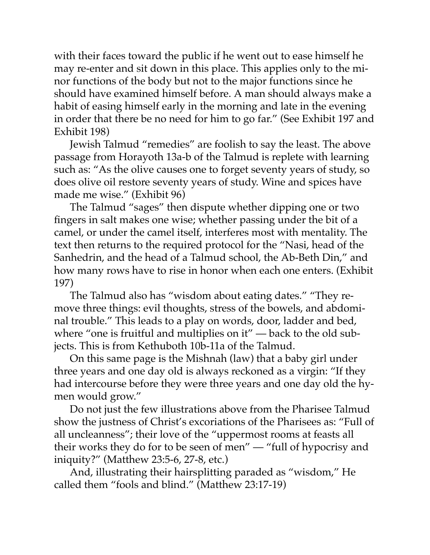with their faces toward the public if he went out to ease himself he may re-enter and sit down in this place. This applies only to the minor functions of the body but not to the major functions since he should have examined himself before. A man should always make a habit of easing himself early in the morning and late in the evening in order that there be no need for him to go far." (See Exhibit 197 and Exhibit 198)

Jewish Talmud "remedies" are foolish to say the least. The above passage from Horayoth 13a-b of the Talmud is replete with learning such as: "As the olive causes one to forget seventy years of study, so does olive oil restore seventy years of study. Wine and spices have made me wise." (Exhibit 96)

The Talmud "sages" then dispute whether dipping one or two fingers in salt makes one wise; whether passing under the bit of a camel, or under the camel itself, interferes most with mentality. The text then returns to the required protocol for the "Nasi, head of the Sanhedrin, and the head of a Talmud school, the Ab-Beth Din," and how many rows have to rise in honor when each one enters. (Exhibit 197)

The Talmud also has "wisdom about eating dates." "They remove three things: evil thoughts, stress of the bowels, and abdominal trouble." This leads to a play on words, door, ladder and bed, where "one is fruitful and multiplies on it" — back to the old subjects. This is from Kethuboth 10b-11a of the Talmud.

On this same page is the Mishnah (law) that a baby girl under three years and one day old is always reckoned as a virgin: "If they had intercourse before they were three years and one day old the hymen would grow."

Do not just the few illustrations above from the Pharisee Talmud show the justness of Christ's excoriations of the Pharisees as: "Full of all uncleanness"; their love of the "uppermost rooms at feasts all their works they do for to be seen of men" — "full of hypocrisy and iniquity?" (Matthew 23:5-6, 27-8, etc.)

And, illustrating their hairsplitting paraded as "wisdom," He called them "fools and blind." (Matthew 23:17-19)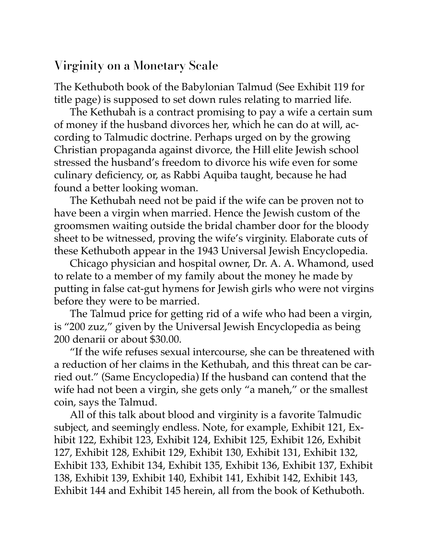# Virginity on a Monetary Scale

The Kethuboth book of the Babylonian Talmud (See Exhibit 119 for title page) is supposed to set down rules relating to married life.

The Kethubah is a contract promising to pay a wife a certain sum of money if the husband divorces her, which he can do at will, according to Talmudic doctrine. Perhaps urged on by the growing Christian propaganda against divorce, the Hill elite Jewish school stressed the husband's freedom to divorce his wife even for some culinary deficiency, or, as Rabbi Aquiba taught, because he had found a better looking woman.

The Kethubah need not be paid if the wife can be proven not to have been a virgin when married. Hence the Jewish custom of the groomsmen waiting outside the bridal chamber door for the bloody sheet to be witnessed, proving the wife's virginity. Elaborate cuts of these Kethuboth appear in the 1943 Universal Jewish Encyclopedia.

Chicago physician and hospital owner, Dr. A. A. Whamond, used to relate to a member of my family about the money he made by putting in false cat-gut hymens for Jewish girls who were not virgins before they were to be married.

The Talmud price for getting rid of a wife who had been a virgin, is "200 zuz," given by the Universal Jewish Encyclopedia as being 200 denarii or about \$30.00.

"If the wife refuses sexual intercourse, she can be threatened with a reduction of her claims in the Kethubah, and this threat can be carried out." (Same Encyclopedia) If the husband can contend that the wife had not been a virgin, she gets only "a maneh," or the smallest coin, says the Talmud.

All of this talk about blood and virginity is a favorite Talmudic subject, and seemingly endless. Note, for example, Exhibit 121, Exhibit 122, Exhibit 123, Exhibit 124, Exhibit 125, Exhibit 126, Exhibit 127, Exhibit 128, Exhibit 129, Exhibit 130, Exhibit 131, Exhibit 132, Exhibit 133, Exhibit 134, Exhibit 135, Exhibit 136, Exhibit 137, Exhibit 138, Exhibit 139, Exhibit 140, Exhibit 141, Exhibit 142, Exhibit 143, Exhibit 144 and Exhibit 145 herein, all from the book of Kethuboth.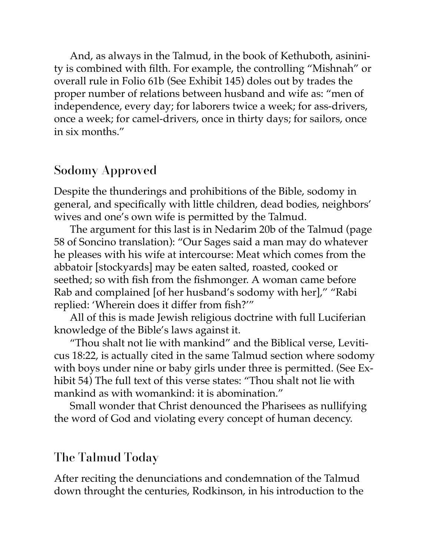And, as always in the Talmud, in the book of Kethuboth, asininity is combined with filth. For example, the controlling "Mishnah" or overall rule in Folio 61b (See Exhibit 145) doles out by trades the proper number of relations between husband and wife as: "men of independence, every day; for laborers twice a week; for ass-drivers, once a week; for camel-drivers, once in thirty days; for sailors, once in six months."

# Sodomy Approved

Despite the thunderings and prohibitions of the Bible, sodomy in general, and specifically with little children, dead bodies, neighbors' wives and one's own wife is permitted by the Talmud.

The argument for this last is in Nedarim 20b of the Talmud (page 58 of Soncino translation): "Our Sages said a man may do whatever he pleases with his wife at intercourse: Meat which comes from the abbatoir [stockyards] may be eaten salted, roasted, cooked or seethed; so with fish from the fishmonger. A woman came before Rab and complained [of her husband's sodomy with her]," "Rabi replied: 'Wherein does it differ from fish?'"

All of this is made Jewish religious doctrine with full Luciferian knowledge of the Bible's laws against it.

"Thou shalt not lie with mankind" and the Biblical verse, Leviticus 18:22, is actually cited in the same Talmud section where sodomy with boys under nine or baby girls under three is permitted. (See Exhibit 54) The full text of this verse states: "Thou shalt not lie with mankind as with womankind: it is abomination."

Small wonder that Christ denounced the Pharisees as nullifying the word of God and violating every concept of human decency.

# The Talmud Today

After reciting the denunciations and condemnation of the Talmud down throught the centuries, Rodkinson, in his introduction to the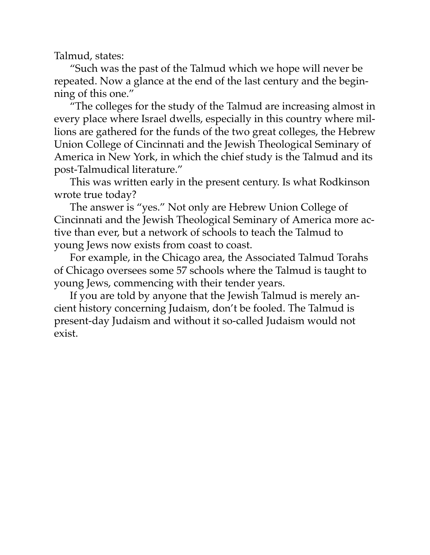Talmud, states:

"Such was the past of the Talmud which we hope will never be repeated. Now a glance at the end of the last century and the beginning of this one."

"The colleges for the study of the Talmud are increasing almost in every place where Israel dwells, especially in this country where millions are gathered for the funds of the two great colleges, the Hebrew Union College of Cincinnati and the Jewish Theological Seminary of America in New York, in which the chief study is the Talmud and its post-Talmudical literature."

This was written early in the present century. Is what Rodkinson wrote true today?

The answer is "yes." Not only are Hebrew Union College of Cincinnati and the Jewish Theological Seminary of America more active than ever, but a network of schools to teach the Talmud to young Jews now exists from coast to coast.

For example, in the Chicago area, the Associated Talmud Torahs of Chicago oversees some 57 schools where the Talmud is taught to young Jews, commencing with their tender years.

If you are told by anyone that the Jewish Talmud is merely ancient history concerning Judaism, don't be fooled. The Talmud is present-day Judaism and without it so-called Judaism would not exist.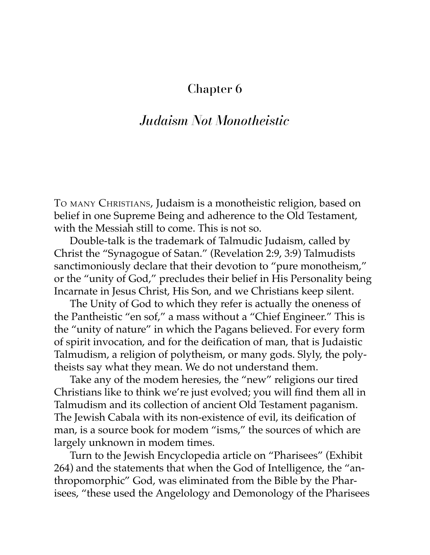# Chapter 6

#### *Judaism Not Monotheistic*

T<sup>O</sup> MANY CHRISTIANS, Judaism is a monotheistic religion, based on belief in one Supreme Being and adherence to the Old Testament, with the Messiah still to come. This is not so.

Double-talk is the trademark of Talmudic Judaism, called by Christ the "Synagogue of Satan." (Revelation 2:9, 3:9) Talmudists sanctimoniously declare that their devotion to "pure monotheism," or the "unity of God," precludes their belief in His Personality being Incarnate in Jesus Christ, His Son, and we Christians keep silent.

The Unity of God to which they refer is actually the oneness of the Pantheistic "en sof," a mass without a "Chief Engineer." This is the "unity of nature" in which the Pagans believed. For every form of spirit invocation, and for the deification of man, that is Judaistic Talmudism, a religion of polytheism, or many gods. Slyly, the polytheists say what they mean. We do not understand them.

Take any of the modem heresies, the "new" religions our tired Christians like to think we're just evolved; you will find them all in Talmudism and its collection of ancient Old Testament paganism. The Jewish Cabala with its non-existence of evil, its deification of man, is a source book for modem "isms," the sources of which are largely unknown in modem times.

Turn to the Jewish Encyclopedia article on "Pharisees" (Exhibit 264) and the statements that when the God of Intelligence, the "anthropomorphic" God, was eliminated from the Bible by the Pharisees, "these used the Angelology and Demonology of the Pharisees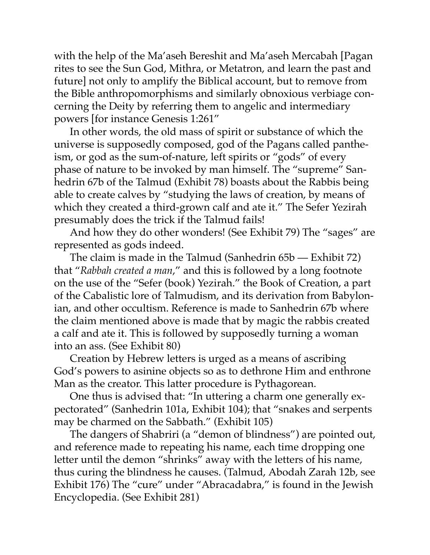with the help of the Ma'aseh Bereshit and Ma'aseh Mercabah [Pagan rites to see the Sun God, Mithra, or Metatron, and learn the past and future] not only to amplify the Biblical account, but to remove from the Bible anthropomorphisms and similarly obnoxious verbiage concerning the Deity by referring them to angelic and intermediary powers [for instance Genesis 1:261"

In other words, the old mass of spirit or substance of which the universe is supposedly composed, god of the Pagans called pantheism, or god as the sum-of-nature, left spirits or "gods" of every phase of nature to be invoked by man himself. The "supreme" Sanhedrin 67b of the Talmud (Exhibit 78) boasts about the Rabbis being able to create calves by "studying the laws of creation, by means of which they created a third-grown calf and ate it." The Sefer Yezirah presumably does the trick if the Talmud fails!

And how they do other wonders! (See Exhibit 79) The "sages" are represented as gods indeed.

The claim is made in the Talmud (Sanhedrin 65b — Exhibit 72) that "*Rabbah created a man*," and this is followed by a long footnote on the use of the "Sefer (book) Yezirah." the Book of Creation, a part of the Cabalistic lore of Talmudism, and its derivation from Babylonian, and other occultism. Reference is made to Sanhedrin 67b where the claim mentioned above is made that by magic the rabbis created a calf and ate it. This is followed by supposedly turning a woman into an ass. (See Exhibit 80)

Creation by Hebrew letters is urged as a means of ascribing God's powers to asinine objects so as to dethrone Him and enthrone Man as the creator. This latter procedure is Pythagorean.

One thus is advised that: "In uttering a charm one generally expectorated" (Sanhedrin 101a, Exhibit 104); that "snakes and serpents may be charmed on the Sabbath." (Exhibit 105)

The dangers of Shabriri (a "demon of blindness") are pointed out, and reference made to repeating his name, each time dropping one letter until the demon "shrinks" away with the letters of his name, thus curing the blindness he causes. (Talmud, Abodah Zarah 12b, see Exhibit 176) The "cure" under "Abracadabra," is found in the Jewish Encyclopedia. (See Exhibit 281)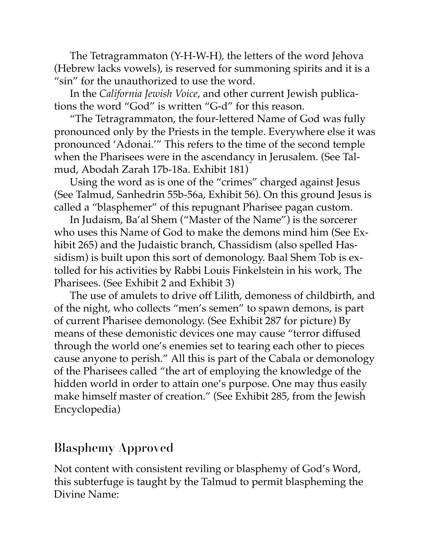The Tetragrammaton (Y-H-W-H), the letters of the word Jehova (Hebrew lacks vowels), is reserved for summoning spirits and it is a "sin" for the unauthorized to use the word.

In the *California Jewish Voice*, and other current Jewish publications the word "God" is written "G-d" for this reason.

"The Tetragrammaton, the four-lettered Name of God was fully pronounced only by the Priests in the temple. Everywhere else it was pronounced 'Adonai.'" This refers to the time of the second temple when the Pharisees were in the ascendancy in Jerusalem. (See Talmud, Abodah Zarah 17b-18a. Exhibit 181)

Using the word as is one of the "crimes" charged against Jesus (See Talmud, Sanhedrin 55b-56a, Exhibit 56). On this ground Jesus is called a "blasphemer" of this repugnant Pharisee pagan custom.

In Judaism, Ba'al Shem ("Master of the Name") is the sorcerer who uses this Name of God to make the demons mind him (See Exhibit 265) and the Judaistic branch, Chassidism (also spelled Hassidism) is built upon this sort of demonology. Baal Shem Tob is extolled for his activities by Rabbi Louis Finkelstein in his work, The Pharisees. (See Exhibit 2 and Exhibit 3)

The use of amulets to drive off Lilith, demoness of childbirth, and of the night, who collects "men's semen" to spawn demons, is part of current Pharisee demonology. (See Exhibit 287 for picture) By means of these demonistic devices one may cause "terror diffused through the world one's enemies set to tearing each other to pieces cause anyone to perish." All this is part of the Cabala or demonology of the Pharisees called "the art of employing the knowledge of the hidden world in order to attain one's purpose. One may thus easily make himself master of creation." (See Exhibit 285, from the Jewish Encyclopedia)

# Blasphemy Approved

Not content with consistent reviling or blasphemy of God's Word, this subterfuge is taught by the Talmud to permit blaspheming the Divine Name: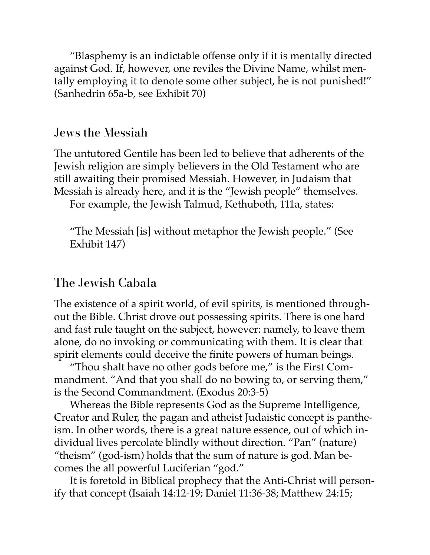"Blasphemy is an indictable offense only if it is mentally directed against God. If, however, one reviles the Divine Name, whilst mentally employing it to denote some other subject, he is not punished!" (Sanhedrin 65a-b, see Exhibit 70)

#### Jews the Messiah

The untutored Gentile has been led to believe that adherents of the Jewish religion are simply believers in the Old Testament who are still awaiting their promised Messiah. However, in Judaism that Messiah is already here, and it is the "Jewish people" themselves.

For example, the Jewish Talmud, Kethuboth, 111a, states:

"The Messiah [is] without metaphor the Jewish people." (See Exhibit 147)

# The Jewish Cabala

The existence of a spirit world, of evil spirits, is mentioned throughout the Bible. Christ drove out possessing spirits. There is one hard and fast rule taught on the subject, however: namely, to leave them alone, do no invoking or communicating with them. It is clear that spirit elements could deceive the finite powers of human beings.

"Thou shalt have no other gods before me," is the First Commandment. "And that you shall do no bowing to, or serving them," is the Second Commandment. (Exodus 20:3-5)

Whereas the Bible represents God as the Supreme Intelligence, Creator and Ruler, the pagan and atheist Judaistic concept is pantheism. In other words, there is a great nature essence, out of which individual lives percolate blindly without direction. "Pan" (nature) "theism" (god-ism) holds that the sum of nature is god. Man becomes the all powerful Luciferian "god."

It is foretold in Biblical prophecy that the Anti-Christ will personify that concept (Isaiah 14:12-19; Daniel 11:36-38; Matthew 24:15;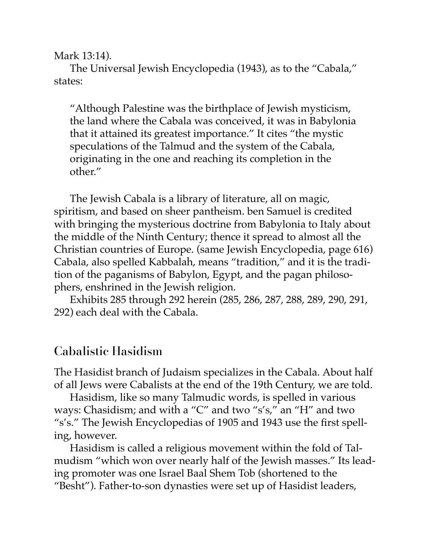Mark 13:14).

The Universal Jewish Encyclopedia (1943), as to the "Cabala," states:

"Although Palestine was the birthplace of Jewish mysticism, the land where the Cabala was conceived, it was in Babylonia that it attained its greatest importance." It cites "the mystic speculations of the Talmud and the system of the Cabala, originating in the one and reaching its completion in the other."

The Jewish Cabala is a library of literature, all on magic, spiritism, and based on sheer pantheism. ben Samuel is credited with bringing the mysterious doctrine from Babylonia to Italy about the middle of the Ninth Century; thence it spread to almost all the Christian countries of Europe. (same Jewish Encyclopedia, page 616) Cabala, also spelled Kabbalah, means "tradition," and it is the tradition of the paganisms of Babylon, Egypt, and the pagan philosophers, enshrined in the Jewish religion.

Exhibits 285 through 292 herein (285, 286, 287, 288, 289, 290, 291, 292) each deal with the Cabala.

#### Cabalistic Hasidism

The Hasidist branch of Judaism specializes in the Cabala. About half of all Jews were Cabalists at the end of the 19th Century, we are told.

Hasidism, like so many Talmudic words, is spelled in various ways: Chasidism; and with a "C" and two "s's," an "H" and two "s's." The Jewish Encyclopedias of 1905 and 1943 use the first spelling, however.

Hasidism is called a religious movement within the fold of Talmudism "which won over nearly half of the Jewish masses." Its leading promoter was one Israel Baal Shem Tob (shortened to the "Besht"). Father-to-son dynasties were set up of Hasidist leaders,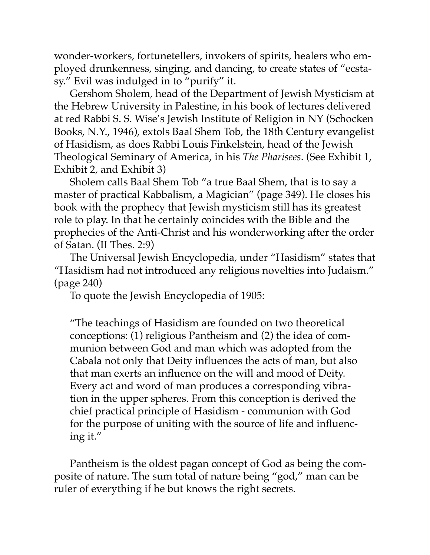wonder-workers, fortunetellers, invokers of spirits, healers who employed drunkenness, singing, and dancing, to create states of "ecstasy." Evil was indulged in to "purify" it.

Gershom Sholem, head of the Department of Jewish Mysticism at the Hebrew University in Palestine, in his book of lectures delivered at red Rabbi S. S. Wise's Jewish Institute of Religion in NY (Schocken Books, N.Y., 1946), extols Baal Shem Tob, the 18th Century evangelist of Hasidism, as does Rabbi Louis Finkelstein, head of the Jewish Theological Seminary of America, in his *The Pharisees*. (See Exhibit 1, Exhibit 2, and Exhibit 3)

Sholem calls Baal Shem Tob "a true Baal Shem, that is to say a master of practical Kabbalism, a Magician" (page 349). He closes his book with the prophecy that Jewish mysticism still has its greatest role to play. In that he certainly coincides with the Bible and the prophecies of the Anti-Christ and his wonderworking after the order of Satan. (II Thes. 2:9)

The Universal Jewish Encyclopedia, under "Hasidism" states that "Hasidism had not introduced any religious novelties into Judaism." (page 240)

To quote the Jewish Encyclopedia of 1905:

"The teachings of Hasidism are founded on two theoretical conceptions: (1) religious Pantheism and (2) the idea of communion between God and man which was adopted from the Cabala not only that Deity influences the acts of man, but also that man exerts an influence on the will and mood of Deity. Every act and word of man produces a corresponding vibration in the upper spheres. From this conception is derived the chief practical principle of Hasidism - communion with God for the purpose of uniting with the source of life and influencing it."

Pantheism is the oldest pagan concept of God as being the composite of nature. The sum total of nature being "god," man can be ruler of everything if he but knows the right secrets.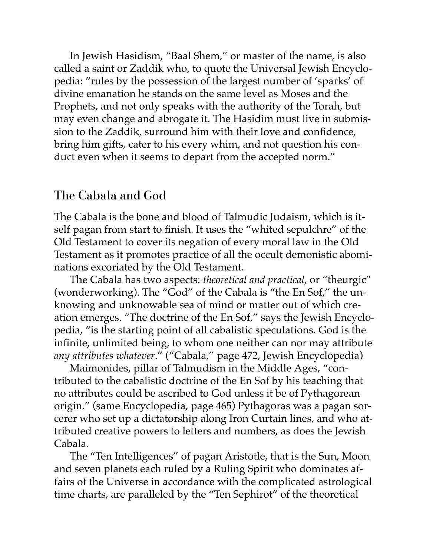In Jewish Hasidism, "Baal Shem," or master of the name, is also called a saint or Zaddik who, to quote the Universal Jewish Encyclopedia: "rules by the possession of the largest number of 'sparks' of divine emanation he stands on the same level as Moses and the Prophets, and not only speaks with the authority of the Torah, but may even change and abrogate it. The Hasidim must live in submission to the Zaddik, surround him with their love and confidence, bring him gifts, cater to his every whim, and not question his conduct even when it seems to depart from the accepted norm."

#### The Cabala and God

The Cabala is the bone and blood of Talmudic Judaism, which is itself pagan from start to finish. It uses the "whited sepulchre" of the Old Testament to cover its negation of every moral law in the Old Testament as it promotes practice of all the occult demonistic abominations excoriated by the Old Testament.

The Cabala has two aspects: *theoretical and practical*, or "theurgic" (wonderworking). The "God" of the Cabala is "the En Sof," the unknowing and unknowable sea of mind or matter out of which creation emerges. "The doctrine of the En Sof," says the Jewish Encyclopedia, "is the starting point of all cabalistic speculations. God is the infinite, unlimited being, to whom one neither can nor may attribute *any attributes whatever*." ("Cabala," page 472, Jewish Encyclopedia)

Maimonides, pillar of Talmudism in the Middle Ages, "contributed to the cabalistic doctrine of the En Sof by his teaching that no attributes could be ascribed to God unless it be of Pythagorean origin." (same Encyclopedia, page 465) Pythagoras was a pagan sorcerer who set up a dictatorship along Iron Curtain lines, and who attributed creative powers to letters and numbers, as does the Jewish Cabala.

The "Ten Intelligences" of pagan Aristotle, that is the Sun, Moon and seven planets each ruled by a Ruling Spirit who dominates affairs of the Universe in accordance with the complicated astrological time charts, are paralleled by the "Ten Sephirot" of the theoretical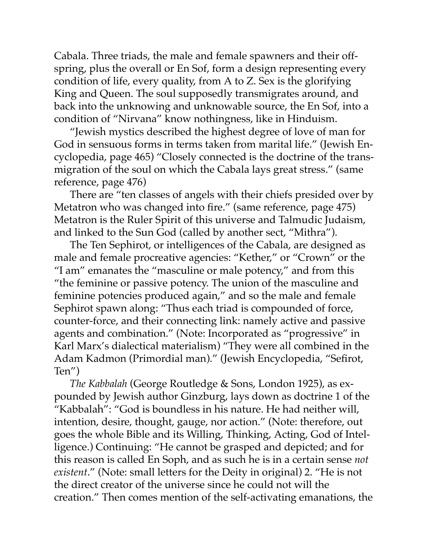Cabala. Three triads, the male and female spawners and their offspring, plus the overall or En Sof, form a design representing every condition of life, every quality, from A to Z. Sex is the glorifying King and Queen. The soul supposedly transmigrates around, and back into the unknowing and unknowable source, the En Sof, into a condition of "Nirvana" know nothingness, like in Hinduism.

"Jewish mystics described the highest degree of love of man for God in sensuous forms in terms taken from marital life." (Jewish Encyclopedia, page 465) "Closely connected is the doctrine of the transmigration of the soul on which the Cabala lays great stress." (same reference, page 476)

There are "ten classes of angels with their chiefs presided over by Metatron who was changed into fire." (same reference, page 475) Metatron is the Ruler Spirit of this universe and Talmudic Judaism, and linked to the Sun God (called by another sect, "Mithra").

The Ten Sephirot, or intelligences of the Cabala, are designed as male and female procreative agencies: "Kether," or "Crown" or the "I am" emanates the "masculine or male potency," and from this "the feminine or passive potency. The union of the masculine and feminine potencies produced again," and so the male and female Sephirot spawn along: "Thus each triad is compounded of force, counter-force, and their connecting link: namely active and passive agents and combination." (Note: Incorporated as "progressive" in Karl Marx's dialectical materialism) "They were all combined in the Adam Kadmon (Primordial man)." (Jewish Encyclopedia, "Sefirot, Ten")

*The Kabbalah* (George Routledge & Sons, London 1925), as expounded by Jewish author Ginzburg, lays down as doctrine 1 of the "Kabbalah": "God is boundless in his nature. He had neither will, intention, desire, thought, gauge, nor action." (Note: therefore, out goes the whole Bible and its Willing, Thinking, Acting, God of Intelligence.) Continuing: "He cannot be grasped and depicted; and for this reason is called En Soph, and as such he is in a certain sense *not existent*." (Note: small letters for the Deity in original) 2. "He is not the direct creator of the universe since he could not will the creation." Then comes mention of the self-activating emanations, the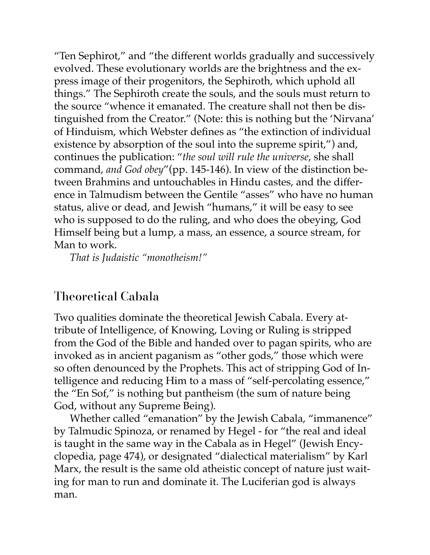"Ten Sephirot," and "the different worlds gradually and successively evolved. These evolutionary worlds are the brightness and the express image of their progenitors, the Sephiroth, which uphold all things." The Sephiroth create the souls, and the souls must return to the source "whence it emanated. The creature shall not then be distinguished from the Creator." (Note: this is nothing but the 'Nirvana' of Hinduism, which Webster defines as "the extinction of individual existence by absorption of the soul into the supreme spirit,") and, continues the publication: "*the soul will rule the universe*, she shall command, *and God obey*"(pp. 145-146). In view of the distinction between Brahmins and untouchables in Hindu castes, and the difference in Talmudism between the Gentile "asses" who have no human status, alive or dead, and Jewish "humans," it will be easy to see who is supposed to do the ruling, and who does the obeying, God Himself being but a lump, a mass, an essence, a source stream, for Man to work.

*That is Judaistic "monotheism!"*

#### Theoretical Cabala

Two qualities dominate the theoretical Jewish Cabala. Every attribute of Intelligence, of Knowing, Loving or Ruling is stripped from the God of the Bible and handed over to pagan spirits, who are invoked as in ancient paganism as "other gods," those which were so often denounced by the Prophets. This act of stripping God of Intelligence and reducing Him to a mass of "self-percolating essence," the "En Sof," is nothing but pantheism (the sum of nature being God, without any Supreme Being).

Whether called "emanation" by the Jewish Cabala, "immanence" by Talmudic Spinoza, or renamed by Hegel - for "the real and ideal is taught in the same way in the Cabala as in Hegel" (Jewish Encyclopedia, page 474), or designated "dialectical materialism" by Karl Marx, the result is the same old atheistic concept of nature just waiting for man to run and dominate it. The Luciferian god is always man.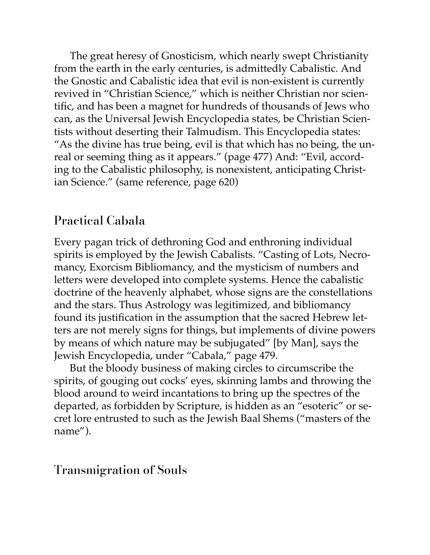The great heresy of Gnosticism, which nearly swept Christianity from the earth in the early centuries, is admittedly Cabalistic. And the Gnostic and Cabalistic idea that evil is non-existent is currently revived in "Christian Science," which is neither Christian nor scientific, and has been a magnet for hundreds of thousands of Jews who can, as the Universal Jewish Encyclopedia states, be Christian Scientists without deserting their Talmudism. This Encyclopedia states: "As the divine has true being, evil is that which has no being, the unreal or seeming thing as it appears." (page 477) And: "Evil, according to the Cabalistic philosophy, is nonexistent, anticipating Christian Science." (same reference, page 620)

#### Practical Cabala

Every pagan trick of dethroning God and enthroning individual spirits is employed by the Jewish Cabalists. "Casting of Lots, Necromancy, Exorcism Bibliomancy, and the mysticism of numbers and letters were developed into complete systems. Hence the cabalistic doctrine of the heavenly alphabet, whose signs are the constellations and the stars. Thus Astrology was legitimized, and bibliomancy found its justification in the assumption that the sacred Hebrew letters are not merely signs for things, but implements of divine powers by means of which nature may be subjugated" [by Man], says the Jewish Encyclopedia, under "Cabala," page 479.

But the bloody business of making circles to circumscribe the spirits, of gouging out cocks' eyes, skinning lambs and throwing the blood around to weird incantations to bring up the spectres of the departed, as forbidden by Scripture, is hidden as an "esoteric" or secret lore entrusted to such as the Jewish Baal Shems ("masters of the name").

# Transmigration of Souls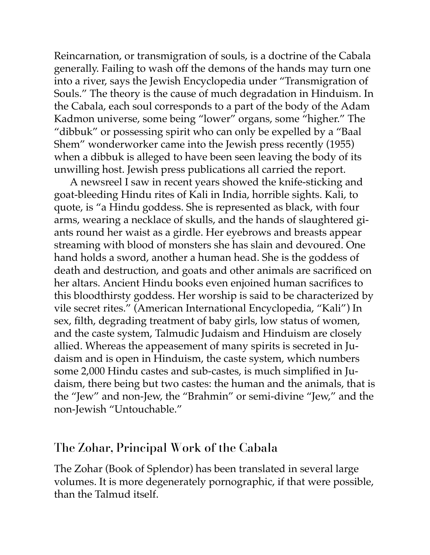Reincarnation, or transmigration of souls, is a doctrine of the Cabala generally. Failing to wash off the demons of the hands may turn one into a river, says the Jewish Encyclopedia under "Transmigration of Souls." The theory is the cause of much degradation in Hinduism. In the Cabala, each soul corresponds to a part of the body of the Adam Kadmon universe, some being "lower" organs, some "higher." The "dibbuk" or possessing spirit who can only be expelled by a "Baal Shem" wonderworker came into the Jewish press recently (1955) when a dibbuk is alleged to have been seen leaving the body of its unwilling host. Jewish press publications all carried the report.

A newsreel I saw in recent years showed the knife-sticking and goat-bleeding Hindu rites of Kali in India, horrible sights. Kali, to quote, is "a Hindu goddess. She is represented as black, with four arms, wearing a necklace of skulls, and the hands of slaughtered giants round her waist as a girdle. Her eyebrows and breasts appear streaming with blood of monsters she has slain and devoured. One hand holds a sword, another a human head. She is the goddess of death and destruction, and goats and other animals are sacrificed on her altars. Ancient Hindu books even enjoined human sacrifices to this bloodthirsty goddess. Her worship is said to be characterized by vile secret rites." (American International Encyclopedia, "Kali") In sex, filth, degrading treatment of baby girls, low status of women, and the caste system, Talmudic Judaism and Hinduism are closely allied. Whereas the appeasement of many spirits is secreted in Judaism and is open in Hinduism, the caste system, which numbers some 2,000 Hindu castes and sub-castes, is much simplified in Judaism, there being but two castes: the human and the animals, that is the "Jew" and non-Jew, the "Brahmin" or semi-divine "Jew," and the non-Jewish "Untouchable."

#### The Zohar, Principal Work of the Cabala

The Zohar (Book of Splendor) has been translated in several large volumes. It is more degenerately pornographic, if that were possible, than the Talmud itself.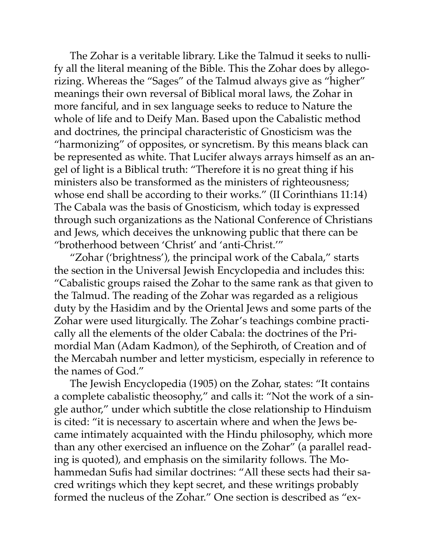The Zohar is a veritable library. Like the Talmud it seeks to nullify all the literal meaning of the Bible. This the Zohar does by allegorizing. Whereas the "Sages" of the Talmud always give as "higher" meanings their own reversal of Biblical moral laws, the Zohar in more fanciful, and in sex language seeks to reduce to Nature the whole of life and to Deify Man. Based upon the Cabalistic method and doctrines, the principal characteristic of Gnosticism was the "harmonizing" of opposites, or syncretism. By this means black can be represented as white. That Lucifer always arrays himself as an angel of light is a Biblical truth: "Therefore it is no great thing if his ministers also be transformed as the ministers of righteousness; whose end shall be according to their works." (II Corinthians 11:14) The Cabala was the basis of Gnosticism, which today is expressed through such organizations as the National Conference of Christians and Jews, which deceives the unknowing public that there can be "brotherhood between 'Christ' and 'anti-Christ.'"

"Zohar ('brightness'), the principal work of the Cabala," starts the section in the Universal Jewish Encyclopedia and includes this: "Cabalistic groups raised the Zohar to the same rank as that given to the Talmud. The reading of the Zohar was regarded as a religious duty by the Hasidim and by the Oriental Jews and some parts of the Zohar were used liturgically. The Zohar's teachings combine practically all the elements of the older Cabala: the doctrines of the Primordial Man (Adam Kadmon), of the Sephiroth, of Creation and of the Mercabah number and letter mysticism, especially in reference to the names of God."

The Jewish Encyclopedia (1905) on the Zohar, states: "It contains a complete cabalistic theosophy," and calls it: "Not the work of a single author," under which subtitle the close relationship to Hinduism is cited: "it is necessary to ascertain where and when the Jews became intimately acquainted with the Hindu philosophy, which more than any other exercised an influence on the Zohar" (a parallel reading is quoted), and emphasis on the similarity follows. The Mohammedan Sufis had similar doctrines: "All these sects had their sacred writings which they kept secret, and these writings probably formed the nucleus of the Zohar." One section is described as "ex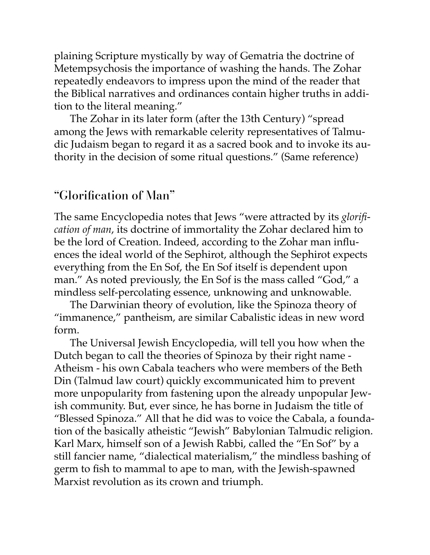plaining Scripture mystically by way of Gematria the doctrine of Metempsychosis the importance of washing the hands. The Zohar repeatedly endeavors to impress upon the mind of the reader that the Biblical narratives and ordinances contain higher truths in addition to the literal meaning."

The Zohar in its later form (after the 13th Century) "spread among the Jews with remarkable celerity representatives of Talmudic Judaism began to regard it as a sacred book and to invoke its authority in the decision of some ritual questions." (Same reference)

# "Glorification of Man "

The same Encyclopedia notes that Jews "were attracted by its *glorification of man*, its doctrine of immortality the Zohar declared him to be the lord of Creation. Indeed, according to the Zohar man influences the ideal world of the Sephirot, although the Sephirot expects everything from the En Sof, the En Sof itself is dependent upon man." As noted previously, the En Sof is the mass called "God," a mindless self-percolating essence, unknowing and unknowable.

The Darwinian theory of evolution, like the Spinoza theory of "immanence," pantheism, are similar Cabalistic ideas in new word form.

The Universal Jewish Encyclopedia, will tell you how when the Dutch began to call the theories of Spinoza by their right name - Atheism - his own Cabala teachers who were members of the Beth Din (Talmud law court) quickly excommunicated him to prevent more unpopularity from fastening upon the already unpopular Jewish community. But, ever since, he has borne in Judaism the title of "Blessed Spinoza." All that he did was to voice the Cabala, a foundation of the basically atheistic "Jewish" Babylonian Talmudic religion. Karl Marx, himself son of a Jewish Rabbi, called the "En Sof" by a still fancier name, "dialectical materialism," the mindless bashing of germ to fish to mammal to ape to man, with the Jewish-spawned Marxist revolution as its crown and triumph.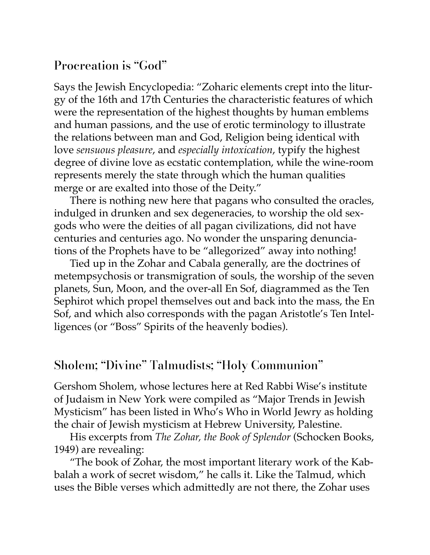# Procreation is "God"

Says the Jewish Encyclopedia: "Zoharic elements crept into the liturgy of the 16th and 17th Centuries the characteristic features of which were the representation of the highest thoughts by human emblems and human passions, and the use of erotic terminology to illustrate the relations between man and God, Religion being identical with love *sensuous pleasure*, and *especially intoxication*, typify the highest degree of divine love as ecstatic contemplation, while the wine-room represents merely the state through which the human qualities merge or are exalted into those of the Deity."

There is nothing new here that pagans who consulted the oracles, indulged in drunken and sex degeneracies, to worship the old sexgods who were the deities of all pagan civilizations, did not have centuries and centuries ago. No wonder the unsparing denunciations of the Prophets have to be "allegorized" away into nothing!

Tied up in the Zohar and Cabala generally, are the doctrines of metempsychosis or transmigration of souls, the worship of the seven planets, Sun, Moon, and the over-all En Sof, diagrammed as the Ten Sephirot which propel themselves out and back into the mass, the En Sof, and which also corresponds with the pagan Aristotle's Ten Intelligences (or "Boss" Spirits of the heavenly bodies).

# Sholem; "Divine " Talmudists; "Holy Communion "

Gershom Sholem, whose lectures here at Red Rabbi Wise's institute of Judaism in New York were compiled as "Major Trends in Jewish Mysticism" has been listed in Who's Who in World Jewry as holding the chair of Jewish mysticism at Hebrew University, Palestine.

His excerpts from *The Zohar, the Book of Splendor* (Schocken Books, 1949) are revealing:

"The book of Zohar, the most important literary work of the Kabbalah a work of secret wisdom," he calls it. Like the Talmud, which uses the Bible verses which admittedly are not there, the Zohar uses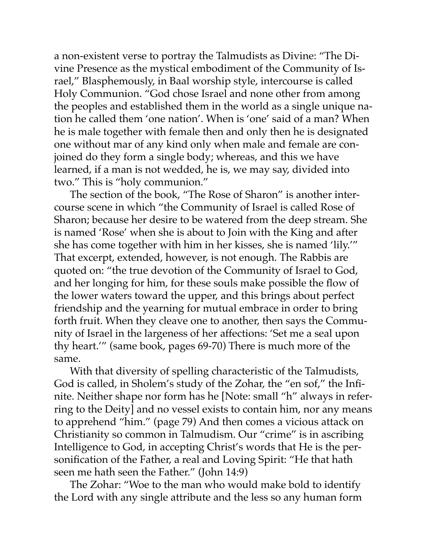a non-existent verse to portray the Talmudists as Divine: "The Divine Presence as the mystical embodiment of the Community of Israel," Blasphemously, in Baal worship style, intercourse is called Holy Communion. "God chose Israel and none other from among the peoples and established them in the world as a single unique nation he called them 'one nation'. When is 'one' said of a man? When he is male together with female then and only then he is designated one without mar of any kind only when male and female are conjoined do they form a single body; whereas, and this we have learned, if a man is not wedded, he is, we may say, divided into two." This is "holy communion."

The section of the book, "The Rose of Sharon" is another intercourse scene in which "the Community of Israel is called Rose of Sharon; because her desire to be watered from the deep stream. She is named 'Rose' when she is about to Join with the King and after she has come together with him in her kisses, she is named 'lily.'" That excerpt, extended, however, is not enough. The Rabbis are quoted on: "the true devotion of the Community of Israel to God, and her longing for him, for these souls make possible the flow of the lower waters toward the upper, and this brings about perfect friendship and the yearning for mutual embrace in order to bring forth fruit. When they cleave one to another, then says the Community of Israel in the largeness of her affections: 'Set me a seal upon thy heart.'" (same book, pages 69-70) There is much more of the same.

With that diversity of spelling characteristic of the Talmudists, God is called, in Sholem's study of the Zohar, the "en sof," the Infinite. Neither shape nor form has he [Note: small "h" always in referring to the Deity] and no vessel exists to contain him, nor any means to apprehend "him." (page 79) And then comes a vicious attack on Christianity so common in Talmudism. Our "crime" is in ascribing Intelligence to God, in accepting Christ's words that He is the personification of the Father, a real and Loving Spirit: "He that hath seen me hath seen the Father." (John 14:9)

The Zohar: "Woe to the man who would make bold to identify the Lord with any single attribute and the less so any human form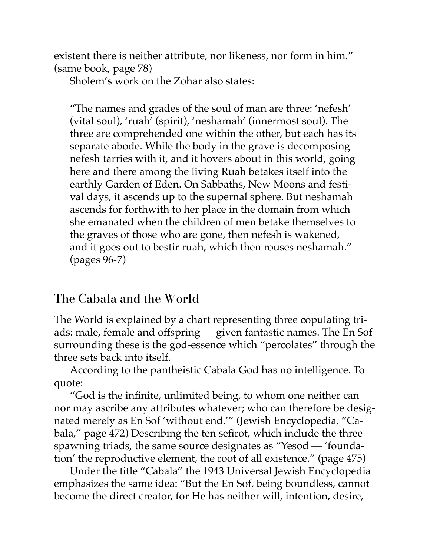existent there is neither attribute, nor likeness, nor form in him." (same book, page 78)

Sholem's work on the Zohar also states:

"The names and grades of the soul of man are three: 'nefesh' (vital soul), 'ruah' (spirit), 'neshamah' (innermost soul). The three are comprehended one within the other, but each has its separate abode. While the body in the grave is decomposing nefesh tarries with it, and it hovers about in this world, going here and there among the living Ruah betakes itself into the earthly Garden of Eden. On Sabbaths, New Moons and festival days, it ascends up to the supernal sphere. But neshamah ascends for forthwith to her place in the domain from which she emanated when the children of men betake themselves to the graves of those who are gone, then nefesh is wakened, and it goes out to bestir ruah, which then rouses neshamah." (pages 96-7)

# The Cabala and the World

The World is explained by a chart representing three copulating triads: male, female and offspring — given fantastic names. The En Sof surrounding these is the god-essence which "percolates" through the three sets back into itself.

According to the pantheistic Cabala God has no intelligence. To quote:

"God is the infinite, unlimited being, to whom one neither can nor may ascribe any attributes whatever; who can therefore be designated merely as En Sof 'without end.'" (Jewish Encyclopedia, "Cabala," page 472) Describing the ten sefirot, which include the three spawning triads, the same source designates as "Yesod — 'foundation' the reproductive element, the root of all existence." (page 475)

Under the title "Cabala" the 1943 Universal Jewish Encyclopedia emphasizes the same idea: "But the En Sof, being boundless, cannot become the direct creator, for He has neither will, intention, desire,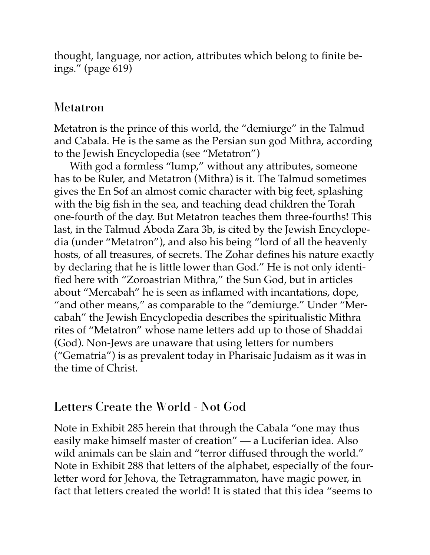thought, language, nor action, attributes which belong to finite beings." (page 619)

#### Metatron

Metatron is the prince of this world, the "demiurge" in the Talmud and Cabala. He is the same as the Persian sun god Mithra, according to the Jewish Encyclopedia (see "Metatron")

With god a formless "lump," without any attributes, someone has to be Ruler, and Metatron (Mithra) is it. The Talmud sometimes gives the En Sof an almost comic character with big feet, splashing with the big fish in the sea, and teaching dead children the Torah one-fourth of the day. But Metatron teaches them three-fourths! This last, in the Talmud Aboda Zara 3b, is cited by the Jewish Encyclopedia (under "Metatron"), and also his being "lord of all the heavenly hosts, of all treasures, of secrets. The Zohar defines his nature exactly by declaring that he is little lower than God." He is not only identified here with "Zoroastrian Mithra," the Sun God, but in articles about "Mercabah" he is seen as inflamed with incantations, dope, "and other means," as comparable to the "demiurge." Under "Mercabah" the Jewish Encyclopedia describes the spiritualistic Mithra rites of "Metatron" whose name letters add up to those of Shaddai (God). Non-Jews are unaware that using letters for numbers ("Gematria") is as prevalent today in Pharisaic Judaism as it was in the time of Christ.

### Letters Create the World - Not God

Note in Exhibit 285 herein that through the Cabala "one may thus easily make himself master of creation" — a Luciferian idea. Also wild animals can be slain and "terror diffused through the world." Note in Exhibit 288 that letters of the alphabet, especially of the fourletter word for Jehova, the Tetragrammaton, have magic power, in fact that letters created the world! It is stated that this idea "seems to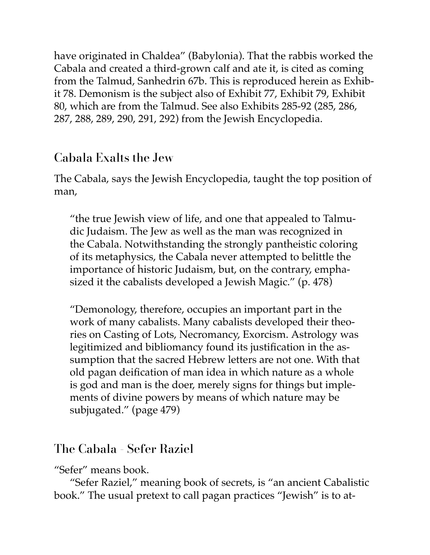have originated in Chaldea" (Babylonia). That the rabbis worked the Cabala and created a third-grown calf and ate it, is cited as coming from the Talmud, Sanhedrin 67b. This is reproduced herein as Exhibit 78. Demonism is the subject also of Exhibit 77, Exhibit 79, Exhibit 80, which are from the Talmud. See also Exhibits 285-92 (285, 286, 287, 288, 289, 290, 291, 292) from the Jewish Encyclopedia.

# Cabala Exalts the Jew

The Cabala, says the Jewish Encyclopedia, taught the top position of man,

"the true Jewish view of life, and one that appealed to Talmudic Judaism. The Jew as well as the man was recognized in the Cabala. Notwithstanding the strongly pantheistic coloring of its metaphysics, the Cabala never attempted to belittle the importance of historic Judaism, but, on the contrary, emphasized it the cabalists developed a Jewish Magic." (p. 478)

"Demonology, therefore, occupies an important part in the work of many cabalists. Many cabalists developed their theories on Casting of Lots, Necromancy, Exorcism. Astrology was legitimized and bibliomancy found its justification in the assumption that the sacred Hebrew letters are not one. With that old pagan deification of man idea in which nature as a whole is god and man is the doer, merely signs for things but implements of divine powers by means of which nature may be subjugated." (page 479)

# The Cabala - Sefer Raziel

"Sefer" means book.

"Sefer Raziel," meaning book of secrets, is "an ancient Cabalistic book." The usual pretext to call pagan practices "Jewish" is to at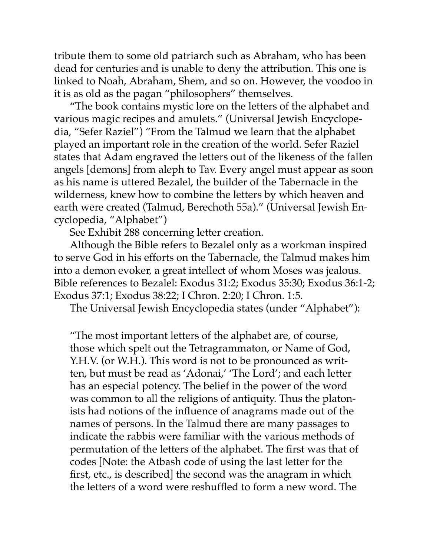tribute them to some old patriarch such as Abraham, who has been dead for centuries and is unable to deny the attribution. This one is linked to Noah, Abraham, Shem, and so on. However, the voodoo in it is as old as the pagan "philosophers" themselves.

"The book contains mystic lore on the letters of the alphabet and various magic recipes and amulets." (Universal Jewish Encyclopedia, "Sefer Raziel") "From the Talmud we learn that the alphabet played an important role in the creation of the world. Sefer Raziel states that Adam engraved the letters out of the likeness of the fallen angels [demons] from aleph to Tav. Every angel must appear as soon as his name is uttered Bezalel, the builder of the Tabernacle in the wilderness, knew how to combine the letters by which heaven and earth were created (Talmud, Berechoth 55a)." (Universal Jewish Encyclopedia, "Alphabet")

See Exhibit 288 concerning letter creation.

Although the Bible refers to Bezalel only as a workman inspired to serve God in his efforts on the Tabernacle, the Talmud makes him into a demon evoker, a great intellect of whom Moses was jealous. Bible references to Bezalel: Exodus 31:2; Exodus 35:30; Exodus 36:1-2; Exodus 37:1; Exodus 38:22; I Chron. 2:20; I Chron. 1:5.

The Universal Jewish Encyclopedia states (under "Alphabet"):

"The most important letters of the alphabet are, of course, those which spelt out the Tetragrammaton, or Name of God, Y.H.V. (or W.H.). This word is not to be pronounced as written, but must be read as 'Adonai,' 'The Lord'; and each letter has an especial potency. The belief in the power of the word was common to all the religions of antiquity. Thus the platonists had notions of the influence of anagrams made out of the names of persons. In the Talmud there are many passages to indicate the rabbis were familiar with the various methods of permutation of the letters of the alphabet. The first was that of codes [Note: the Atbash code of using the last letter for the first, etc., is described] the second was the anagram in which the letters of a word were reshuffled to form a new word. The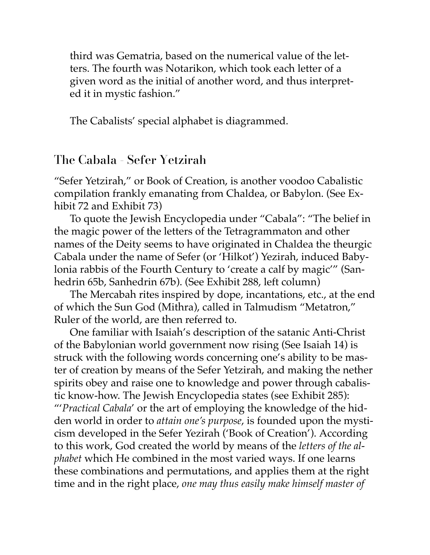third was Gematria, based on the numerical value of the letters. The fourth was Notarikon, which took each letter of a given word as the initial of another word, and thus interpreted it in mystic fashion."

The Cabalists' special alphabet is diagrammed.

### The Cabala - Sefer Yetzirah

"Sefer Yetzirah," or Book of Creation, is another voodoo Cabalistic compilation frankly emanating from Chaldea, or Babylon. (See Exhibit 72 and Exhibit 73)

To quote the Jewish Encyclopedia under "Cabala": "The belief in the magic power of the letters of the Tetragrammaton and other names of the Deity seems to have originated in Chaldea the theurgic Cabala under the name of Sefer (or 'Hilkot') Yezirah, induced Babylonia rabbis of the Fourth Century to 'create a calf by magic'" (Sanhedrin 65b, Sanhedrin 67b). (See Exhibit 288, left column)

The Mercabah rites inspired by dope, incantations, etc., at the end of which the Sun God (Mithra), called in Talmudism "Metatron," Ruler of the world, are then referred to.

One familiar with Isaiah's description of the satanic Anti-Christ of the Babylonian world government now rising (See Isaiah 14) is struck with the following words concerning one's ability to be master of creation by means of the Sefer Yetzirah, and making the nether spirits obey and raise one to knowledge and power through cabalistic know-how. The Jewish Encyclopedia states (see Exhibit 285): "'*Practical Cabala*' or the art of employing the knowledge of the hidden world in order to *attain one's purpose*, is founded upon the mysticism developed in the Sefer Yezirah ('Book of Creation'). According to this work, God created the world by means of the *letters of the alphabet* which He combined in the most varied ways. If one learns these combinations and permutations, and applies them at the right time and in the right place, *one may thus easily make himself master of*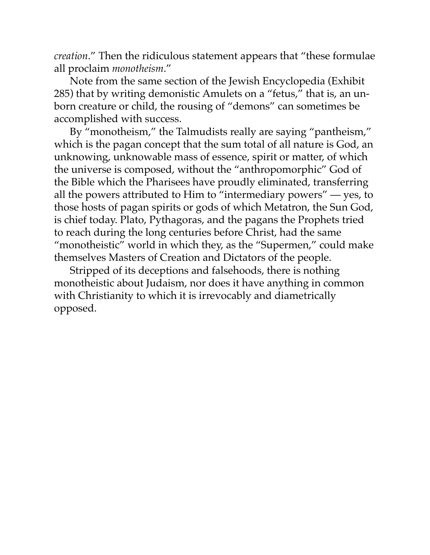*creation*." Then the ridiculous statement appears that "these formulae all proclaim *monotheism*."

Note from the same section of the Jewish Encyclopedia (Exhibit 285) that by writing demonistic Amulets on a "fetus," that is, an unborn creature or child, the rousing of "demons" can sometimes be accomplished with success.

By "monotheism," the Talmudists really are saying "pantheism," which is the pagan concept that the sum total of all nature is God, an unknowing, unknowable mass of essence, spirit or matter, of which the universe is composed, without the "anthropomorphic" God of the Bible which the Pharisees have proudly eliminated, transferring all the powers attributed to Him to "intermediary powers" — yes, to those hosts of pagan spirits or gods of which Metatron, the Sun God, is chief today. Plato, Pythagoras, and the pagans the Prophets tried to reach during the long centuries before Christ, had the same "monotheistic" world in which they, as the "Supermen," could make themselves Masters of Creation and Dictators of the people.

Stripped of its deceptions and falsehoods, there is nothing monotheistic about Judaism, nor does it have anything in common with Christianity to which it is irrevocably and diametrically opposed.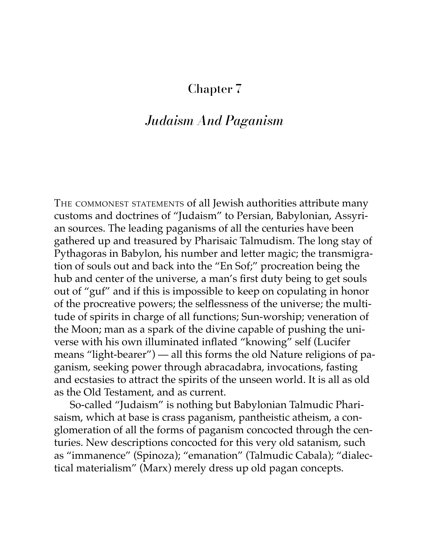# Chapter 7

# *Judaism And Paganism*

THE COMMONEST STATEMENTS of all Jewish authorities attribute many customs and doctrines of "Judaism" to Persian, Babylonian, Assyrian sources. The leading paganisms of all the centuries have been gathered up and treasured by Pharisaic Talmudism. The long stay of Pythagoras in Babylon, his number and letter magic; the transmigration of souls out and back into the "En Sof;" procreation being the hub and center of the universe, a man's first duty being to get souls out of "guf" and if this is impossible to keep on copulating in honor of the procreative powers; the selflessness of the universe; the multitude of spirits in charge of all functions; Sun-worship; veneration of the Moon; man as a spark of the divine capable of pushing the universe with his own illuminated inflated "knowing" self (Lucifer means "light-bearer") — all this forms the old Nature religions of paganism, seeking power through abracadabra, invocations, fasting and ecstasies to attract the spirits of the unseen world. It is all as old as the Old Testament, and as current.

So-called "Judaism" is nothing but Babylonian Talmudic Pharisaism, which at base is crass paganism, pantheistic atheism, a conglomeration of all the forms of paganism concocted through the centuries. New descriptions concocted for this very old satanism, such as "immanence" (Spinoza); "emanation" (Talmudic Cabala); "dialectical materialism" (Marx) merely dress up old pagan concepts.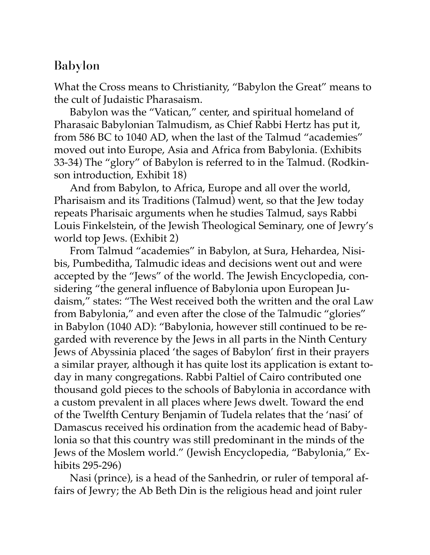# Babylon

What the Cross means to Christianity, "Babylon the Great" means to the cult of Judaistic Pharasaism.

Babylon was the "Vatican," center, and spiritual homeland of Pharasaic Babylonian Talmudism, as Chief Rabbi Hertz has put it, from 586 BC to 1040 AD, when the last of the Talmud "academies" moved out into Europe, Asia and Africa from Babylonia. (Exhibits 33-34) The "glory" of Babylon is referred to in the Talmud. (Rodkinson introduction, Exhibit 18)

And from Babylon, to Africa, Europe and all over the world, Pharisaism and its Traditions (Talmud) went, so that the Jew today repeats Pharisaic arguments when he studies Talmud, says Rabbi Louis Finkelstein, of the Jewish Theological Seminary, one of Jewry's world top Jews. (Exhibit 2)

From Talmud "academies" in Babylon, at Sura, Hehardea, Nisibis, Pumbeditha, Talmudic ideas and decisions went out and were accepted by the "Jews" of the world. The Jewish Encyclopedia, considering "the general influence of Babylonia upon European Judaism," states: "The West received both the written and the oral Law from Babylonia," and even after the close of the Talmudic "glories" in Babylon (1040 AD): "Babylonia, however still continued to be regarded with reverence by the Jews in all parts in the Ninth Century Jews of Abyssinia placed 'the sages of Babylon' first in their prayers a similar prayer, although it has quite lost its application is extant today in many congregations. Rabbi Paltiel of Cairo contributed one thousand gold pieces to the schools of Babylonia in accordance with a custom prevalent in all places where Jews dwelt. Toward the end of the Twelfth Century Benjamin of Tudela relates that the 'nasi' of Damascus received his ordination from the academic head of Babylonia so that this country was still predominant in the minds of the Jews of the Moslem world." (Jewish Encyclopedia, "Babylonia," Exhibits 295-296)

Nasi (prince), is a head of the Sanhedrin, or ruler of temporal affairs of Jewry; the Ab Beth Din is the religious head and joint ruler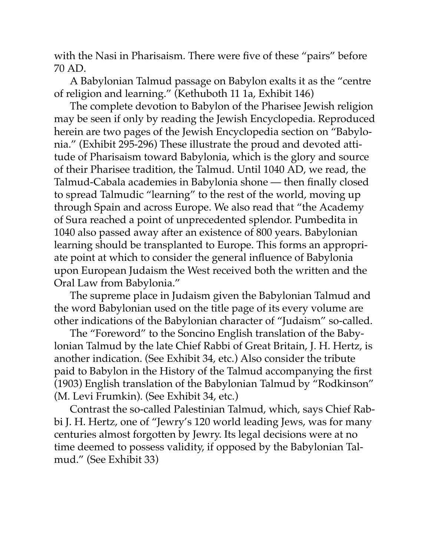with the Nasi in Pharisaism. There were five of these "pairs" before 70 AD.

A Babylonian Talmud passage on Babylon exalts it as the "centre of religion and learning." (Kethuboth 11 1a, Exhibit 146)

The complete devotion to Babylon of the Pharisee Jewish religion may be seen if only by reading the Jewish Encyclopedia. Reproduced herein are two pages of the Jewish Encyclopedia section on "Babylonia." (Exhibit 295-296) These illustrate the proud and devoted attitude of Pharisaism toward Babylonia, which is the glory and source of their Pharisee tradition, the Talmud. Until 1040 AD, we read, the Talmud-Cabala academies in Babylonia shone — then finally closed to spread Talmudic "learning" to the rest of the world, moving up through Spain and across Europe. We also read that "the Academy of Sura reached a point of unprecedented splendor. Pumbedita in 1040 also passed away after an existence of 800 years. Babylonian learning should be transplanted to Europe. This forms an appropriate point at which to consider the general influence of Babylonia upon European Judaism the West received both the written and the Oral Law from Babylonia."

The supreme place in Judaism given the Babylonian Talmud and the word Babylonian used on the title page of its every volume are other indications of the Babylonian character of "Judaism" so-called.

The "Foreword" to the Soncino English translation of the Babylonian Talmud by the late Chief Rabbi of Great Britain, J. H. Hertz, is another indication. (See Exhibit 34, etc.) Also consider the tribute paid to Babylon in the History of the Talmud accompanying the first (1903) English translation of the Babylonian Talmud by "Rodkinson" (M. Levi Frumkin). (See Exhibit 34, etc.)

Contrast the so-called Palestinian Talmud, which, says Chief Rabbi J. H. Hertz, one of "Jewry's 120 world leading Jews, was for many centuries almost forgotten by Jewry. Its legal decisions were at no time deemed to possess validity, if opposed by the Babylonian Talmud." (See Exhibit 33)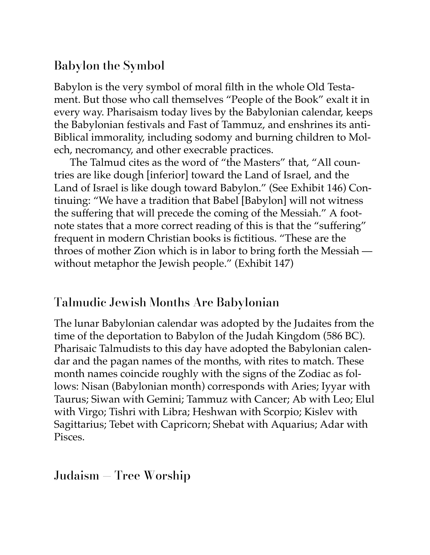# Babylon the Symbol

Babylon is the very symbol of moral filth in the whole Old Testament. But those who call themselves "People of the Book" exalt it in every way. Pharisaism today lives by the Babylonian calendar, keeps the Babylonian festivals and Fast of Tammuz, and enshrines its anti-Biblical immorality, including sodomy and burning children to Molech, necromancy, and other execrable practices.

The Talmud cites as the word of "the Masters" that, "All countries are like dough [inferior] toward the Land of Israel, and the Land of Israel is like dough toward Babylon." (See Exhibit 146) Continuing: "We have a tradition that Babel [Babylon] will not witness the suffering that will precede the coming of the Messiah." A footnote states that a more correct reading of this is that the "suffering" frequent in modern Christian books is fictitious. "These are the throes of mother Zion which is in labor to bring forth the Messiah without metaphor the Jewish people." (Exhibit 147)

# Talmudic Jewish Months Are Babylonian

The lunar Babylonian calendar was adopted by the Judaites from the time of the deportation to Babylon of the Judah Kingdom (586 BC). Pharisaic Talmudists to this day have adopted the Babylonian calendar and the pagan names of the months, with rites to match. These month names coincide roughly with the signs of the Zodiac as follows: Nisan (Babylonian month) corresponds with Aries; Iyyar with Taurus; Siwan with Gemini; Tammuz with Cancer; Ab with Leo; Elul with Virgo; Tishri with Libra; Heshwan with Scorpio; Kislev with Sagittarius; Tebet with Capricorn; Shebat with Aquarius; Adar with Pisces.

Judaism — Tree Worship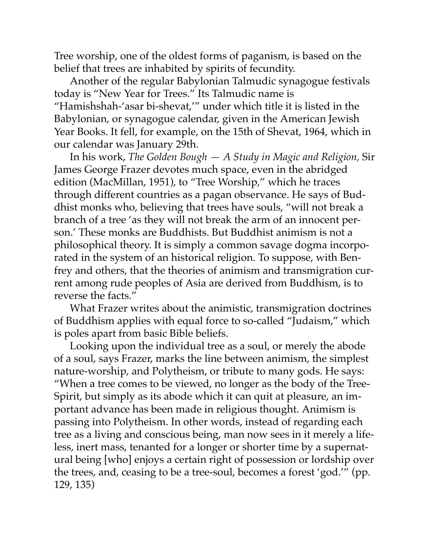Tree worship, one of the oldest forms of paganism, is based on the belief that trees are inhabited by spirits of fecundity.

Another of the regular Babylonian Talmudic synagogue festivals today is "New Year for Trees." Its Talmudic name is "Hamishshah-'asar bi-shevat,'" under which title it is listed in the Babylonian, or synagogue calendar, given in the American Jewish Year Books. It fell, for example, on the 15th of Shevat, 1964, which in our calendar was January 29th.

In his work, *The Golden Bough — A Study in Magic and Religion,* Sir James George Frazer devotes much space, even in the abridged edition (MacMillan, 1951), to "Tree Worship," which he traces through different countries as a pagan observance. He says of Buddhist monks who, believing that trees have souls, "will not break a branch of a tree 'as they will not break the arm of an innocent person.' These monks are Buddhists. But Buddhist animism is not a philosophical theory. It is simply a common savage dogma incorporated in the system of an historical religion. To suppose, with Benfrey and others, that the theories of animism and transmigration current among rude peoples of Asia are derived from Buddhism, is to reverse the facts."

What Frazer writes about the animistic, transmigration doctrines of Buddhism applies with equal force to so-called "Judaism," which is poles apart from basic Bible beliefs.

Looking upon the individual tree as a soul, or merely the abode of a soul, says Frazer, marks the line between animism, the simplest nature-worship, and Polytheism, or tribute to many gods. He says: "When a tree comes to be viewed, no longer as the body of the Tree-Spirit, but simply as its abode which it can quit at pleasure, an important advance has been made in religious thought. Animism is passing into Polytheism. In other words, instead of regarding each tree as a living and conscious being, man now sees in it merely a lifeless, inert mass, tenanted for a longer or shorter time by a supernatural being [who] enjoys a certain right of possession or lordship over the trees, and, ceasing to be a tree-soul, becomes a forest 'god.'" (pp. 129, 135)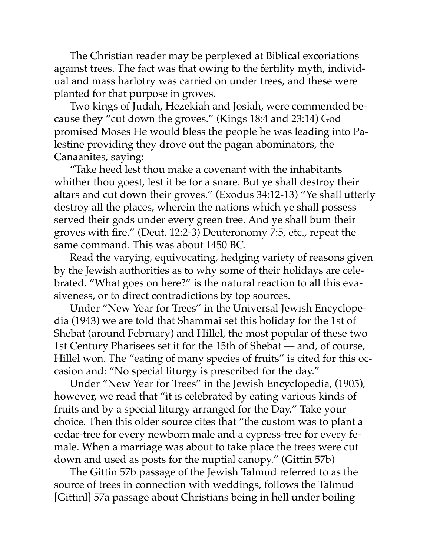The Christian reader may be perplexed at Biblical excoriations against trees. The fact was that owing to the fertility myth, individual and mass harlotry was carried on under trees, and these were planted for that purpose in groves.

Two kings of Judah, Hezekiah and Josiah, were commended because they "cut down the groves." (Kings 18:4 and 23:14) God promised Moses He would bless the people he was leading into Palestine providing they drove out the pagan abominators, the Canaanites, saying:

"Take heed lest thou make a covenant with the inhabitants whither thou goest, lest it be for a snare. But ye shall destroy their altars and cut down their groves." (Exodus 34:12-13) "Ye shall utterly destroy all the places, wherein the nations which ye shall possess served their gods under every green tree. And ye shall bum their groves with fire." (Deut. 12:2-3) Deuteronomy 7:5, etc., repeat the same command. This was about 1450 BC.

Read the varying, equivocating, hedging variety of reasons given by the Jewish authorities as to why some of their holidays are celebrated. "What goes on here?" is the natural reaction to all this evasiveness, or to direct contradictions by top sources.

Under "New Year for Trees" in the Universal Jewish Encyclopedia (1943) we are told that Shammai set this holiday for the 1st of Shebat (around February) and Hillel, the most popular of these two 1st Century Pharisees set it for the 15th of Shebat — and, of course, Hillel won. The "eating of many species of fruits" is cited for this occasion and: "No special liturgy is prescribed for the day."

Under "New Year for Trees" in the Jewish Encyclopedia, (1905), however, we read that "it is celebrated by eating various kinds of fruits and by a special liturgy arranged for the Day." Take your choice. Then this older source cites that "the custom was to plant a cedar-tree for every newborn male and a cypress-tree for every female. When a marriage was about to take place the trees were cut down and used as posts for the nuptial canopy." (Gittin 57b)

The Gittin 57b passage of the Jewish Talmud referred to as the source of trees in connection with weddings, follows the Talmud [Gittinl] 57a passage about Christians being in hell under boiling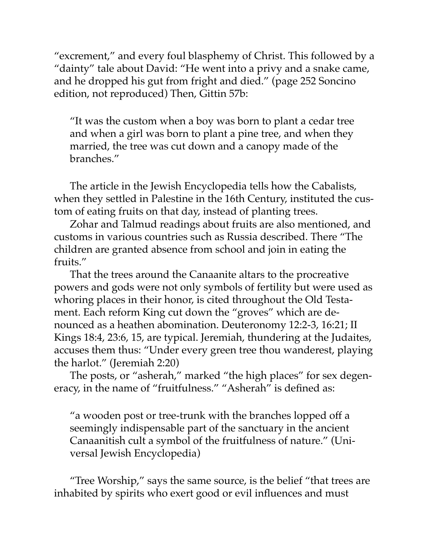"excrement," and every foul blasphemy of Christ. This followed by a "dainty" tale about David: "He went into a privy and a snake came, and he dropped his gut from fright and died." (page 252 Soncino edition, not reproduced) Then, Gittin 57b:

"It was the custom when a boy was born to plant a cedar tree and when a girl was born to plant a pine tree, and when they married, the tree was cut down and a canopy made of the branches."

The article in the Jewish Encyclopedia tells how the Cabalists, when they settled in Palestine in the 16th Century, instituted the custom of eating fruits on that day, instead of planting trees.

Zohar and Talmud readings about fruits are also mentioned, and customs in various countries such as Russia described. There "The children are granted absence from school and join in eating the fruits."

That the trees around the Canaanite altars to the procreative powers and gods were not only symbols of fertility but were used as whoring places in their honor, is cited throughout the Old Testament. Each reform King cut down the "groves" which are denounced as a heathen abomination. Deuteronomy 12:2-3, 16:21; II Kings 18:4, 23:6, 15, are typical. Jeremiah, thundering at the Judaites, accuses them thus: "Under every green tree thou wanderest, playing the harlot." (Jeremiah 2:20)

The posts, or "asherah," marked "the high places" for sex degeneracy, in the name of "fruitfulness." "Asherah" is defined as:

"a wooden post or tree-trunk with the branches lopped off a seemingly indispensable part of the sanctuary in the ancient Canaanitish cult a symbol of the fruitfulness of nature." (Universal Jewish Encyclopedia)

"Tree Worship," says the same source, is the belief "that trees are inhabited by spirits who exert good or evil influences and must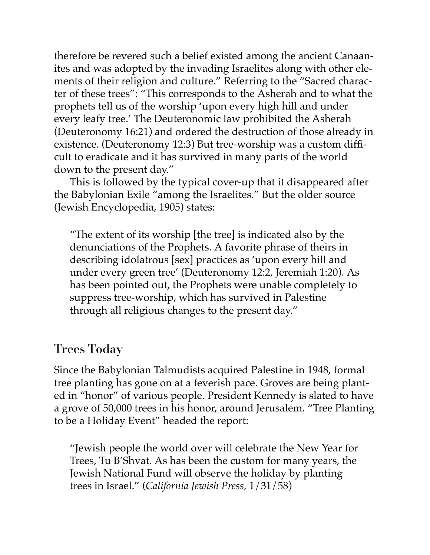therefore be revered such a belief existed among the ancient Canaanites and was adopted by the invading Israelites along with other elements of their religion and culture." Referring to the "Sacred character of these trees": "This corresponds to the Asherah and to what the prophets tell us of the worship 'upon every high hill and under every leafy tree.' The Deuteronomic law prohibited the Asherah (Deuteronomy 16:21) and ordered the destruction of those already in existence. (Deuteronomy 12:3) But tree-worship was a custom difficult to eradicate and it has survived in many parts of the world down to the present day."

This is followed by the typical cover-up that it disappeared after the Babylonian Exile "among the Israelites." But the older source (Jewish Encyclopedia, 1905) states:

"The extent of its worship [the tree] is indicated also by the denunciations of the Prophets. A favorite phrase of theirs in describing idolatrous [sex] practices as 'upon every hill and under every green tree' (Deuteronomy 12:2, Jeremiah 1:20). As has been pointed out, the Prophets were unable completely to suppress tree-worship, which has survived in Palestine through all religious changes to the present day."

#### Trees Today

Since the Babylonian Talmudists acquired Palestine in 1948, formal tree planting has gone on at a feverish pace. Groves are being planted in "honor" of various people. President Kennedy is slated to have a grove of 50,000 trees in his honor, around Jerusalem. "Tree Planting to be a Holiday Event" headed the report:

"Jewish people the world over will celebrate the New Year for Trees, Tu B'Shvat. As has been the custom for many years, the Jewish National Fund will observe the holiday by planting trees in Israel." (*California Jewish Press,* 1/31/58)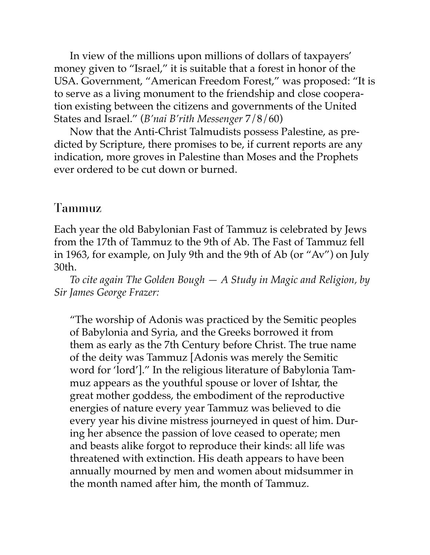In view of the millions upon millions of dollars of taxpayers' money given to "Israel," it is suitable that a forest in honor of the USA. Government, "American Freedom Forest," was proposed: "It is to serve as a living monument to the friendship and close cooperation existing between the citizens and governments of the United States and Israel." (*B'nai B'rith Messenger* 7/8/60)

Now that the Anti-Christ Talmudists possess Palestine, as predicted by Scripture, there promises to be, if current reports are any indication, more groves in Palestine than Moses and the Prophets ever ordered to be cut down or burned.

### Tammuz

Each year the old Babylonian Fast of Tammuz is celebrated by Jews from the 17th of Tammuz to the 9th of Ab. The Fast of Tammuz fell in 1963, for example, on July 9th and the 9th of Ab (or "Av") on July 30th.

*To cite again The Golden Bough — A Study in Magic and Religion, by Sir James George Frazer:*

"The worship of Adonis was practiced by the Semitic peoples of Babylonia and Syria, and the Greeks borrowed it from them as early as the 7th Century before Christ. The true name of the deity was Tammuz [Adonis was merely the Semitic word for 'lord']." In the religious literature of Babylonia Tammuz appears as the youthful spouse or lover of Ishtar, the great mother goddess, the embodiment of the reproductive energies of nature every year Tammuz was believed to die every year his divine mistress journeyed in quest of him. During her absence the passion of love ceased to operate; men and beasts alike forgot to reproduce their kinds: all life was threatened with extinction. His death appears to have been annually mourned by men and women about midsummer in the month named after him, the month of Tammuz.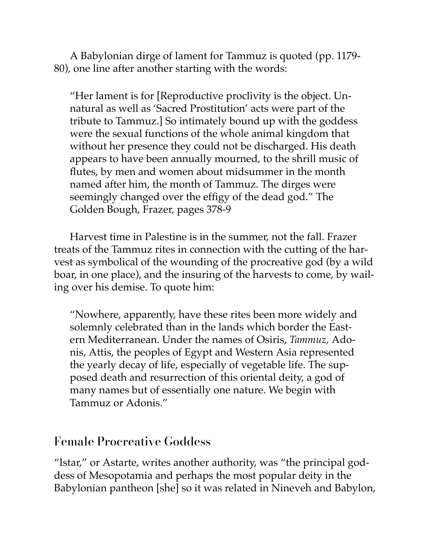A Babylonian dirge of lament for Tammuz is quoted (pp. 1179- 80), one line after another starting with the words:

"Her lament is for [Reproductive proclivity is the object. Unnatural as well as 'Sacred Prostitution' acts were part of the tribute to Tammuz.] So intimately bound up with the goddess were the sexual functions of the whole animal kingdom that without her presence they could not be discharged. His death appears to have been annually mourned, to the shrill music of flutes, by men and women about midsummer in the month named after him, the month of Tammuz. The dirges were seemingly changed over the effigy of the dead god." The Golden Bough, Frazer, pages 378-9

Harvest time in Palestine is in the summer, not the fall. Frazer treats of the Tammuz rites in connection with the cutting of the harvest as symbolical of the wounding of the procreative god (by a wild boar, in one place), and the insuring of the harvests to come, by wailing over his demise. To quote him:

"Nowhere, apparently, have these rites been more widely and solemnly celebrated than in the lands which border the Eastern Mediterranean. Under the names of Osiris, *Tammuz,* Adonis, Attis, the peoples of Egypt and Western Asia represented the yearly decay of life, especially of vegetable life. The supposed death and resurrection of this oriental deity, a god of many names but of essentially one nature. We begin with Tammuz or Adonis."

### Female Procreative Goddess

"Istar," or Astarte, writes another authority, was "the principal goddess of Mesopotamia and perhaps the most popular deity in the Babylonian pantheon [she] so it was related in Nineveh and Babylon,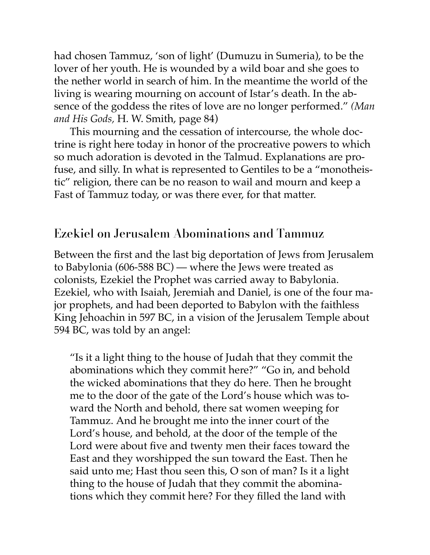had chosen Tammuz, 'son of light' (Dumuzu in Sumeria), to be the lover of her youth. He is wounded by a wild boar and she goes to the nether world in search of him. In the meantime the world of the living is wearing mourning on account of Istar's death. In the absence of the goddess the rites of love are no longer performed." *(Man and His Gods,* H. W. Smith, page 84)

This mourning and the cessation of intercourse, the whole doctrine is right here today in honor of the procreative powers to which so much adoration is devoted in the Talmud. Explanations are profuse, and silly. In what is represented to Gentiles to be a "monotheistic" religion, there can be no reason to wail and mourn and keep a Fast of Tammuz today, or was there ever, for that matter.

## Ezekiel on Jerusalem Abominations and Tammuz

Between the first and the last big deportation of Jews from Jerusalem to Babylonia (606-588 BC) — where the Jews were treated as colonists, Ezekiel the Prophet was carried away to Babylonia. Ezekiel, who with Isaiah, Jeremiah and Daniel, is one of the four major prophets, and had been deported to Babylon with the faithless King Jehoachin in 597 BC, in a vision of the Jerusalem Temple about 594 BC, was told by an angel:

"Is it a light thing to the house of Judah that they commit the abominations which they commit here?" "Go in, and behold the wicked abominations that they do here. Then he brought me to the door of the gate of the Lord's house which was toward the North and behold, there sat women weeping for Tammuz. And he brought me into the inner court of the Lord's house, and behold, at the door of the temple of the Lord were about five and twenty men their faces toward the East and they worshipped the sun toward the East. Then he said unto me; Hast thou seen this, O son of man? Is it a light thing to the house of Judah that they commit the abominations which they commit here? For they filled the land with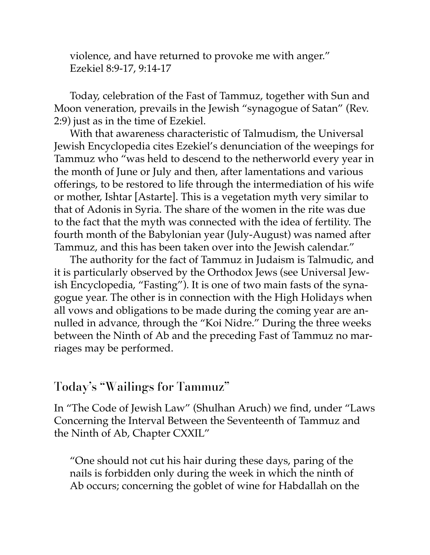violence, and have returned to provoke me with anger." Ezekiel 8:9-17, 9:14-17

Today, celebration of the Fast of Tammuz, together with Sun and Moon veneration, prevails in the Jewish "synagogue of Satan" (Rev. 2:9) just as in the time of Ezekiel.

With that awareness characteristic of Talmudism, the Universal Jewish Encyclopedia cites Ezekiel's denunciation of the weepings for Tammuz who "was held to descend to the netherworld every year in the month of June or July and then, after lamentations and various offerings, to be restored to life through the intermediation of his wife or mother, Ishtar [Astarte]. This is a vegetation myth very similar to that of Adonis in Syria. The share of the women in the rite was due to the fact that the myth was connected with the idea of fertility. The fourth month of the Babylonian year (July-August) was named after Tammuz, and this has been taken over into the Jewish calendar."

The authority for the fact of Tammuz in Judaism is Talmudic, and it is particularly observed by the Orthodox Jews (see Universal Jewish Encyclopedia, "Fasting"). It is one of two main fasts of the synagogue year. The other is in connection with the High Holidays when all vows and obligations to be made during the coming year are annulled in advance, through the "Koi Nidre." During the three weeks between the Ninth of Ab and the preceding Fast of Tammuz no marriages may be performed.

#### Today ' s "Wailings for Tammuz "

In "The Code of Jewish Law" (Shulhan Aruch) we find, under "Laws Concerning the Interval Between the Seventeenth of Tammuz and the Ninth of Ab, Chapter CXXIL"

"One should not cut his hair during these days, paring of the nails is forbidden only during the week in which the ninth of Ab occurs; concerning the goblet of wine for Habdallah on the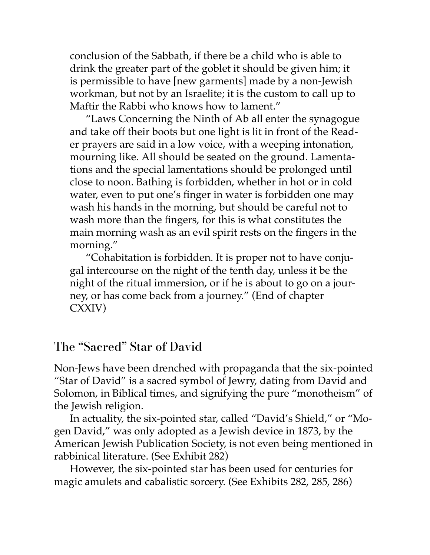conclusion of the Sabbath, if there be a child who is able to drink the greater part of the goblet it should be given him; it is permissible to have [new garments] made by a non-Jewish workman, but not by an Israelite; it is the custom to call up to Maftir the Rabbi who knows how to lament."

"Laws Concerning the Ninth of Ab all enter the synagogue and take off their boots but one light is lit in front of the Reader prayers are said in a low voice, with a weeping intonation, mourning like. All should be seated on the ground. Lamentations and the special lamentations should be prolonged until close to noon. Bathing is forbidden, whether in hot or in cold water, even to put one's finger in water is forbidden one may wash his hands in the morning, but should be careful not to wash more than the fingers, for this is what constitutes the main morning wash as an evil spirit rests on the fingers in the morning."

"Cohabitation is forbidden. It is proper not to have conjugal intercourse on the night of the tenth day, unless it be the night of the ritual immersion, or if he is about to go on a journey, or has come back from a journey." (End of chapter CXXIV)

### The "Sacred" Star of David

Non-Jews have been drenched with propaganda that the six-pointed "Star of David" is a sacred symbol of Jewry, dating from David and Solomon, in Biblical times, and signifying the pure "monotheism" of the Jewish religion.

In actuality, the six-pointed star, called "David's Shield," or "Mogen David," was only adopted as a Jewish device in 1873, by the American Jewish Publication Society, is not even being mentioned in rabbinical literature. (See Exhibit 282)

However, the six-pointed star has been used for centuries for magic amulets and cabalistic sorcery. (See Exhibits 282, 285, 286)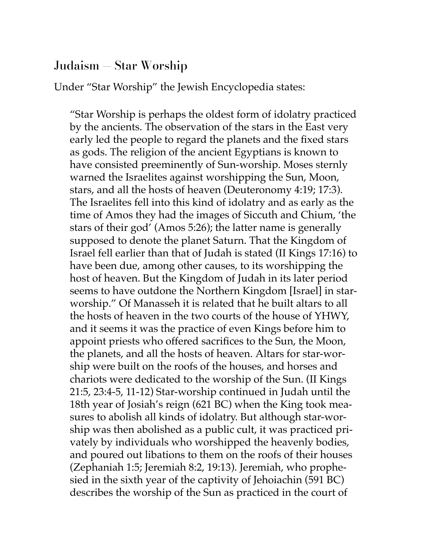#### Judaism — Star Worship

Under "Star Worship" the Jewish Encyclopedia states:

"Star Worship is perhaps the oldest form of idolatry practiced by the ancients. The observation of the stars in the East very early led the people to regard the planets and the fixed stars as gods. The religion of the ancient Egyptians is known to have consisted preeminently of Sun-worship. Moses sternly warned the Israelites against worshipping the Sun, Moon, stars, and all the hosts of heaven (Deuteronomy 4:19; 17:3). The Israelites fell into this kind of idolatry and as early as the time of Amos they had the images of Siccuth and Chium, 'the stars of their god' (Amos 5:26); the latter name is generally supposed to denote the planet Saturn. That the Kingdom of Israel fell earlier than that of Judah is stated (II Kings 17:16) to have been due, among other causes, to its worshipping the host of heaven. But the Kingdom of Judah in its later period seems to have outdone the Northern Kingdom [Israel] in starworship." Of Manasseh it is related that he built altars to all the hosts of heaven in the two courts of the house of YHWY, and it seems it was the practice of even Kings before him to appoint priests who offered sacrifices to the Sun, the Moon, the planets, and all the hosts of heaven. Altars for star-worship were built on the roofs of the houses, and horses and chariots were dedicated to the worship of the Sun. (II Kings 21:5, 23:4-5, 11-12) Star-worship continued in Judah until the 18th year of Josiah's reign (621 BC) when the King took measures to abolish all kinds of idolatry. But although star-worship was then abolished as a public cult, it was practiced privately by individuals who worshipped the heavenly bodies, and poured out libations to them on the roofs of their houses (Zephaniah 1:5; Jeremiah 8:2, 19:13). Jeremiah, who prophesied in the sixth year of the captivity of Jehoiachin (591 BC) describes the worship of the Sun as practiced in the court of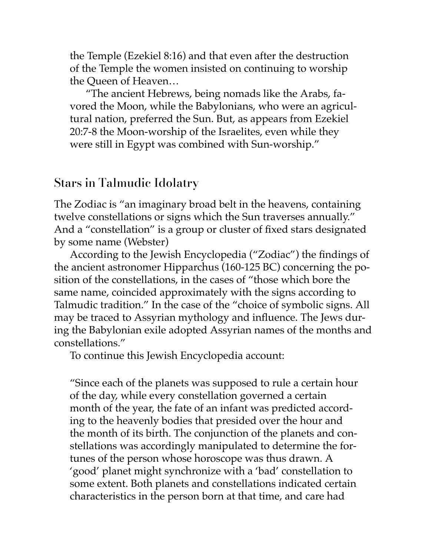the Temple (Ezekiel 8:16) and that even after the destruction of the Temple the women insisted on continuing to worship the Queen of Heaven…

"The ancient Hebrews, being nomads like the Arabs, favored the Moon, while the Babylonians, who were an agricultural nation, preferred the Sun. But, as appears from Ezekiel 20:7-8 the Moon-worship of the Israelites, even while they were still in Egypt was combined with Sun-worship."

### Stars in Talmudic Idolatry

The Zodiac is "an imaginary broad belt in the heavens, containing twelve constellations or signs which the Sun traverses annually." And a "constellation" is a group or cluster of fixed stars designated by some name (Webster)

According to the Jewish Encyclopedia ("Zodiac") the findings of the ancient astronomer Hipparchus (160-125 BC) concerning the position of the constellations, in the cases of "those which bore the same name, coincided approximately with the signs according to Talmudic tradition." In the case of the "choice of symbolic signs. All may be traced to Assyrian mythology and influence. The Jews during the Babylonian exile adopted Assyrian names of the months and constellations."

To continue this Jewish Encyclopedia account:

"Since each of the planets was supposed to rule a certain hour of the day, while every constellation governed a certain month of the year, the fate of an infant was predicted according to the heavenly bodies that presided over the hour and the month of its birth. The conjunction of the planets and constellations was accordingly manipulated to determine the fortunes of the person whose horoscope was thus drawn. A 'good' planet might synchronize with a 'bad' constellation to some extent. Both planets and constellations indicated certain characteristics in the person born at that time, and care had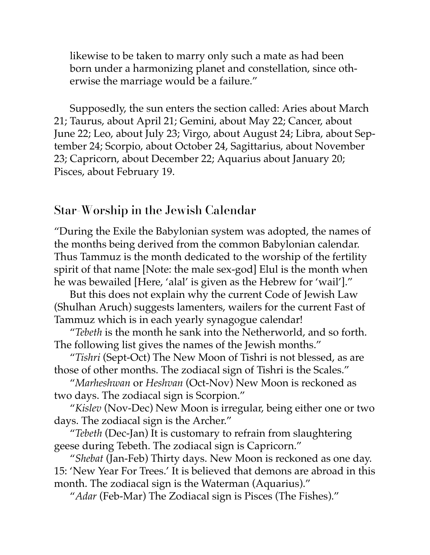likewise to be taken to marry only such a mate as had been born under a harmonizing planet and constellation, since otherwise the marriage would be a failure."

Supposedly, the sun enters the section called: Aries about March 21; Taurus, about April 21; Gemini, about May 22; Cancer, about June 22; Leo, about July 23; Virgo, about August 24; Libra, about September 24; Scorpio, about October 24, Sagittarius, about November 23; Capricorn, about December 22; Aquarius about January 20; Pisces, about February 19.

#### Star-Worship in the Jewish Calendar

"During the Exile the Babylonian system was adopted, the names of the months being derived from the common Babylonian calendar. Thus Tammuz is the month dedicated to the worship of the fertility spirit of that name [Note: the male sex-god] Elul is the month when he was bewailed [Here, 'alal' is given as the Hebrew for 'wail']."

But this does not explain why the current Code of Jewish Law (Shulhan Aruch) suggests lamenters, wailers for the current Fast of Tammuz which is in each yearly synagogue calendar!

"*Tebeth* is the month he sank into the Netherworld, and so forth. The following list gives the names of the Jewish months."

"*Tishri* (Sept-Oct) The New Moon of Tishri is not blessed, as are those of other months. The zodiacal sign of Tishri is the Scales."

"*Marheshwan* or *Heshvan* (Oct-Nov) New Moon is reckoned as two days. The zodiacal sign is Scorpion."

"*Kislev* (Nov-Dec) New Moon is irregular, being either one or two days. The zodiacal sign is the Archer."

"*Tebeth* (Dec-Jan) It is customary to refrain from slaughtering geese during Tebeth. The zodiacal sign is Capricorn."

"*Shebat* (Jan-Feb) Thirty days. New Moon is reckoned as one day. 15: 'New Year For Trees.' It is believed that demons are abroad in this month. The zodiacal sign is the Waterman (Aquarius)."

"*Adar* (Feb-Mar) The Zodiacal sign is Pisces (The Fishes)."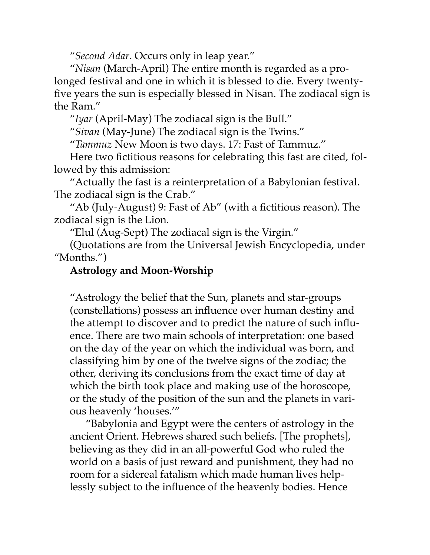"*Second Adar*. Occurs only in leap year."

"*Nisan* (March-April) The entire month is regarded as a prolonged festival and one in which it is blessed to die. Every twentyfive years the sun is especially blessed in Nisan. The zodiacal sign is the Ram."

"*Iyar* (April-May) The zodiacal sign is the Bull."

"*Sivan* (May-June) The zodiacal sign is the Twins."

"*Tammuz* New Moon is two days. 17: Fast of Tammuz."

Here two fictitious reasons for celebrating this fast are cited, followed by this admission:

"Actually the fast is a reinterpretation of a Babylonian festival. The zodiacal sign is the Crab."

"Ab (July-August) 9: Fast of Ab" (with a fictitious reason). The zodiacal sign is the Lion.

"Elul (Aug-Sept) The zodiacal sign is the Virgin."

(Quotations are from the Universal Jewish Encyclopedia, under "Months.")

#### **Astrology and Moon-Worship**

"Astrology the belief that the Sun, planets and star-groups (constellations) possess an influence over human destiny and the attempt to discover and to predict the nature of such influence. There are two main schools of interpretation: one based on the day of the year on which the individual was born, and classifying him by one of the twelve signs of the zodiac; the other, deriving its conclusions from the exact time of day at which the birth took place and making use of the horoscope, or the study of the position of the sun and the planets in various heavenly 'houses.'"

"Babylonia and Egypt were the centers of astrology in the ancient Orient. Hebrews shared such beliefs. [The prophets], believing as they did in an all-powerful God who ruled the world on a basis of just reward and punishment, they had no room for a sidereal fatalism which made human lives helplessly subject to the influence of the heavenly bodies. Hence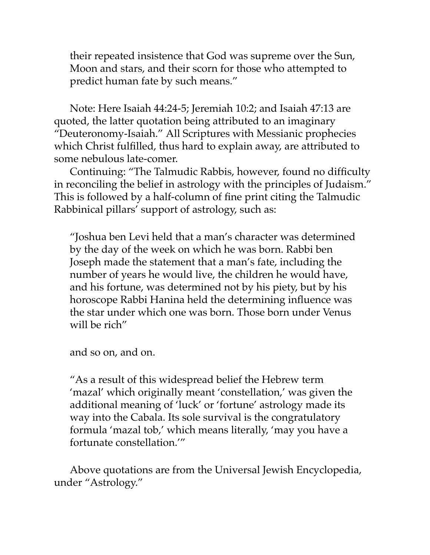their repeated insistence that God was supreme over the Sun, Moon and stars, and their scorn for those who attempted to predict human fate by such means."

Note: Here Isaiah 44:24-5; Jeremiah 10:2; and Isaiah 47:13 are quoted, the latter quotation being attributed to an imaginary "Deuteronomy-Isaiah." All Scriptures with Messianic prophecies which Christ fulfilled, thus hard to explain away, are attributed to some nebulous late-comer.

Continuing: "The Talmudic Rabbis, however, found no difficulty in reconciling the belief in astrology with the principles of Judaism." This is followed by a half-column of fine print citing the Talmudic Rabbinical pillars' support of astrology, such as:

"Joshua ben Levi held that a man's character was determined by the day of the week on which he was born. Rabbi ben Joseph made the statement that a man's fate, including the number of years he would live, the children he would have, and his fortune, was determined not by his piety, but by his horoscope Rabbi Hanina held the determining influence was the star under which one was born. Those born under Venus will be rich"

and so on, and on.

"As a result of this widespread belief the Hebrew term 'mazal' which originally meant 'constellation,' was given the additional meaning of 'luck' or 'fortune' astrology made its way into the Cabala. Its sole survival is the congratulatory formula 'mazal tob,' which means literally, 'may you have a fortunate constellation.'"

Above quotations are from the Universal Jewish Encyclopedia, under "Astrology."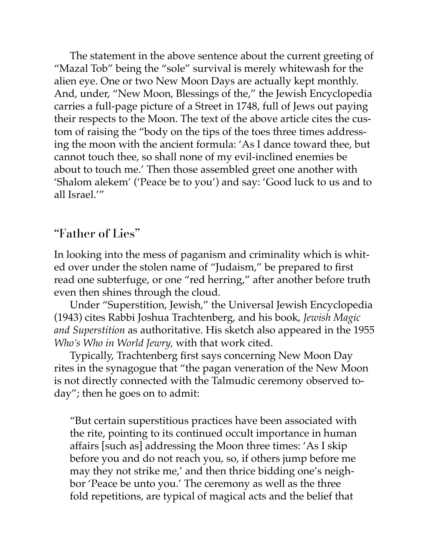The statement in the above sentence about the current greeting of "Mazal Tob" being the "sole" survival is merely whitewash for the alien eye. One or two New Moon Days are actually kept monthly. And, under, "New Moon, Blessings of the," the Jewish Encyclopedia carries a full-page picture of a Street in 1748, full of Jews out paying their respects to the Moon. The text of the above article cites the custom of raising the "body on the tips of the toes three times addressing the moon with the ancient formula: 'As I dance toward thee, but cannot touch thee, so shall none of my evil-inclined enemies be about to touch me.' Then those assembled greet one another with 'Shalom alekem' ('Peace be to you') and say: 'Good luck to us and to all Israel.'"

# "Father of Lies "

In looking into the mess of paganism and criminality which is whited over under the stolen name of "Judaism," be prepared to first read one subterfuge, or one "red herring," after another before truth even then shines through the cloud.

Under "Superstition, Jewish," the Universal Jewish Encyclopedia (1943) cites Rabbi Joshua Trachtenberg, and his book, *Jewish Magic and Superstition* as authoritative. His sketch also appeared in the 1955 *Who's Who in World Jewry,* with that work cited.

Typically, Trachtenberg first says concerning New Moon Day rites in the synagogue that "the pagan veneration of the New Moon is not directly connected with the Talmudic ceremony observed today"; then he goes on to admit:

"But certain superstitious practices have been associated with the rite, pointing to its continued occult importance in human affairs [such as] addressing the Moon three times: 'As I skip before you and do not reach you, so, if others jump before me may they not strike me,' and then thrice bidding one's neighbor 'Peace be unto you.' The ceremony as well as the three fold repetitions, are typical of magical acts and the belief that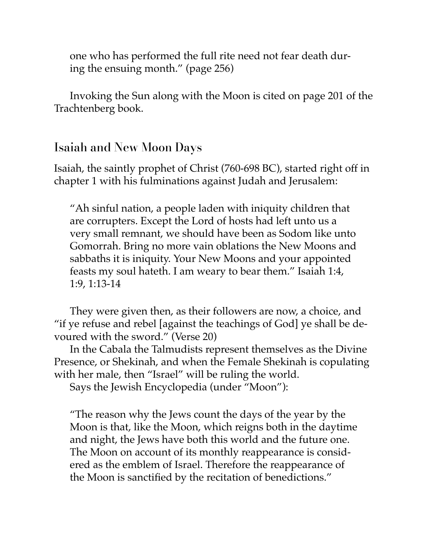one who has performed the full rite need not fear death during the ensuing month." (page 256)

Invoking the Sun along with the Moon is cited on page 201 of the Trachtenberg book.

### Isaiah and New Moon Days

Isaiah, the saintly prophet of Christ (760-698 BC), started right off in chapter 1 with his fulminations against Judah and Jerusalem:

"Ah sinful nation, a people laden with iniquity children that are corrupters. Except the Lord of hosts had left unto us a very small remnant, we should have been as Sodom like unto Gomorrah. Bring no more vain oblations the New Moons and sabbaths it is iniquity. Your New Moons and your appointed feasts my soul hateth. I am weary to bear them." Isaiah 1:4, 1:9, 1:13-14

They were given then, as their followers are now, a choice, and "if ye refuse and rebel [against the teachings of God] ye shall be devoured with the sword." (Verse 20)

In the Cabala the Talmudists represent themselves as the Divine Presence, or Shekinah, and when the Female Shekinah is copulating with her male, then "Israel" will be ruling the world.

Says the Jewish Encyclopedia (under "Moon"):

"The reason why the Jews count the days of the year by the Moon is that, like the Moon, which reigns both in the daytime and night, the Jews have both this world and the future one. The Moon on account of its monthly reappearance is considered as the emblem of Israel. Therefore the reappearance of the Moon is sanctified by the recitation of benedictions."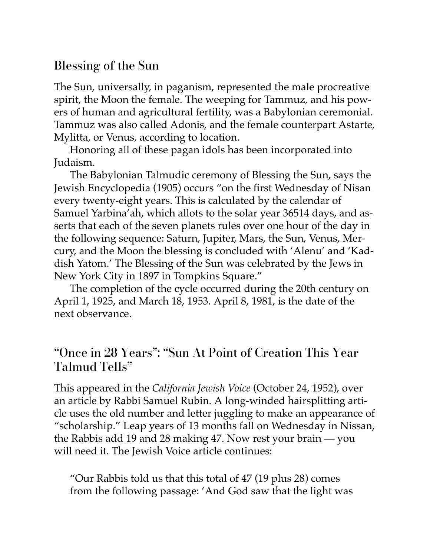# Blessing of the Sun

The Sun, universally, in paganism, represented the male procreative spirit, the Moon the female. The weeping for Tammuz, and his powers of human and agricultural fertility, was a Babylonian ceremonial. Tammuz was also called Adonis, and the female counterpart Astarte, Mylitta, or Venus, according to location.

Honoring all of these pagan idols has been incorporated into Judaism.

The Babylonian Talmudic ceremony of Blessing the Sun, says the Jewish Encyclopedia (1905) occurs "on the first Wednesday of Nisan every twenty-eight years. This is calculated by the calendar of Samuel Yarbina'ah, which allots to the solar year 36514 days, and asserts that each of the seven planets rules over one hour of the day in the following sequence: Saturn, Jupiter, Mars, the Sun, Venus, Mercury, and the Moon the blessing is concluded with 'Alenu' and 'Kaddish Yatom.' The Blessing of the Sun was celebrated by the Jews in New York City in 1897 in Tompkins Square."

The completion of the cycle occurred during the 20th century on April 1, 1925, and March 18, 1953. April 8, 1981, is the date of the next observance.

# "Once in 28 Years": "Sun At Point of Creation This Year Talmud Tells "

This appeared in the *California Jewish Voice* (October 24, 1952), over an article by Rabbi Samuel Rubin. A long-winded hairsplitting article uses the old number and letter juggling to make an appearance of "scholarship." Leap years of 13 months fall on Wednesday in Nissan, the Rabbis add 19 and 28 making 47. Now rest your brain — you will need it. The Jewish Voice article continues:

"Our Rabbis told us that this total of 47 (19 plus 28) comes from the following passage: 'And God saw that the light was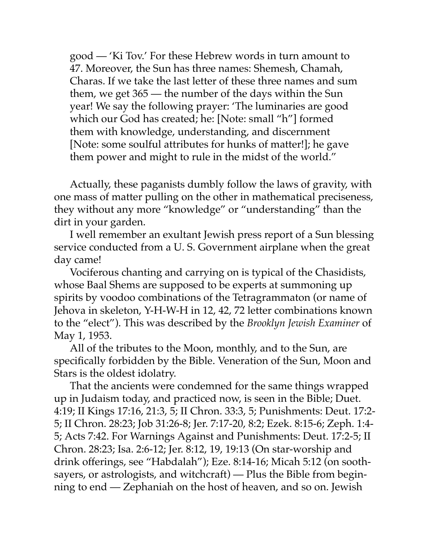good — 'Ki Tov.' For these Hebrew words in turn amount to 47. Moreover, the Sun has three names: Shemesh, Chamah, Charas. If we take the last letter of these three names and sum them, we get 365 — the number of the days within the Sun year! We say the following prayer: 'The luminaries are good which our God has created; he: [Note: small "h"] formed them with knowledge, understanding, and discernment [Note: some soulful attributes for hunks of matter!]; he gave them power and might to rule in the midst of the world."

Actually, these paganists dumbly follow the laws of gravity, with one mass of matter pulling on the other in mathematical preciseness, they without any more "knowledge" or "understanding" than the dirt in your garden.

I well remember an exultant Jewish press report of a Sun blessing service conducted from a U. S. Government airplane when the great day came!

Vociferous chanting and carrying on is typical of the Chasidists, whose Baal Shems are supposed to be experts at summoning up spirits by voodoo combinations of the Tetragrammaton (or name of Jehova in skeleton, Y-H-W-H in 12, 42, 72 letter combinations known to the "elect"). This was described by the *Brooklyn Jewish Examiner* of May 1, 1953.

All of the tributes to the Moon, monthly, and to the Sun, are specifically forbidden by the Bible. Veneration of the Sun, Moon and Stars is the oldest idolatry.

That the ancients were condemned for the same things wrapped up in Judaism today, and practiced now, is seen in the Bible; Duet. 4:19; II Kings 17:16, 21:3, 5; II Chron. 33:3, 5; Punishments: Deut. 17:2- 5; II Chron. 28:23; Job 31:26-8; Jer. 7:17-20, 8:2; Ezek. 8:15-6; Zeph. 1:4- 5; Acts 7:42. For Warnings Against and Punishments: Deut. 17:2-5; II Chron. 28:23; Isa. 2:6-12; Jer. 8:12, 19, 19:13 (On star-worship and drink offerings, see "Habdalah"); Eze. 8:14-16; Micah 5:12 (on soothsayers, or astrologists, and witchcraft) — Plus the Bible from beginning to end — Zephaniah on the host of heaven, and so on. Jewish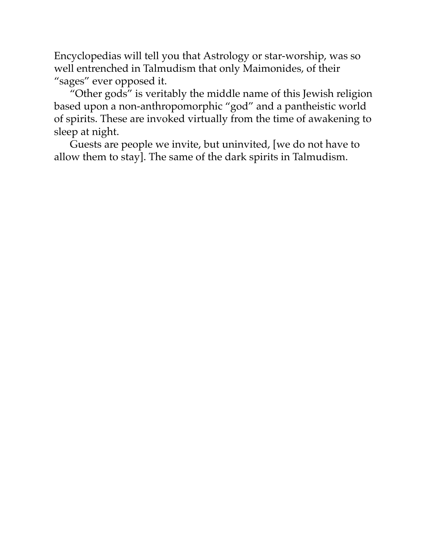Encyclopedias will tell you that Astrology or star-worship, was so well entrenched in Talmudism that only Maimonides, of their "sages" ever opposed it.

"Other gods" is veritably the middle name of this Jewish religion based upon a non-anthropomorphic "god" and a pantheistic world of spirits. These are invoked virtually from the time of awakening to sleep at night.

Guests are people we invite, but uninvited, [we do not have to allow them to stay]. The same of the dark spirits in Talmudism.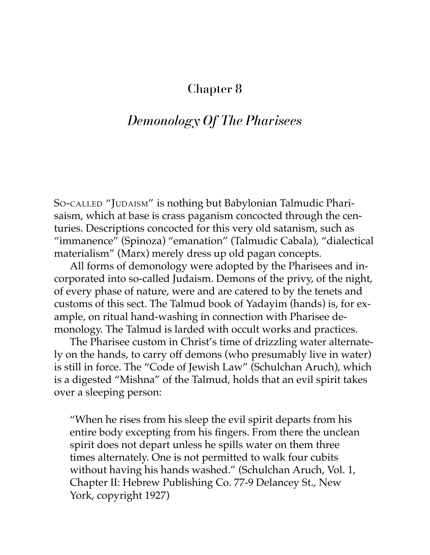# Chapter 8

## *Demonology Of The Pharisees*

SO-CALLED "JUDAISM" is nothing but Babylonian Talmudic Pharisaism, which at base is crass paganism concocted through the centuries. Descriptions concocted for this very old satanism, such as "immanence" (Spinoza) "emanation" (Talmudic Cabala), "dialectical materialism" (Marx) merely dress up old pagan concepts.

All forms of demonology were adopted by the Pharisees and incorporated into so-called Judaism. Demons of the privy, of the night, of every phase of nature, were and are catered to by the tenets and customs of this sect. The Talmud book of Yadayim (hands) is, for example, on ritual hand-washing in connection with Pharisee demonology. The Talmud is larded with occult works and practices.

The Pharisee custom in Christ's time of drizzling water alternately on the hands, to carry off demons (who presumably live in water) is still in force. The "Code of Jewish Law" (Schulchan Aruch), which is a digested "Mishna" of the Talmud, holds that an evil spirit takes over a sleeping person:

"When he rises from his sleep the evil spirit departs from his entire body excepting from his fingers. From there the unclean spirit does not depart unless he spills water on them three times alternately. One is not permitted to walk four cubits without having his hands washed." (Schulchan Aruch, Vol. 1, Chapter II: Hebrew Publishing Co. 77-9 Delancey St., New York, copyright 1927)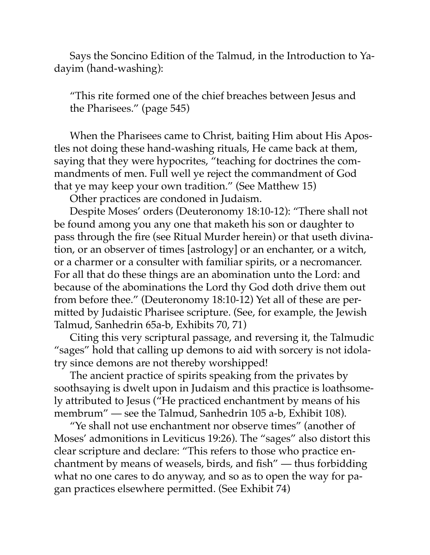Says the Soncino Edition of the Talmud, in the Introduction to Yadayim (hand-washing):

"This rite formed one of the chief breaches between Jesus and the Pharisees." (page 545)

When the Pharisees came to Christ, baiting Him about His Apostles not doing these hand-washing rituals, He came back at them, saying that they were hypocrites, "teaching for doctrines the commandments of men. Full well ye reject the commandment of God that ye may keep your own tradition." (See Matthew 15)

Other practices are condoned in Judaism.

Despite Moses' orders (Deuteronomy 18:10-12): "There shall not be found among you any one that maketh his son or daughter to pass through the fire (see Ritual Murder herein) or that useth divination, or an observer of times [astrology] or an enchanter, or a witch, or a charmer or a consulter with familiar spirits, or a necromancer. For all that do these things are an abomination unto the Lord: and because of the abominations the Lord thy God doth drive them out from before thee." (Deuteronomy 18:10-12) Yet all of these are permitted by Judaistic Pharisee scripture. (See, for example, the Jewish Talmud, Sanhedrin 65a-b, Exhibits 70, 71)

Citing this very scriptural passage, and reversing it, the Talmudic "sages" hold that calling up demons to aid with sorcery is not idolatry since demons are not thereby worshipped!

The ancient practice of spirits speaking from the privates by soothsaying is dwelt upon in Judaism and this practice is loathsomely attributed to Jesus ("He practiced enchantment by means of his membrum" — see the Talmud, Sanhedrin 105 a-b, Exhibit 108).

"Ye shall not use enchantment nor observe times" (another of Moses' admonitions in Leviticus 19:26). The "sages" also distort this clear scripture and declare: "This refers to those who practice enchantment by means of weasels, birds, and fish" — thus forbidding what no one cares to do anyway, and so as to open the way for pagan practices elsewhere permitted. (See Exhibit 74)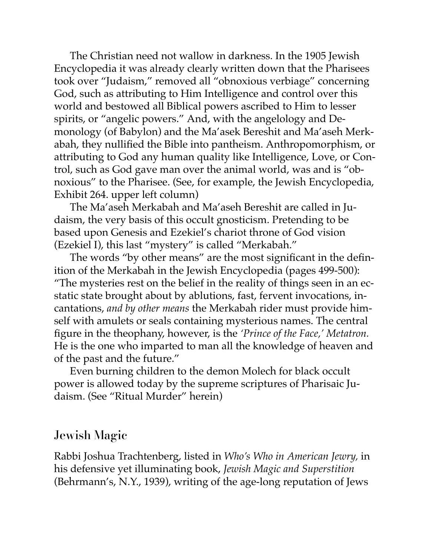The Christian need not wallow in darkness. In the 1905 Jewish Encyclopedia it was already clearly written down that the Pharisees took over "Judaism," removed all "obnoxious verbiage" concerning God, such as attributing to Him Intelligence and control over this world and bestowed all Biblical powers ascribed to Him to lesser spirits, or "angelic powers." And, with the angelology and Demonology (of Babylon) and the Ma'asek Bereshit and Ma'aseh Merkabah, they nullified the Bible into pantheism. Anthropomorphism, or attributing to God any human quality like Intelligence, Love, or Control, such as God gave man over the animal world, was and is "obnoxious" to the Pharisee. (See, for example, the Jewish Encyclopedia, Exhibit 264. upper left column)

The Ma'aseh Merkabah and Ma'aseh Bereshit are called in Judaism, the very basis of this occult gnosticism. Pretending to be based upon Genesis and Ezekiel's chariot throne of God vision (Ezekiel I), this last "mystery" is called "Merkabah."

The words "by other means" are the most significant in the definition of the Merkabah in the Jewish Encyclopedia (pages 499-500): "The mysteries rest on the belief in the reality of things seen in an ecstatic state brought about by ablutions, fast, fervent invocations, incantations, *and by other means* the Merkabah rider must provide himself with amulets or seals containing mysterious names. The central figure in the theophany, however, is the *'Prince of the Face,' Metatron.* He is the one who imparted to man all the knowledge of heaven and of the past and the future."

Even burning children to the demon Molech for black occult power is allowed today by the supreme scriptures of Pharisaic Judaism. (See "Ritual Murder" herein)

### Jewish Magic

Rabbi Joshua Trachtenberg, listed in *Who's Who in American Jewry,* in his defensive yet illuminating book, *Jewish Magic and Superstition* (Behrmann's, N.Y., 1939), writing of the age-long reputation of Jews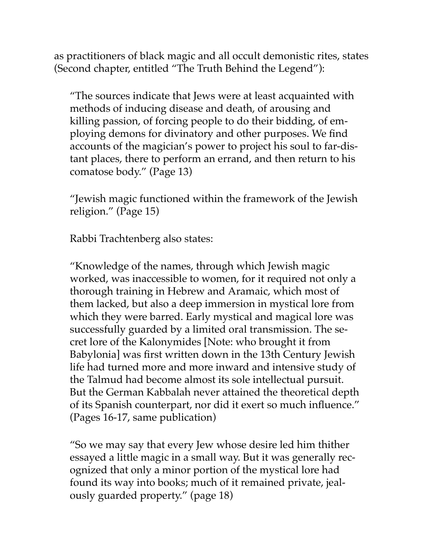as practitioners of black magic and all occult demonistic rites, states (Second chapter, entitled "The Truth Behind the Legend"):

"The sources indicate that Jews were at least acquainted with methods of inducing disease and death, of arousing and killing passion, of forcing people to do their bidding, of employing demons for divinatory and other purposes. We find accounts of the magician's power to project his soul to far-distant places, there to perform an errand, and then return to his comatose body." (Page 13)

"Jewish magic functioned within the framework of the Jewish religion." (Page 15)

Rabbi Trachtenberg also states:

"Knowledge of the names, through which Jewish magic worked, was inaccessible to women, for it required not only a thorough training in Hebrew and Aramaic, which most of them lacked, but also a deep immersion in mystical lore from which they were barred. Early mystical and magical lore was successfully guarded by a limited oral transmission. The secret lore of the Kalonymides [Note: who brought it from Babylonia] was first written down in the 13th Century Jewish life had turned more and more inward and intensive study of the Talmud had become almost its sole intellectual pursuit. But the German Kabbalah never attained the theoretical depth of its Spanish counterpart, nor did it exert so much influence." (Pages 16-17, same publication)

"So we may say that every Jew whose desire led him thither essayed a little magic in a small way. But it was generally recognized that only a minor portion of the mystical lore had found its way into books; much of it remained private, jealously guarded property." (page 18)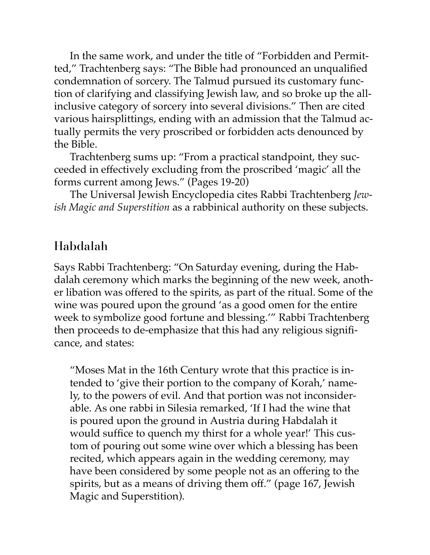In the same work, and under the title of "Forbidden and Permitted," Trachtenberg says: "The Bible had pronounced an unqualified condemnation of sorcery. The Talmud pursued its customary function of clarifying and classifying Jewish law, and so broke up the allinclusive category of sorcery into several divisions." Then are cited various hairsplittings, ending with an admission that the Talmud actually permits the very proscribed or forbidden acts denounced by the Bible.

Trachtenberg sums up: "From a practical standpoint, they succeeded in effectively excluding from the proscribed 'magic' all the forms current among Jews." (Pages 19-20)

The Universal Jewish Encyclopedia cites Rabbi Trachtenberg *Jewish Magic and Superstition* as a rabbinical authority on these subjects.

### Habdalah

Says Rabbi Trachtenberg: "On Saturday evening, during the Habdalah ceremony which marks the beginning of the new week, another libation was offered to the spirits, as part of the ritual. Some of the wine was poured upon the ground 'as a good omen for the entire week to symbolize good fortune and blessing.'" Rabbi Trachtenberg then proceeds to de-emphasize that this had any religious significance, and states:

"Moses Mat in the 16th Century wrote that this practice is intended to 'give their portion to the company of Korah,' namely, to the powers of evil. And that portion was not inconsiderable. As one rabbi in Silesia remarked, 'If I had the wine that is poured upon the ground in Austria during Habdalah it would suffice to quench my thirst for a whole year!' This custom of pouring out some wine over which a blessing has been recited, which appears again in the wedding ceremony, may have been considered by some people not as an offering to the spirits, but as a means of driving them off." (page 167, Jewish Magic and Superstition).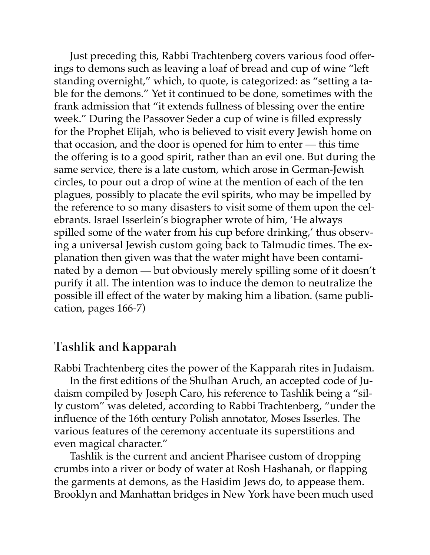Just preceding this, Rabbi Trachtenberg covers various food offerings to demons such as leaving a loaf of bread and cup of wine "left standing overnight," which, to quote, is categorized: as "setting a table for the demons." Yet it continued to be done, sometimes with the frank admission that "it extends fullness of blessing over the entire week." During the Passover Seder a cup of wine is filled expressly for the Prophet Elijah, who is believed to visit every Jewish home on that occasion, and the door is opened for him to enter — this time the offering is to a good spirit, rather than an evil one. But during the same service, there is a late custom, which arose in German-Jewish circles, to pour out a drop of wine at the mention of each of the ten plagues, possibly to placate the evil spirits, who may be impelled by the reference to so many disasters to visit some of them upon the celebrants. Israel Isserlein's biographer wrote of him, 'He always spilled some of the water from his cup before drinking,' thus observing a universal Jewish custom going back to Talmudic times. The explanation then given was that the water might have been contaminated by a demon — but obviously merely spilling some of it doesn't purify it all. The intention was to induce the demon to neutralize the possible ill effect of the water by making him a libation. (same publication, pages 166-7)

# Tashlik and Kapparah

Rabbi Trachtenberg cites the power of the Kapparah rites in Judaism.

In the first editions of the Shulhan Aruch, an accepted code of Judaism compiled by Joseph Caro, his reference to Tashlik being a "silly custom" was deleted, according to Rabbi Trachtenberg, "under the influence of the 16th century Polish annotator, Moses Isserles. The various features of the ceremony accentuate its superstitions and even magical character."

Tashlik is the current and ancient Pharisee custom of dropping crumbs into a river or body of water at Rosh Hashanah, or flapping the garments at demons, as the Hasidim Jews do, to appease them. Brooklyn and Manhattan bridges in New York have been much used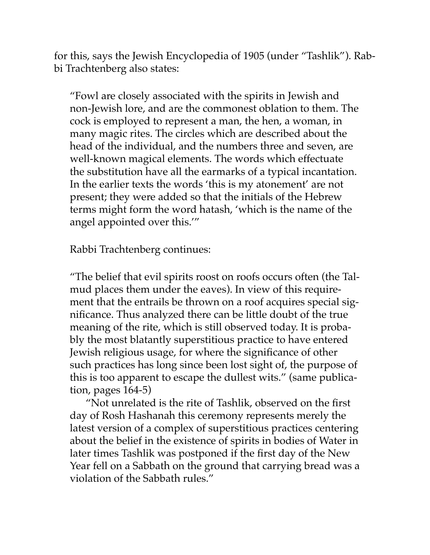for this, says the Jewish Encyclopedia of 1905 (under "Tashlik"). Rabbi Trachtenberg also states:

"Fowl are closely associated with the spirits in Jewish and non-Jewish lore, and are the commonest oblation to them. The cock is employed to represent a man, the hen, a woman, in many magic rites. The circles which are described about the head of the individual, and the numbers three and seven, are well-known magical elements. The words which effectuate the substitution have all the earmarks of a typical incantation. In the earlier texts the words 'this is my atonement' are not present; they were added so that the initials of the Hebrew terms might form the word hatash, 'which is the name of the angel appointed over this.'"

Rabbi Trachtenberg continues:

"The belief that evil spirits roost on roofs occurs often (the Talmud places them under the eaves). In view of this requirement that the entrails be thrown on a roof acquires special significance. Thus analyzed there can be little doubt of the true meaning of the rite, which is still observed today. It is probably the most blatantly superstitious practice to have entered Jewish religious usage, for where the significance of other such practices has long since been lost sight of, the purpose of this is too apparent to escape the dullest wits." (same publication, pages 164-5)

"Not unrelated is the rite of Tashlik, observed on the first day of Rosh Hashanah this ceremony represents merely the latest version of a complex of superstitious practices centering about the belief in the existence of spirits in bodies of Water in later times Tashlik was postponed if the first day of the New Year fell on a Sabbath on the ground that carrying bread was a violation of the Sabbath rules."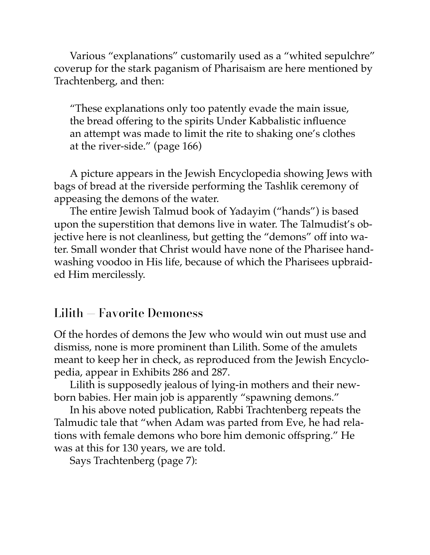Various "explanations" customarily used as a "whited sepulchre" coverup for the stark paganism of Pharisaism are here mentioned by Trachtenberg, and then:

"These explanations only too patently evade the main issue, the bread offering to the spirits Under Kabbalistic influence an attempt was made to limit the rite to shaking one's clothes at the river-side." (page 166)

A picture appears in the Jewish Encyclopedia showing Jews with bags of bread at the riverside performing the Tashlik ceremony of appeasing the demons of the water.

The entire Jewish Talmud book of Yadayim ("hands") is based upon the superstition that demons live in water. The Talmudist's objective here is not cleanliness, but getting the "demons" off into water. Small wonder that Christ would have none of the Pharisee handwashing voodoo in His life, because of which the Pharisees upbraided Him mercilessly.

#### Lilith — Favorite Demoness

Of the hordes of demons the Jew who would win out must use and dismiss, none is more prominent than Lilith. Some of the amulets meant to keep her in check, as reproduced from the Jewish Encyclopedia, appear in Exhibits 286 and 287.

Lilith is supposedly jealous of lying-in mothers and their newborn babies. Her main job is apparently "spawning demons."

In his above noted publication, Rabbi Trachtenberg repeats the Talmudic tale that "when Adam was parted from Eve, he had relations with female demons who bore him demonic offspring." He was at this for 130 years, we are told.

Says Trachtenberg (page 7):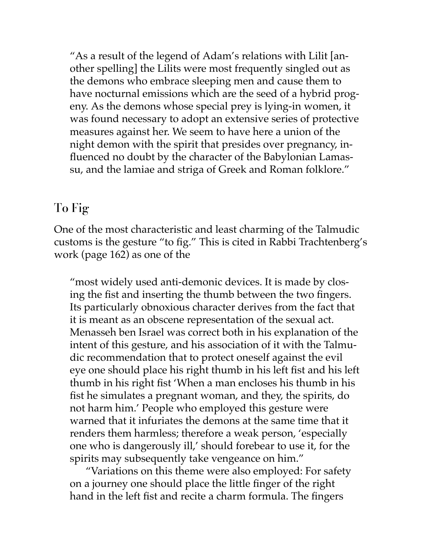"As a result of the legend of Adam's relations with Lilit [another spelling] the Lilits were most frequently singled out as the demons who embrace sleeping men and cause them to have nocturnal emissions which are the seed of a hybrid progeny. As the demons whose special prey is lying-in women, it was found necessary to adopt an extensive series of protective measures against her. We seem to have here a union of the night demon with the spirit that presides over pregnancy, influenced no doubt by the character of the Babylonian Lamassu, and the lamiae and striga of Greek and Roman folklore."

# To Fig

One of the most characteristic and least charming of the Talmudic customs is the gesture "to fig." This is cited in Rabbi Trachtenberg's work (page 162) as one of the

"most widely used anti-demonic devices. It is made by closing the fist and inserting the thumb between the two fingers. Its particularly obnoxious character derives from the fact that it is meant as an obscene representation of the sexual act. Menasseh ben Israel was correct both in his explanation of the intent of this gesture, and his association of it with the Talmudic recommendation that to protect oneself against the evil eye one should place his right thumb in his left fist and his left thumb in his right fist 'When a man encloses his thumb in his fist he simulates a pregnant woman, and they, the spirits, do not harm him.' People who employed this gesture were warned that it infuriates the demons at the same time that it renders them harmless; therefore a weak person, 'especially one who is dangerously ill,' should forebear to use it, for the spirits may subsequently take vengeance on him."

"Variations on this theme were also employed: For safety on a journey one should place the little finger of the right hand in the left fist and recite a charm formula. The fingers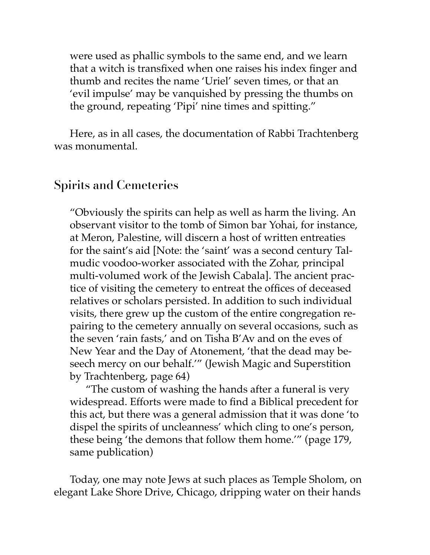were used as phallic symbols to the same end, and we learn that a witch is transfixed when one raises his index finger and thumb and recites the name 'Uriel' seven times, or that an 'evil impulse' may be vanquished by pressing the thumbs on the ground, repeating 'Pipi' nine times and spitting."

Here, as in all cases, the documentation of Rabbi Trachtenberg was monumental.

#### Spirits and Cemeteries

"Obviously the spirits can help as well as harm the living. An observant visitor to the tomb of Simon bar Yohai, for instance, at Meron, Palestine, will discern a host of written entreaties for the saint's aid [Note: the 'saint' was a second century Talmudic voodoo-worker associated with the Zohar, principal multi-volumed work of the Jewish Cabala]. The ancient practice of visiting the cemetery to entreat the offices of deceased relatives or scholars persisted. In addition to such individual visits, there grew up the custom of the entire congregation repairing to the cemetery annually on several occasions, such as the seven 'rain fasts,' and on Tisha B'Av and on the eves of New Year and the Day of Atonement, 'that the dead may beseech mercy on our behalf.'" (Jewish Magic and Superstition by Trachtenberg, page 64)

"The custom of washing the hands after a funeral is very widespread. Efforts were made to find a Biblical precedent for this act, but there was a general admission that it was done 'to dispel the spirits of uncleanness' which cling to one's person, these being 'the demons that follow them home.'" (page 179, same publication)

Today, one may note Jews at such places as Temple Sholom, on elegant Lake Shore Drive, Chicago, dripping water on their hands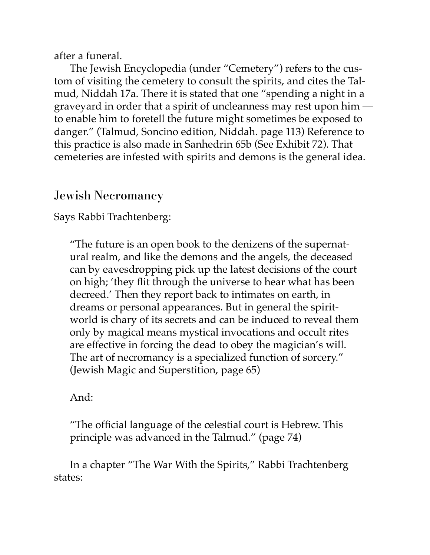after a funeral.

The Jewish Encyclopedia (under "Cemetery") refers to the custom of visiting the cemetery to consult the spirits, and cites the Talmud, Niddah 17a. There it is stated that one "spending a night in a graveyard in order that a spirit of uncleanness may rest upon him to enable him to foretell the future might sometimes be exposed to danger." (Talmud, Soncino edition, Niddah. page 113) Reference to this practice is also made in Sanhedrin 65b (See Exhibit 72). That cemeteries are infested with spirits and demons is the general idea.

### Jewish Necromancy

Says Rabbi Trachtenberg:

"The future is an open book to the denizens of the supernatural realm, and like the demons and the angels, the deceased can by eavesdropping pick up the latest decisions of the court on high; 'they flit through the universe to hear what has been decreed.' Then they report back to intimates on earth, in dreams or personal appearances. But in general the spiritworld is chary of its secrets and can be induced to reveal them only by magical means mystical invocations and occult rites are effective in forcing the dead to obey the magician's will. The art of necromancy is a specialized function of sorcery." (Jewish Magic and Superstition, page 65)

And:

"The official language of the celestial court is Hebrew. This principle was advanced in the Talmud." (page 74)

In a chapter "The War With the Spirits," Rabbi Trachtenberg states: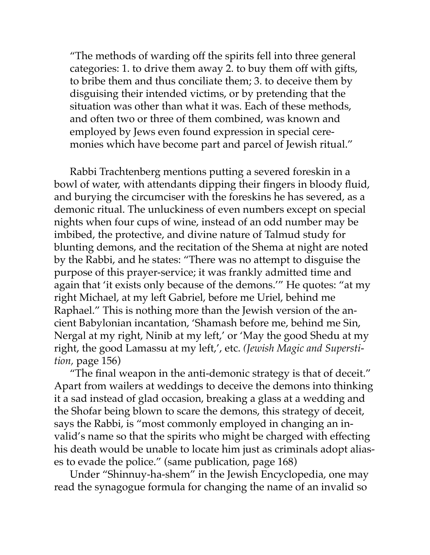"The methods of warding off the spirits fell into three general categories: 1. to drive them away 2. to buy them off with gifts, to bribe them and thus conciliate them; 3. to deceive them by disguising their intended victims, or by pretending that the situation was other than what it was. Each of these methods, and often two or three of them combined, was known and employed by Jews even found expression in special ceremonies which have become part and parcel of Jewish ritual."

Rabbi Trachtenberg mentions putting a severed foreskin in a bowl of water, with attendants dipping their fingers in bloody fluid, and burying the circumciser with the foreskins he has severed, as a demonic ritual. The unluckiness of even numbers except on special nights when four cups of wine, instead of an odd number may be imbibed, the protective, and divine nature of Talmud study for blunting demons, and the recitation of the Shema at night are noted by the Rabbi, and he states: "There was no attempt to disguise the purpose of this prayer-service; it was frankly admitted time and again that 'it exists only because of the demons.'" He quotes: "at my right Michael, at my left Gabriel, before me Uriel, behind me Raphael." This is nothing more than the Jewish version of the ancient Babylonian incantation, 'Shamash before me, behind me Sin, Nergal at my right, Ninib at my left,' or 'May the good Shedu at my right, the good Lamassu at my left,', etc. *(Jewish Magic and Superstition,* page 156)

"The final weapon in the anti-demonic strategy is that of deceit." Apart from wailers at weddings to deceive the demons into thinking it a sad instead of glad occasion, breaking a glass at a wedding and the Shofar being blown to scare the demons, this strategy of deceit, says the Rabbi, is "most commonly employed in changing an invalid's name so that the spirits who might be charged with effecting his death would be unable to locate him just as criminals adopt aliases to evade the police." (same publication, page 168)

Under "Shinnuy-ha-shem" in the Jewish Encyclopedia, one may read the synagogue formula for changing the name of an invalid so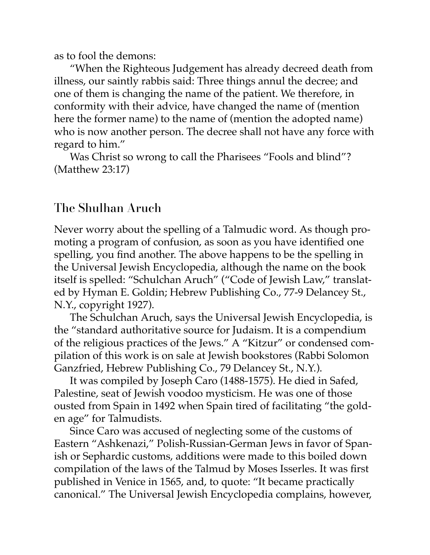as to fool the demons:

"When the Righteous Judgement has already decreed death from illness, our saintly rabbis said: Three things annul the decree; and one of them is changing the name of the patient. We therefore, in conformity with their advice, have changed the name of (mention here the former name) to the name of (mention the adopted name) who is now another person. The decree shall not have any force with regard to him."

Was Christ so wrong to call the Pharisees "Fools and blind"? (Matthew 23:17)

# The Shulhan Aruch

Never worry about the spelling of a Talmudic word. As though promoting a program of confusion, as soon as you have identified one spelling, you find another. The above happens to be the spelling in the Universal Jewish Encyclopedia, although the name on the book itself is spelled: "Schulchan Aruch" ("Code of Jewish Law," translated by Hyman E. Goldin; Hebrew Publishing Co., 77-9 Delancey St., N.Y., copyright 1927).

The Schulchan Aruch, says the Universal Jewish Encyclopedia, is the "standard authoritative source for Judaism. It is a compendium of the religious practices of the Jews." A "Kitzur" or condensed compilation of this work is on sale at Jewish bookstores (Rabbi Solomon Ganzfried, Hebrew Publishing Co., 79 Delancey St., N.Y.).

It was compiled by Joseph Caro (1488-1575). He died in Safed, Palestine, seat of Jewish voodoo mysticism. He was one of those ousted from Spain in 1492 when Spain tired of facilitating "the golden age" for Talmudists.

Since Caro was accused of neglecting some of the customs of Eastern "Ashkenazi," Polish-Russian-German Jews in favor of Spanish or Sephardic customs, additions were made to this boiled down compilation of the laws of the Talmud by Moses Isserles. It was first published in Venice in 1565, and, to quote: "It became practically canonical." The Universal Jewish Encyclopedia complains, however,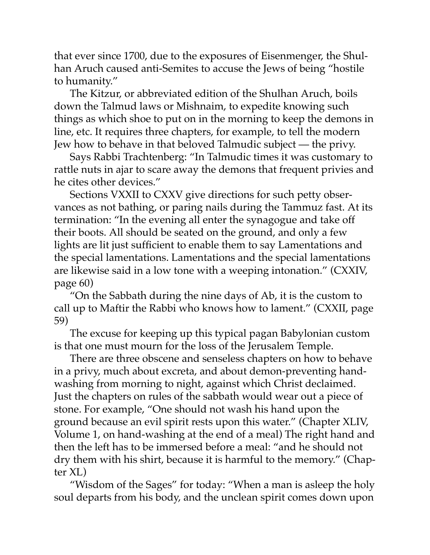that ever since 1700, due to the exposures of Eisenmenger, the Shulhan Aruch caused anti-Semites to accuse the Jews of being "hostile to humanity."

The Kitzur, or abbreviated edition of the Shulhan Aruch, boils down the Talmud laws or Mishnaim, to expedite knowing such things as which shoe to put on in the morning to keep the demons in line, etc. It requires three chapters, for example, to tell the modern Jew how to behave in that beloved Talmudic subject — the privy.

Says Rabbi Trachtenberg: "In Talmudic times it was customary to rattle nuts in ajar to scare away the demons that frequent privies and he cites other devices."

Sections VXXII to CXXV give directions for such petty observances as not bathing, or paring nails during the Tammuz fast. At its termination: "In the evening all enter the synagogue and take off their boots. All should be seated on the ground, and only a few lights are lit just sufficient to enable them to say Lamentations and the special lamentations. Lamentations and the special lamentations are likewise said in a low tone with a weeping intonation." (CXXIV, page 60)

"On the Sabbath during the nine days of Ab, it is the custom to call up to Maftir the Rabbi who knows how to lament." (CXXII, page 59)

The excuse for keeping up this typical pagan Babylonian custom is that one must mourn for the loss of the Jerusalem Temple.

There are three obscene and senseless chapters on how to behave in a privy, much about excreta, and about demon-preventing handwashing from morning to night, against which Christ declaimed. Just the chapters on rules of the sabbath would wear out a piece of stone. For example, "One should not wash his hand upon the ground because an evil spirit rests upon this water." (Chapter XLIV, Volume 1, on hand-washing at the end of a meal) The right hand and then the left has to be immersed before a meal: "and he should not dry them with his shirt, because it is harmful to the memory." (Chapter XL)

"Wisdom of the Sages" for today: "When a man is asleep the holy soul departs from his body, and the unclean spirit comes down upon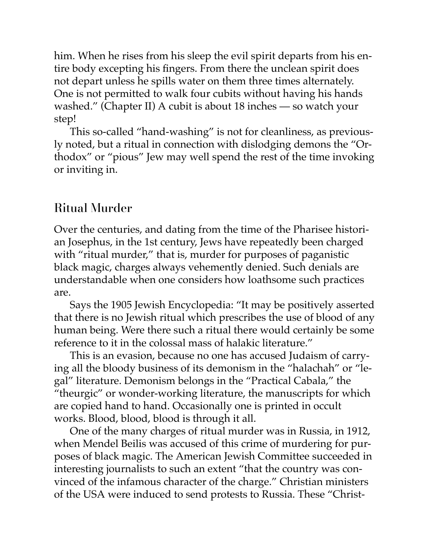him. When he rises from his sleep the evil spirit departs from his entire body excepting his fingers. From there the unclean spirit does not depart unless he spills water on them three times alternately. One is not permitted to walk four cubits without having his hands washed." (Chapter II) A cubit is about 18 inches — so watch your step!

This so-called "hand-washing" is not for cleanliness, as previously noted, but a ritual in connection with dislodging demons the "Orthodox" or "pious" Jew may well spend the rest of the time invoking or inviting in.

# Ritual Murder

Over the centuries, and dating from the time of the Pharisee historian Josephus, in the 1st century, Jews have repeatedly been charged with "ritual murder," that is, murder for purposes of paganistic black magic, charges always vehemently denied. Such denials are understandable when one considers how loathsome such practices are.

Says the 1905 Jewish Encyclopedia: "It may be positively asserted that there is no Jewish ritual which prescribes the use of blood of any human being. Were there such a ritual there would certainly be some reference to it in the colossal mass of halakic literature."

This is an evasion, because no one has accused Judaism of carrying all the bloody business of its demonism in the "halachah" or "legal" literature. Demonism belongs in the "Practical Cabala," the "theurgic" or wonder-working literature, the manuscripts for which are copied hand to hand. Occasionally one is printed in occult works. Blood, blood, blood is through it all.

One of the many charges of ritual murder was in Russia, in 1912, when Mendel Beilis was accused of this crime of murdering for purposes of black magic. The American Jewish Committee succeeded in interesting journalists to such an extent "that the country was convinced of the infamous character of the charge." Christian ministers of the USA were induced to send protests to Russia. These "Christ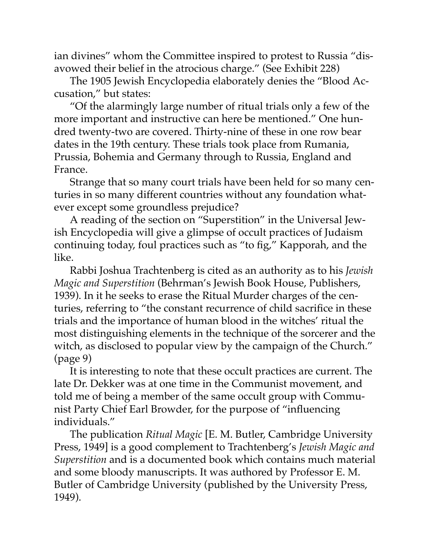ian divines" whom the Committee inspired to protest to Russia "disavowed their belief in the atrocious charge." (See Exhibit 228)

The 1905 Jewish Encyclopedia elaborately denies the "Blood Accusation," but states:

"Of the alarmingly large number of ritual trials only a few of the more important and instructive can here be mentioned." One hundred twenty-two are covered. Thirty-nine of these in one row bear dates in the 19th century. These trials took place from Rumania, Prussia, Bohemia and Germany through to Russia, England and France.

Strange that so many court trials have been held for so many centuries in so many different countries without any foundation whatever except some groundless prejudice?

A reading of the section on "Superstition" in the Universal Jewish Encyclopedia will give a glimpse of occult practices of Judaism continuing today, foul practices such as "to fig," Kapporah, and the like.

Rabbi Joshua Trachtenberg is cited as an authority as to his *Jewish Magic and Superstition* (Behrman's Jewish Book House, Publishers, 1939). In it he seeks to erase the Ritual Murder charges of the centuries, referring to "the constant recurrence of child sacrifice in these trials and the importance of human blood in the witches' ritual the most distinguishing elements in the technique of the sorcerer and the witch, as disclosed to popular view by the campaign of the Church." (page 9)

It is interesting to note that these occult practices are current. The late Dr. Dekker was at one time in the Communist movement, and told me of being a member of the same occult group with Communist Party Chief Earl Browder, for the purpose of "influencing individuals."

The publication *Ritual Magic* [E. M. Butler, Cambridge University Press, 1949] is a good complement to Trachtenberg's *Jewish Magic and Superstition* and is a documented book which contains much material and some bloody manuscripts. It was authored by Professor E. M. Butler of Cambridge University (published by the University Press, 1949).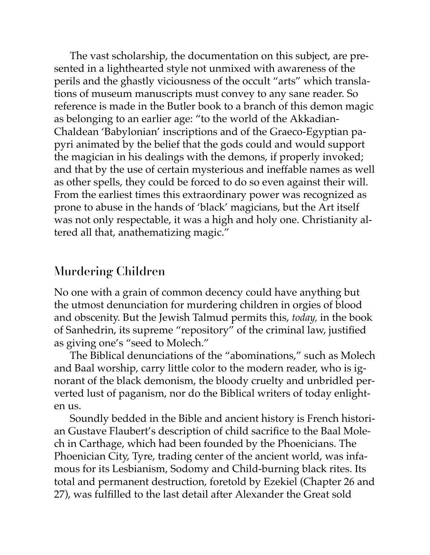The vast scholarship, the documentation on this subject, are presented in a lighthearted style not unmixed with awareness of the perils and the ghastly viciousness of the occult "arts" which translations of museum manuscripts must convey to any sane reader. So reference is made in the Butler book to a branch of this demon magic as belonging to an earlier age: "to the world of the Akkadian-Chaldean 'Babylonian' inscriptions and of the Graeco-Egyptian papyri animated by the belief that the gods could and would support the magician in his dealings with the demons, if properly invoked; and that by the use of certain mysterious and ineffable names as well as other spells, they could be forced to do so even against their will. From the earliest times this extraordinary power was recognized as prone to abuse in the hands of 'black' magicians, but the Art itself was not only respectable, it was a high and holy one. Christianity altered all that, anathematizing magic."

#### Murdering Children

No one with a grain of common decency could have anything but the utmost denunciation for murdering children in orgies of blood and obscenity. But the Jewish Talmud permits this, *today,* in the book of Sanhedrin, its supreme "repository" of the criminal law, justified as giving one's "seed to Molech."

The Biblical denunciations of the "abominations," such as Molech and Baal worship, carry little color to the modern reader, who is ignorant of the black demonism, the bloody cruelty and unbridled perverted lust of paganism, nor do the Biblical writers of today enlighten us.

Soundly bedded in the Bible and ancient history is French historian Gustave Flaubert's description of child sacrifice to the Baal Molech in Carthage, which had been founded by the Phoenicians. The Phoenician City, Tyre, trading center of the ancient world, was infamous for its Lesbianism, Sodomy and Child-burning black rites. Its total and permanent destruction, foretold by Ezekiel (Chapter 26 and 27), was fulfilled to the last detail after Alexander the Great sold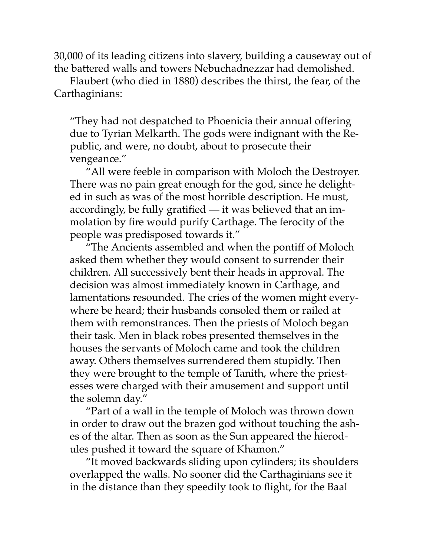30,000 of its leading citizens into slavery, building a causeway out of the battered walls and towers Nebuchadnezzar had demolished.

Flaubert (who died in 1880) describes the thirst, the fear, of the Carthaginians:

"They had not despatched to Phoenicia their annual offering due to Tyrian Melkarth. The gods were indignant with the Republic, and were, no doubt, about to prosecute their vengeance."

"All were feeble in comparison with Moloch the Destroyer. There was no pain great enough for the god, since he delighted in such as was of the most horrible description. He must, accordingly, be fully gratified — it was believed that an immolation by fire would purify Carthage. The ferocity of the people was predisposed towards it."

"The Ancients assembled and when the pontiff of Moloch asked them whether they would consent to surrender their children. All successively bent their heads in approval. The decision was almost immediately known in Carthage, and lamentations resounded. The cries of the women might everywhere be heard; their husbands consoled them or railed at them with remonstrances. Then the priests of Moloch began their task. Men in black robes presented themselves in the houses the servants of Moloch came and took the children away. Others themselves surrendered them stupidly. Then they were brought to the temple of Tanith, where the priestesses were charged with their amusement and support until the solemn day."

"Part of a wall in the temple of Moloch was thrown down in order to draw out the brazen god without touching the ashes of the altar. Then as soon as the Sun appeared the hierodules pushed it toward the square of Khamon."

"It moved backwards sliding upon cylinders; its shoulders overlapped the walls. No sooner did the Carthaginians see it in the distance than they speedily took to flight, for the Baal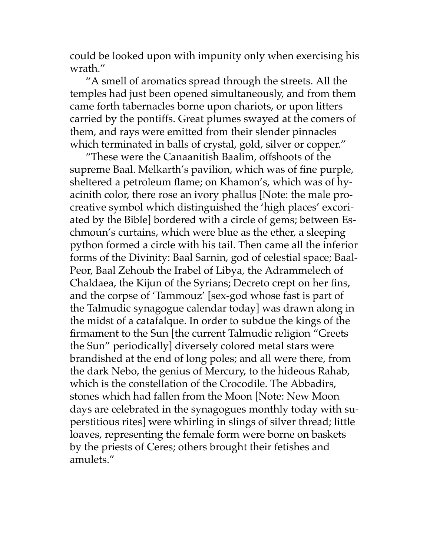could be looked upon with impunity only when exercising his wrath."

"A smell of aromatics spread through the streets. All the temples had just been opened simultaneously, and from them came forth tabernacles borne upon chariots, or upon litters carried by the pontiffs. Great plumes swayed at the comers of them, and rays were emitted from their slender pinnacles which terminated in balls of crystal, gold, silver or copper."

"These were the Canaanitish Baalim, offshoots of the supreme Baal. Melkarth's pavilion, which was of fine purple, sheltered a petroleum flame; on Khamon's, which was of hyacinith color, there rose an ivory phallus [Note: the male procreative symbol which distinguished the 'high places' excoriated by the Bible] bordered with a circle of gems; between Eschmoun's curtains, which were blue as the ether, a sleeping python formed a circle with his tail. Then came all the inferior forms of the Divinity: Baal Sarnin, god of celestial space; Baal-Peor, Baal Zehoub the Irabel of Libya, the Adrammelech of Chaldaea, the Kijun of the Syrians; Decreto crept on her fins, and the corpse of 'Tammouz' [sex-god whose fast is part of the Talmudic synagogue calendar today] was drawn along in the midst of a catafalque. In order to subdue the kings of the firmament to the Sun [the current Talmudic religion "Greets the Sun" periodically] diversely colored metal stars were brandished at the end of long poles; and all were there, from the dark Nebo, the genius of Mercury, to the hideous Rahab, which is the constellation of the Crocodile. The Abbadirs, stones which had fallen from the Moon [Note: New Moon days are celebrated in the synagogues monthly today with superstitious rites] were whirling in slings of silver thread; little loaves, representing the female form were borne on baskets by the priests of Ceres; others brought their fetishes and amulets."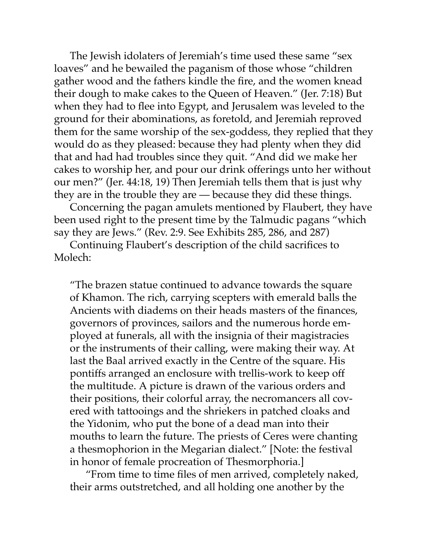The Jewish idolaters of Jeremiah's time used these same "sex loaves" and he bewailed the paganism of those whose "children gather wood and the fathers kindle the fire, and the women knead their dough to make cakes to the Queen of Heaven." (Jer. 7:18) But when they had to flee into Egypt, and Jerusalem was leveled to the ground for their abominations, as foretold, and Jeremiah reproved them for the same worship of the sex-goddess, they replied that they would do as they pleased: because they had plenty when they did that and had had troubles since they quit. "And did we make her cakes to worship her, and pour our drink offerings unto her without our men?" (Jer. 44:18, 19) Then Jeremiah tells them that is just why they are in the trouble they are — because they did these things.

Concerning the pagan amulets mentioned by Flaubert, they have been used right to the present time by the Talmudic pagans "which say they are Jews." (Rev. 2:9. See Exhibits 285, 286, and 287)

Continuing Flaubert's description of the child sacrifices to Molech:

"The brazen statue continued to advance towards the square of Khamon. The rich, carrying scepters with emerald balls the Ancients with diadems on their heads masters of the finances, governors of provinces, sailors and the numerous horde employed at funerals, all with the insignia of their magistracies or the instruments of their calling, were making their way. At last the Baal arrived exactly in the Centre of the square. His pontiffs arranged an enclosure with trellis-work to keep off the multitude. A picture is drawn of the various orders and their positions, their colorful array, the necromancers all covered with tattooings and the shriekers in patched cloaks and the Yidonim, who put the bone of a dead man into their mouths to learn the future. The priests of Ceres were chanting a thesmophorion in the Megarian dialect." [Note: the festival in honor of female procreation of Thesmorphoria.]

"From time to time files of men arrived, completely naked, their arms outstretched, and all holding one another by the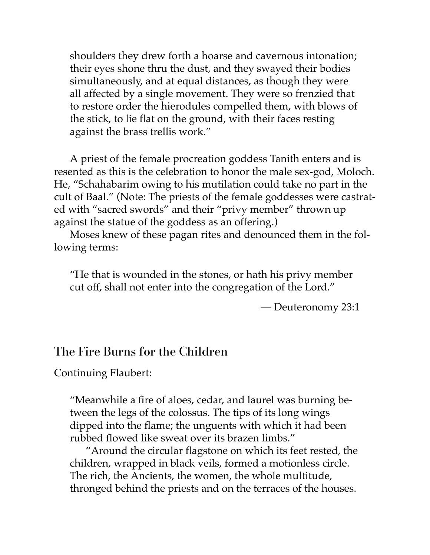shoulders they drew forth a hoarse and cavernous intonation; their eyes shone thru the dust, and they swayed their bodies simultaneously, and at equal distances, as though they were all affected by a single movement. They were so frenzied that to restore order the hierodules compelled them, with blows of the stick, to lie flat on the ground, with their faces resting against the brass trellis work."

A priest of the female procreation goddess Tanith enters and is resented as this is the celebration to honor the male sex-god, Moloch. He, "Schahabarim owing to his mutilation could take no part in the cult of Baal." (Note: The priests of the female goddesses were castrated with "sacred swords" and their "privy member" thrown up against the statue of the goddess as an offering.)

Moses knew of these pagan rites and denounced them in the following terms:

"He that is wounded in the stones, or hath his privy member cut off, shall not enter into the congregation of the Lord."

— Deuteronomy 23:1

#### The Fire Burns for the Children

Continuing Flaubert:

"Meanwhile a fire of aloes, cedar, and laurel was burning between the legs of the colossus. The tips of its long wings dipped into the flame; the unguents with which it had been rubbed flowed like sweat over its brazen limbs."

"Around the circular flagstone on which its feet rested, the children, wrapped in black veils, formed a motionless circle. The rich, the Ancients, the women, the whole multitude, thronged behind the priests and on the terraces of the houses.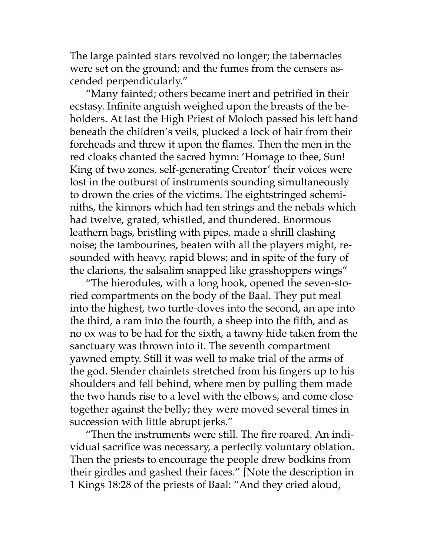The large painted stars revolved no longer; the tabernacles were set on the ground; and the fumes from the censers ascended perpendicularly."

"Many fainted; others became inert and petrified in their ecstasy. Infinite anguish weighed upon the breasts of the beholders. At last the High Priest of Moloch passed his left hand beneath the children's veils, plucked a lock of hair from their foreheads and threw it upon the flames. Then the men in the red cloaks chanted the sacred hymn: 'Homage to thee, Sun! King of two zones, self-generating Creator' their voices were lost in the outburst of instruments sounding simultaneously to drown the cries of the victims. The eightstringed scheminiths, the kinnors which had ten strings and the nebals which had twelve, grated, whistled, and thundered. Enormous leathern bags, bristling with pipes, made a shrill clashing noise; the tambourines, beaten with all the players might, resounded with heavy, rapid blows; and in spite of the fury of the clarions, the salsalim snapped like grasshoppers wings"

"The hierodules, with a long hook, opened the seven-storied compartments on the body of the Baal. They put meal into the highest, two turtle-doves into the second, an ape into the third, a ram into the fourth, a sheep into the fifth, and as no ox was to be had for the sixth, a tawny hide taken from the sanctuary was thrown into it. The seventh compartment yawned empty. Still it was well to make trial of the arms of the god. Slender chainlets stretched from his fingers up to his shoulders and fell behind, where men by pulling them made the two hands rise to a level with the elbows, and come close together against the belly; they were moved several times in succession with little abrupt jerks."

"Then the instruments were still. The fire roared. An individual sacrifice was necessary, a perfectly voluntary oblation. Then the priests to encourage the people drew bodkins from their girdles and gashed their faces." [Note the description in 1 Kings 18:28 of the priests of Baal: "And they cried aloud,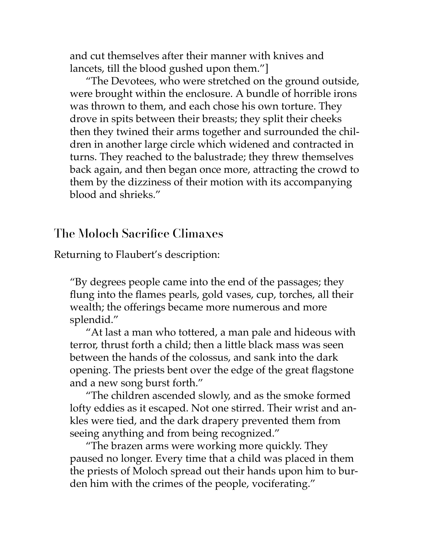and cut themselves after their manner with knives and lancets, till the blood gushed upon them."]

"The Devotees, who were stretched on the ground outside, were brought within the enclosure. A bundle of horrible irons was thrown to them, and each chose his own torture. They drove in spits between their breasts; they split their cheeks then they twined their arms together and surrounded the children in another large circle which widened and contracted in turns. They reached to the balustrade; they threw themselves back again, and then began once more, attracting the crowd to them by the dizziness of their motion with its accompanying blood and shrieks."

### The Moloch Sacrifice Climaxes

Returning to Flaubert's description:

"By degrees people came into the end of the passages; they flung into the flames pearls, gold vases, cup, torches, all their wealth; the offerings became more numerous and more splendid."

"At last a man who tottered, a man pale and hideous with terror, thrust forth a child; then a little black mass was seen between the hands of the colossus, and sank into the dark opening. The priests bent over the edge of the great flagstone and a new song burst forth."

"The children ascended slowly, and as the smoke formed lofty eddies as it escaped. Not one stirred. Their wrist and ankles were tied, and the dark drapery prevented them from seeing anything and from being recognized."

"The brazen arms were working more quickly. They paused no longer. Every time that a child was placed in them the priests of Moloch spread out their hands upon him to burden him with the crimes of the people, vociferating."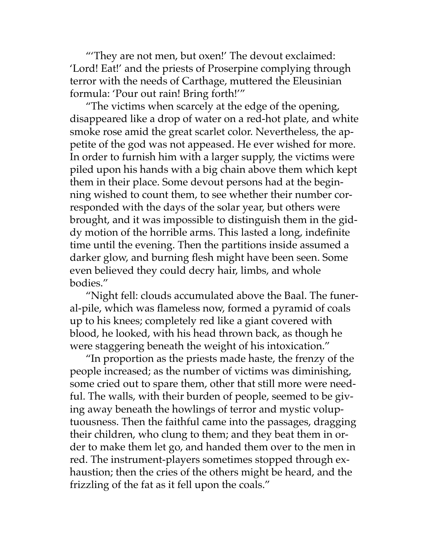"'They are not men, but oxen!' The devout exclaimed: 'Lord! Eat!' and the priests of Proserpine complying through terror with the needs of Carthage, muttered the Eleusinian formula: 'Pour out rain! Bring forth!'"

"The victims when scarcely at the edge of the opening, disappeared like a drop of water on a red-hot plate, and white smoke rose amid the great scarlet color. Nevertheless, the appetite of the god was not appeased. He ever wished for more. In order to furnish him with a larger supply, the victims were piled upon his hands with a big chain above them which kept them in their place. Some devout persons had at the beginning wished to count them, to see whether their number corresponded with the days of the solar year, but others were brought, and it was impossible to distinguish them in the giddy motion of the horrible arms. This lasted a long, indefinite time until the evening. Then the partitions inside assumed a darker glow, and burning flesh might have been seen. Some even believed they could decry hair, limbs, and whole bodies."

"Night fell: clouds accumulated above the Baal. The funeral-pile, which was flameless now, formed a pyramid of coals up to his knees; completely red like a giant covered with blood, he looked, with his head thrown back, as though he were staggering beneath the weight of his intoxication."

"In proportion as the priests made haste, the frenzy of the people increased; as the number of victims was diminishing, some cried out to spare them, other that still more were needful. The walls, with their burden of people, seemed to be giving away beneath the howlings of terror and mystic voluptuousness. Then the faithful came into the passages, dragging their children, who clung to them; and they beat them in order to make them let go, and handed them over to the men in red. The instrument-players sometimes stopped through exhaustion; then the cries of the others might be heard, and the frizzling of the fat as it fell upon the coals."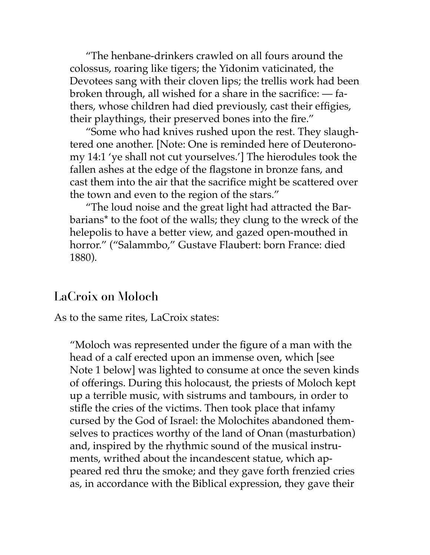"The henbane-drinkers crawled on all fours around the colossus, roaring like tigers; the Yidonim vaticinated, the Devotees sang with their cloven lips; the trellis work had been broken through, all wished for a share in the sacrifice: — fathers, whose children had died previously, cast their effigies, their playthings, their preserved bones into the fire."

"Some who had knives rushed upon the rest. They slaughtered one another. [Note: One is reminded here of Deuteronomy 14:1 'ye shall not cut yourselves.'] The hierodules took the fallen ashes at the edge of the flagstone in bronze fans, and cast them into the air that the sacrifice might be scattered over the town and even to the region of the stars."

"The loud noise and the great light had attracted the Barbarians\* to the foot of the walls; they clung to the wreck of the helepolis to have a better view, and gazed open-mouthed in horror." ("Salammbo," Gustave Flaubert: born France: died 1880).

#### LaCroix on Moloch

As to the same rites, LaCroix states:

"Moloch was represented under the figure of a man with the head of a calf erected upon an immense oven, which [see Note 1 below] was lighted to consume at once the seven kinds of offerings. During this holocaust, the priests of Moloch kept up a terrible music, with sistrums and tambours, in order to stifle the cries of the victims. Then took place that infamy cursed by the God of Israel: the Molochites abandoned themselves to practices worthy of the land of Onan (masturbation) and, inspired by the rhythmic sound of the musical instruments, writhed about the incandescent statue, which appeared red thru the smoke; and they gave forth frenzied cries as, in accordance with the Biblical expression, they gave their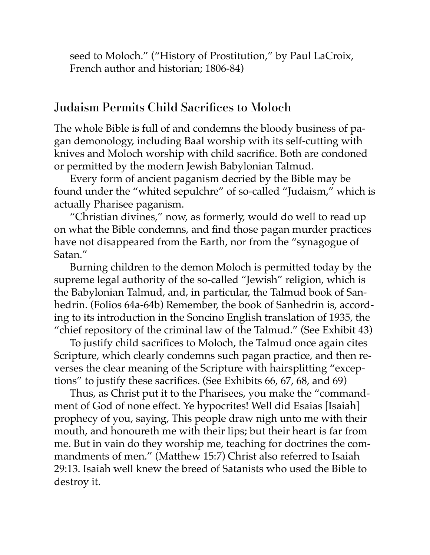seed to Moloch." ("History of Prostitution," by Paul LaCroix, French author and historian; 1806-84)

## Judaism Permits Child Sacrifices to Moloch

The whole Bible is full of and condemns the bloody business of pagan demonology, including Baal worship with its self-cutting with knives and Moloch worship with child sacrifice. Both are condoned or permitted by the modern Jewish Babylonian Talmud.

Every form of ancient paganism decried by the Bible may be found under the "whited sepulchre" of so-called "Judaism," which is actually Pharisee paganism.

"Christian divines," now, as formerly, would do well to read up on what the Bible condemns, and find those pagan murder practices have not disappeared from the Earth, nor from the "synagogue of Satan."

Burning children to the demon Moloch is permitted today by the supreme legal authority of the so-called "Jewish" religion, which is the Babylonian Talmud, and, in particular, the Talmud book of Sanhedrin. (Folios 64a-64b) Remember, the book of Sanhedrin is, according to its introduction in the Soncino English translation of 1935, the "chief repository of the criminal law of the Talmud." (See Exhibit 43)

To justify child sacrifices to Moloch, the Talmud once again cites Scripture, which clearly condemns such pagan practice, and then reverses the clear meaning of the Scripture with hairsplitting "exceptions" to justify these sacrifices. (See Exhibits 66, 67, 68, and 69)

Thus, as Christ put it to the Pharisees, you make the "commandment of God of none effect. Ye hypocrites! Well did Esaias [Isaiah] prophecy of you, saying, This people draw nigh unto me with their mouth, and honoureth me with their lips; but their heart is far from me. But in vain do they worship me, teaching for doctrines the commandments of men." (Matthew 15:7) Christ also referred to Isaiah 29:13. Isaiah well knew the breed of Satanists who used the Bible to destroy it.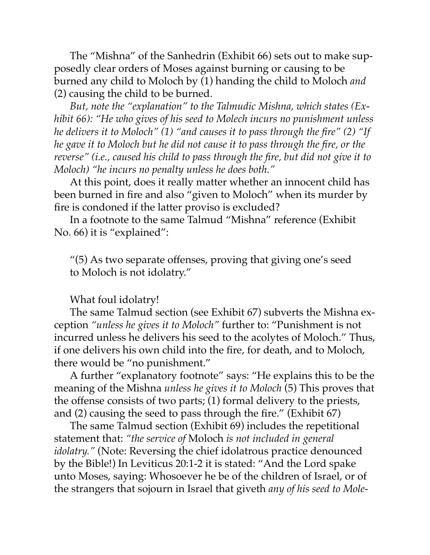The "Mishna" of the Sanhedrin (Exhibit 66) sets out to make supposedly clear orders of Moses against burning or causing to be burned any child to Moloch by (1) handing the child to Moloch *and* (2) causing the child to be burned.

*But, note the "explanation" to the Talmudic Mishna, which states (Exhibit 66): "He who gives of his seed to Molech incurs no punishment unless he delivers it to Moloch" (1) "and causes it to pass through the fire" (2) "If he gave it to Moloch but he did not cause it to pass through the fire, or the reverse" (i.e., caused his child to pass through the fire, but did not give it to Moloch) "he incurs no penalty unless he does both."*

At this point, does it really matter whether an innocent child has been burned in fire and also "given to Moloch" when its murder by fire is condoned if the latter proviso is excluded?

In a footnote to the same Talmud "Mishna" reference (Exhibit No. 66) it is "explained":

"(5) As two separate offenses, proving that giving one's seed to Moloch is not idolatry."

What foul idolatry!

The same Talmud section (see Exhibit 67) subverts the Mishna exception *"unless he gives it to Moloch"* further to: "Punishment is not incurred unless he delivers his seed to the acolytes of Moloch." Thus, if one delivers his own child into the fire, for death, and to Moloch, there would be "no punishment."

A further "explanatory footnote" says: "He explains this to be the meaning of the Mishna *unless he gives it to Moloch* (5) This proves that the offense consists of two parts; (1) formal delivery to the priests, and (2) causing the seed to pass through the fire." (Exhibit 67)

The same Talmud section (Exhibit 69) includes the repetitional statement that: *"the service of* Moloch *is not included in general idolatry."* (Note: Reversing the chief idolatrous practice denounced by the Bible!) In Leviticus 20:1-2 it is stated: "And the Lord spake unto Moses, saying: Whosoever he be of the children of Israel, or of the strangers that sojourn in Israel that giveth *any of his seed to Mole-*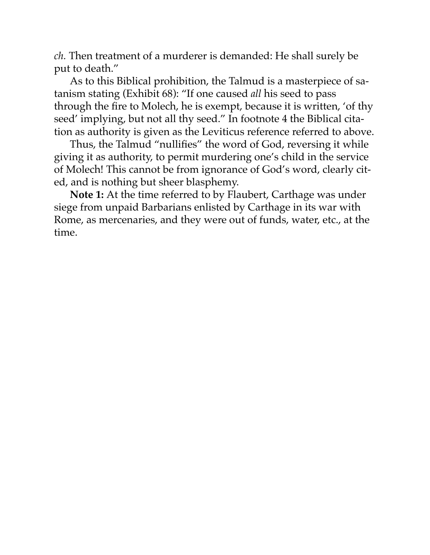*ch.* Then treatment of a murderer is demanded: He shall surely be put to death."

As to this Biblical prohibition, the Talmud is a masterpiece of satanism stating (Exhibit 68): "If one caused *all* his seed to pass through the fire to Molech, he is exempt, because it is written, 'of thy seed' implying, but not all thy seed." In footnote 4 the Biblical citation as authority is given as the Leviticus reference referred to above.

Thus, the Talmud "nullifies" the word of God, reversing it while giving it as authority, to permit murdering one's child in the service of Molech! This cannot be from ignorance of God's word, clearly cited, and is nothing but sheer blasphemy.

**Note 1:** At the time referred to by Flaubert, Carthage was under siege from unpaid Barbarians enlisted by Carthage in its war with Rome, as mercenaries, and they were out of funds, water, etc., at the time.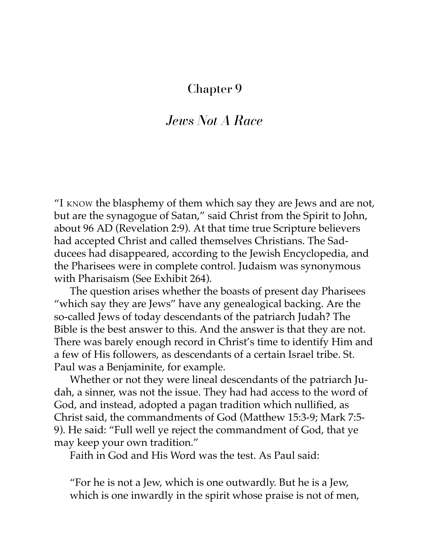# Chapter 9

#### *Jews Not A Race*

"I KNOW the blasphemy of them which say they are Jews and are not, but are the synagogue of Satan," said Christ from the Spirit to John, about 96 AD (Revelation 2:9). At that time true Scripture believers had accepted Christ and called themselves Christians. The Sadducees had disappeared, according to the Jewish Encyclopedia, and the Pharisees were in complete control. Judaism was synonymous with Pharisaism (See Exhibit 264).

The question arises whether the boasts of present day Pharisees "which say they are Jews" have any genealogical backing. Are the so-called Jews of today descendants of the patriarch Judah? The Bible is the best answer to this. And the answer is that they are not. There was barely enough record in Christ's time to identify Him and a few of His followers, as descendants of a certain Israel tribe. St. Paul was a Benjaminite, for example.

Whether or not they were lineal descendants of the patriarch Judah, a sinner, was not the issue. They had had access to the word of God, and instead, adopted a pagan tradition which nullified, as Christ said, the commandments of God (Matthew 15:3-9; Mark 7:5- 9). He said: "Full well ye reject the commandment of God, that ye may keep your own tradition."

Faith in God and His Word was the test. As Paul said:

"For he is not a Jew, which is one outwardly. But he is a Jew, which is one inwardly in the spirit whose praise is not of men,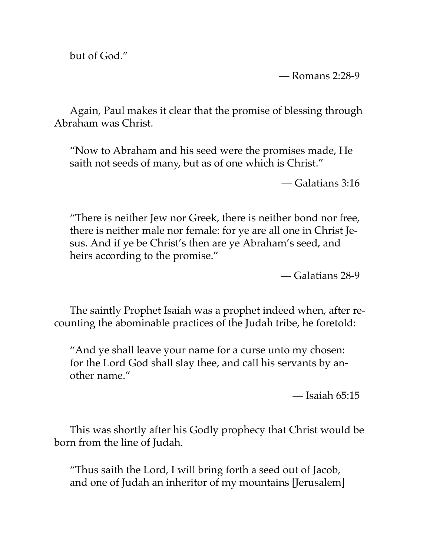but of God."

— Romans 2:28-9

Again, Paul makes it clear that the promise of blessing through Abraham was Christ.

"Now to Abraham and his seed were the promises made, He saith not seeds of many, but as of one which is Christ."

— Galatians 3:16

"There is neither Jew nor Greek, there is neither bond nor free, there is neither male nor female: for ye are all one in Christ Jesus. And if ye be Christ's then are ye Abraham's seed, and heirs according to the promise."

— Galatians 28-9

The saintly Prophet Isaiah was a prophet indeed when, after recounting the abominable practices of the Judah tribe, he foretold:

"And ye shall leave your name for a curse unto my chosen: for the Lord God shall slay thee, and call his servants by another name."

— Isaiah 65:15

This was shortly after his Godly prophecy that Christ would be born from the line of Judah.

"Thus saith the Lord, I will bring forth a seed out of Jacob, and one of Judah an inheritor of my mountains [Jerusalem]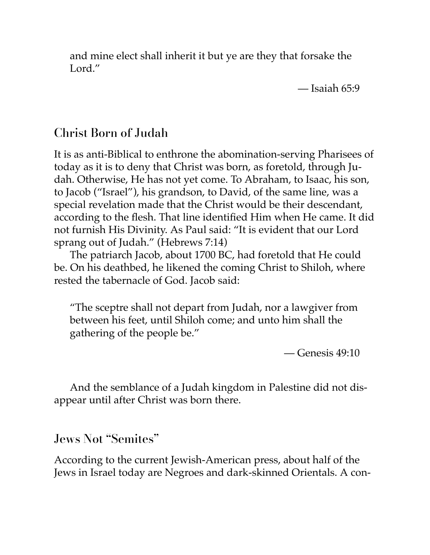and mine elect shall inherit it but ye are they that forsake the Lord."

— Isaiah 65:9

# Christ Born of Judah

It is as anti-Biblical to enthrone the abomination-serving Pharisees of today as it is to deny that Christ was born, as foretold, through Judah. Otherwise, He has not yet come. To Abraham, to Isaac, his son, to Jacob ("Israel"), his grandson, to David, of the same line, was a special revelation made that the Christ would be their descendant, according to the flesh. That line identified Him when He came. It did not furnish His Divinity. As Paul said: "It is evident that our Lord sprang out of Judah." (Hebrews 7:14)

The patriarch Jacob, about 1700 BC, had foretold that He could be. On his deathbed, he likened the coming Christ to Shiloh, where rested the tabernacle of God. Jacob said:

"The sceptre shall not depart from Judah, nor a lawgiver from between his feet, until Shiloh come; and unto him shall the gathering of the people be."

— Genesis 49:10

And the semblance of a Judah kingdom in Palestine did not disappear until after Christ was born there.

Jews Not "Semites "

According to the current Jewish-American press, about half of the Jews in Israel today are Negroes and dark-skinned Orientals. A con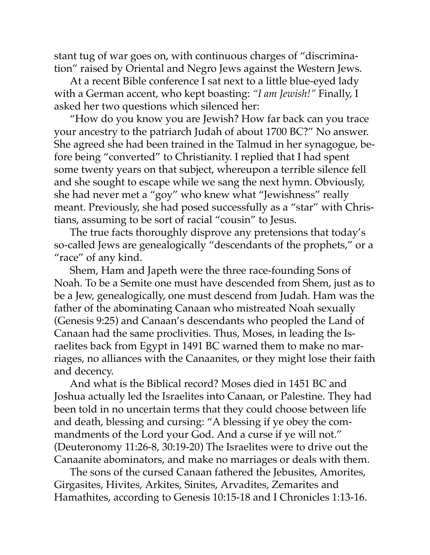stant tug of war goes on, with continuous charges of "discrimination" raised by Oriental and Negro Jews against the Western Jews.

At a recent Bible conference I sat next to a little blue-eyed lady with a German accent, who kept boasting: *"I am Jewish!"* Finally, I asked her two questions which silenced her:

"How do you know you are Jewish? How far back can you trace your ancestry to the patriarch Judah of about 1700 BC?" No answer. She agreed she had been trained in the Talmud in her synagogue, before being "converted" to Christianity. I replied that I had spent some twenty years on that subject, whereupon a terrible silence fell and she sought to escape while we sang the next hymn. Obviously, she had never met a "goy" who knew what "Jewishness" really meant. Previously, she had posed successfully as a "star" with Christians, assuming to be sort of racial "cousin" to Jesus.

The true facts thoroughly disprove any pretensions that today's so-called Jews are genealogically "descendants of the prophets," or a "race" of any kind.

Shem, Ham and Japeth were the three race-founding Sons of Noah. To be a Semite one must have descended from Shem, just as to be a Jew, genealogically, one must descend from Judah. Ham was the father of the abominating Canaan who mistreated Noah sexually (Genesis 9:25) and Canaan's descendants who peopled the Land of Canaan had the same proclivities. Thus, Moses, in leading the Israelites back from Egypt in 1491 BC warned them to make no marriages, no alliances with the Canaanites, or they might lose their faith and decency.

And what is the Biblical record? Moses died in 1451 BC and Joshua actually led the Israelites into Canaan, or Palestine. They had been told in no uncertain terms that they could choose between life and death, blessing and cursing: "A blessing if ye obey the commandments of the Lord your God. And a curse if ye will not." (Deuteronomy 11:26-8, 30:19-20) The Israelites were to drive out the Canaanite abominators, and make no marriages or deals with them.

The sons of the cursed Canaan fathered the Jebusites, Amorites, Girgasites, Hivites, Arkites, Sinites, Arvadites, Zemarites and Hamathites, according to Genesis 10:15-18 and I Chronicles 1:13-16.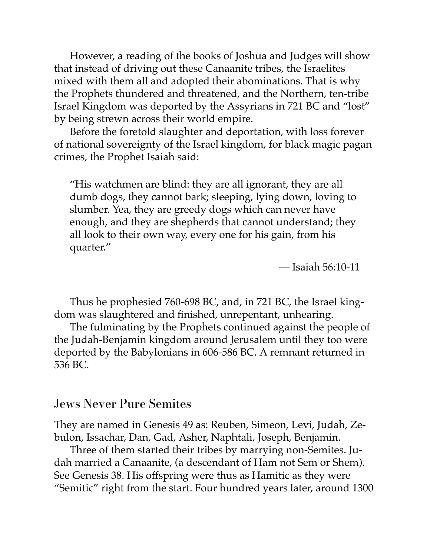However, a reading of the books of Joshua and Judges will show that instead of driving out these Canaanite tribes, the Israelites mixed with them all and adopted their abominations. That is why the Prophets thundered and threatened, and the Northern, ten-tribe Israel Kingdom was deported by the Assyrians in 721 BC and "lost" by being strewn across their world empire.

Before the foretold slaughter and deportation, with loss forever of national sovereignty of the Israel kingdom, for black magic pagan crimes, the Prophet Isaiah said:

"His watchmen are blind: they are all ignorant, they are all dumb dogs, they cannot bark; sleeping, lying down, loving to slumber. Yea, they are greedy dogs which can never have enough, and they are shepherds that cannot understand; they all look to their own way, every one for his gain, from his quarter."

— Isaiah 56:10-11

Thus he prophesied 760-698 BC, and, in 721 BC, the Israel kingdom was slaughtered and finished, unrepentant, unhearing.

The fulminating by the Prophets continued against the people of the Judah-Benjamin kingdom around Jerusalem until they too were deported by the Babylonians in 606-586 BC. A remnant returned in 536 BC.

#### Jews Never Pure Semites

They are named in Genesis 49 as: Reuben, Simeon, Levi, Judah, Zebulon, Issachar, Dan, Gad, Asher, Naphtali, Joseph, Benjamin.

Three of them started their tribes by marrying non-Semites. Judah married a Canaanite, (a descendant of Ham not Sem or Shem). See Genesis 38. His offspring were thus as Hamitic as they were "Semitic" right from the start. Four hundred years later, around 1300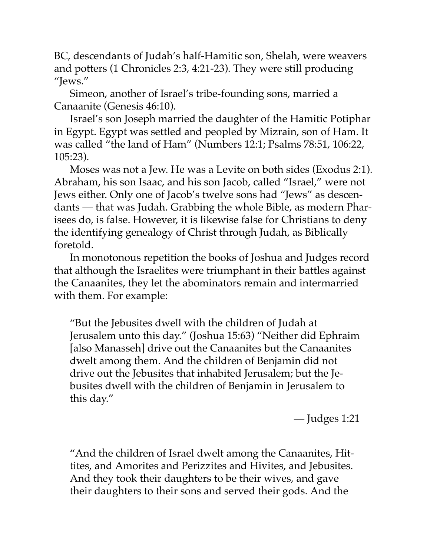BC, descendants of Judah's half-Hamitic son, Shelah, were weavers and potters (1 Chronicles 2:3, 4:21-23). They were still producing "Jews."

Simeon, another of Israel's tribe-founding sons, married a Canaanite (Genesis 46:10).

Israel's son Joseph married the daughter of the Hamitic Potiphar in Egypt. Egypt was settled and peopled by Mizrain, son of Ham. It was called "the land of Ham" (Numbers 12:1; Psalms 78:51, 106:22, 105:23).

Moses was not a Jew. He was a Levite on both sides (Exodus 2:1). Abraham, his son Isaac, and his son Jacob, called "Israel," were not Jews either. Only one of Jacob's twelve sons had "Jews" as descendants — that was Judah. Grabbing the whole Bible, as modern Pharisees do, is false. However, it is likewise false for Christians to deny the identifying genealogy of Christ through Judah, as Biblically foretold.

In monotonous repetition the books of Joshua and Judges record that although the Israelites were triumphant in their battles against the Canaanites, they let the abominators remain and intermarried with them. For example:

"But the Jebusites dwell with the children of Judah at Jerusalem unto this day." (Joshua 15:63) "Neither did Ephraim [also Manasseh] drive out the Canaanites but the Canaanites dwelt among them. And the children of Benjamin did not drive out the Jebusites that inhabited Jerusalem; but the Jebusites dwell with the children of Benjamin in Jerusalem to this day."

— Judges 1:21

"And the children of Israel dwelt among the Canaanites, Hittites, and Amorites and Perizzites and Hivites, and Jebusites. And they took their daughters to be their wives, and gave their daughters to their sons and served their gods. And the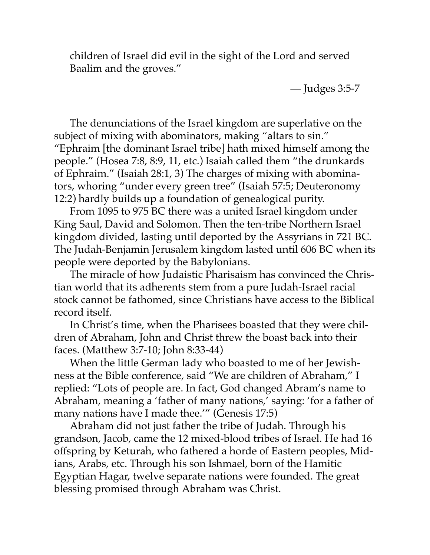children of Israel did evil in the sight of the Lord and served Baalim and the groves."

— Judges 3:5-7

The denunciations of the Israel kingdom are superlative on the subject of mixing with abominators, making "altars to sin." "Ephraim [the dominant Israel tribe] hath mixed himself among the people." (Hosea 7:8, 8:9, 11, etc.) Isaiah called them "the drunkards of Ephraim." (Isaiah 28:1, 3) The charges of mixing with abominators, whoring "under every green tree" (Isaiah 57:5; Deuteronomy 12:2) hardly builds up a foundation of genealogical purity.

From 1095 to 975 BC there was a united Israel kingdom under King Saul, David and Solomon. Then the ten-tribe Northern Israel kingdom divided, lasting until deported by the Assyrians in 721 BC. The Judah-Benjamin Jerusalem kingdom lasted until 606 BC when its people were deported by the Babylonians.

The miracle of how Judaistic Pharisaism has convinced the Christian world that its adherents stem from a pure Judah-Israel racial stock cannot be fathomed, since Christians have access to the Biblical record itself.

In Christ's time, when the Pharisees boasted that they were children of Abraham, John and Christ threw the boast back into their faces. (Matthew 3:7-10; John 8:33-44)

When the little German lady who boasted to me of her Jewishness at the Bible conference, said "We are children of Abraham," I replied: "Lots of people are. In fact, God changed Abram's name to Abraham, meaning a 'father of many nations,' saying: 'for a father of many nations have I made thee.'" (Genesis 17:5)

Abraham did not just father the tribe of Judah. Through his grandson, Jacob, came the 12 mixed-blood tribes of Israel. He had 16 offspring by Keturah, who fathered a horde of Eastern peoples, Midians, Arabs, etc. Through his son Ishmael, born of the Hamitic Egyptian Hagar, twelve separate nations were founded. The great blessing promised through Abraham was Christ.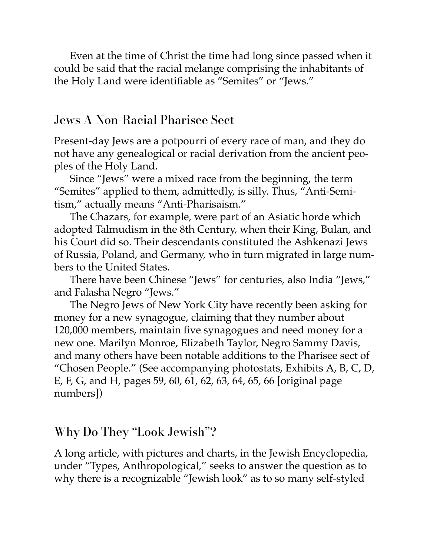Even at the time of Christ the time had long since passed when it could be said that the racial melange comprising the inhabitants of the Holy Land were identifiable as "Semites" or "Jews."

## Jews A Non-Racial Pharisee Sect

Present-day Jews are a potpourri of every race of man, and they do not have any genealogical or racial derivation from the ancient peoples of the Holy Land.

Since "Jews" were a mixed race from the beginning, the term "Semites" applied to them, admittedly, is silly. Thus, "Anti-Semitism," actually means "Anti-Pharisaism."

The Chazars, for example, were part of an Asiatic horde which adopted Talmudism in the 8th Century, when their King, Bulan, and his Court did so. Their descendants constituted the Ashkenazi Jews of Russia, Poland, and Germany, who in turn migrated in large numbers to the United States.

There have been Chinese "Jews" for centuries, also India "Jews," and Falasha Negro "Jews."

The Negro Jews of New York City have recently been asking for money for a new synagogue, claiming that they number about 120,000 members, maintain five synagogues and need money for a new one. Marilyn Monroe, Elizabeth Taylor, Negro Sammy Davis, and many others have been notable additions to the Pharisee sect of "Chosen People." (See accompanying photostats, Exhibits A, B, C, D, E, F, G, and H, pages 59, 60, 61, 62, 63, 64, 65, 66 [original page numbers])

# Why Do They "Look Jewish"?

A long article, with pictures and charts, in the Jewish Encyclopedia, under "Types, Anthropological," seeks to answer the question as to why there is a recognizable "Jewish look" as to so many self-styled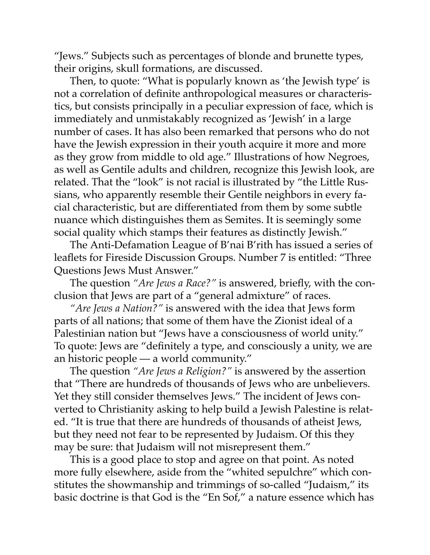"Jews." Subjects such as percentages of blonde and brunette types, their origins, skull formations, are discussed.

Then, to quote: "What is popularly known as 'the Jewish type' is not a correlation of definite anthropological measures or characteristics, but consists principally in a peculiar expression of face, which is immediately and unmistakably recognized as 'Jewish' in a large number of cases. It has also been remarked that persons who do not have the Jewish expression in their youth acquire it more and more as they grow from middle to old age." Illustrations of how Negroes, as well as Gentile adults and children, recognize this Jewish look, are related. That the "look" is not racial is illustrated by "the Little Russians, who apparently resemble their Gentile neighbors in every facial characteristic, but are differentiated from them by some subtle nuance which distinguishes them as Semites. It is seemingly some social quality which stamps their features as distinctly Jewish."

The Anti-Defamation League of B'nai B'rith has issued a series of leaflets for Fireside Discussion Groups. Number 7 is entitled: "Three Questions Jews Must Answer."

The question *"Are Jews a Race?"* is answered, briefly, with the conclusion that Jews are part of a "general admixture" of races.

*"Are Jews a Nation?"* is answered with the idea that Jews form parts of all nations; that some of them have the Zionist ideal of a Palestinian nation but "Jews have a consciousness of world unity." To quote: Jews are "definitely a type, and consciously a unity, we are an historic people — a world community."

The question *"Are Jews a Religion?"* is answered by the assertion that "There are hundreds of thousands of Jews who are unbelievers. Yet they still consider themselves Jews." The incident of Jews converted to Christianity asking to help build a Jewish Palestine is related. "It is true that there are hundreds of thousands of atheist Jews, but they need not fear to be represented by Judaism. Of this they may be sure: that Judaism will not misrepresent them."

This is a good place to stop and agree on that point. As noted more fully elsewhere, aside from the "whited sepulchre" which constitutes the showmanship and trimmings of so-called "Judaism," its basic doctrine is that God is the "En Sof," a nature essence which has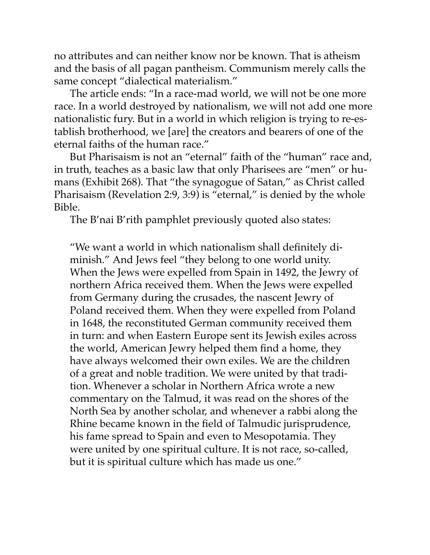no attributes and can neither know nor be known. That is atheism and the basis of all pagan pantheism. Communism merely calls the same concept "dialectical materialism."

The article ends: "In a race-mad world, we will not be one more race. In a world destroyed by nationalism, we will not add one more nationalistic fury. But in a world in which religion is trying to re-establish brotherhood, we [are] the creators and bearers of one of the eternal faiths of the human race."

But Pharisaism is not an "eternal" faith of the "human" race and, in truth, teaches as a basic law that only Pharisees are "men" or humans (Exhibit 268). That "the synagogue of Satan," as Christ called Pharisaism (Revelation 2:9, 3:9) is "eternal," is denied by the whole Bible.

The B'nai B'rith pamphlet previously quoted also states:

"We want a world in which nationalism shall definitely diminish." And Jews feel "they belong to one world unity. When the Jews were expelled from Spain in 1492, the Jewry of northern Africa received them. When the Jews were expelled from Germany during the crusades, the nascent Jewry of Poland received them. When they were expelled from Poland in 1648, the reconstituted German community received them in turn: and when Eastern Europe sent its Jewish exiles across the world, American Jewry helped them find a home, they have always welcomed their own exiles. We are the children of a great and noble tradition. We were united by that tradition. Whenever a scholar in Northern Africa wrote a new commentary on the Talmud, it was read on the shores of the North Sea by another scholar, and whenever a rabbi along the Rhine became known in the field of Talmudic jurisprudence, his fame spread to Spain and even to Mesopotamia. They were united by one spiritual culture. It is not race, so-called, but it is spiritual culture which has made us one."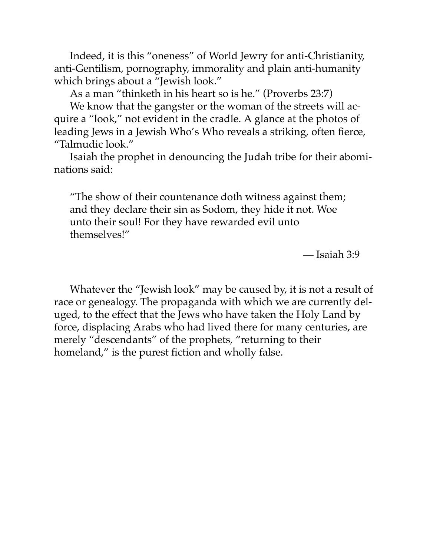Indeed, it is this "oneness" of World Jewry for anti-Christianity, anti-Gentilism, pornography, immorality and plain anti-humanity which brings about a "Jewish look."

As a man "thinketh in his heart so is he." (Proverbs 23:7)

We know that the gangster or the woman of the streets will acquire a "look," not evident in the cradle. A glance at the photos of leading Jews in a Jewish Who's Who reveals a striking, often fierce, "Talmudic look."

Isaiah the prophet in denouncing the Judah tribe for their abominations said:

"The show of their countenance doth witness against them; and they declare their sin as Sodom, they hide it not. Woe unto their soul! For they have rewarded evil unto themselves!"

— Isaiah 3:9

Whatever the "Jewish look" may be caused by, it is not a result of race or genealogy. The propaganda with which we are currently deluged, to the effect that the Jews who have taken the Holy Land by force, displacing Arabs who had lived there for many centuries, are merely "descendants" of the prophets, "returning to their homeland," is the purest fiction and wholly false.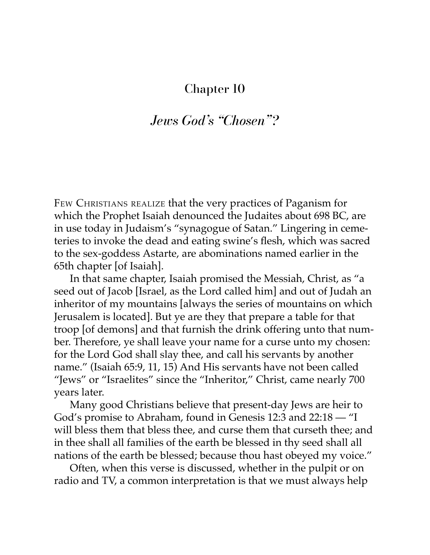#### Chapter 10

#### *Jews God's "Chosen"?*

FEW CHRISTIANS REALIZE that the very practices of Paganism for which the Prophet Isaiah denounced the Judaites about 698 BC, are in use today in Judaism's "synagogue of Satan." Lingering in cemeteries to invoke the dead and eating swine's flesh, which was sacred to the sex-goddess Astarte, are abominations named earlier in the 65th chapter [of Isaiah].

In that same chapter, Isaiah promised the Messiah, Christ, as "a seed out of Jacob [Israel, as the Lord called him] and out of Judah an inheritor of my mountains [always the series of mountains on which Jerusalem is located]. But ye are they that prepare a table for that troop [of demons] and that furnish the drink offering unto that number. Therefore, ye shall leave your name for a curse unto my chosen: for the Lord God shall slay thee, and call his servants by another name." (Isaiah 65:9, 11, 15) And His servants have not been called "Jews" or "Israelites" since the "Inheritor," Christ, came nearly 700 years later.

Many good Christians believe that present-day Jews are heir to God's promise to Abraham, found in Genesis 12:3 and 22:18 — "I will bless them that bless thee, and curse them that curseth thee; and in thee shall all families of the earth be blessed in thy seed shall all nations of the earth be blessed; because thou hast obeyed my voice."

Often, when this verse is discussed, whether in the pulpit or on radio and TV, a common interpretation is that we must always help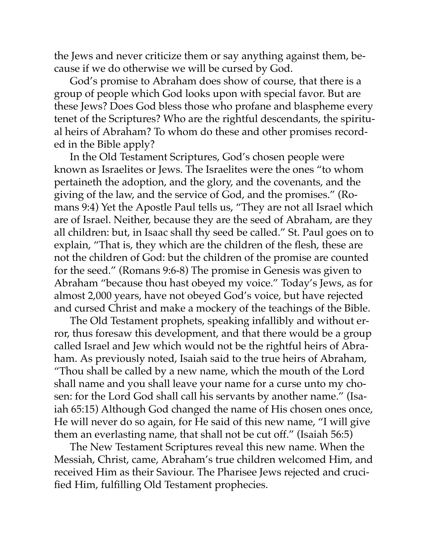the Jews and never criticize them or say anything against them, because if we do otherwise we will be cursed by God.

God's promise to Abraham does show of course, that there is a group of people which God looks upon with special favor. But are these Jews? Does God bless those who profane and blaspheme every tenet of the Scriptures? Who are the rightful descendants, the spiritual heirs of Abraham? To whom do these and other promises recorded in the Bible apply?

In the Old Testament Scriptures, God's chosen people were known as Israelites or Jews. The Israelites were the ones "to whom pertaineth the adoption, and the glory, and the covenants, and the giving of the law, and the service of God, and the promises." (Romans 9:4) Yet the Apostle Paul tells us, "They are not all Israel which are of Israel. Neither, because they are the seed of Abraham, are they all children: but, in Isaac shall thy seed be called." St. Paul goes on to explain, "That is, they which are the children of the flesh, these are not the children of God: but the children of the promise are counted for the seed." (Romans 9:6-8) The promise in Genesis was given to Abraham "because thou hast obeyed my voice." Today's Jews, as for almost 2,000 years, have not obeyed God's voice, but have rejected and cursed Christ and make a mockery of the teachings of the Bible.

The Old Testament prophets, speaking infallibly and without error, thus foresaw this development, and that there would be a group called Israel and Jew which would not be the rightful heirs of Abraham. As previously noted, Isaiah said to the true heirs of Abraham, "Thou shall be called by a new name, which the mouth of the Lord shall name and you shall leave your name for a curse unto my chosen: for the Lord God shall call his servants by another name." (Isaiah 65:15) Although God changed the name of His chosen ones once, He will never do so again, for He said of this new name, "I will give them an everlasting name, that shall not be cut off." (Isaiah 56:5)

The New Testament Scriptures reveal this new name. When the Messiah, Christ, came, Abraham's true children welcomed Him, and received Him as their Saviour. The Pharisee Jews rejected and crucified Him, fulfilling Old Testament prophecies.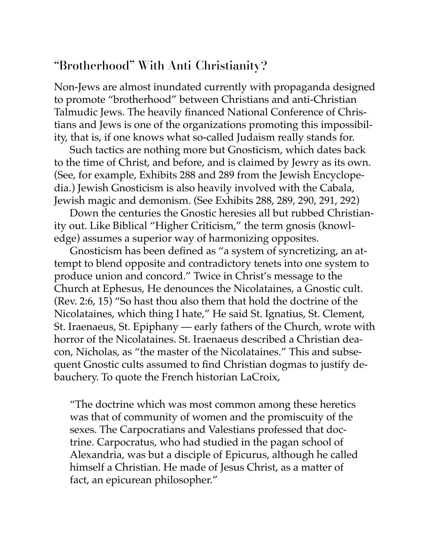# "Brotherhood" With Anti-Christianity?

Non-Jews are almost inundated currently with propaganda designed to promote "brotherhood" between Christians and anti-Christian Talmudic Jews. The heavily financed National Conference of Christians and Jews is one of the organizations promoting this impossibility, that is, if one knows what so-called Judaism really stands for.

Such tactics are nothing more but Gnosticism, which dates back to the time of Christ, and before, and is claimed by Jewry as its own. (See, for example, Exhibits 288 and 289 from the Jewish Encyclopedia.) Jewish Gnosticism is also heavily involved with the Cabala, Jewish magic and demonism. (See Exhibits 288, 289, 290, 291, 292)

Down the centuries the Gnostic heresies all but rubbed Christianity out. Like Biblical "Higher Criticism," the term gnosis (knowledge) assumes a superior way of harmonizing opposites.

Gnosticism has been defined as "a system of syncretizing, an attempt to blend opposite and contradictory tenets into one system to produce union and concord." Twice in Christ's message to the Church at Ephesus, He denounces the Nicolataines, a Gnostic cult. (Rev. 2:6, 15) "So hast thou also them that hold the doctrine of the Nicolataines, which thing I hate," He said St. Ignatius, St. Clement, St. Iraenaeus, St. Epiphany — early fathers of the Church, wrote with horror of the Nicolataines. St. Iraenaeus described a Christian deacon, Nicholas, as "the master of the Nicolataines." This and subsequent Gnostic cults assumed to find Christian dogmas to justify debauchery. To quote the French historian LaCroix,

"The doctrine which was most common among these heretics was that of community of women and the promiscuity of the sexes. The Carpocratians and Valestians professed that doctrine. Carpocratus, who had studied in the pagan school of Alexandria, was but a disciple of Epicurus, although he called himself a Christian. He made of Jesus Christ, as a matter of fact, an epicurean philosopher."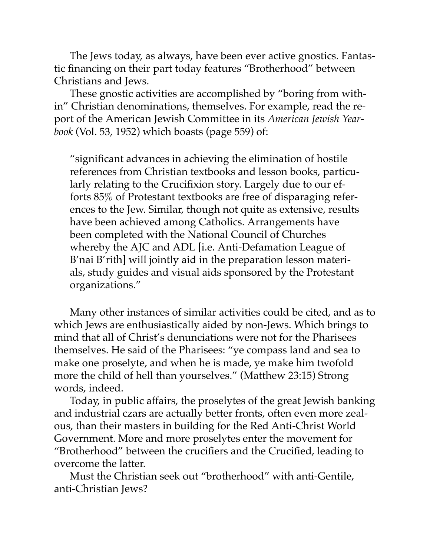The Jews today, as always, have been ever active gnostics. Fantastic financing on their part today features "Brotherhood" between Christians and Jews.

These gnostic activities are accomplished by "boring from within" Christian denominations, themselves. For example, read the report of the American Jewish Committee in its *American Jewish Yearbook* (Vol. 53, 1952) which boasts (page 559) of:

"significant advances in achieving the elimination of hostile references from Christian textbooks and lesson books, particularly relating to the Crucifixion story. Largely due to our efforts 85% of Protestant textbooks are free of disparaging references to the Jew. Similar, though not quite as extensive, results have been achieved among Catholics. Arrangements have been completed with the National Council of Churches whereby the AJC and ADL [i.e. Anti-Defamation League of B'nai B'rith] will jointly aid in the preparation lesson materials, study guides and visual aids sponsored by the Protestant organizations."

Many other instances of similar activities could be cited, and as to which Jews are enthusiastically aided by non-Jews. Which brings to mind that all of Christ's denunciations were not for the Pharisees themselves. He said of the Pharisees: "ye compass land and sea to make one proselyte, and when he is made, ye make him twofold more the child of hell than yourselves." (Matthew 23:15) Strong words, indeed.

Today, in public affairs, the proselytes of the great Jewish banking and industrial czars are actually better fronts, often even more zealous, than their masters in building for the Red Anti-Christ World Government. More and more proselytes enter the movement for "Brotherhood" between the crucifiers and the Crucified, leading to overcome the latter.

Must the Christian seek out "brotherhood" with anti-Gentile, anti-Christian Jews?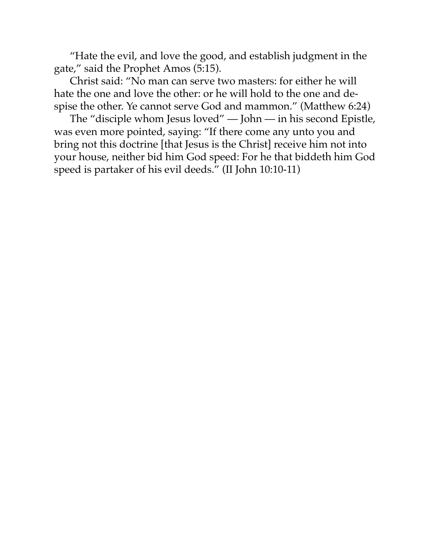"Hate the evil, and love the good, and establish judgment in the gate," said the Prophet Amos (5:15).

Christ said: "No man can serve two masters: for either he will hate the one and love the other: or he will hold to the one and despise the other. Ye cannot serve God and mammon." (Matthew 6:24)

The "disciple whom Jesus loved" — John — in his second Epistle, was even more pointed, saying: "If there come any unto you and bring not this doctrine [that Jesus is the Christ] receive him not into your house, neither bid him God speed: For he that biddeth him God speed is partaker of his evil deeds." (II John 10:10-11)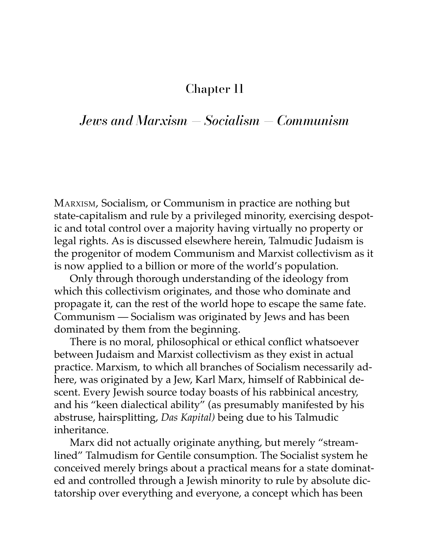# Chapter 11

# *Jews and Marxism — Socialism — Communism*

MARXISM, Socialism, or Communism in practice are nothing but state-capitalism and rule by a privileged minority, exercising despotic and total control over a majority having virtually no property or legal rights. As is discussed elsewhere herein, Talmudic Judaism is the progenitor of modem Communism and Marxist collectivism as it is now applied to a billion or more of the world's population.

Only through thorough understanding of the ideology from which this collectivism originates, and those who dominate and propagate it, can the rest of the world hope to escape the same fate. Communism — Socialism was originated by Jews and has been dominated by them from the beginning.

There is no moral, philosophical or ethical conflict whatsoever between Judaism and Marxist collectivism as they exist in actual practice. Marxism, to which all branches of Socialism necessarily adhere, was originated by a Jew, Karl Marx, himself of Rabbinical descent. Every Jewish source today boasts of his rabbinical ancestry, and his "keen dialectical ability" (as presumably manifested by his abstruse, hairsplitting, *Das Kapital)* being due to his Talmudic inheritance.

Marx did not actually originate anything, but merely "streamlined" Talmudism for Gentile consumption. The Socialist system he conceived merely brings about a practical means for a state dominated and controlled through a Jewish minority to rule by absolute dictatorship over everything and everyone, a concept which has been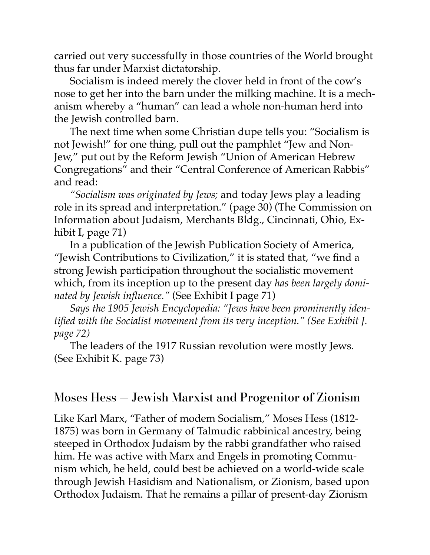carried out very successfully in those countries of the World brought thus far under Marxist dictatorship.

Socialism is indeed merely the clover held in front of the cow's nose to get her into the barn under the milking machine. It is a mechanism whereby a "human" can lead a whole non-human herd into the Jewish controlled barn.

The next time when some Christian dupe tells you: "Socialism is not Jewish!" for one thing, pull out the pamphlet "Jew and Non-Jew," put out by the Reform Jewish "Union of American Hebrew Congregations" and their "Central Conference of American Rabbis" and read:

*"Socialism was originated by Jews;* and today Jews play a leading role in its spread and interpretation." (page 30) (The Commission on Information about Judaism, Merchants Bldg., Cincinnati, Ohio, Exhibit I, page 71)

In a publication of the Jewish Publication Society of America, "Jewish Contributions to Civilization," it is stated that, "we find a strong Jewish participation throughout the socialistic movement which, from its inception up to the present day *has been largely dominated by Jewish influence."* (See Exhibit I page 71)

*Says the 1905 Jewish Encyclopedia: "Jews have been prominently identified with the Socialist movement from its very inception." (See Exhibit J. page 72)*

The leaders of the 1917 Russian revolution were mostly Jews. (See Exhibit K. page 73)

### Moses Hess — Jewish Marxist and Progenitor of Zionism

Like Karl Marx, "Father of modem Socialism," Moses Hess (1812- 1875) was born in Germany of Talmudic rabbinical ancestry, being steeped in Orthodox Judaism by the rabbi grandfather who raised him. He was active with Marx and Engels in promoting Communism which, he held, could best be achieved on a world-wide scale through Jewish Hasidism and Nationalism, or Zionism, based upon Orthodox Judaism. That he remains a pillar of present-day Zionism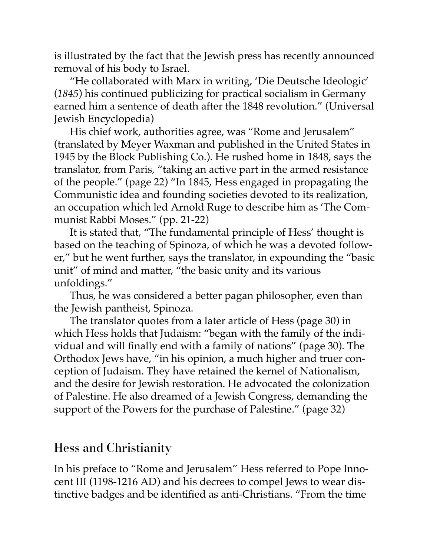is illustrated by the fact that the Jewish press has recently announced removal of his body to Israel.

"He collaborated with Marx in writing, 'Die Deutsche Ideologic' (*1845*) his continued publicizing for practical socialism in Germany earned him a sentence of death after the 1848 revolution." (Universal Jewish Encyclopedia)

His chief work, authorities agree, was "Rome and Jerusalem" (translated by Meyer Waxman and published in the United States in 1945 by the Block Publishing Co.). He rushed home in 1848, says the translator, from Paris, "taking an active part in the armed resistance of the people." (page 22) "In 1845, Hess engaged in propagating the Communistic idea and founding societies devoted to its realization, an occupation which led Arnold Ruge to describe him as 'The Communist Rabbi Moses." (pp. 21-22)

It is stated that, "The fundamental principle of Hess' thought is based on the teaching of Spinoza, of which he was a devoted follower," but he went further, says the translator, in expounding the "basic unit" of mind and matter, "the basic unity and its various unfoldings."

Thus, he was considered a better pagan philosopher, even than the Jewish pantheist, Spinoza.

The translator quotes from a later article of Hess (page 30) in which Hess holds that Judaism: "began with the family of the individual and will finally end with a family of nations" (page 30). The Orthodox Jews have, "in his opinion, a much higher and truer conception of Judaism. They have retained the kernel of Nationalism, and the desire for Jewish restoration. He advocated the colonization of Palestine. He also dreamed of a Jewish Congress, demanding the support of the Powers for the purchase of Palestine." (page 32)

### Hess and Christianity

In his preface to "Rome and Jerusalem" Hess referred to Pope Innocent III (1198-1216 AD) and his decrees to compel Jews to wear distinctive badges and be identified as anti-Christians. "From the time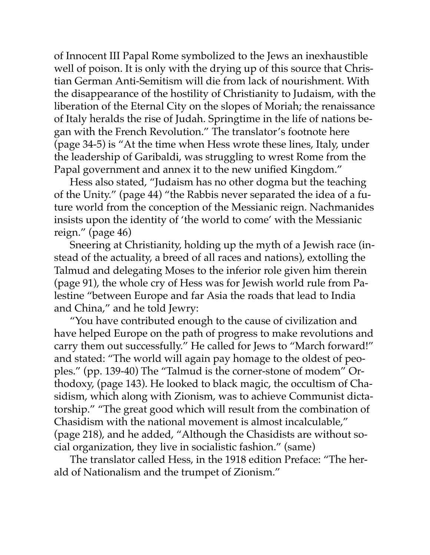of Innocent III Papal Rome symbolized to the Jews an inexhaustible well of poison. It is only with the drying up of this source that Christian German Anti-Semitism will die from lack of nourishment. With the disappearance of the hostility of Christianity to Judaism, with the liberation of the Eternal City on the slopes of Moriah; the renaissance of Italy heralds the rise of Judah. Springtime in the life of nations began with the French Revolution." The translator's footnote here (page 34-5) is "At the time when Hess wrote these lines, Italy, under the leadership of Garibaldi, was struggling to wrest Rome from the Papal government and annex it to the new unified Kingdom."

Hess also stated, "Judaism has no other dogma but the teaching of the Unity." (page 44) "the Rabbis never separated the idea of a future world from the conception of the Messianic reign. Nachmanides insists upon the identity of 'the world to come' with the Messianic reign." (page 46)

Sneering at Christianity, holding up the myth of a Jewish race (instead of the actuality, a breed of all races and nations), extolling the Talmud and delegating Moses to the inferior role given him therein (page 91), the whole cry of Hess was for Jewish world rule from Palestine "between Europe and far Asia the roads that lead to India and China," and he told Jewry:

"You have contributed enough to the cause of civilization and have helped Europe on the path of progress to make revolutions and carry them out successfully." He called for Jews to "March forward!" and stated: "The world will again pay homage to the oldest of peoples." (pp. 139-40) The "Talmud is the corner-stone of modem" Orthodoxy, (page 143). He looked to black magic, the occultism of Chasidism, which along with Zionism, was to achieve Communist dictatorship." "The great good which will result from the combination of Chasidism with the national movement is almost incalculable," (page 218), and he added, "Although the Chasidists are without social organization, they live in socialistic fashion." (same)

The translator called Hess, in the 1918 edition Preface: "The herald of Nationalism and the trumpet of Zionism."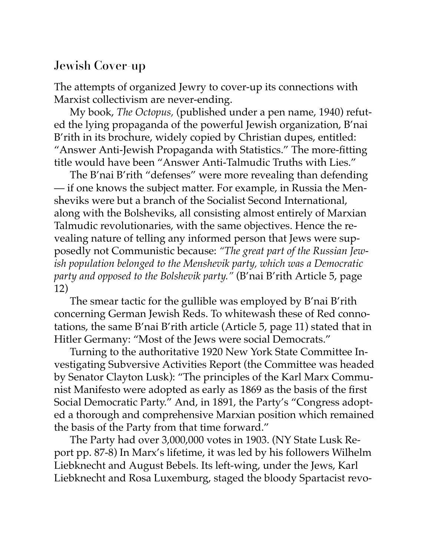# Jewish Cover-up

The attempts of organized Jewry to cover-up its connections with Marxist collectivism are never-ending.

My book, *The Octopus,* (published under a pen name, 1940) refuted the lying propaganda of the powerful Jewish organization, B'nai B'rith in its brochure, widely copied by Christian dupes, entitled: "Answer Anti-Jewish Propaganda with Statistics." The more-fitting title would have been "Answer Anti-Talmudic Truths with Lies."

The B'nai B'rith "defenses" were more revealing than defending — if one knows the subject matter. For example, in Russia the Mensheviks were but a branch of the Socialist Second International, along with the Bolsheviks, all consisting almost entirely of Marxian Talmudic revolutionaries, with the same objectives. Hence the revealing nature of telling any informed person that Jews were supposedly not Communistic because: *"The great part of the Russian Jewish population belonged to the Menshevik party, which was a Democratic party and opposed to the Bolshevik party."* (B'nai B'rith Article 5, page 12)

The smear tactic for the gullible was employed by B'nai B'rith concerning German Jewish Reds. To whitewash these of Red connotations, the same B'nai B'rith article (Article 5, page 11) stated that in Hitler Germany: "Most of the Jews were social Democrats."

Turning to the authoritative 1920 New York State Committee Investigating Subversive Activities Report (the Committee was headed by Senator Clayton Lusk): "The principles of the Karl Marx Communist Manifesto were adopted as early as 1869 as the basis of the first Social Democratic Party." And, in 1891, the Party's "Congress adopted a thorough and comprehensive Marxian position which remained the basis of the Party from that time forward."

The Party had over 3,000,000 votes in 1903. (NY State Lusk Report pp. 87-8) In Marx's lifetime, it was led by his followers Wilhelm Liebknecht and August Bebels. Its left-wing, under the Jews, Karl Liebknecht and Rosa Luxemburg, staged the bloody Spartacist revo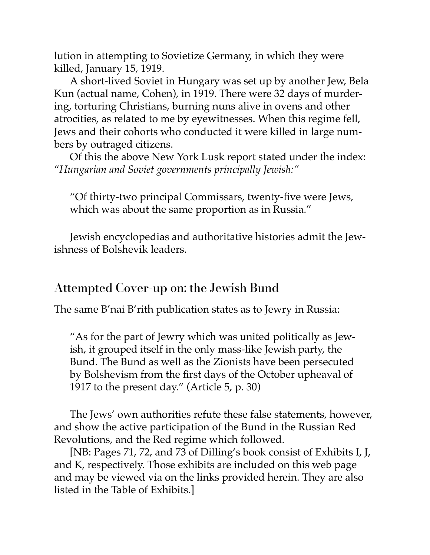lution in attempting to Sovietize Germany, in which they were killed, January 15, 1919.

A short-lived Soviet in Hungary was set up by another Jew, Bela Kun (actual name, Cohen), in 1919. There were 32 days of murdering, torturing Christians, burning nuns alive in ovens and other atrocities, as related to me by eyewitnesses. When this regime fell, Jews and their cohorts who conducted it were killed in large numbers by outraged citizens.

Of this the above New York Lusk report stated under the index: "*Hungarian and Soviet governments principally Jewish:"*

"Of thirty-two principal Commissars, twenty-five were Jews, which was about the same proportion as in Russia."

Jewish encyclopedias and authoritative histories admit the Jewishness of Bolshevik leaders.

#### Attempted Cover-up on: the Jewish Bund

The same B'nai B'rith publication states as to Jewry in Russia:

"As for the part of Jewry which was united politically as Jewish, it grouped itself in the only mass-like Jewish party, the Bund. The Bund as well as the Zionists have been persecuted by Bolshevism from the first days of the October upheaval of 1917 to the present day." (Article 5, p. 30)

The Jews' own authorities refute these false statements, however, and show the active participation of the Bund in the Russian Red Revolutions, and the Red regime which followed.

[NB: Pages 71, 72, and 73 of Dilling's book consist of Exhibits I, J, and K, respectively. Those exhibits are included on this web page and may be viewed via on the links provided herein. They are also listed in the Table of Exhibits.]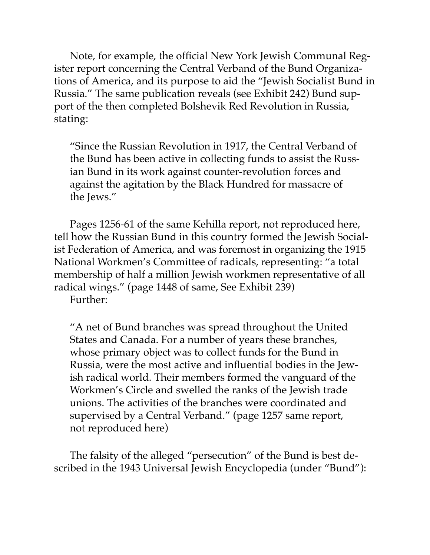Note, for example, the official New York Jewish Communal Register report concerning the Central Verband of the Bund Organizations of America, and its purpose to aid the "Jewish Socialist Bund in Russia." The same publication reveals (see Exhibit 242) Bund support of the then completed Bolshevik Red Revolution in Russia, stating:

"Since the Russian Revolution in 1917, the Central Verband of the Bund has been active in collecting funds to assist the Russian Bund in its work against counter-revolution forces and against the agitation by the Black Hundred for massacre of the Jews."

Pages 1256-61 of the same Kehilla report, not reproduced here, tell how the Russian Bund in this country formed the Jewish Socialist Federation of America, and was foremost in organizing the 1915 National Workmen's Committee of radicals, representing: "a total membership of half a million Jewish workmen representative of all radical wings." (page 1448 of same, See Exhibit 239)

Further:

"A net of Bund branches was spread throughout the United States and Canada. For a number of years these branches, whose primary object was to collect funds for the Bund in Russia, were the most active and influential bodies in the Jewish radical world. Their members formed the vanguard of the Workmen's Circle and swelled the ranks of the Jewish trade unions. The activities of the branches were coordinated and supervised by a Central Verband." (page 1257 same report, not reproduced here)

The falsity of the alleged "persecution" of the Bund is best described in the 1943 Universal Jewish Encyclopedia (under "Bund"):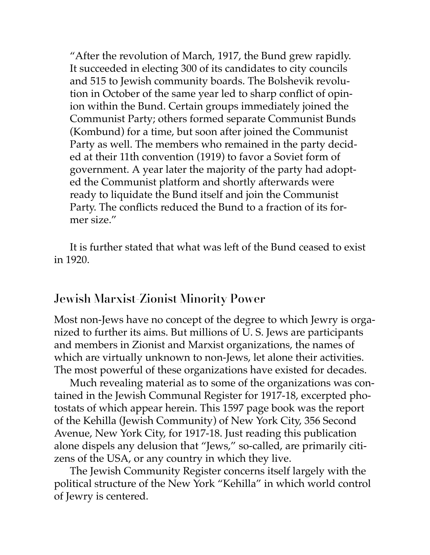"After the revolution of March, 1917, the Bund grew rapidly. It succeeded in electing 300 of its candidates to city councils and 515 to Jewish community boards. The Bolshevik revolution in October of the same year led to sharp conflict of opinion within the Bund. Certain groups immediately joined the Communist Party; others formed separate Communist Bunds (Kombund) for a time, but soon after joined the Communist Party as well. The members who remained in the party decided at their 11th convention (1919) to favor a Soviet form of government. A year later the majority of the party had adopted the Communist platform and shortly afterwards were ready to liquidate the Bund itself and join the Communist Party. The conflicts reduced the Bund to a fraction of its former size."

It is further stated that what was left of the Bund ceased to exist in 1920.

#### Jewish Marxist-Zionist Minority Power

Most non-Jews have no concept of the degree to which Jewry is organized to further its aims. But millions of U. S. Jews are participants and members in Zionist and Marxist organizations, the names of which are virtually unknown to non-Jews, let alone their activities. The most powerful of these organizations have existed for decades.

Much revealing material as to some of the organizations was contained in the Jewish Communal Register for 1917-18, excerpted photostats of which appear herein. This 1597 page book was the report of the Kehilla (Jewish Community) of New York City, 356 Second Avenue, New York City, for 1917-18. Just reading this publication alone dispels any delusion that "Jews," so-called, are primarily citizens of the USA, or any country in which they live.

The Jewish Community Register concerns itself largely with the political structure of the New York "Kehilla" in which world control of Jewry is centered.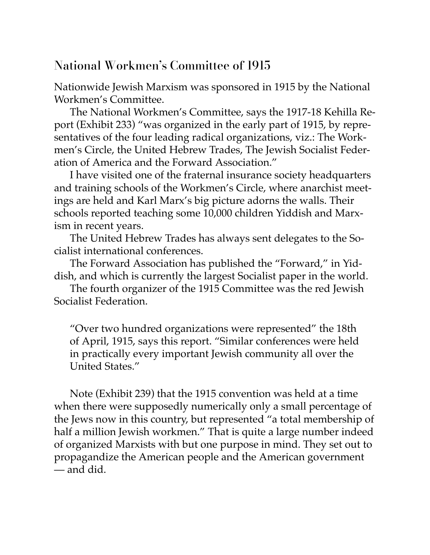# National Workmen ' s Committee of 1915

Nationwide Jewish Marxism was sponsored in 1915 by the National Workmen's Committee.

The National Workmen's Committee, says the 1917-18 Kehilla Report (Exhibit 233) "was organized in the early part of 1915, by representatives of the four leading radical organizations, viz.: The Workmen's Circle, the United Hebrew Trades, The Jewish Socialist Federation of America and the Forward Association."

I have visited one of the fraternal insurance society headquarters and training schools of the Workmen's Circle, where anarchist meetings are held and Karl Marx's big picture adorns the walls. Their schools reported teaching some 10,000 children Yiddish and Marxism in recent years.

The United Hebrew Trades has always sent delegates to the Socialist international conferences.

The Forward Association has published the "Forward," in Yiddish, and which is currently the largest Socialist paper in the world.

The fourth organizer of the 1915 Committee was the red Jewish Socialist Federation.

"Over two hundred organizations were represented" the 18th of April, 1915, says this report. "Similar conferences were held in practically every important Jewish community all over the United States."

Note (Exhibit 239) that the 1915 convention was held at a time when there were supposedly numerically only a small percentage of the Jews now in this country, but represented "a total membership of half a million Jewish workmen." That is quite a large number indeed of organized Marxists with but one purpose in mind. They set out to propagandize the American people and the American government — and did.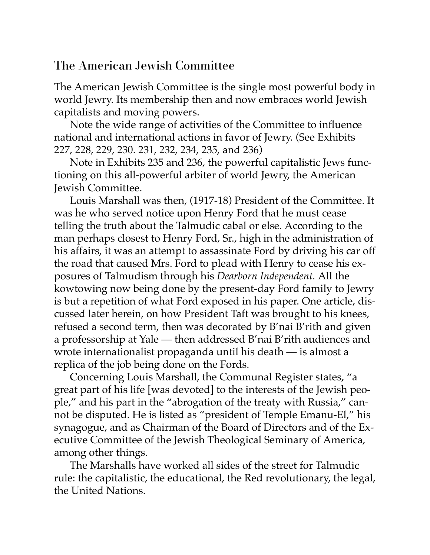### The American Jewish Committee

The American Jewish Committee is the single most powerful body in world Jewry. Its membership then and now embraces world Jewish capitalists and moving powers.

Note the wide range of activities of the Committee to influence national and international actions in favor of Jewry. (See Exhibits 227, 228, 229, 230. 231, 232, 234, 235, and 236)

Note in Exhibits 235 and 236, the powerful capitalistic Jews functioning on this all-powerful arbiter of world Jewry, the American Jewish Committee.

Louis Marshall was then, (1917-18) President of the Committee. It was he who served notice upon Henry Ford that he must cease telling the truth about the Talmudic cabal or else. According to the man perhaps closest to Henry Ford, Sr., high in the administration of his affairs, it was an attempt to assassinate Ford by driving his car off the road that caused Mrs. Ford to plead with Henry to cease his exposures of Talmudism through his *Dearborn Independent.* All the kowtowing now being done by the present-day Ford family to Jewry is but a repetition of what Ford exposed in his paper. One article, discussed later herein, on how President Taft was brought to his knees, refused a second term, then was decorated by B'nai B'rith and given a professorship at Yale — then addressed B'nai B'rith audiences and wrote internationalist propaganda until his death — is almost a replica of the job being done on the Fords.

Concerning Louis Marshall, the Communal Register states, "a great part of his life [was devoted] to the interests of the Jewish people," and his part in the "abrogation of the treaty with Russia," cannot be disputed. He is listed as "president of Temple Emanu-El," his synagogue, and as Chairman of the Board of Directors and of the Executive Committee of the Jewish Theological Seminary of America, among other things.

The Marshalls have worked all sides of the street for Talmudic rule: the capitalistic, the educational, the Red revolutionary, the legal, the United Nations.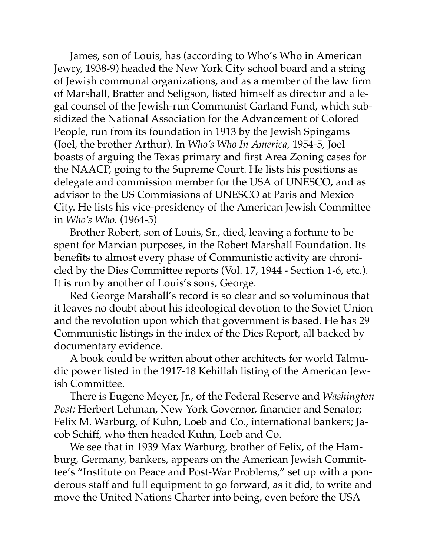James, son of Louis, has (according to Who's Who in American Jewry, 1938-9) headed the New York City school board and a string of Jewish communal organizations, and as a member of the law firm of Marshall, Bratter and Seligson, listed himself as director and a legal counsel of the Jewish-run Communist Garland Fund, which subsidized the National Association for the Advancement of Colored People, run from its foundation in 1913 by the Jewish Spingams (Joel, the brother Arthur). In *Who's Who In America,* 1954-5, Joel boasts of arguing the Texas primary and first Area Zoning cases for the NAACP, going to the Supreme Court. He lists his positions as delegate and commission member for the USA of UNESCO, and as advisor to the US Commissions of UNESCO at Paris and Mexico City. He lists his vice-presidency of the American Jewish Committee in *Who's Who.* (1964-5)

Brother Robert, son of Louis, Sr., died, leaving a fortune to be spent for Marxian purposes, in the Robert Marshall Foundation. Its benefits to almost every phase of Communistic activity are chronicled by the Dies Committee reports (Vol. 17, 1944 - Section 1-6, etc.). It is run by another of Louis's sons, George.

Red George Marshall's record is so clear and so voluminous that it leaves no doubt about his ideological devotion to the Soviet Union and the revolution upon which that government is based. He has 29 Communistic listings in the index of the Dies Report, all backed by documentary evidence.

A book could be written about other architects for world Talmudic power listed in the 1917-18 Kehillah listing of the American Jewish Committee.

There is Eugene Meyer, Jr., of the Federal Reserve and *Washington Post;* Herbert Lehman, New York Governor, financier and Senator; Felix M. Warburg, of Kuhn, Loeb and Co., international bankers; Jacob Schiff, who then headed Kuhn, Loeb and Co.

We see that in 1939 Max Warburg, brother of Felix, of the Hamburg, Germany, bankers, appears on the American Jewish Committee's "Institute on Peace and Post-War Problems," set up with a ponderous staff and full equipment to go forward, as it did, to write and move the United Nations Charter into being, even before the USA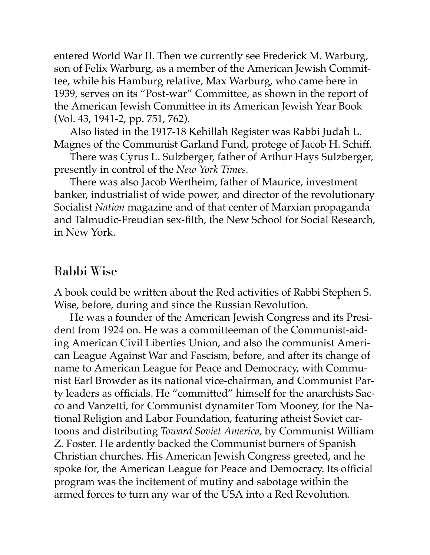entered World War II. Then we currently see Frederick M. Warburg, son of Felix Warburg, as a member of the American Jewish Committee, while his Hamburg relative, Max Warburg, who came here in 1939, serves on its "Post-war" Committee, as shown in the report of the American Jewish Committee in its American Jewish Year Book (Vol. 43, 1941-2, pp. 751, 762).

Also listed in the 1917-18 Kehillah Register was Rabbi Judah L. Magnes of the Communist Garland Fund, protege of Jacob H. Schiff.

There was Cyrus L. Sulzberger, father of Arthur Hays Sulzberger, presently in control of the *New York Times.*

There was also Jacob Wertheim, father of Maurice, investment banker, industrialist of wide power, and director of the revolutionary Socialist *Nation* magazine and of that center of Marxian propaganda and Talmudic-Freudian sex-filth, the New School for Social Research, in New York.

#### Rabbi Wise

A book could be written about the Red activities of Rabbi Stephen S. Wise, before, during and since the Russian Revolution.

He was a founder of the American Jewish Congress and its President from 1924 on. He was a committeeman of the Communist-aiding American Civil Liberties Union, and also the communist American League Against War and Fascism, before, and after its change of name to American League for Peace and Democracy, with Communist Earl Browder as its national vice-chairman, and Communist Party leaders as officials. He "committed" himself for the anarchists Sacco and Vanzetti, for Communist dynamiter Tom Mooney, for the National Religion and Labor Foundation, featuring atheist Soviet cartoons and distributing *Toward Soviet America,* by Communist William Z. Foster. He ardently backed the Communist burners of Spanish Christian churches. His American Jewish Congress greeted, and he spoke for, the American League for Peace and Democracy. Its official program was the incitement of mutiny and sabotage within the armed forces to turn any war of the USA into a Red Revolution.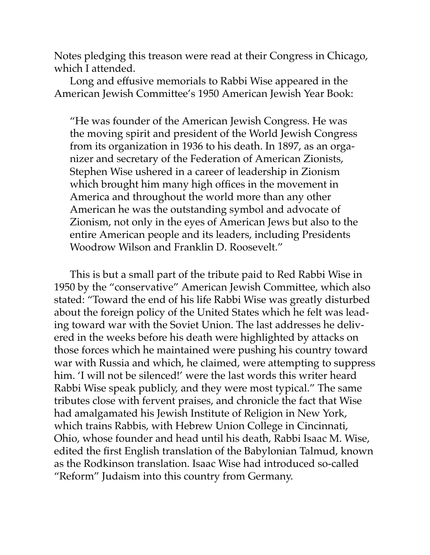Notes pledging this treason were read at their Congress in Chicago, which I attended.

Long and effusive memorials to Rabbi Wise appeared in the American Jewish Committee's 1950 American Jewish Year Book:

"He was founder of the American Jewish Congress. He was the moving spirit and president of the World Jewish Congress from its organization in 1936 to his death. In 1897, as an organizer and secretary of the Federation of American Zionists, Stephen Wise ushered in a career of leadership in Zionism which brought him many high offices in the movement in America and throughout the world more than any other American he was the outstanding symbol and advocate of Zionism, not only in the eyes of American Jews but also to the entire American people and its leaders, including Presidents Woodrow Wilson and Franklin D. Roosevelt."

This is but a small part of the tribute paid to Red Rabbi Wise in 1950 by the "conservative" American Jewish Committee, which also stated: "Toward the end of his life Rabbi Wise was greatly disturbed about the foreign policy of the United States which he felt was leading toward war with the Soviet Union. The last addresses he delivered in the weeks before his death were highlighted by attacks on those forces which he maintained were pushing his country toward war with Russia and which, he claimed, were attempting to suppress him. I will not be silenced!' were the last words this writer heard Rabbi Wise speak publicly, and they were most typical." The same tributes close with fervent praises, and chronicle the fact that Wise had amalgamated his Jewish Institute of Religion in New York, which trains Rabbis, with Hebrew Union College in Cincinnati, Ohio, whose founder and head until his death, Rabbi Isaac M. Wise, edited the first English translation of the Babylonian Talmud, known as the Rodkinson translation. Isaac Wise had introduced so-called "Reform" Judaism into this country from Germany.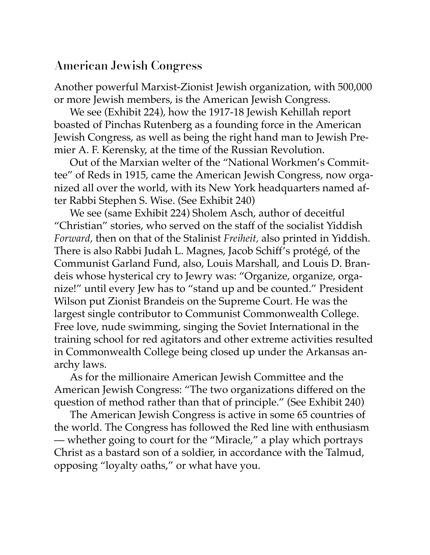# American Jewish Congress

Another powerful Marxist-Zionist Jewish organization, with 500,000 or more Jewish members, is the American Jewish Congress.

We see (Exhibit 224), how the 1917-18 Jewish Kehillah report boasted of Pinchas Rutenberg as a founding force in the American Jewish Congress, as well as being the right hand man to Jewish Premier A. F. Kerensky, at the time of the Russian Revolution.

Out of the Marxian welter of the "National Workmen's Committee" of Reds in 1915, came the American Jewish Congress, now organized all over the world, with its New York headquarters named after Rabbi Stephen S. Wise. (See Exhibit 240)

We see (same Exhibit 224) Sholem Asch, author of deceitful "Christian" stories, who served on the staff of the socialist Yiddish *Forward,* then on that of the Stalinist *Freiheit,* also printed in Yiddish. There is also Rabbi Judah L. Magnes, Jacob Schiff's protégé, of the Communist Garland Fund, also, Louis Marshall, and Louis D. Brandeis whose hysterical cry to Jewry was: "Organize, organize, organize!" until every Jew has to "stand up and be counted." President Wilson put Zionist Brandeis on the Supreme Court. He was the largest single contributor to Communist Commonwealth College. Free love, nude swimming, singing the Soviet International in the training school for red agitators and other extreme activities resulted in Commonwealth College being closed up under the Arkansas anarchy laws.

As for the millionaire American Jewish Committee and the American Jewish Congress: "The two organizations differed on the question of method rather than that of principle." (See Exhibit 240)

The American Jewish Congress is active in some 65 countries of the world. The Congress has followed the Red line with enthusiasm — whether going to court for the "Miracle," a play which portrays Christ as a bastard son of a soldier, in accordance with the Talmud, opposing "loyalty oaths," or what have you.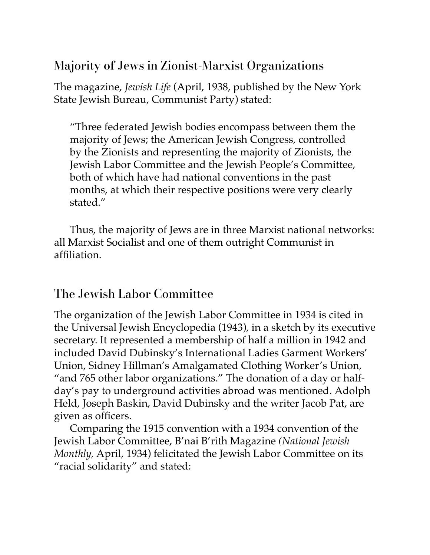# Majority of Jews in Zionist-Marxist Organizations

The magazine, *Jewish Life* (April, 1938, published by the New York State Jewish Bureau, Communist Party) stated:

"Three federated Jewish bodies encompass between them the majority of Jews; the American Jewish Congress, controlled by the Zionists and representing the majority of Zionists, the Jewish Labor Committee and the Jewish People's Committee, both of which have had national conventions in the past months, at which their respective positions were very clearly stated."

Thus, the majority of Jews are in three Marxist national networks: all Marxist Socialist and one of them outright Communist in affiliation.

# The Jewish Labor Committee

The organization of the Jewish Labor Committee in 1934 is cited in the Universal Jewish Encyclopedia (1943), in a sketch by its executive secretary. It represented a membership of half a million in 1942 and included David Dubinsky's International Ladies Garment Workers' Union, Sidney Hillman's Amalgamated Clothing Worker's Union, "and 765 other labor organizations." The donation of a day or halfday's pay to underground activities abroad was mentioned. Adolph Held, Joseph Baskin, David Dubinsky and the writer Jacob Pat, are given as officers.

Comparing the 1915 convention with a 1934 convention of the Jewish Labor Committee, B'nai B'rith Magazine *(National Jewish Monthly,* April, 1934) felicitated the Jewish Labor Committee on its "racial solidarity" and stated: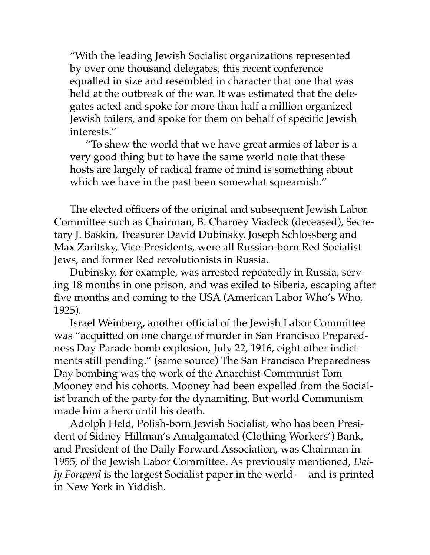"With the leading Jewish Socialist organizations represented by over one thousand delegates, this recent conference equalled in size and resembled in character that one that was held at the outbreak of the war. It was estimated that the delegates acted and spoke for more than half a million organized Jewish toilers, and spoke for them on behalf of specific Jewish interests."

"To show the world that we have great armies of labor is a very good thing but to have the same world note that these hosts are largely of radical frame of mind is something about which we have in the past been somewhat squeamish."

The elected officers of the original and subsequent Jewish Labor Committee such as Chairman, B. Charney Viadeck (deceased), Secretary J. Baskin, Treasurer David Dubinsky, Joseph Schlossberg and Max Zaritsky, Vice-Presidents, were all Russian-born Red Socialist Jews, and former Red revolutionists in Russia.

Dubinsky, for example, was arrested repeatedly in Russia, serving 18 months in one prison, and was exiled to Siberia, escaping after five months and coming to the USA (American Labor Who's Who, 1925).

Israel Weinberg, another official of the Jewish Labor Committee was "acquitted on one charge of murder in San Francisco Preparedness Day Parade bomb explosion, July 22, 1916, eight other indictments still pending." (same source) The San Francisco Preparedness Day bombing was the work of the Anarchist-Communist Tom Mooney and his cohorts. Mooney had been expelled from the Socialist branch of the party for the dynamiting. But world Communism made him a hero until his death.

Adolph Held, Polish-born Jewish Socialist, who has been President of Sidney Hillman's Amalgamated (Clothing Workers') Bank, and President of the Daily Forward Association, was Chairman in 1955, of the Jewish Labor Committee. As previously mentioned, *Daily Forward* is the largest Socialist paper in the world — and is printed in New York in Yiddish.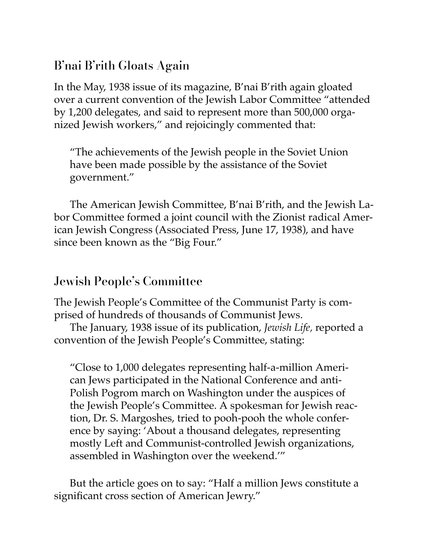# B' nai B' rith Gloats Again

In the May, 1938 issue of its magazine, B'nai B'rith again gloated over a current convention of the Jewish Labor Committee "attended by 1,200 delegates, and said to represent more than 500,000 organized Jewish workers," and rejoicingly commented that:

"The achievements of the Jewish people in the Soviet Union have been made possible by the assistance of the Soviet government."

The American Jewish Committee, B'nai B'rith, and the Jewish Labor Committee formed a joint council with the Zionist radical American Jewish Congress (Associated Press, June 17, 1938), and have since been known as the "Big Four."

# Jewish People ' s Committee

The Jewish People's Committee of the Communist Party is comprised of hundreds of thousands of Communist Jews.

The January, 1938 issue of its publication, *Jewish Life,* reported a convention of the Jewish People's Committee, stating:

"Close to 1,000 delegates representing half-a-million American Jews participated in the National Conference and anti-Polish Pogrom march on Washington under the auspices of the Jewish People's Committee. A spokesman for Jewish reaction, Dr. S. Margoshes, tried to pooh-pooh the whole conference by saying: 'About a thousand delegates, representing mostly Left and Communist-controlled Jewish organizations, assembled in Washington over the weekend.'"

But the article goes on to say: "Half a million Jews constitute a significant cross section of American Jewry."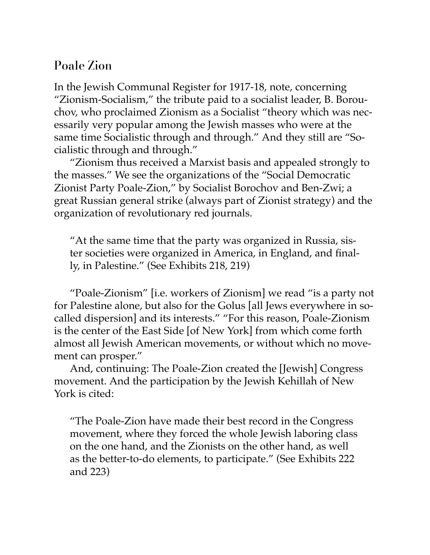# Poale Zion

In the Jewish Communal Register for 1917-18, note, concerning "Zionism-Socialism," the tribute paid to a socialist leader, B. Borouchov, who proclaimed Zionism as a Socialist "theory which was necessarily very popular among the Jewish masses who were at the same time Socialistic through and through." And they still are "Socialistic through and through."

"Zionism thus received a Marxist basis and appealed strongly to the masses." We see the organizations of the "Social Democratic Zionist Party Poale-Zion," by Socialist Borochov and Ben-Zwi; a great Russian general strike (always part of Zionist strategy) and the organization of revolutionary red journals.

"At the same time that the party was organized in Russia, sister societies were organized in America, in England, and finally, in Palestine." (See Exhibits 218, 219)

"Poale-Zionism" [i.e. workers of Zionism] we read "is a party not for Palestine alone, but also for the Golus [all Jews everywhere in socalled dispersion] and its interests." "For this reason, Poale-Zionism is the center of the East Side [of New York] from which come forth almost all Jewish American movements, or without which no movement can prosper."

And, continuing: The Poale-Zion created the [Jewish] Congress movement. And the participation by the Jewish Kehillah of New York is cited:

"The Poale-Zion have made their best record in the Congress movement, where they forced the whole Jewish laboring class on the one hand, and the Zionists on the other hand, as well as the better-to-do elements, to participate." (See Exhibits 222 and 223)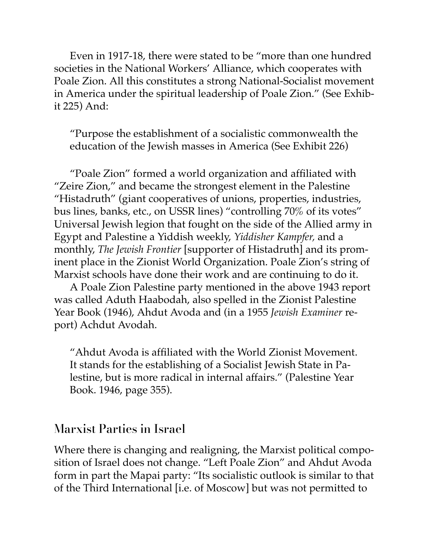Even in 1917-18, there were stated to be "more than one hundred societies in the National Workers' Alliance, which cooperates with Poale Zion. All this constitutes a strong National-Socialist movement in America under the spiritual leadership of Poale Zion." (See Exhibit 225) And:

"Purpose the establishment of a socialistic commonwealth the education of the Jewish masses in America (See Exhibit 226)

"Poale Zion" formed a world organization and affiliated with "Zeire Zion," and became the strongest element in the Palestine "Histadruth" (giant cooperatives of unions, properties, industries, bus lines, banks, etc., on USSR lines) "controlling 70% of its votes" Universal Jewish legion that fought on the side of the Allied army in Egypt and Palestine a Yiddish weekly, *Yiddisher Kampfer,* and a monthly, *The Jewish Frontier* [supporter of Histadruth] and its prominent place in the Zionist World Organization. Poale Zion's string of Marxist schools have done their work and are continuing to do it.

A Poale Zion Palestine party mentioned in the above 1943 report was called Aduth Haabodah, also spelled in the Zionist Palestine Year Book (1946), Ahdut Avoda and (in a 1955 *Jewish Examiner* report) Achdut Avodah.

"Ahdut Avoda is affiliated with the World Zionist Movement. It stands for the establishing of a Socialist Jewish State in Palestine, but is more radical in internal affairs." (Palestine Year Book. 1946, page 355).

#### Marxist Parties in Israel

Where there is changing and realigning, the Marxist political composition of Israel does not change. "Left Poale Zion" and Ahdut Avoda form in part the Mapai party: "Its socialistic outlook is similar to that of the Third International [i.e. of Moscow] but was not permitted to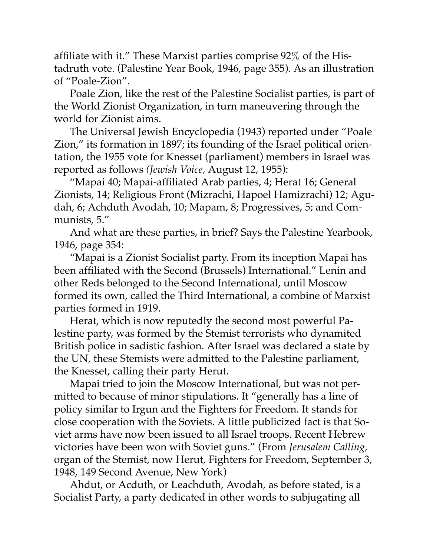affiliate with it." These Marxist parties comprise 92% of the Histadruth vote. (Palestine Year Book, 1946, page 355). As an illustration of "Poale-Zion".

Poale Zion, like the rest of the Palestine Socialist parties, is part of the World Zionist Organization, in turn maneuvering through the world for Zionist aims.

The Universal Jewish Encyclopedia (1943) reported under "Poale Zion," its formation in 1897; its founding of the Israel political orientation, the 1955 vote for Knesset (parliament) members in Israel was reported as follows *(Jewish Voice,* August 12, 1955):

"Mapai 40; Mapai-affiliated Arab parties, 4; Herat 16; General Zionists, 14; Religious Front (Mizrachi, Hapoel Hamizrachi) 12; Agudah, 6; Achduth Avodah, 10; Mapam, 8; Progressives, 5; and Communists, 5."

And what are these parties, in brief? Says the Palestine Yearbook, 1946, page 354:

"Mapai is a Zionist Socialist party. From its inception Mapai has been affiliated with the Second (Brussels) International." Lenin and other Reds belonged to the Second International, until Moscow formed its own, called the Third International, a combine of Marxist parties formed in 1919.

Herat, which is now reputedly the second most powerful Palestine party, was formed by the Stemist terrorists who dynamited British police in sadistic fashion. After Israel was declared a state by the UN, these Stemists were admitted to the Palestine parliament, the Knesset, calling their party Herut.

Mapai tried to join the Moscow International, but was not permitted to because of minor stipulations. It "generally has a line of policy similar to Irgun and the Fighters for Freedom. It stands for close cooperation with the Soviets. A little publicized fact is that Soviet arms have now been issued to all Israel troops. Recent Hebrew victories have been won with Soviet guns." (From *Jerusalem Calling,* organ of the Stemist, now Herut, Fighters for Freedom, September 3, 1948, 149 Second Avenue, New York)

Ahdut, or Acduth, or Leachduth, Avodah, as before stated, is a Socialist Party, a party dedicated in other words to subjugating all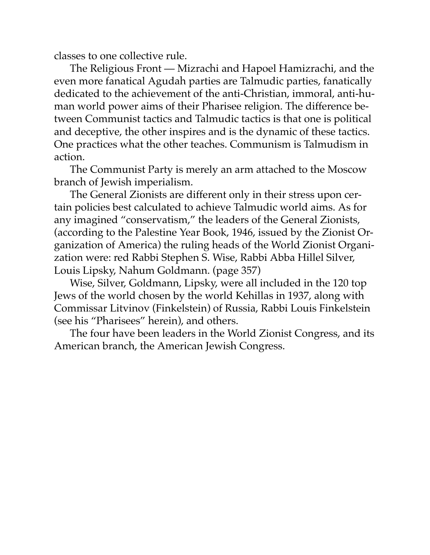classes to one collective rule.

The Religious Front — Mizrachi and Hapoel Hamizrachi, and the even more fanatical Agudah parties are Talmudic parties, fanatically dedicated to the achievement of the anti-Christian, immoral, anti-human world power aims of their Pharisee religion. The difference between Communist tactics and Talmudic tactics is that one is political and deceptive, the other inspires and is the dynamic of these tactics. One practices what the other teaches. Communism is Talmudism in action.

The Communist Party is merely an arm attached to the Moscow branch of Jewish imperialism.

The General Zionists are different only in their stress upon certain policies best calculated to achieve Talmudic world aims. As for any imagined "conservatism," the leaders of the General Zionists, (according to the Palestine Year Book, 1946, issued by the Zionist Organization of America) the ruling heads of the World Zionist Organization were: red Rabbi Stephen S. Wise, Rabbi Abba Hillel Silver, Louis Lipsky, Nahum Goldmann. (page 357)

Wise, Silver, Goldmann, Lipsky, were all included in the 120 top Jews of the world chosen by the world Kehillas in 1937, along with Commissar Litvinov (Finkelstein) of Russia, Rabbi Louis Finkelstein (see his "Pharisees" herein), and others.

The four have been leaders in the World Zionist Congress, and its American branch, the American Jewish Congress.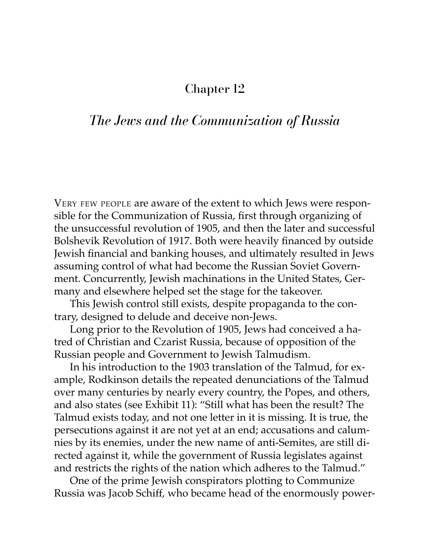# Chapter 12

### *The Jews and the Communization of Russia*

VERY FEW PEOPLE are aware of the extent to which Jews were responsible for the Communization of Russia, first through organizing of the unsuccessful revolution of 1905, and then the later and successful Bolshevik Revolution of 1917. Both were heavily financed by outside Jewish financial and banking houses, and ultimately resulted in Jews assuming control of what had become the Russian Soviet Government. Concurrently, Jewish machinations in the United States, Germany and elsewhere helped set the stage for the takeover.

This Jewish control still exists, despite propaganda to the contrary, designed to delude and deceive non-Jews.

Long prior to the Revolution of 1905, Jews had conceived a hatred of Christian and Czarist Russia, because of opposition of the Russian people and Government to Jewish Talmudism.

In his introduction to the 1903 translation of the Talmud, for example, Rodkinson details the repeated denunciations of the Talmud over many centuries by nearly every country, the Popes, and others, and also states (see Exhibit 11): "Still what has been the result? The Talmud exists today, and not one letter in it is missing. It is true, the persecutions against it are not yet at an end; accusations and calumnies by its enemies, under the new name of anti-Semites, are still directed against it, while the government of Russia legislates against and restricts the rights of the nation which adheres to the Talmud."

One of the prime Jewish conspirators plotting to Communize Russia was Jacob Schiff, who became head of the enormously power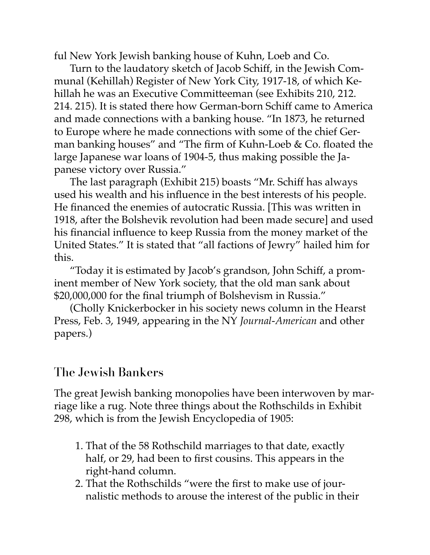ful New York Jewish banking house of Kuhn, Loeb and Co.

Turn to the laudatory sketch of Jacob Schiff, in the Jewish Communal (Kehillah) Register of New York City, 1917-18, of which Kehillah he was an Executive Committeeman (see Exhibits 210, 212. 214. 215). It is stated there how German-born Schiff came to America and made connections with a banking house. "In 1873, he returned to Europe where he made connections with some of the chief German banking houses" and "The firm of Kuhn-Loeb & Co. floated the large Japanese war loans of 1904-5, thus making possible the Japanese victory over Russia."

The last paragraph (Exhibit 215) boasts "Mr. Schiff has always used his wealth and his influence in the best interests of his people. He financed the enemies of autocratic Russia. [This was written in 1918, after the Bolshevik revolution had been made secure] and used his financial influence to keep Russia from the money market of the United States." It is stated that "all factions of Jewry" hailed him for this.

"Today it is estimated by Jacob's grandson, John Schiff, a prominent member of New York society, that the old man sank about \$20,000,000 for the final triumph of Bolshevism in Russia."

(Cholly Knickerbocker in his society news column in the Hearst Press, Feb. 3, 1949, appearing in the NY *Journal-American* and other papers.)

#### The Jewish Bankers

The great Jewish banking monopolies have been interwoven by marriage like a rug. Note three things about the Rothschilds in Exhibit 298, which is from the Jewish Encyclopedia of 1905:

- 1. That of the 58 Rothschild marriages to that date, exactly half, or 29, had been to first cousins. This appears in the right-hand column.
- 2. That the Rothschilds "were the first to make use of journalistic methods to arouse the interest of the public in their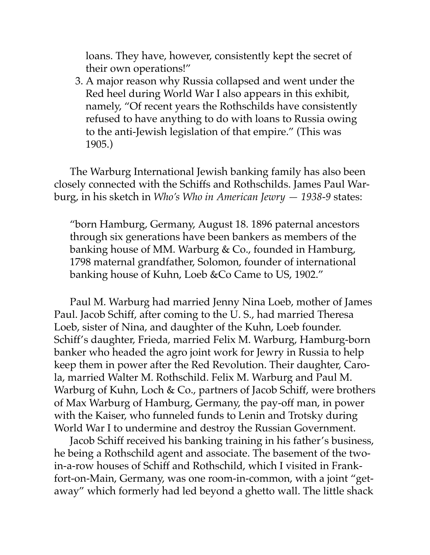loans. They have, however, consistently kept the secret of their own operations!"

3. A major reason why Russia collapsed and went under the Red heel during World War I also appears in this exhibit, namely, "Of recent years the Rothschilds have consistently refused to have anything to do with loans to Russia owing to the anti-Jewish legislation of that empire." (This was 1905.)

The Warburg International Jewish banking family has also been closely connected with the Schiffs and Rothschilds. James Paul Warburg, in his sketch in *Who's Who in American Jewry — 1938-9* states:

"born Hamburg, Germany, August 18. 1896 paternal ancestors through six generations have been bankers as members of the banking house of MM. Warburg & Co., founded in Hamburg, 1798 maternal grandfather, Solomon, founder of international banking house of Kuhn, Loeb &Co Came to US, 1902."

Paul M. Warburg had married Jenny Nina Loeb, mother of James Paul. Jacob Schiff, after coming to the U. S., had married Theresa Loeb, sister of Nina, and daughter of the Kuhn, Loeb founder. Schiff's daughter, Frieda, married Felix M. Warburg, Hamburg-born banker who headed the agro joint work for Jewry in Russia to help keep them in power after the Red Revolution. Their daughter, Carola, married Walter M. Rothschild. Felix M. Warburg and Paul M. Warburg of Kuhn, Loch & Co., partners of Jacob Schiff, were brothers of Max Warburg of Hamburg, Germany, the pay-off man, in power with the Kaiser, who funneled funds to Lenin and Trotsky during World War I to undermine and destroy the Russian Government.

Jacob Schiff received his banking training in his father's business, he being a Rothschild agent and associate. The basement of the twoin-a-row houses of Schiff and Rothschild, which I visited in Frankfort-on-Main, Germany, was one room-in-common, with a joint "getaway" which formerly had led beyond a ghetto wall. The little shack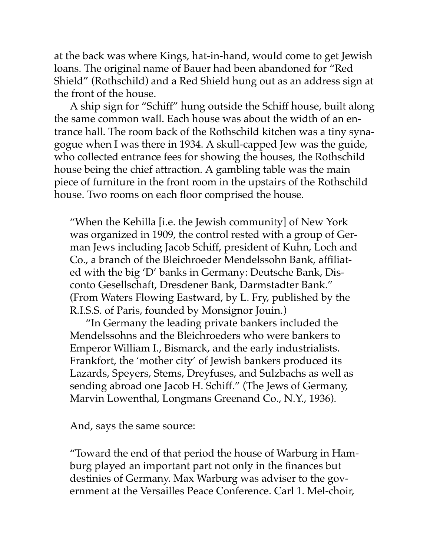at the back was where Kings, hat-in-hand, would come to get Jewish loans. The original name of Bauer had been abandoned for "Red Shield" (Rothschild) and a Red Shield hung out as an address sign at the front of the house.

A ship sign for "Schiff" hung outside the Schiff house, built along the same common wall. Each house was about the width of an entrance hall. The room back of the Rothschild kitchen was a tiny synagogue when I was there in 1934. A skull-capped Jew was the guide, who collected entrance fees for showing the houses, the Rothschild house being the chief attraction. A gambling table was the main piece of furniture in the front room in the upstairs of the Rothschild house. Two rooms on each floor comprised the house.

"When the Kehilla [i.e. the Jewish community] of New York was organized in 1909, the control rested with a group of German Jews including Jacob Schiff, president of Kuhn, Loch and Co., a branch of the Bleichroeder Mendelssohn Bank, affiliated with the big 'D' banks in Germany: Deutsche Bank, Disconto Gesellschaft, Dresdener Bank, Darmstadter Bank." (From Waters Flowing Eastward, by L. Fry, published by the R.I.S.S. of Paris, founded by Monsignor Jouin.)

"In Germany the leading private bankers included the Mendelssohns and the Bleichroeders who were bankers to Emperor William I., Bismarck, and the early industrialists. Frankfort, the 'mother city' of Jewish bankers produced its Lazards, Speyers, Stems, Dreyfuses, and Sulzbachs as well as sending abroad one Jacob H. Schiff." (The Jews of Germany, Marvin Lowenthal, Longmans Greenand Co., N.Y., 1936).

And, says the same source:

"Toward the end of that period the house of Warburg in Hamburg played an important part not only in the finances but destinies of Germany. Max Warburg was adviser to the government at the Versailles Peace Conference. Carl 1. Mel-choir,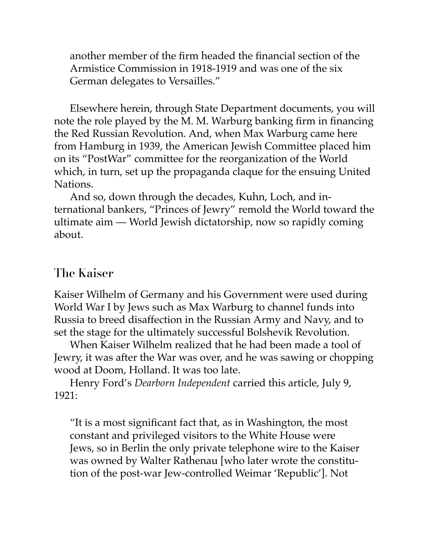another member of the firm headed the financial section of the Armistice Commission in 1918-1919 and was one of the six German delegates to Versailles."

Elsewhere herein, through State Department documents, you will note the role played by the M. M. Warburg banking firm in financing the Red Russian Revolution. And, when Max Warburg came here from Hamburg in 1939, the American Jewish Committee placed him on its "PostWar" committee for the reorganization of the World which, in turn, set up the propaganda claque for the ensuing United Nations.

And so, down through the decades, Kuhn, Loch, and international bankers, "Princes of Jewry" remold the World toward the ultimate aim — World Jewish dictatorship, now so rapidly coming about.

#### The Kaiser

Kaiser Wilhelm of Germany and his Government were used during World War I by Jews such as Max Warburg to channel funds into Russia to breed disaffection in the Russian Army and Navy, and to set the stage for the ultimately successful Bolshevik Revolution.

When Kaiser Wilhelm realized that he had been made a tool of Jewry, it was after the War was over, and he was sawing or chopping wood at Doom, Holland. It was too late.

Henry Ford's *Dearborn Independent* carried this article, July 9, 1921:

"It is a most significant fact that, as in Washington, the most constant and privileged visitors to the White House were Jews, so in Berlin the only private telephone wire to the Kaiser was owned by Walter Rathenau [who later wrote the constitution of the post-war Jew-controlled Weimar 'Republic']. Not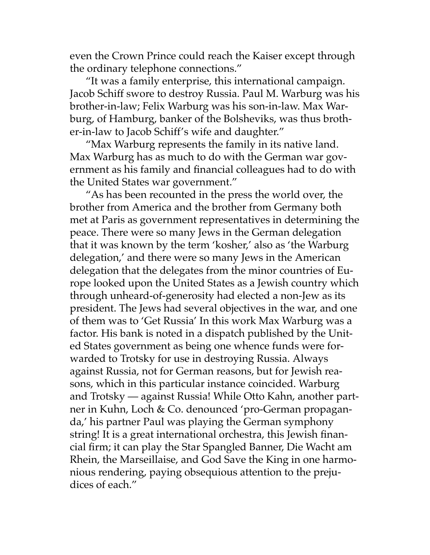even the Crown Prince could reach the Kaiser except through the ordinary telephone connections."

"It was a family enterprise, this international campaign. Jacob Schiff swore to destroy Russia. Paul M. Warburg was his brother-in-law; Felix Warburg was his son-in-law. Max Warburg, of Hamburg, banker of the Bolsheviks, was thus brother-in-law to Jacob Schiff's wife and daughter."

"Max Warburg represents the family in its native land. Max Warburg has as much to do with the German war government as his family and financial colleagues had to do with the United States war government."

"As has been recounted in the press the world over, the brother from America and the brother from Germany both met at Paris as government representatives in determining the peace. There were so many Jews in the German delegation that it was known by the term 'kosher,' also as 'the Warburg delegation,' and there were so many Jews in the American delegation that the delegates from the minor countries of Europe looked upon the United States as a Jewish country which through unheard-of-generosity had elected a non-Jew as its president. The Jews had several objectives in the war, and one of them was to 'Get Russia' In this work Max Warburg was a factor. His bank is noted in a dispatch published by the United States government as being one whence funds were forwarded to Trotsky for use in destroying Russia. Always against Russia, not for German reasons, but for Jewish reasons, which in this particular instance coincided. Warburg and Trotsky — against Russia! While Otto Kahn, another partner in Kuhn, Loch & Co. denounced 'pro-German propaganda,' his partner Paul was playing the German symphony string! It is a great international orchestra, this Jewish financial firm; it can play the Star Spangled Banner, Die Wacht am Rhein, the Marseillaise, and God Save the King in one harmonious rendering, paying obsequious attention to the prejudices of each."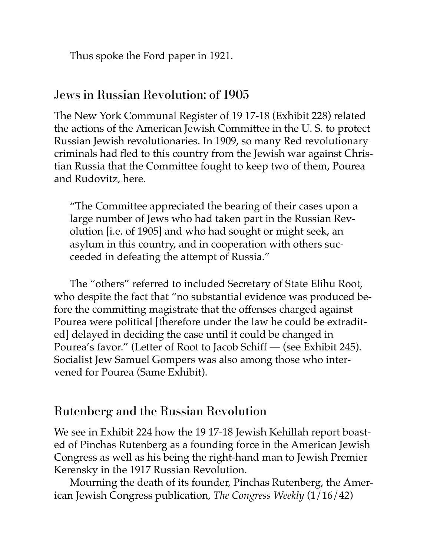Thus spoke the Ford paper in 1921.

### Jews in Russian Revolution: of 1905

The New York Communal Register of 19 17-18 (Exhibit 228) related the actions of the American Jewish Committee in the U. S. to protect Russian Jewish revolutionaries. In 1909, so many Red revolutionary criminals had fled to this country from the Jewish war against Christian Russia that the Committee fought to keep two of them, Pourea and Rudovitz, here.

"The Committee appreciated the bearing of their cases upon a large number of Jews who had taken part in the Russian Revolution [i.e. of 1905] and who had sought or might seek, an asylum in this country, and in cooperation with others succeeded in defeating the attempt of Russia."

The "others" referred to included Secretary of State Elihu Root, who despite the fact that "no substantial evidence was produced before the committing magistrate that the offenses charged against Pourea were political [therefore under the law he could be extradited] delayed in deciding the case until it could be changed in Pourea's favor." (Letter of Root to Jacob Schiff — (see Exhibit 245). Socialist Jew Samuel Gompers was also among those who intervened for Pourea (Same Exhibit).

# Rutenberg and the Russian Revolution

We see in Exhibit 224 how the 19 17-18 Jewish Kehillah report boasted of Pinchas Rutenberg as a founding force in the American Jewish Congress as well as his being the right-hand man to Jewish Premier Kerensky in the 1917 Russian Revolution.

Mourning the death of its founder, Pinchas Rutenberg, the American Jewish Congress publication, *The Congress Weekly* (1/16/42)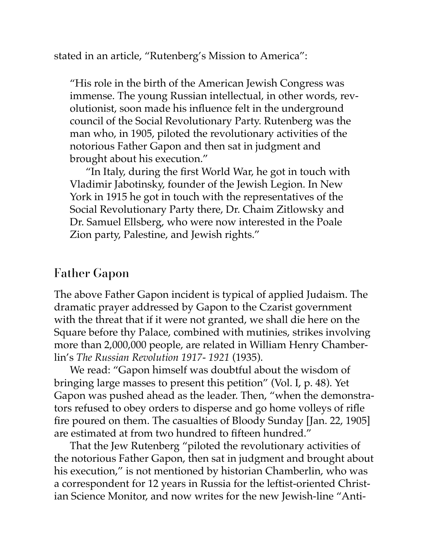stated in an article, "Rutenberg's Mission to America":

"His role in the birth of the American Jewish Congress was immense. The young Russian intellectual, in other words, revolutionist, soon made his influence felt in the underground council of the Social Revolutionary Party. Rutenberg was the man who, in 1905, piloted the revolutionary activities of the notorious Father Gapon and then sat in judgment and brought about his execution."

"In Italy, during the first World War, he got in touch with Vladimir Jabotinsky, founder of the Jewish Legion. In New York in 1915 he got in touch with the representatives of the Social Revolutionary Party there, Dr. Chaim Zitlowsky and Dr. Samuel Ellsberg, who were now interested in the Poale Zion party, Palestine, and Jewish rights."

### Father Gapon

The above Father Gapon incident is typical of applied Judaism. The dramatic prayer addressed by Gapon to the Czarist government with the threat that if it were not granted, we shall die here on the Square before thy Palace, combined with mutinies, strikes involving more than 2,000,000 people, are related in William Henry Chamberlin's *The Russian Revolution 1917- 1921* (1935).

We read: "Gapon himself was doubtful about the wisdom of bringing large masses to present this petition" (Vol. I, p. 48). Yet Gapon was pushed ahead as the leader. Then, "when the demonstrators refused to obey orders to disperse and go home volleys of rifle fire poured on them. The casualties of Bloody Sunday [Jan. 22, 1905] are estimated at from two hundred to fifteen hundred."

That the Jew Rutenberg "piloted the revolutionary activities of the notorious Father Gapon, then sat in judgment and brought about his execution," is not mentioned by historian Chamberlin, who was a correspondent for 12 years in Russia for the leftist-oriented Christian Science Monitor, and now writes for the new Jewish-line "Anti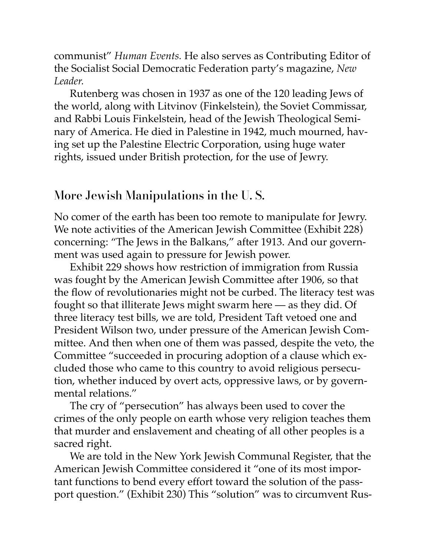communist" *Human Events.* He also serves as Contributing Editor of the Socialist Social Democratic Federation party's magazine, *New Leader.*

Rutenberg was chosen in 1937 as one of the 120 leading Jews of the world, along with Litvinov (Finkelstein), the Soviet Commissar, and Rabbi Louis Finkelstein, head of the Jewish Theological Seminary of America. He died in Palestine in 1942, much mourned, having set up the Palestine Electric Corporation, using huge water rights, issued under British protection, for the use of Jewry.

#### More Jewish Manipulations in the U. S.

No comer of the earth has been too remote to manipulate for Jewry. We note activities of the American Jewish Committee (Exhibit 228) concerning: "The Jews in the Balkans," after 1913. And our government was used again to pressure for Jewish power.

Exhibit 229 shows how restriction of immigration from Russia was fought by the American Jewish Committee after 1906, so that the flow of revolutionaries might not be curbed. The literacy test was fought so that illiterate Jews might swarm here — as they did. Of three literacy test bills, we are told, President Taft vetoed one and President Wilson two, under pressure of the American Jewish Committee. And then when one of them was passed, despite the veto, the Committee "succeeded in procuring adoption of a clause which excluded those who came to this country to avoid religious persecution, whether induced by overt acts, oppressive laws, or by governmental relations."

The cry of "persecution" has always been used to cover the crimes of the only people on earth whose very religion teaches them that murder and enslavement and cheating of all other peoples is a sacred right.

We are told in the New York Jewish Communal Register, that the American Jewish Committee considered it "one of its most important functions to bend every effort toward the solution of the passport question." (Exhibit 230) This "solution" was to circumvent Rus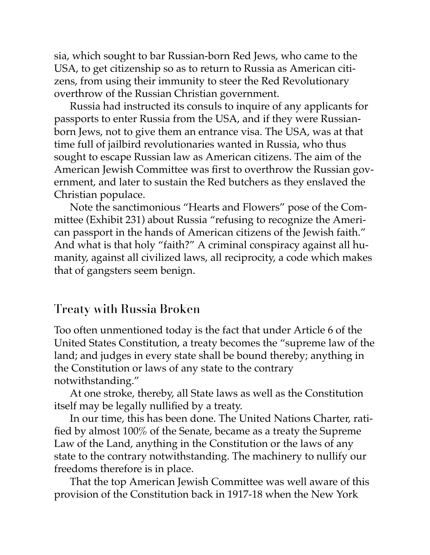sia, which sought to bar Russian-born Red Jews, who came to the USA, to get citizenship so as to return to Russia as American citizens, from using their immunity to steer the Red Revolutionary overthrow of the Russian Christian government.

Russia had instructed its consuls to inquire of any applicants for passports to enter Russia from the USA, and if they were Russianborn Jews, not to give them an entrance visa. The USA, was at that time full of jailbird revolutionaries wanted in Russia, who thus sought to escape Russian law as American citizens. The aim of the American Jewish Committee was first to overthrow the Russian government, and later to sustain the Red butchers as they enslaved the Christian populace.

Note the sanctimonious "Hearts and Flowers" pose of the Committee (Exhibit 231) about Russia "refusing to recognize the American passport in the hands of American citizens of the Jewish faith." And what is that holy "faith?" A criminal conspiracy against all humanity, against all civilized laws, all reciprocity, a code which makes that of gangsters seem benign.

### Treaty with Russia Broken

Too often unmentioned today is the fact that under Article 6 of the United States Constitution, a treaty becomes the "supreme law of the land; and judges in every state shall be bound thereby; anything in the Constitution or laws of any state to the contrary notwithstanding."

At one stroke, thereby, all State laws as well as the Constitution itself may be legally nullified by a treaty.

In our time, this has been done. The United Nations Charter, ratified by almost 100% of the Senate, became as a treaty the Supreme Law of the Land, anything in the Constitution or the laws of any state to the contrary notwithstanding. The machinery to nullify our freedoms therefore is in place.

That the top American Jewish Committee was well aware of this provision of the Constitution back in 1917-18 when the New York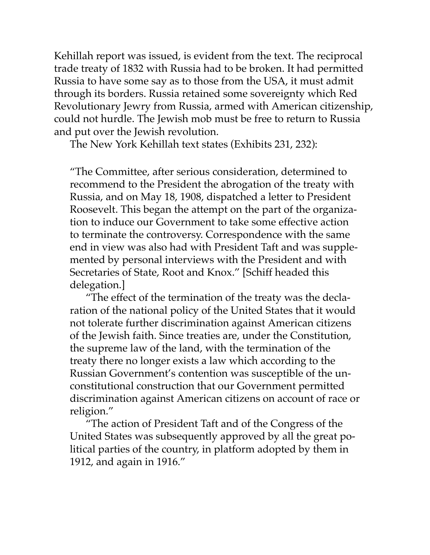Kehillah report was issued, is evident from the text. The reciprocal trade treaty of 1832 with Russia had to be broken. It had permitted Russia to have some say as to those from the USA, it must admit through its borders. Russia retained some sovereignty which Red Revolutionary Jewry from Russia, armed with American citizenship, could not hurdle. The Jewish mob must be free to return to Russia and put over the Jewish revolution.

The New York Kehillah text states (Exhibits 231, 232):

"The Committee, after serious consideration, determined to recommend to the President the abrogation of the treaty with Russia, and on May 18, 1908, dispatched a letter to President Roosevelt. This began the attempt on the part of the organization to induce our Government to take some effective action to terminate the controversy. Correspondence with the same end in view was also had with President Taft and was supplemented by personal interviews with the President and with Secretaries of State, Root and Knox." [Schiff headed this delegation.]

"The effect of the termination of the treaty was the declaration of the national policy of the United States that it would not tolerate further discrimination against American citizens of the Jewish faith. Since treaties are, under the Constitution, the supreme law of the land, with the termination of the treaty there no longer exists a law which according to the Russian Government's contention was susceptible of the unconstitutional construction that our Government permitted discrimination against American citizens on account of race or religion."

"The action of President Taft and of the Congress of the United States was subsequently approved by all the great political parties of the country, in platform adopted by them in 1912, and again in 1916."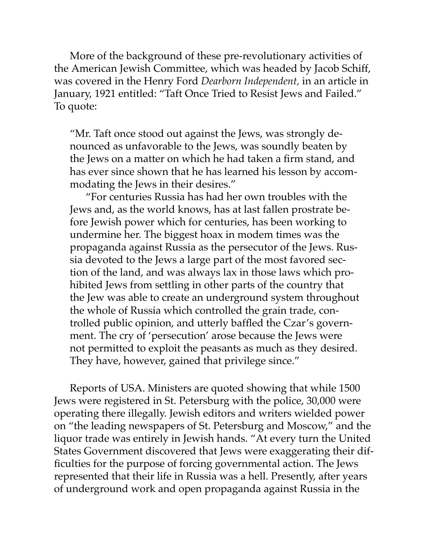More of the background of these pre-revolutionary activities of the American Jewish Committee, which was headed by Jacob Schiff, was covered in the Henry Ford *Dearborn Independent,* in an article in January, 1921 entitled: "Taft Once Tried to Resist Jews and Failed." To quote:

"Mr. Taft once stood out against the Jews, was strongly denounced as unfavorable to the Jews, was soundly beaten by the Jews on a matter on which he had taken a firm stand, and has ever since shown that he has learned his lesson by accommodating the Jews in their desires."

"For centuries Russia has had her own troubles with the Jews and, as the world knows, has at last fallen prostrate before Jewish power which for centuries, has been working to undermine her. The biggest hoax in modem times was the propaganda against Russia as the persecutor of the Jews. Russia devoted to the Jews a large part of the most favored section of the land, and was always lax in those laws which prohibited Jews from settling in other parts of the country that the Jew was able to create an underground system throughout the whole of Russia which controlled the grain trade, controlled public opinion, and utterly baffled the Czar's government. The cry of 'persecution' arose because the Jews were not permitted to exploit the peasants as much as they desired. They have, however, gained that privilege since."

Reports of USA. Ministers are quoted showing that while 1500 Jews were registered in St. Petersburg with the police, 30,000 were operating there illegally. Jewish editors and writers wielded power on "the leading newspapers of St. Petersburg and Moscow," and the liquor trade was entirely in Jewish hands. "At every turn the United States Government discovered that Jews were exaggerating their difficulties for the purpose of forcing governmental action. The Jews represented that their life in Russia was a hell. Presently, after years of underground work and open propaganda against Russia in the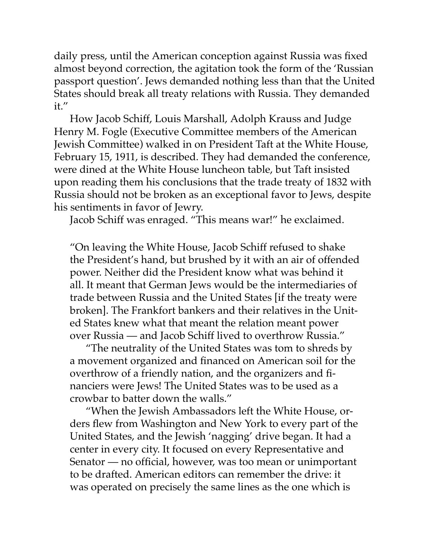daily press, until the American conception against Russia was fixed almost beyond correction, the agitation took the form of the 'Russian passport question'. Jews demanded nothing less than that the United States should break all treaty relations with Russia. They demanded it."

How Jacob Schiff, Louis Marshall, Adolph Krauss and Judge Henry M. Fogle (Executive Committee members of the American Jewish Committee) walked in on President Taft at the White House, February 15, 1911, is described. They had demanded the conference, were dined at the White House luncheon table, but Taft insisted upon reading them his conclusions that the trade treaty of 1832 with Russia should not be broken as an exceptional favor to Jews, despite his sentiments in favor of Jewry.

Jacob Schiff was enraged. "This means war!" he exclaimed.

"On leaving the White House, Jacob Schiff refused to shake the President's hand, but brushed by it with an air of offended power. Neither did the President know what was behind it all. It meant that German Jews would be the intermediaries of trade between Russia and the United States [if the treaty were broken]. The Frankfort bankers and their relatives in the United States knew what that meant the relation meant power over Russia — and Jacob Schiff lived to overthrow Russia."

"The neutrality of the United States was tom to shreds by a movement organized and financed on American soil for the overthrow of a friendly nation, and the organizers and financiers were Jews! The United States was to be used as a crowbar to batter down the walls."

"When the Jewish Ambassadors left the White House, orders flew from Washington and New York to every part of the United States, and the Jewish 'nagging' drive began. It had a center in every city. It focused on every Representative and Senator — no official, however, was too mean or unimportant to be drafted. American editors can remember the drive: it was operated on precisely the same lines as the one which is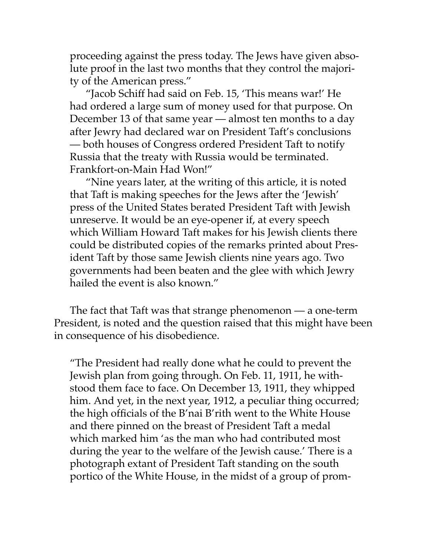proceeding against the press today. The Jews have given absolute proof in the last two months that they control the majority of the American press."

"Jacob Schiff had said on Feb. 15, 'This means war!' He had ordered a large sum of money used for that purpose. On December 13 of that same year — almost ten months to a day after Jewry had declared war on President Taft's conclusions — both houses of Congress ordered President Taft to notify Russia that the treaty with Russia would be terminated. Frankfort-on-Main Had Won!"

"Nine years later, at the writing of this article, it is noted that Taft is making speeches for the Jews after the 'Jewish' press of the United States berated President Taft with Jewish unreserve. It would be an eye-opener if, at every speech which William Howard Taft makes for his Jewish clients there could be distributed copies of the remarks printed about President Taft by those same Jewish clients nine years ago. Two governments had been beaten and the glee with which Jewry hailed the event is also known."

The fact that Taft was that strange phenomenon — a one-term President, is noted and the question raised that this might have been in consequence of his disobedience.

"The President had really done what he could to prevent the Jewish plan from going through. On Feb. 11, 1911, he withstood them face to face. On December 13, 1911, they whipped him. And yet, in the next year, 1912, a peculiar thing occurred; the high officials of the B'nai B'rith went to the White House and there pinned on the breast of President Taft a medal which marked him 'as the man who had contributed most during the year to the welfare of the Jewish cause.' There is a photograph extant of President Taft standing on the south portico of the White House, in the midst of a group of prom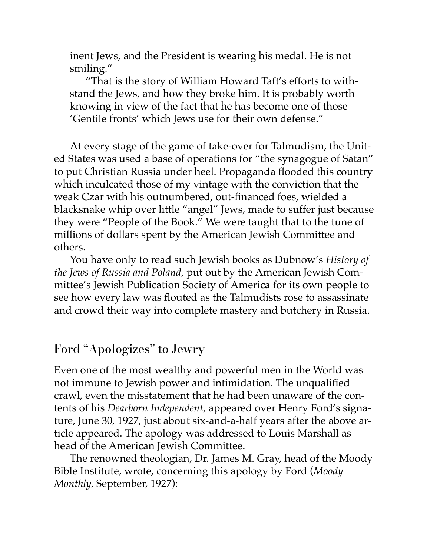inent Jews, and the President is wearing his medal. He is not smiling."

"That is the story of William Howard Taft's efforts to withstand the Jews, and how they broke him. It is probably worth knowing in view of the fact that he has become one of those 'Gentile fronts' which Jews use for their own defense."

At every stage of the game of take-over for Talmudism, the United States was used a base of operations for "the synagogue of Satan" to put Christian Russia under heel. Propaganda flooded this country which inculcated those of my vintage with the conviction that the weak Czar with his outnumbered, out-financed foes, wielded a blacksnake whip over little "angel" Jews, made to suffer just because they were "People of the Book." We were taught that to the tune of millions of dollars spent by the American Jewish Committee and others.

You have only to read such Jewish books as Dubnow's *History of the Jews of Russia and Poland,* put out by the American Jewish Committee's Jewish Publication Society of America for its own people to see how every law was flouted as the Talmudists rose to assassinate and crowd their way into complete mastery and butchery in Russia.

### Ford "Apologizes " to Jewry

Even one of the most wealthy and powerful men in the World was not immune to Jewish power and intimidation. The unqualified crawl, even the misstatement that he had been unaware of the contents of his *Dearborn Independent,* appeared over Henry Ford's signature, June 30, 1927, just about six-and-a-half years after the above article appeared. The apology was addressed to Louis Marshall as head of the American Jewish Committee.

The renowned theologian, Dr. James M. Gray, head of the Moody Bible Institute, wrote, concerning this apology by Ford (*Moody Monthly,* September, 1927):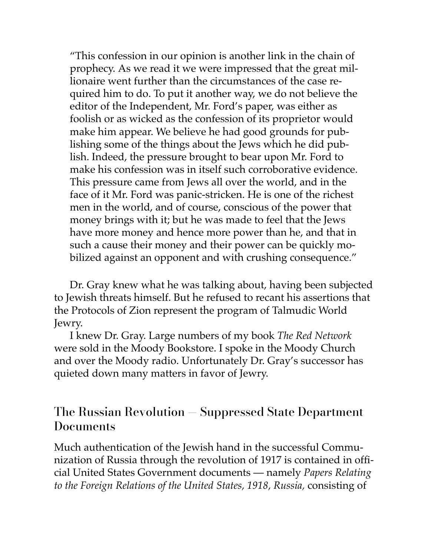"This confession in our opinion is another link in the chain of prophecy. As we read it we were impressed that the great millionaire went further than the circumstances of the case required him to do. To put it another way, we do not believe the editor of the Independent, Mr. Ford's paper, was either as foolish or as wicked as the confession of its proprietor would make him appear. We believe he had good grounds for publishing some of the things about the Jews which he did publish. Indeed, the pressure brought to bear upon Mr. Ford to make his confession was in itself such corroborative evidence. This pressure came from Jews all over the world, and in the face of it Mr. Ford was panic-stricken. He is one of the richest men in the world, and of course, conscious of the power that money brings with it; but he was made to feel that the Jews have more money and hence more power than he, and that in such a cause their money and their power can be quickly mobilized against an opponent and with crushing consequence."

Dr. Gray knew what he was talking about, having been subjected to Jewish threats himself. But he refused to recant his assertions that the Protocols of Zion represent the program of Talmudic World Jewry.

I knew Dr. Gray. Large numbers of my book *The Red Network* were sold in the Moody Bookstore. I spoke in the Moody Church and over the Moody radio. Unfortunately Dr. Gray's successor has quieted down many matters in favor of Jewry.

# The Russian Revolution — Suppressed State Department Documents

Much authentication of the Jewish hand in the successful Communization of Russia through the revolution of 1917 is contained in official United States Government documents — namely *Papers Relating to the Foreign Relations of the United States, 1918, Russia,* consisting of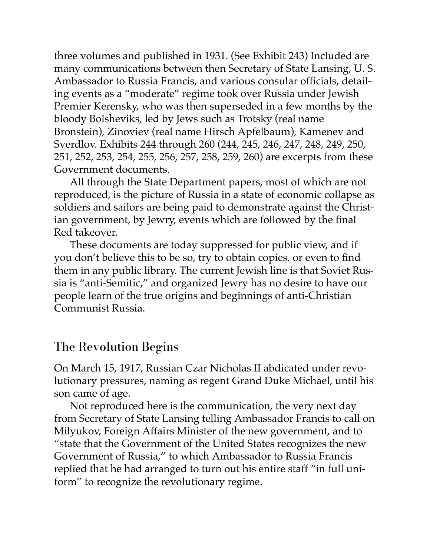three volumes and published in 1931. (See Exhibit 243) Included are many communications between then Secretary of State Lansing, U. S. Ambassador to Russia Francis, and various consular officials, detailing events as a "moderate" regime took over Russia under Jewish Premier Kerensky, who was then superseded in a few months by the bloody Bolsheviks, led by Jews such as Trotsky (real name Bronstein), Zinoviev (real name Hirsch Apfelbaum), Kamenev and Sverdlov. Exhibits 244 through 260 (244, 245, 246, 247, 248, 249, 250, 251, 252, 253, 254, 255, 256, 257, 258, 259, 260) are excerpts from these Government documents.

All through the State Department papers, most of which are not reproduced, is the picture of Russia in a state of economic collapse as soldiers and sailors are being paid to demonstrate against the Christian government, by Jewry, events which are followed by the final Red takeover.

These documents are today suppressed for public view, and if you don't believe this to be so, try to obtain copies, or even to find them in any public library. The current Jewish line is that Soviet Russia is "anti-Semitic," and organized Jewry has no desire to have our people learn of the true origins and beginnings of anti-Christian Communist Russia.

# The Revolution Begins

On March 15, 1917, Russian Czar Nicholas II abdicated under revolutionary pressures, naming as regent Grand Duke Michael, until his son came of age.

Not reproduced here is the communication, the very next day from Secretary of State Lansing telling Ambassador Francis to call on Milyukov, Foreign Affairs Minister of the new government, and to "state that the Government of the United States recognizes the new Government of Russia," to which Ambassador to Russia Francis replied that he had arranged to turn out his entire staff "in full uniform" to recognize the revolutionary regime.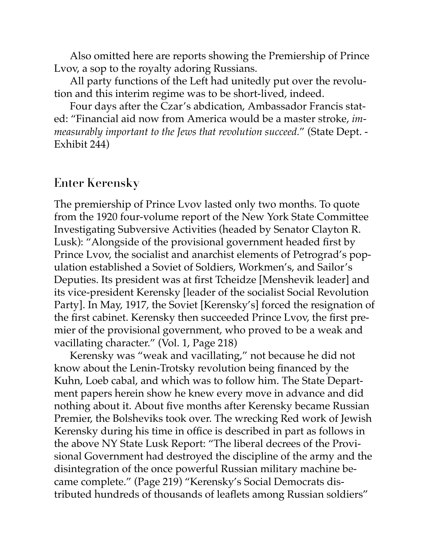Also omitted here are reports showing the Premiership of Prince Lvov, a sop to the royalty adoring Russians.

All party functions of the Left had unitedly put over the revolution and this interim regime was to be short-lived, indeed.

Four days after the Czar's abdication, Ambassador Francis stated: "Financial aid now from America would be a master stroke, *immeasurably important to the Jews that revolution succeed.*" (State Dept. - Exhibit 244)

### Enter Kerensky

The premiership of Prince Lvov lasted only two months. To quote from the 1920 four-volume report of the New York State Committee Investigating Subversive Activities (headed by Senator Clayton R. Lusk): "Alongside of the provisional government headed first by Prince Lvov, the socialist and anarchist elements of Petrograd's population established a Soviet of Soldiers, Workmen's, and Sailor's Deputies. Its president was at first Tcheidze [Menshevik leader] and its vice-president Kerensky [leader of the socialist Social Revolution Party]. In May, 1917, the Soviet [Kerensky's] forced the resignation of the first cabinet. Kerensky then succeeded Prince Lvov, the first premier of the provisional government, who proved to be a weak and vacillating character." (Vol. 1, Page 218)

Kerensky was "weak and vacillating," not because he did not know about the Lenin-Trotsky revolution being financed by the Kuhn, Loeb cabal, and which was to follow him. The State Department papers herein show he knew every move in advance and did nothing about it. About five months after Kerensky became Russian Premier, the Bolsheviks took over. The wrecking Red work of Jewish Kerensky during his time in office is described in part as follows in the above NY State Lusk Report: "The liberal decrees of the Provisional Government had destroyed the discipline of the army and the disintegration of the once powerful Russian military machine became complete." (Page 219) "Kerensky's Social Democrats distributed hundreds of thousands of leaflets among Russian soldiers"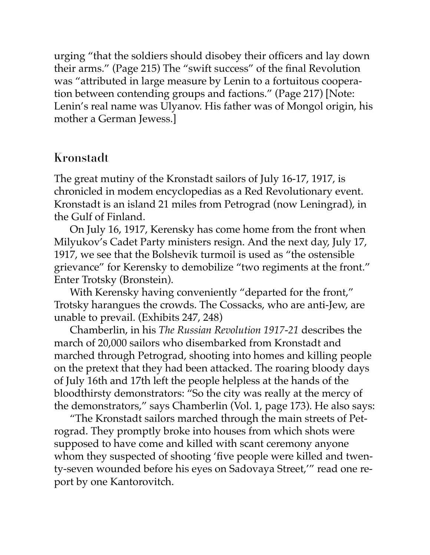urging "that the soldiers should disobey their officers and lay down their arms." (Page 215) The "swift success" of the final Revolution was "attributed in large measure by Lenin to a fortuitous cooperation between contending groups and factions." (Page 217) [Note: Lenin's real name was Ulyanov. His father was of Mongol origin, his mother a German Jewess.]

# Kronstadt

The great mutiny of the Kronstadt sailors of July 16-17, 1917, is chronicled in modem encyclopedias as a Red Revolutionary event. Kronstadt is an island 21 miles from Petrograd (now Leningrad), in the Gulf of Finland.

On July 16, 1917, Kerensky has come home from the front when Milyukov's Cadet Party ministers resign. And the next day, July 17, 1917, we see that the Bolshevik turmoil is used as "the ostensible grievance" for Kerensky to demobilize "two regiments at the front." Enter Trotsky (Bronstein).

With Kerensky having conveniently "departed for the front," Trotsky harangues the crowds. The Cossacks, who are anti-Jew, are unable to prevail. (Exhibits 247, 248)

Chamberlin, in his *The Russian Revolution 1917-21* describes the march of 20,000 sailors who disembarked from Kronstadt and marched through Petrograd, shooting into homes and killing people on the pretext that they had been attacked. The roaring bloody days of July 16th and 17th left the people helpless at the hands of the bloodthirsty demonstrators: "So the city was really at the mercy of the demonstrators," says Chamberlin (Vol. 1, page 173). He also says:

"The Kronstadt sailors marched through the main streets of Petrograd. They promptly broke into houses from which shots were supposed to have come and killed with scant ceremony anyone whom they suspected of shooting 'five people were killed and twenty-seven wounded before his eyes on Sadovaya Street,'" read one report by one Kantorovitch.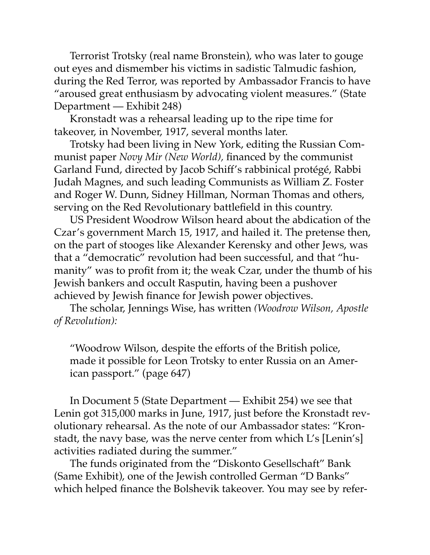Terrorist Trotsky (real name Bronstein), who was later to gouge out eyes and dismember his victims in sadistic Talmudic fashion, during the Red Terror, was reported by Ambassador Francis to have "aroused great enthusiasm by advocating violent measures." (State Department — Exhibit 248)

Kronstadt was a rehearsal leading up to the ripe time for takeover, in November, 1917, several months later.

Trotsky had been living in New York, editing the Russian Communist paper *Novy Mir (New World),* financed by the communist Garland Fund, directed by Jacob Schiff's rabbinical protégé, Rabbi Judah Magnes, and such leading Communists as William Z. Foster and Roger W. Dunn, Sidney Hillman, Norman Thomas and others, serving on the Red Revolutionary battlefield in this country.

US President Woodrow Wilson heard about the abdication of the Czar's government March 15, 1917, and hailed it. The pretense then, on the part of stooges like Alexander Kerensky and other Jews, was that a "democratic" revolution had been successful, and that "humanity" was to profit from it; the weak Czar, under the thumb of his Jewish bankers and occult Rasputin, having been a pushover achieved by Jewish finance for Jewish power objectives.

The scholar, Jennings Wise, has written *(Woodrow Wilson, Apostle of Revolution):*

"Woodrow Wilson, despite the efforts of the British police, made it possible for Leon Trotsky to enter Russia on an American passport." (page 647)

In Document 5 (State Department — Exhibit 254) we see that Lenin got 315,000 marks in June, 1917, just before the Kronstadt revolutionary rehearsal. As the note of our Ambassador states: "Kronstadt, the navy base, was the nerve center from which L's [Lenin's] activities radiated during the summer."

The funds originated from the "Diskonto Gesellschaft" Bank (Same Exhibit), one of the Jewish controlled German "D Banks" which helped finance the Bolshevik takeover. You may see by refer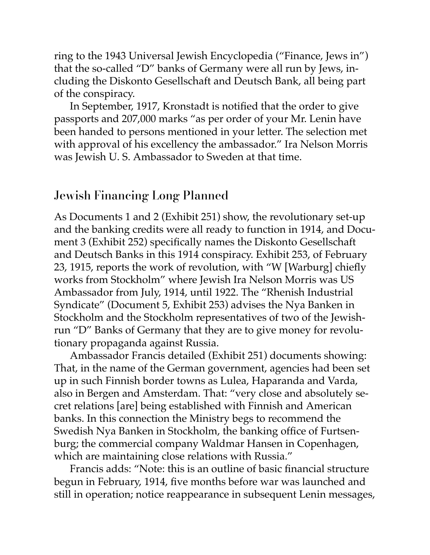ring to the 1943 Universal Jewish Encyclopedia ("Finance, Jews in") that the so-called "D" banks of Germany were all run by Jews, including the Diskonto Gesellschaft and Deutsch Bank, all being part of the conspiracy.

In September, 1917, Kronstadt is notified that the order to give passports and 207,000 marks "as per order of your Mr. Lenin have been handed to persons mentioned in your letter. The selection met with approval of his excellency the ambassador." Ira Nelson Morris was Jewish U. S. Ambassador to Sweden at that time.

# Jewish Financing Long Planned

As Documents 1 and 2 (Exhibit 251) show, the revolutionary set-up and the banking credits were all ready to function in 1914, and Document 3 (Exhibit 252) specifically names the Diskonto Gesellschaft and Deutsch Banks in this 1914 conspiracy. Exhibit 253, of February 23, 1915, reports the work of revolution, with "W [Warburg] chiefly works from Stockholm" where Jewish Ira Nelson Morris was US Ambassador from July, 1914, until 1922. The "Rhenish Industrial Syndicate" (Document 5, Exhibit 253) advises the Nya Banken in Stockholm and the Stockholm representatives of two of the Jewishrun "D" Banks of Germany that they are to give money for revolutionary propaganda against Russia.

Ambassador Francis detailed (Exhibit 251) documents showing: That, in the name of the German government, agencies had been set up in such Finnish border towns as Lulea, Haparanda and Varda, also in Bergen and Amsterdam. That: "very close and absolutely secret relations [are] being established with Finnish and American banks. In this connection the Ministry begs to recommend the Swedish Nya Banken in Stockholm, the banking office of Furtsenburg; the commercial company Waldmar Hansen in Copenhagen, which are maintaining close relations with Russia."

Francis adds: "Note: this is an outline of basic financial structure begun in February, 1914, five months before war was launched and still in operation; notice reappearance in subsequent Lenin messages,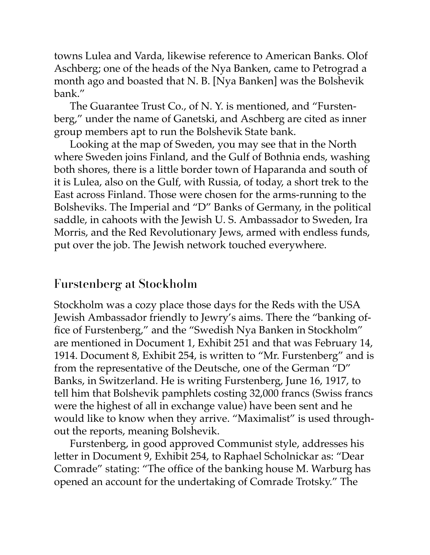towns Lulea and Varda, likewise reference to American Banks. Olof Aschberg; one of the heads of the Nya Banken, came to Petrograd a month ago and boasted that N. B. [Nya Banken] was the Bolshevik bank."

The Guarantee Trust Co., of N. Y. is mentioned, and "Furstenberg," under the name of Ganetski, and Aschberg are cited as inner group members apt to run the Bolshevik State bank.

Looking at the map of Sweden, you may see that in the North where Sweden joins Finland, and the Gulf of Bothnia ends, washing both shores, there is a little border town of Haparanda and south of it is Lulea, also on the Gulf, with Russia, of today, a short trek to the East across Finland. Those were chosen for the arms-running to the Bolsheviks. The Imperial and "D" Banks of Germany, in the political saddle, in cahoots with the Jewish U. S. Ambassador to Sweden, Ira Morris, and the Red Revolutionary Jews, armed with endless funds, put over the job. The Jewish network touched everywhere.

# Furstenberg at Stockholm

Stockholm was a cozy place those days for the Reds with the USA Jewish Ambassador friendly to Jewry's aims. There the "banking office of Furstenberg," and the "Swedish Nya Banken in Stockholm" are mentioned in Document 1, Exhibit 251 and that was February 14, 1914. Document 8, Exhibit 254, is written to "Mr. Furstenberg" and is from the representative of the Deutsche, one of the German "D" Banks, in Switzerland. He is writing Furstenberg, June 16, 1917, to tell him that Bolshevik pamphlets costing 32,000 francs (Swiss francs were the highest of all in exchange value) have been sent and he would like to know when they arrive. "Maximalist" is used throughout the reports, meaning Bolshevik.

Furstenberg, in good approved Communist style, addresses his letter in Document 9, Exhibit 254, to Raphael Scholnickar as: "Dear Comrade" stating: "The office of the banking house M. Warburg has opened an account for the undertaking of Comrade Trotsky." The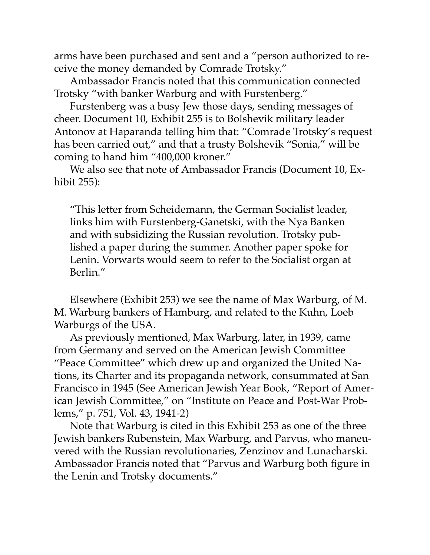arms have been purchased and sent and a "person authorized to receive the money demanded by Comrade Trotsky."

Ambassador Francis noted that this communication connected Trotsky "with banker Warburg and with Furstenberg."

Furstenberg was a busy Jew those days, sending messages of cheer. Document 10, Exhibit 255 is to Bolshevik military leader Antonov at Haparanda telling him that: "Comrade Trotsky's request has been carried out," and that a trusty Bolshevik "Sonia," will be coming to hand him "400,000 kroner."

We also see that note of Ambassador Francis (Document 10, Exhibit 255):

"This letter from Scheidemann, the German Socialist leader, links him with Furstenberg-Ganetski, with the Nya Banken and with subsidizing the Russian revolution. Trotsky published a paper during the summer. Another paper spoke for Lenin. Vorwarts would seem to refer to the Socialist organ at Berlin."

Elsewhere (Exhibit 253) we see the name of Max Warburg, of M. M. Warburg bankers of Hamburg, and related to the Kuhn, Loeb Warburgs of the USA.

As previously mentioned, Max Warburg, later, in 1939, came from Germany and served on the American Jewish Committee "Peace Committee" which drew up and organized the United Nations, its Charter and its propaganda network, consummated at San Francisco in 1945 (See American Jewish Year Book, "Report of American Jewish Committee," on "Institute on Peace and Post-War Problems," p. 751, Vol. 43, 1941-2)

Note that Warburg is cited in this Exhibit 253 as one of the three Jewish bankers Rubenstein, Max Warburg, and Parvus, who maneuvered with the Russian revolutionaries, Zenzinov and Lunacharski. Ambassador Francis noted that "Parvus and Warburg both figure in the Lenin and Trotsky documents."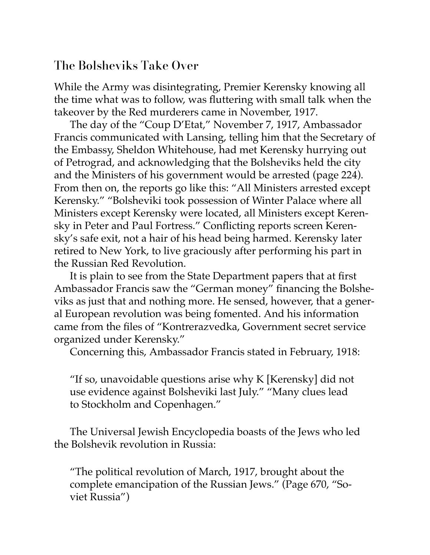# The Bolsheviks Take Over

While the Army was disintegrating, Premier Kerensky knowing all the time what was to follow, was fluttering with small talk when the takeover by the Red murderers came in November, 1917.

The day of the "Coup D'Etat," November 7, 1917, Ambassador Francis communicated with Lansing, telling him that the Secretary of the Embassy, Sheldon Whitehouse, had met Kerensky hurrying out of Petrograd, and acknowledging that the Bolsheviks held the city and the Ministers of his government would be arrested (page 224). From then on, the reports go like this: "All Ministers arrested except Kerensky." "Bolsheviki took possession of Winter Palace where all Ministers except Kerensky were located, all Ministers except Kerensky in Peter and Paul Fortress." Conflicting reports screen Kerensky's safe exit, not a hair of his head being harmed. Kerensky later retired to New York, to live graciously after performing his part in the Russian Red Revolution.

It is plain to see from the State Department papers that at first Ambassador Francis saw the "German money" financing the Bolsheviks as just that and nothing more. He sensed, however, that a general European revolution was being fomented. And his information came from the files of "Kontrerazvedka, Government secret service organized under Kerensky."

Concerning this, Ambassador Francis stated in February, 1918:

"If so, unavoidable questions arise why K [Kerensky] did not use evidence against Bolsheviki last July." "Many clues lead to Stockholm and Copenhagen."

The Universal Jewish Encyclopedia boasts of the Jews who led the Bolshevik revolution in Russia:

"The political revolution of March, 1917, brought about the complete emancipation of the Russian Jews." (Page 670, "Soviet Russia")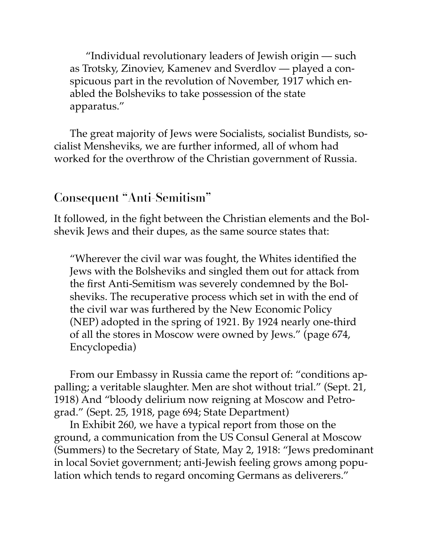"Individual revolutionary leaders of Jewish origin — such as Trotsky, Zinoviev, Kamenev and Sverdlov — played a conspicuous part in the revolution of November, 1917 which enabled the Bolsheviks to take possession of the state apparatus."

The great majority of Jews were Socialists, socialist Bundists, socialist Mensheviks, we are further informed, all of whom had worked for the overthrow of the Christian government of Russia.

# Consequent "Anti-Semitism "

It followed, in the fight between the Christian elements and the Bolshevik Jews and their dupes, as the same source states that:

"Wherever the civil war was fought, the Whites identified the Jews with the Bolsheviks and singled them out for attack from the first Anti-Semitism was severely condemned by the Bolsheviks. The recuperative process which set in with the end of the civil war was furthered by the New Economic Policy (NEP) adopted in the spring of 1921. By 1924 nearly one-third of all the stores in Moscow were owned by Jews." (page 674, Encyclopedia)

From our Embassy in Russia came the report of: "conditions appalling; a veritable slaughter. Men are shot without trial." (Sept. 21, 1918) And "bloody delirium now reigning at Moscow and Petrograd." (Sept. 25, 1918, page 694; State Department)

In Exhibit 260, we have a typical report from those on the ground, a communication from the US Consul General at Moscow (Summers) to the Secretary of State, May 2, 1918: "Jews predominant in local Soviet government; anti-Jewish feeling grows among population which tends to regard oncoming Germans as deliverers."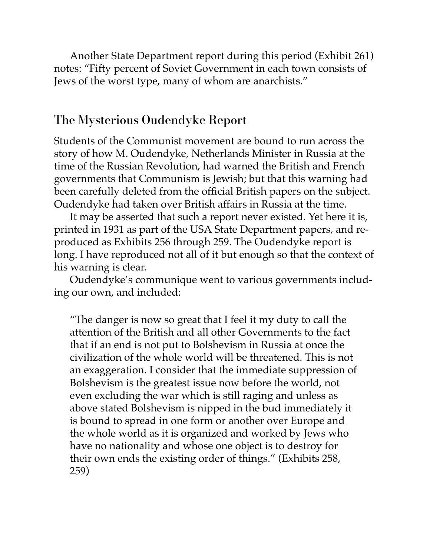Another State Department report during this period (Exhibit 261) notes: "Fifty percent of Soviet Government in each town consists of Jews of the worst type, many of whom are anarchists."

# The Mysterious Oudendyke Report

Students of the Communist movement are bound to run across the story of how M. Oudendyke, Netherlands Minister in Russia at the time of the Russian Revolution, had warned the British and French governments that Communism is Jewish; but that this warning had been carefully deleted from the official British papers on the subject. Oudendyke had taken over British affairs in Russia at the time.

It may be asserted that such a report never existed. Yet here it is, printed in 1931 as part of the USA State Department papers, and reproduced as Exhibits 256 through 259. The Oudendyke report is long. I have reproduced not all of it but enough so that the context of his warning is clear.

Oudendyke's communique went to various governments including our own, and included:

"The danger is now so great that I feel it my duty to call the attention of the British and all other Governments to the fact that if an end is not put to Bolshevism in Russia at once the civilization of the whole world will be threatened. This is not an exaggeration. I consider that the immediate suppression of Bolshevism is the greatest issue now before the world, not even excluding the war which is still raging and unless as above stated Bolshevism is nipped in the bud immediately it is bound to spread in one form or another over Europe and the whole world as it is organized and worked by Jews who have no nationality and whose one object is to destroy for their own ends the existing order of things." (Exhibits 258, 259)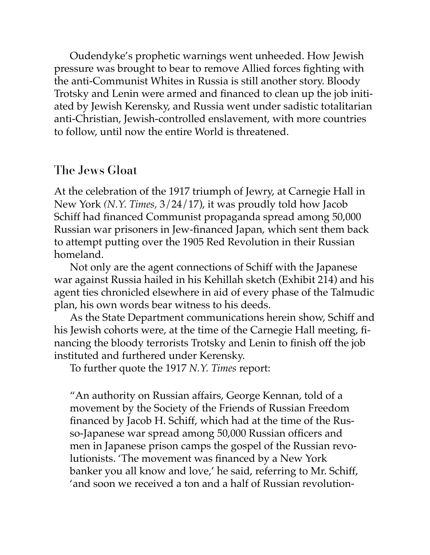Oudendyke's prophetic warnings went unheeded. How Jewish pressure was brought to bear to remove Allied forces fighting with the anti-Communist Whites in Russia is still another story. Bloody Trotsky and Lenin were armed and financed to clean up the job initiated by Jewish Kerensky, and Russia went under sadistic totalitarian anti-Christian, Jewish-controlled enslavement, with more countries to follow, until now the entire World is threatened.

### The Jews Gloat

At the celebration of the 1917 triumph of Jewry, at Carnegie Hall in New York *(N.Y. Times,* 3/24/17), it was proudly told how Jacob Schiff had financed Communist propaganda spread among 50,000 Russian war prisoners in Jew-financed Japan, which sent them back to attempt putting over the 1905 Red Revolution in their Russian homeland.

Not only are the agent connections of Schiff with the Japanese war against Russia hailed in his Kehillah sketch (Exhibit 214) and his agent ties chronicled elsewhere in aid of every phase of the Talmudic plan, his own words bear witness to his deeds.

As the State Department communications herein show, Schiff and his Jewish cohorts were, at the time of the Carnegie Hall meeting, financing the bloody terrorists Trotsky and Lenin to finish off the job instituted and furthered under Kerensky.

To further quote the 1917 *N.Y. Times* report:

"An authority on Russian affairs, George Kennan, told of a movement by the Society of the Friends of Russian Freedom financed by Jacob H. Schiff, which had at the time of the Russo-Japanese war spread among 50,000 Russian officers and men in Japanese prison camps the gospel of the Russian revolutionists. 'The movement was financed by a New York banker you all know and love,' he said, referring to Mr. Schiff, 'and soon we received a ton and a half of Russian revolution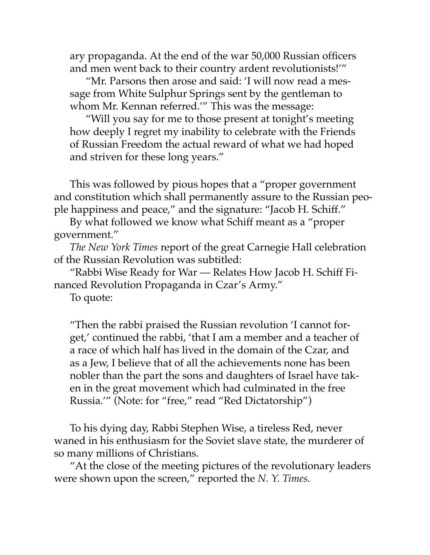ary propaganda. At the end of the war 50,000 Russian officers and men went back to their country ardent revolutionists!'"

"Mr. Parsons then arose and said: 'I will now read a message from White Sulphur Springs sent by the gentleman to whom Mr. Kennan referred.'" This was the message:

"Will you say for me to those present at tonight's meeting how deeply I regret my inability to celebrate with the Friends of Russian Freedom the actual reward of what we had hoped and striven for these long years."

This was followed by pious hopes that a "proper government and constitution which shall permanently assure to the Russian people happiness and peace," and the signature: "Jacob H. Schiff."

By what followed we know what Schiff meant as a "proper government."

*The New York Times* report of the great Carnegie Hall celebration of the Russian Revolution was subtitled:

"Rabbi Wise Ready for War — Relates How Jacob H. Schiff Financed Revolution Propaganda in Czar's Army."

To quote:

"Then the rabbi praised the Russian revolution 'I cannot forget,' continued the rabbi, 'that I am a member and a teacher of a race of which half has lived in the domain of the Czar, and as a Jew, I believe that of all the achievements none has been nobler than the part the sons and daughters of Israel have taken in the great movement which had culminated in the free Russia.'" (Note: for "free," read "Red Dictatorship")

To his dying day, Rabbi Stephen Wise, a tireless Red, never waned in his enthusiasm for the Soviet slave state, the murderer of so many millions of Christians.

"At the close of the meeting pictures of the revolutionary leaders were shown upon the screen," reported the *N. Y. Times.*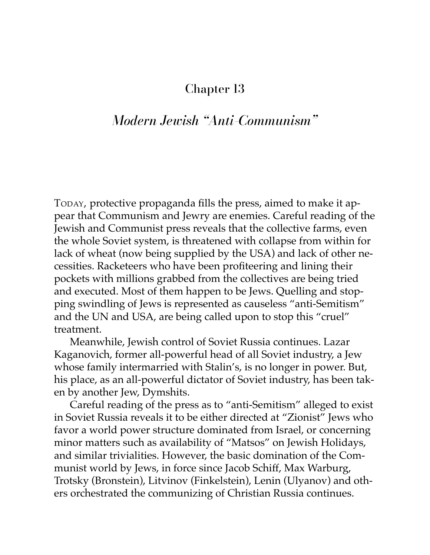# Chapter 13

# *Modern Jewish "Anti-Communism "*

TODAY, protective propaganda fills the press, aimed to make it appear that Communism and Jewry are enemies. Careful reading of the Jewish and Communist press reveals that the collective farms, even the whole Soviet system, is threatened with collapse from within for lack of wheat (now being supplied by the USA) and lack of other necessities. Racketeers who have been profiteering and lining their pockets with millions grabbed from the collectives are being tried and executed. Most of them happen to be Jews. Quelling and stopping swindling of Jews is represented as causeless "anti-Semitism" and the UN and USA, are being called upon to stop this "cruel" treatment.

Meanwhile, Jewish control of Soviet Russia continues. Lazar Kaganovich, former all-powerful head of all Soviet industry, a Jew whose family intermarried with Stalin's, is no longer in power. But, his place, as an all-powerful dictator of Soviet industry, has been taken by another Jew, Dymshits.

Careful reading of the press as to "anti-Semitism" alleged to exist in Soviet Russia reveals it to be either directed at "Zionist" Jews who favor a world power structure dominated from Israel, or concerning minor matters such as availability of "Matsos" on Jewish Holidays, and similar trivialities. However, the basic domination of the Communist world by Jews, in force since Jacob Schiff, Max Warburg, Trotsky (Bronstein), Litvinov (Finkelstein), Lenin (Ulyanov) and others orchestrated the communizing of Christian Russia continues.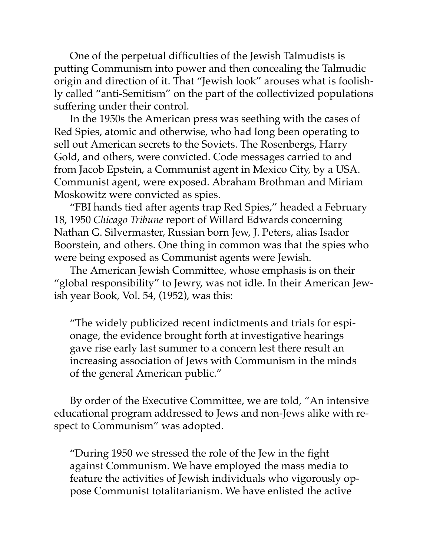One of the perpetual difficulties of the Jewish Talmudists is putting Communism into power and then concealing the Talmudic origin and direction of it. That "Jewish look" arouses what is foolishly called "anti-Semitism" on the part of the collectivized populations suffering under their control.

In the 1950s the American press was seething with the cases of Red Spies, atomic and otherwise, who had long been operating to sell out American secrets to the Soviets. The Rosenbergs, Harry Gold, and others, were convicted. Code messages carried to and from Jacob Epstein, a Communist agent in Mexico City, by a USA. Communist agent, were exposed. Abraham Brothman and Miriam Moskowitz were convicted as spies.

"FBI hands tied after agents trap Red Spies," headed a February 18, 1950 *Chicago Tribune* report of Willard Edwards concerning Nathan G. Silvermaster, Russian born Jew, J. Peters, alias Isador Boorstein, and others. One thing in common was that the spies who were being exposed as Communist agents were Jewish.

The American Jewish Committee, whose emphasis is on their "global responsibility" to Jewry, was not idle. In their American Jewish year Book, Vol. 54, (1952), was this:

"The widely publicized recent indictments and trials for espionage, the evidence brought forth at investigative hearings gave rise early last summer to a concern lest there result an increasing association of Jews with Communism in the minds of the general American public."

By order of the Executive Committee, we are told, "An intensive educational program addressed to Jews and non-Jews alike with respect to Communism" was adopted.

"During 1950 we stressed the role of the Jew in the fight against Communism. We have employed the mass media to feature the activities of Jewish individuals who vigorously oppose Communist totalitarianism. We have enlisted the active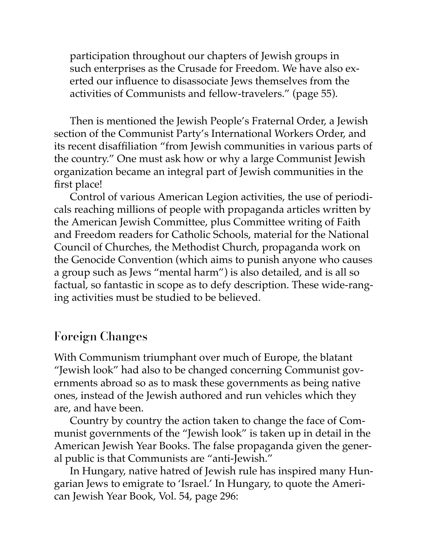participation throughout our chapters of Jewish groups in such enterprises as the Crusade for Freedom. We have also exerted our influence to disassociate Jews themselves from the activities of Communists and fellow-travelers." (page 55).

Then is mentioned the Jewish People's Fraternal Order, a Jewish section of the Communist Party's International Workers Order, and its recent disaffiliation "from Jewish communities in various parts of the country." One must ask how or why a large Communist Jewish organization became an integral part of Jewish communities in the first place!

Control of various American Legion activities, the use of periodicals reaching millions of people with propaganda articles written by the American Jewish Committee, plus Committee writing of Faith and Freedom readers for Catholic Schools, material for the National Council of Churches, the Methodist Church, propaganda work on the Genocide Convention (which aims to punish anyone who causes a group such as Jews "mental harm") is also detailed, and is all so factual, so fantastic in scope as to defy description. These wide-ranging activities must be studied to be believed.

#### Foreign Changes

With Communism triumphant over much of Europe, the blatant "Jewish look" had also to be changed concerning Communist governments abroad so as to mask these governments as being native ones, instead of the Jewish authored and run vehicles which they are, and have been.

Country by country the action taken to change the face of Communist governments of the "Jewish look" is taken up in detail in the American Jewish Year Books. The false propaganda given the general public is that Communists are "anti-Jewish."

In Hungary, native hatred of Jewish rule has inspired many Hungarian Jews to emigrate to 'Israel.' In Hungary, to quote the American Jewish Year Book, Vol. 54, page 296: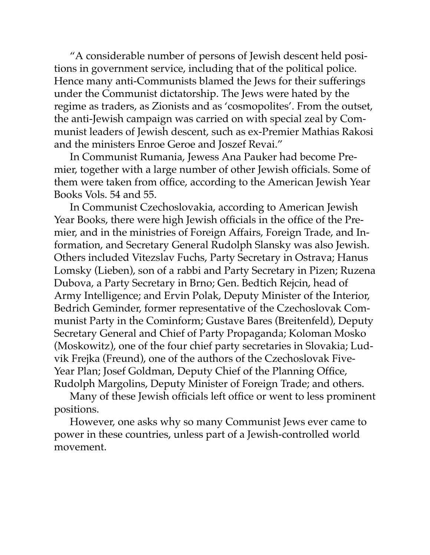"A considerable number of persons of Jewish descent held positions in government service, including that of the political police. Hence many anti-Communists blamed the Jews for their sufferings under the Communist dictatorship. The Jews were hated by the regime as traders, as Zionists and as 'cosmopolites'. From the outset, the anti-Jewish campaign was carried on with special zeal by Communist leaders of Jewish descent, such as ex-Premier Mathias Rakosi and the ministers Enroe Geroe and Joszef Revai."

In Communist Rumania, Jewess Ana Pauker had become Premier, together with a large number of other Jewish officials. Some of them were taken from office, according to the American Jewish Year Books Vols. 54 and 55.

In Communist Czechoslovakia, according to American Jewish Year Books, there were high Jewish officials in the office of the Premier, and in the ministries of Foreign Affairs, Foreign Trade, and Information, and Secretary General Rudolph Slansky was also Jewish. Others included Vitezslav Fuchs, Party Secretary in Ostrava; Hanus Lomsky (Lieben), son of a rabbi and Party Secretary in Pizen; Ruzena Dubova, a Party Secretary in Brno; Gen. Bedtich Rejcin, head of Army Intelligence; and Ervin Polak, Deputy Minister of the Interior, Bedrich Geminder, former representative of the Czechoslovak Communist Party in the Cominform; Gustave Bares (Breitenfeld), Deputy Secretary General and Chief of Party Propaganda; Koloman Mosko (Moskowitz), one of the four chief party secretaries in Slovakia; Ludvik Frejka (Freund), one of the authors of the Czechoslovak Five-Year Plan; Josef Goldman, Deputy Chief of the Planning Office, Rudolph Margolins, Deputy Minister of Foreign Trade; and others.

Many of these Jewish officials left office or went to less prominent positions.

However, one asks why so many Communist Jews ever came to power in these countries, unless part of a Jewish-controlled world movement.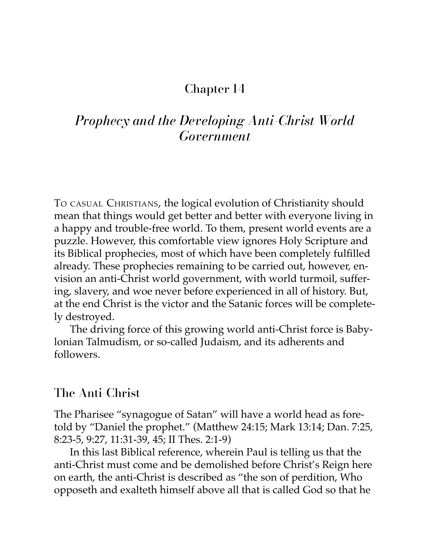# Chapter 14

# *Prophecy and the Developing Anti-Christ World Government*

T<sup>O</sup> CASUAL CHRISTIANS, the logical evolution of Christianity should mean that things would get better and better with everyone living in a happy and trouble-free world. To them, present world events are a puzzle. However, this comfortable view ignores Holy Scripture and its Biblical prophecies, most of which have been completely fulfilled already. These prophecies remaining to be carried out, however, envision an anti-Christ world government, with world turmoil, suffering, slavery, and woe never before experienced in all of history. But, at the end Christ is the victor and the Satanic forces will be completely destroyed.

The driving force of this growing world anti-Christ force is Babylonian Talmudism, or so-called Judaism, and its adherents and followers.

#### The Anti-Christ

The Pharisee "synagogue of Satan" will have a world head as foretold by "Daniel the prophet." (Matthew 24:15; Mark 13:14; Dan. 7:25, 8:23-5, 9:27, 11:31-39, 45; II Thes. 2:1-9)

In this last Biblical reference, wherein Paul is telling us that the anti-Christ must come and be demolished before Christ's Reign here on earth, the anti-Christ is described as "the son of perdition, Who opposeth and exalteth himself above all that is called God so that he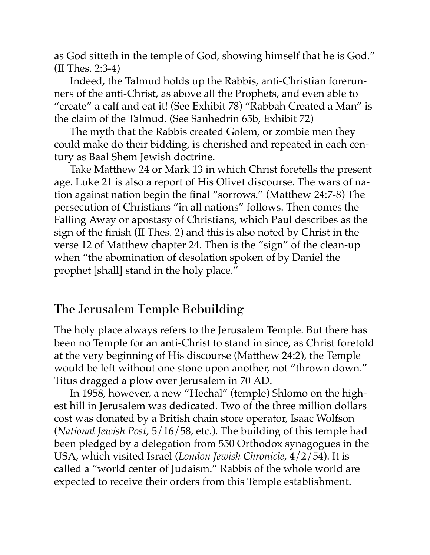as God sitteth in the temple of God, showing himself that he is God." (II Thes. 2:3-4)

Indeed, the Talmud holds up the Rabbis, anti-Christian forerunners of the anti-Christ, as above all the Prophets, and even able to "create" a calf and eat it! (See Exhibit 78) "Rabbah Created a Man" is the claim of the Talmud. (See Sanhedrin 65b, Exhibit 72)

The myth that the Rabbis created Golem, or zombie men they could make do their bidding, is cherished and repeated in each century as Baal Shem Jewish doctrine.

Take Matthew 24 or Mark 13 in which Christ foretells the present age. Luke 21 is also a report of His Olivet discourse. The wars of nation against nation begin the final "sorrows." (Matthew 24:7-8) The persecution of Christians "in all nations" follows. Then comes the Falling Away or apostasy of Christians, which Paul describes as the sign of the finish (II Thes. 2) and this is also noted by Christ in the verse 12 of Matthew chapter 24. Then is the "sign" of the clean-up when "the abomination of desolation spoken of by Daniel the prophet [shall] stand in the holy place."

# The Jerusalem Temple Rebuilding

The holy place always refers to the Jerusalem Temple. But there has been no Temple for an anti-Christ to stand in since, as Christ foretold at the very beginning of His discourse (Matthew 24:2), the Temple would be left without one stone upon another, not "thrown down." Titus dragged a plow over Jerusalem in 70 AD.

In 1958, however, a new "Hechal" (temple) Shlomo on the highest hill in Jerusalem was dedicated. Two of the three million dollars cost was donated by a British chain store operator, Isaac Wolfson (*National Jewish Post,* 5/16/58, etc.). The building of this temple had been pledged by a delegation from 550 Orthodox synagogues in the USA, which visited Israel (*London Jewish Chronicle,* 4/2/54). It is called a "world center of Judaism." Rabbis of the whole world are expected to receive their orders from this Temple establishment.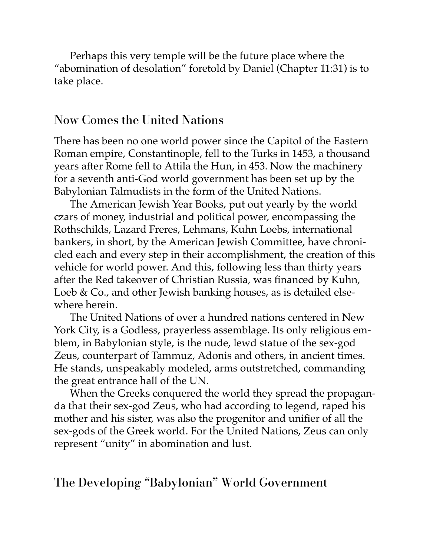Perhaps this very temple will be the future place where the "abomination of desolation" foretold by Daniel (Chapter 11:31) is to take place.

#### Now Comes the United Nations

There has been no one world power since the Capitol of the Eastern Roman empire, Constantinople, fell to the Turks in 1453, a thousand years after Rome fell to Attila the Hun, in 453. Now the machinery for a seventh anti-God world government has been set up by the Babylonian Talmudists in the form of the United Nations.

The American Jewish Year Books, put out yearly by the world czars of money, industrial and political power, encompassing the Rothschilds, Lazard Freres, Lehmans, Kuhn Loebs, international bankers, in short, by the American Jewish Committee, have chronicled each and every step in their accomplishment, the creation of this vehicle for world power. And this, following less than thirty years after the Red takeover of Christian Russia, was financed by Kuhn, Loeb & Co., and other Jewish banking houses, as is detailed elsewhere herein.

The United Nations of over a hundred nations centered in New York City, is a Godless, prayerless assemblage. Its only religious emblem, in Babylonian style, is the nude, lewd statue of the sex-god Zeus, counterpart of Tammuz, Adonis and others, in ancient times. He stands, unspeakably modeled, arms outstretched, commanding the great entrance hall of the UN.

When the Greeks conquered the world they spread the propaganda that their sex-god Zeus, who had according to legend, raped his mother and his sister, was also the progenitor and unifier of all the sex-gods of the Greek world. For the United Nations, Zeus can only represent "unity" in abomination and lust.

# The Developing "Babylonian " World Government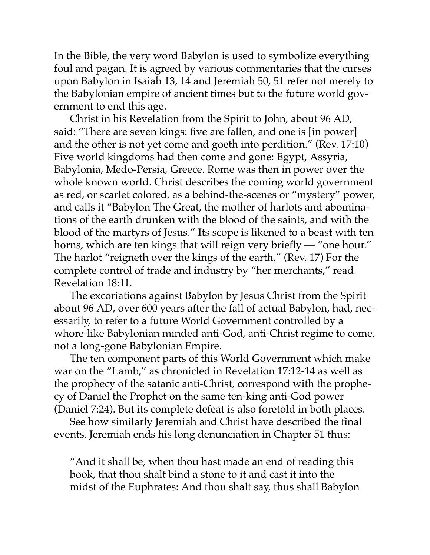In the Bible, the very word Babylon is used to symbolize everything foul and pagan. It is agreed by various commentaries that the curses upon Babylon in Isaiah 13, 14 and Jeremiah 50, 51 refer not merely to the Babylonian empire of ancient times but to the future world government to end this age.

Christ in his Revelation from the Spirit to John, about 96 AD, said: "There are seven kings: five are fallen, and one is [in power] and the other is not yet come and goeth into perdition." (Rev. 17:10) Five world kingdoms had then come and gone: Egypt, Assyria, Babylonia, Medo-Persia, Greece. Rome was then in power over the whole known world. Christ describes the coming world government as red, or scarlet colored, as a behind-the-scenes or "mystery" power, and calls it "Babylon The Great, the mother of harlots and abominations of the earth drunken with the blood of the saints, and with the blood of the martyrs of Jesus." Its scope is likened to a beast with ten horns, which are ten kings that will reign very briefly — "one hour." The harlot "reigneth over the kings of the earth." (Rev. 17) For the complete control of trade and industry by "her merchants," read Revelation 18:11.

The excoriations against Babylon by Jesus Christ from the Spirit about 96 AD, over 600 years after the fall of actual Babylon, had, necessarily, to refer to a future World Government controlled by a whore-like Babylonian minded anti-God, anti-Christ regime to come, not a long-gone Babylonian Empire.

The ten component parts of this World Government which make war on the "Lamb," as chronicled in Revelation 17:12-14 as well as the prophecy of the satanic anti-Christ, correspond with the prophecy of Daniel the Prophet on the same ten-king anti-God power (Daniel 7:24). But its complete defeat is also foretold in both places.

See how similarly Jeremiah and Christ have described the final events. Jeremiah ends his long denunciation in Chapter 51 thus:

"And it shall be, when thou hast made an end of reading this book, that thou shalt bind a stone to it and cast it into the midst of the Euphrates: And thou shalt say, thus shall Babylon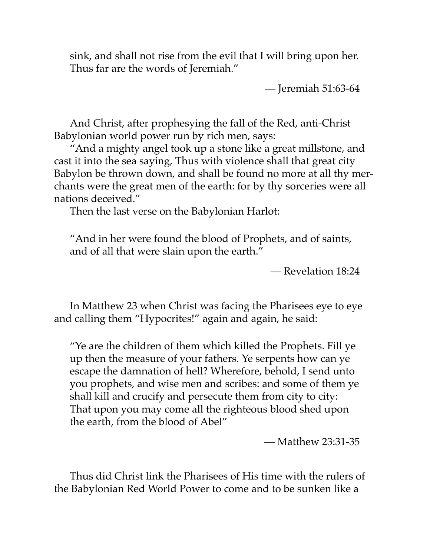sink, and shall not rise from the evil that I will bring upon her. Thus far are the words of Jeremiah."

— Jeremiah 51:63-64

And Christ, after prophesying the fall of the Red, anti-Christ Babylonian world power run by rich men, says:

"And a mighty angel took up a stone like a great millstone, and cast it into the sea saying, Thus with violence shall that great city Babylon be thrown down, and shall be found no more at all thy merchants were the great men of the earth: for by thy sorceries were all nations deceived."

Then the last verse on the Babylonian Harlot:

"And in her were found the blood of Prophets, and of saints, and of all that were slain upon the earth."

— Revelation 18:24

In Matthew 23 when Christ was facing the Pharisees eye to eye and calling them "Hypocrites!" again and again, he said:

"Ye are the children of them which killed the Prophets. Fill ye up then the measure of your fathers. Ye serpents how can ye escape the damnation of hell? Wherefore, behold, I send unto you prophets, and wise men and scribes: and some of them ye shall kill and crucify and persecute them from city to city: That upon you may come all the righteous blood shed upon the earth, from the blood of Abel"

— Matthew 23:31-35

Thus did Christ link the Pharisees of His time with the rulers of the Babylonian Red World Power to come and to be sunken like a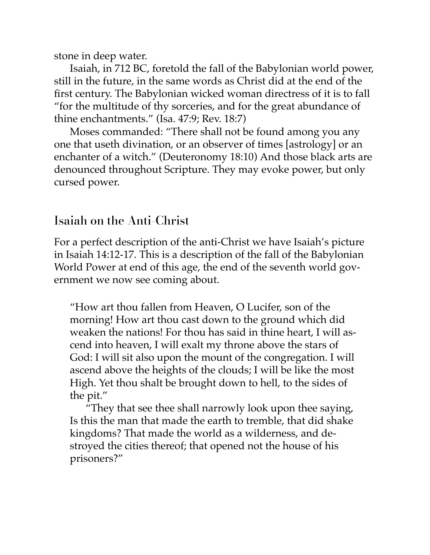stone in deep water.

Isaiah, in 712 BC, foretold the fall of the Babylonian world power, still in the future, in the same words as Christ did at the end of the first century. The Babylonian wicked woman directress of it is to fall "for the multitude of thy sorceries, and for the great abundance of thine enchantments." (Isa. 47:9; Rev. 18:7)

Moses commanded: "There shall not be found among you any one that useth divination, or an observer of times [astrology] or an enchanter of a witch." (Deuteronomy 18:10) And those black arts are denounced throughout Scripture. They may evoke power, but only cursed power.

### Isaiah on the Anti-Christ

For a perfect description of the anti-Christ we have Isaiah's picture in Isaiah 14:12-17. This is a description of the fall of the Babylonian World Power at end of this age, the end of the seventh world government we now see coming about.

"How art thou fallen from Heaven, O Lucifer, son of the morning! How art thou cast down to the ground which did weaken the nations! For thou has said in thine heart, I will ascend into heaven, I will exalt my throne above the stars of God: I will sit also upon the mount of the congregation. I will ascend above the heights of the clouds; I will be like the most High. Yet thou shalt be brought down to hell, to the sides of the pit."

"They that see thee shall narrowly look upon thee saying, Is this the man that made the earth to tremble, that did shake kingdoms? That made the world as a wilderness, and destroyed the cities thereof; that opened not the house of his prisoners?"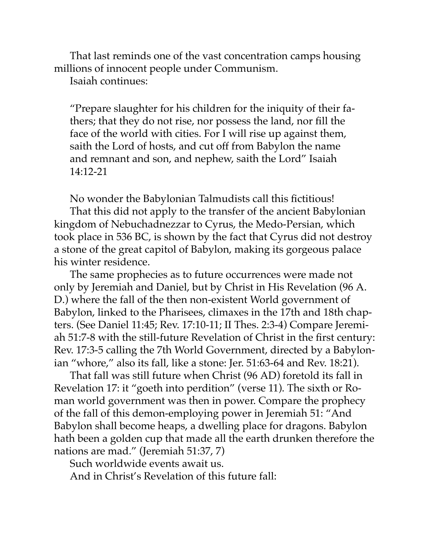That last reminds one of the vast concentration camps housing millions of innocent people under Communism.

Isaiah continues:

"Prepare slaughter for his children for the iniquity of their fathers; that they do not rise, nor possess the land, nor fill the face of the world with cities. For I will rise up against them, saith the Lord of hosts, and cut off from Babylon the name and remnant and son, and nephew, saith the Lord" Isaiah 14:12-21

No wonder the Babylonian Talmudists call this fictitious!

That this did not apply to the transfer of the ancient Babylonian kingdom of Nebuchadnezzar to Cyrus, the Medo-Persian, which took place in 536 BC, is shown by the fact that Cyrus did not destroy a stone of the great capitol of Babylon, making its gorgeous palace his winter residence.

The same prophecies as to future occurrences were made not only by Jeremiah and Daniel, but by Christ in His Revelation (96 A. D.) where the fall of the then non-existent World government of Babylon, linked to the Pharisees, climaxes in the 17th and 18th chapters. (See Daniel 11:45; Rev. 17:10-11; II Thes. 2:3-4) Compare Jeremiah 51:7-8 with the still-future Revelation of Christ in the first century: Rev. 17:3-5 calling the 7th World Government, directed by a Babylonian "whore," also its fall, like a stone: Jer. 51:63-64 and Rev. 18:21).

That fall was still future when Christ (96 AD) foretold its fall in Revelation 17: it "goeth into perdition" (verse 11). The sixth or Roman world government was then in power. Compare the prophecy of the fall of this demon-employing power in Jeremiah 51: "And Babylon shall become heaps, a dwelling place for dragons. Babylon hath been a golden cup that made all the earth drunken therefore the nations are mad." (Jeremiah 51:37, 7)

Such worldwide events await us.

And in Christ's Revelation of this future fall: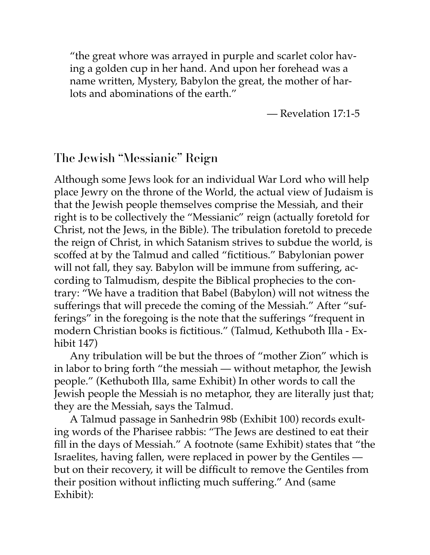"the great whore was arrayed in purple and scarlet color having a golden cup in her hand. And upon her forehead was a name written, Mystery, Babylon the great, the mother of harlots and abominations of the earth."

— Revelation 17:1-5

# The Jewish "Messianic " Reign

Although some Jews look for an individual War Lord who will help place Jewry on the throne of the World, the actual view of Judaism is that the Jewish people themselves comprise the Messiah, and their right is to be collectively the "Messianic" reign (actually foretold for Christ, not the Jews, in the Bible). The tribulation foretold to precede the reign of Christ, in which Satanism strives to subdue the world, is scoffed at by the Talmud and called "fictitious." Babylonian power will not fall, they say. Babylon will be immune from suffering, according to Talmudism, despite the Biblical prophecies to the contrary: "We have a tradition that Babel (Babylon) will not witness the sufferings that will precede the coming of the Messiah." After "sufferings" in the foregoing is the note that the sufferings "frequent in modern Christian books is fictitious." (Talmud, Kethuboth Illa - Exhibit 147)

Any tribulation will be but the throes of "mother Zion" which is in labor to bring forth "the messiah — without metaphor, the Jewish people." (Kethuboth Illa, same Exhibit) In other words to call the Jewish people the Messiah is no metaphor, they are literally just that; they are the Messiah, says the Talmud.

A Talmud passage in Sanhedrin 98b (Exhibit 100) records exulting words of the Pharisee rabbis: "The Jews are destined to eat their fill in the days of Messiah." A footnote (same Exhibit) states that "the Israelites, having fallen, were replaced in power by the Gentiles but on their recovery, it will be difficult to remove the Gentiles from their position without inflicting much suffering." And (same Exhibit):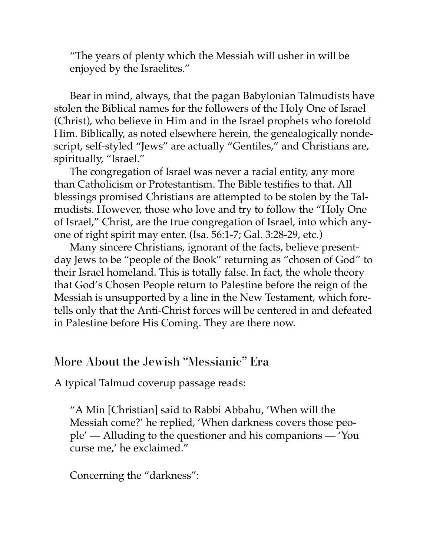"The years of plenty which the Messiah will usher in will be enjoyed by the Israelites."

Bear in mind, always, that the pagan Babylonian Talmudists have stolen the Biblical names for the followers of the Holy One of Israel (Christ), who believe in Him and in the Israel prophets who foretold Him. Biblically, as noted elsewhere herein, the genealogically nondescript, self-styled "Jews" are actually "Gentiles," and Christians are, spiritually, "Israel."

The congregation of Israel was never a racial entity, any more than Catholicism or Protestantism. The Bible testifies to that. All blessings promised Christians are attempted to be stolen by the Talmudists. However, those who love and try to follow the "Holy One of Israel," Christ, are the true congregation of Israel, into which anyone of right spirit may enter. (Isa. 56:1-7; Gal. 3:28-29, etc.)

Many sincere Christians, ignorant of the facts, believe presentday Jews to be "people of the Book" returning as "chosen of God" to their Israel homeland. This is totally false. In fact, the whole theory that God's Chosen People return to Palestine before the reign of the Messiah is unsupported by a line in the New Testament, which foretells only that the Anti-Christ forces will be centered in and defeated in Palestine before His Coming. They are there now.

# More About the Jewish "Messianic " Era

A typical Talmud coverup passage reads:

"A Min [Christian] said to Rabbi Abbahu, 'When will the Messiah come?' he replied, 'When darkness covers those people' — Alluding to the questioner and his companions — 'You curse me,' he exclaimed."

Concerning the "darkness":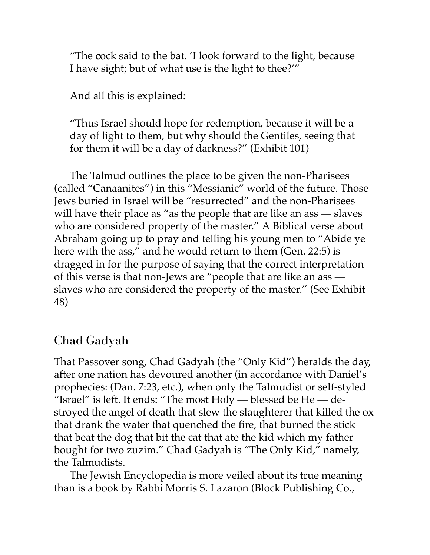"The cock said to the bat. 'I look forward to the light, because I have sight; but of what use is the light to thee?'"

And all this is explained:

"Thus Israel should hope for redemption, because it will be a day of light to them, but why should the Gentiles, seeing that for them it will be a day of darkness?" (Exhibit 101)

The Talmud outlines the place to be given the non-Pharisees (called "Canaanites") in this "Messianic" world of the future. Those Jews buried in Israel will be "resurrected" and the non-Pharisees will have their place as "as the people that are like an ass — slaves who are considered property of the master." A Biblical verse about Abraham going up to pray and telling his young men to "Abide ye here with the ass," and he would return to them (Gen. 22:5) is dragged in for the purpose of saying that the correct interpretation of this verse is that non-Jews are "people that are like an ass slaves who are considered the property of the master." (See Exhibit 48)

# Chad Gadyah

That Passover song, Chad Gadyah (the "Only Kid") heralds the day, after one nation has devoured another (in accordance with Daniel's prophecies: (Dan. 7:23, etc.), when only the Talmudist or self-styled "Israel" is left. It ends: "The most  $Holy$  — blessed be  $He$  — destroyed the angel of death that slew the slaughterer that killed the ox that drank the water that quenched the fire, that burned the stick that beat the dog that bit the cat that ate the kid which my father bought for two zuzim." Chad Gadyah is "The Only Kid," namely, the Talmudists.

The Jewish Encyclopedia is more veiled about its true meaning than is a book by Rabbi Morris S. Lazaron (Block Publishing Co.,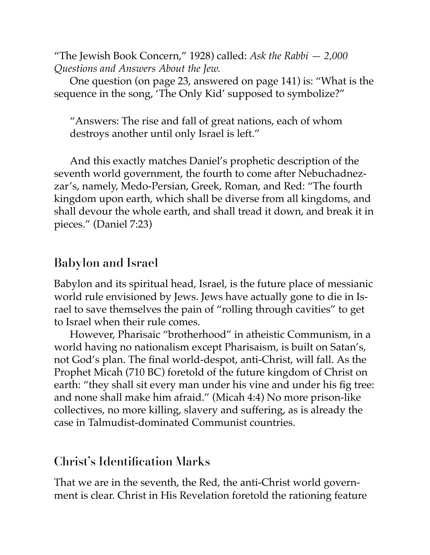"The Jewish Book Concern," 1928) called: *Ask the Rabbi — 2,000 Questions and Answers About the Jew.*

One question (on page 23, answered on page 141) is: "What is the sequence in the song, 'The Only Kid' supposed to symbolize?"

"Answers: The rise and fall of great nations, each of whom destroys another until only Israel is left."

And this exactly matches Daniel's prophetic description of the seventh world government, the fourth to come after Nebuchadnezzar's, namely, Medo-Persian, Greek, Roman, and Red: "The fourth kingdom upon earth, which shall be diverse from all kingdoms, and shall devour the whole earth, and shall tread it down, and break it in pieces." (Daniel 7:23)

### Babylon and Israel

Babylon and its spiritual head, Israel, is the future place of messianic world rule envisioned by Jews. Jews have actually gone to die in Israel to save themselves the pain of "rolling through cavities" to get to Israel when their rule comes.

However, Pharisaic "brotherhood" in atheistic Communism, in a world having no nationalism except Pharisaism, is built on Satan's, not God's plan. The final world-despot, anti-Christ, will fall. As the Prophet Micah (710 BC) foretold of the future kingdom of Christ on earth: "they shall sit every man under his vine and under his fig tree: and none shall make him afraid." (Micah 4:4) No more prison-like collectives, no more killing, slavery and suffering, as is already the case in Talmudist-dominated Communist countries.

# Christ' s Identification Marks

That we are in the seventh, the Red, the anti-Christ world government is clear. Christ in His Revelation foretold the rationing feature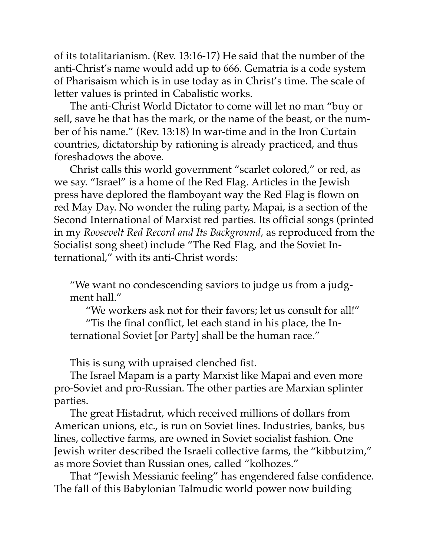of its totalitarianism. (Rev. 13:16-17) He said that the number of the anti-Christ's name would add up to 666. Gematria is a code system of Pharisaism which is in use today as in Christ's time. The scale of letter values is printed in Cabalistic works.

The anti-Christ World Dictator to come will let no man "buy or sell, save he that has the mark, or the name of the beast, or the number of his name." (Rev. 13:18) In war-time and in the Iron Curtain countries, dictatorship by rationing is already practiced, and thus foreshadows the above.

Christ calls this world government "scarlet colored," or red, as we say. "Israel" is a home of the Red Flag. Articles in the Jewish press have deplored the flamboyant way the Red Flag is flown on red May Day. No wonder the ruling party, Mapai, is a section of the Second International of Marxist red parties. Its official songs (printed in my *Roosevelt Red Record and Its Background,* as reproduced from the Socialist song sheet) include "The Red Flag, and the Soviet International," with its anti-Christ words:

"We want no condescending saviors to judge us from a judgment hall."

"We workers ask not for their favors; let us consult for all!"

"Tis the final conflict, let each stand in his place, the International Soviet [or Party] shall be the human race."

This is sung with upraised clenched fist.

The Israel Mapam is a party Marxist like Mapai and even more pro-Soviet and pro-Russian. The other parties are Marxian splinter parties.

The great Histadrut, which received millions of dollars from American unions, etc., is run on Soviet lines. Industries, banks, bus lines, collective farms, are owned in Soviet socialist fashion. One Jewish writer described the Israeli collective farms, the "kibbutzim," as more Soviet than Russian ones, called "kolhozes."

That "Jewish Messianic feeling" has engendered false confidence. The fall of this Babylonian Talmudic world power now building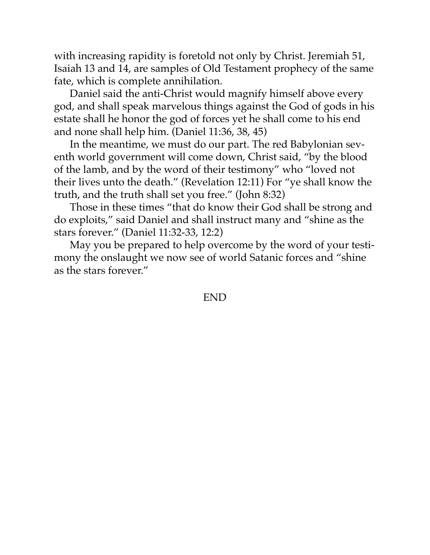with increasing rapidity is foretold not only by Christ. Jeremiah 51, Isaiah 13 and 14, are samples of Old Testament prophecy of the same fate, which is complete annihilation.

Daniel said the anti-Christ would magnify himself above every god, and shall speak marvelous things against the God of gods in his estate shall he honor the god of forces yet he shall come to his end and none shall help him. (Daniel 11:36, 38, 45)

In the meantime, we must do our part. The red Babylonian seventh world government will come down, Christ said, "by the blood of the lamb, and by the word of their testimony" who "loved not their lives unto the death." (Revelation 12:11) For "ye shall know the truth, and the truth shall set you free." (John 8:32)

Those in these times "that do know their God shall be strong and do exploits," said Daniel and shall instruct many and "shine as the stars forever." (Daniel 11:32-33, 12:2)

May you be prepared to help overcome by the word of your testimony the onslaught we now see of world Satanic forces and "shine as the stars forever."

END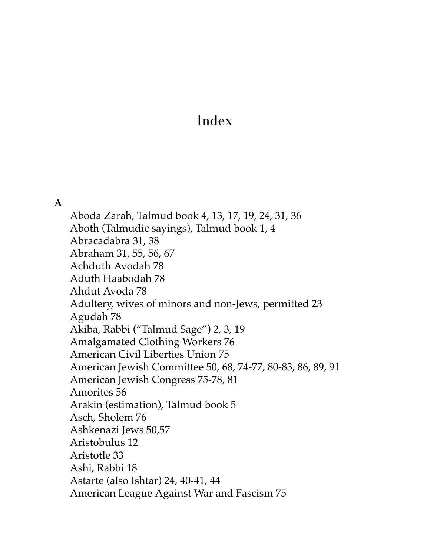# Index

#### **A**

Aboda Zarah, Talmud book 4, 13, 17, 19, 24, 31, 36 Aboth (Talmudic sayings), Talmud book 1, 4 Abracadabra 31, 38 Abraham 31, 55, 56, 67 Achduth Avodah 78 Aduth Haabodah 78 Ahdut Avoda 78 Adultery, wives of minors and non-Jews, permitted 23 Agudah 78 Akiba, Rabbi ("Talmud Sage") 2, 3, 19 Amalgamated Clothing Workers 76 American Civil Liberties Union 75 American Jewish Committee 50, 68, 74-77, 80-83, 86, 89, 91 American Jewish Congress 75-78, 81 Amorites 56 Arakin (estimation), Talmud book 5 Asch, Sholem 76 Ashkenazi Jews 50,57 Aristobulus 12 Aristotle 33 Ashi, Rabbi 18 Astarte (also Ishtar) 24, 40-41, 44 American League Against War and Fascism 75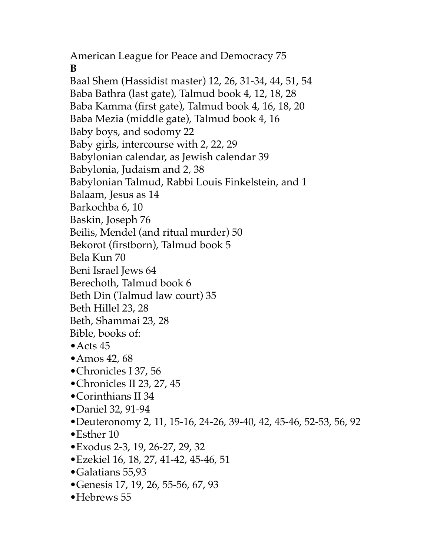American League for Peace and Democracy 75 **B** Baal Shem (Hassidist master) 12, 26, 31-34, 44, 51, 54 Baba Bathra (last gate), Talmud book 4, 12, 18, 28 Baba Kamma (first gate), Talmud book 4, 16, 18, 20 Baba Mezia (middle gate), Talmud book 4, 16 Baby boys, and sodomy 22 Baby girls, intercourse with 2, 22, 29 Babylonian calendar, as Jewish calendar 39 Babylonia, Judaism and 2, 38 Babylonian Talmud, Rabbi Louis Finkelstein, and 1 Balaam, Jesus as 14 Barkochba 6, 10 Baskin, Joseph 76 Beilis, Mendel (and ritual murder) 50 Bekorot (firstborn), Talmud book 5 Bela Kun 70 Beni Israel Jews 64 Berechoth, Talmud book 6 Beth Din (Talmud law court) 35 Beth Hillel 23, 28 Beth, Shammai 23, 28 Bible, books of: • Acts 45 • Amos 42, 68 • Chronicles I 37, 56 • Chronicles II 23, 27, 45 • Corinthians II 34 • Daniel 32, 91-94 • Deuteronomy 2, 11, 15-16, 24-26, 39-40, 42, 45-46, 52-53, 56, 92 • Esther 10 • Exodus 2-3, 19, 26-27, 29, 32 • Ezekiel 16, 18, 27, 41-42, 45-46, 51 • Galatians 55,93 • Genesis 17, 19, 26, 55-56, 67, 93 • Hebrews 55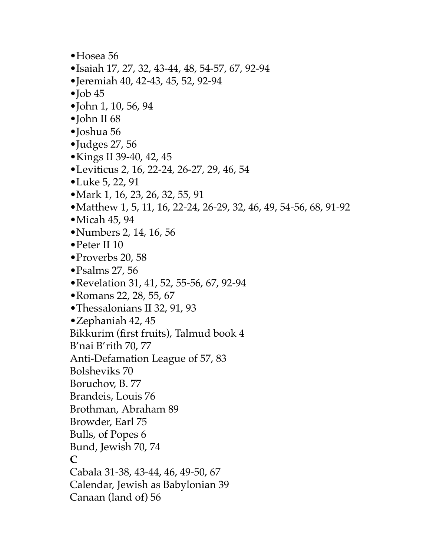- Hosea 56
- Isaiah 17, 27, 32, 43-44, 48, 54-57, 67, 92-94
- Jeremiah 40, 42-43, 45, 52, 92-94
- $\bullet$  Job 45
- John 1, 10, 56, 94
- $\bullet$  John II 68
- Joshua 56
- $\bullet$  Judges 27, 56
- Kings II 39-40, 42, 45
- Leviticus 2, 16, 22-24, 26-27, 29, 46, 54
- Luke 5, 22, 91
- Mark 1, 16, 23, 26, 32, 55, 91
- Matthew 1, 5, 11, 16, 22-24, 26-29, 32, 46, 49, 54-56, 68, 91-92
- Micah 45, 94
- Numbers 2, 14, 16, 56
- Peter II 10
- Proverbs 20, 58
- Psalms 27, 56
- Revelation 31, 41, 52, 55-56, 67, 92-94
- Romans 22, 28, 55, 67
- Thessalonians II 32, 91, 93
- Zephaniah 42, 45
- Bikkurim (first fruits), Talmud book 4
- B'nai B'rith 70, 77
- Anti-Defamation League of 57, 83
- Bolsheviks 70
- Boruchov, B. 77
- Brandeis, Louis 76
- Brothman, Abraham 89
- Browder, Earl 75
- Bulls, of Popes 6
- Bund, Jewish 70, 74
- **C**
- Cabala 31-38, 43-44, 46, 49-50, 67
- Calendar, Jewish as Babylonian 39
- Canaan (land of) 56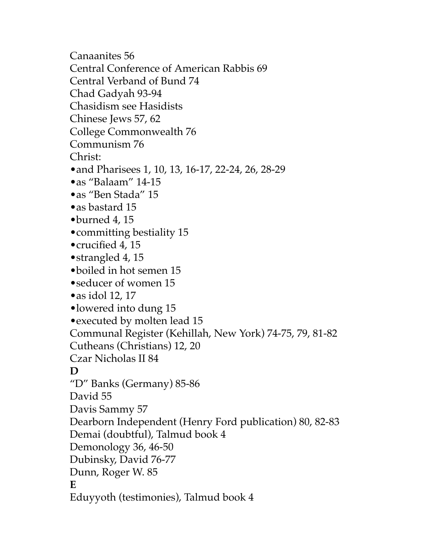Canaanites 56 Central Conference of American Rabbis 69 Central Verband of Bund 74 Chad Gadyah 93-94 Chasidism see Hasidists Chinese Jews 57, 62 College Commonwealth 76 Communism 76 Christ: • and Pharisees 1, 10, 13, 16-17, 22-24, 26, 28-29 • as "Balaam" 14-15 • as "Ben Stada" 15 • as bastard 15  $\bullet$  burned 4, 15 • committing bestiality 15 • crucified 4, 15 • strangled 4, 15 • boiled in hot semen 15 • seducer of women 15  $\bullet$  as idol 12, 17 • lowered into dung 15 • executed by molten lead 15 Communal Register (Kehillah, New York) 74-75, 79, 81-82 Cutheans (Christians) 12, 20 Czar Nicholas II 84 **D** "D" Banks (Germany) 85-86 David 55 Davis Sammy 57 Dearborn Independent (Henry Ford publication) 80, 82-83 Demai (doubtful), Talmud book 4 Demonology 36, 46-50 Dubinsky, David 76-77 Dunn, Roger W. 85 **E** Eduyyoth (testimonies), Talmud book 4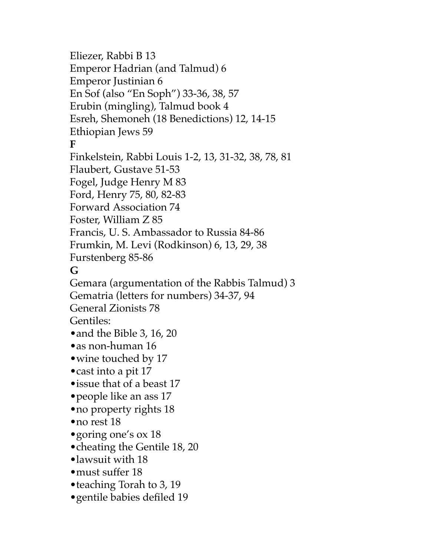Eliezer, Rabbi B 13 Emperor Hadrian (and Talmud) 6 Emperor Justinian 6 En Sof (also "En Soph") 33-36, 38, 57 Erubin (mingling), Talmud book 4 Esreh, Shemoneh (18 Benedictions) 12, 14-15 Ethiopian Jews 59 **F** Finkelstein, Rabbi Louis 1-2, 13, 31-32, 38, 78, 81 Flaubert, Gustave 51-53 Fogel, Judge Henry M 83 Ford, Henry 75, 80, 82-83 Forward Association 74 Foster, William Z 85 Francis, U. S. Ambassador to Russia 84-86 Frumkin, M. Levi (Rodkinson) 6, 13, 29, 38 Furstenberg 85-86 **G** Gemara (argumentation of the Rabbis Talmud) 3 Gematria (letters for numbers) 34-37, 94 General Zionists 78 Gentiles: • and the Bible 3, 16, 20 • as non-human 16 • wine touched by 17 • cast into a pit 17 • issue that of a beast 17 • people like an ass 17 • no property rights 18 • no rest 18 • goring one's ox 18 • cheating the Gentile 18, 20 • lawsuit with 18 • must suffer 18 • teaching Torah to 3, 19 • gentile babies defiled 19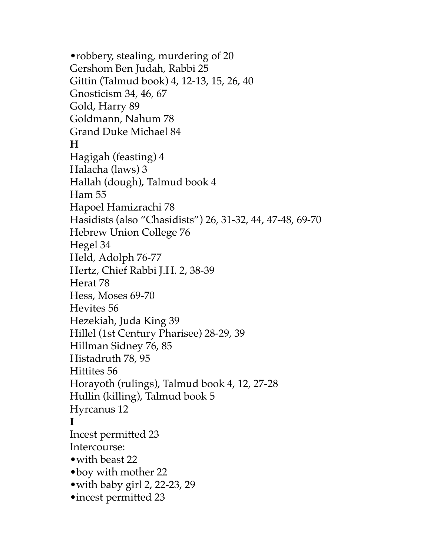• robbery, stealing, murdering of 20 Gershom Ben Judah, Rabbi 25 Gittin (Talmud book) 4, 12-13, 15, 26, 40 Gnosticism 34, 46, 67 Gold, Harry 89 Goldmann, Nahum 78 Grand Duke Michael 84 **H** Hagigah (feasting) 4 Halacha (laws) 3 Hallah (dough), Talmud book 4 Ham 55 Hapoel Hamizrachi 78 Hasidists (also "Chasidists") 26, 31-32, 44, 47-48, 69-70 Hebrew Union College 76 Hegel 34 Held, Adolph 76-77 Hertz, Chief Rabbi J.H. 2, 38-39 Herat 78 Hess, Moses 69-70 Hevites 56 Hezekiah, Juda King 39 Hillel (1st Century Pharisee) 28-29, 39 Hillman Sidney 76, 85 Histadruth 78, 95 Hittites 56 Horayoth (rulings), Talmud book 4, 12, 27-28 Hullin (killing), Talmud book 5 Hyrcanus 12 **I** Incest permitted 23 Intercourse: • with beast 22 • boy with mother 22 • with baby girl 2, 22-23, 29 • incest permitted 23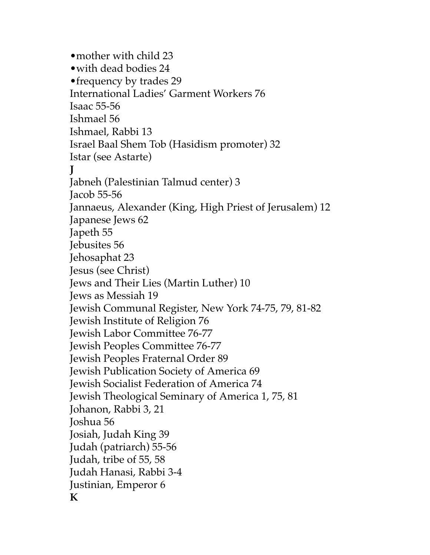• mother with child 23 • with dead bodies 24 • frequency by trades 29 International Ladies' Garment Workers 76 Isaac 55-56 Ishmael 56 Ishmael, Rabbi 13 Israel Baal Shem Tob (Hasidism promoter) 32 Istar (see Astarte) **J** Jabneh (Palestinian Talmud center) 3 Jacob 55-56 Jannaeus, Alexander (King, High Priest of Jerusalem) 12 Japanese Jews 62 Japeth 55 Jebusites 56 Jehosaphat 23 Jesus (see Christ) Jews and Their Lies (Martin Luther) 10 Jews as Messiah 19 Jewish Communal Register, New York 74-75, 79, 81-82 Jewish Institute of Religion 76 Jewish Labor Committee 76-77 Jewish Peoples Committee 76-77 Jewish Peoples Fraternal Order 89 Jewish Publication Society of America 69 Jewish Socialist Federation of America 74 Jewish Theological Seminary of America 1, 75, 81 Johanon, Rabbi 3, 21 Joshua 56 Josiah, Judah King 39 Judah (patriarch) 55-56 Judah, tribe of 55, 58 Judah Hanasi, Rabbi 3-4 Justinian, Emperor 6 **K**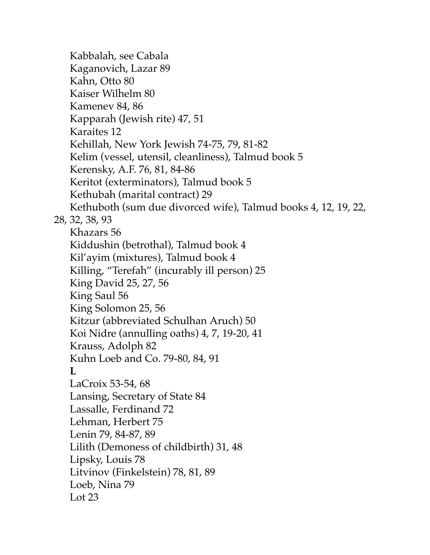Kabbalah, see Cabala Kaganovich, Lazar 89 Kahn, Otto 80 Kaiser Wilhelm 80 Kamenev 84, 86 Kapparah (Jewish rite) 47, 51 Karaites 12 Kehillah, New York Jewish 74-75, 79, 81-82 Kelim (vessel, utensil, cleanliness), Talmud book 5 Kerensky, A.F. 76, 81, 84-86 Keritot (exterminators), Talmud book 5 Kethubah (marital contract) 29 Kethuboth (sum due divorced wife), Talmud books 4, 12, 19, 22, 28, 32, 38, 93 Khazars 56 Kiddushin (betrothal), Talmud book 4 Kil'ayim (mixtures), Talmud book 4 Killing, "Terefah" (incurably ill person) 25 King David 25, 27, 56 King Saul 56 King Solomon 25, 56 Kitzur (abbreviated Schulhan Aruch) 50 Koi Nidre (annulling oaths) 4, 7, 19-20, 41 Krauss, Adolph 82 Kuhn Loeb and Co. 79-80, 84, 91 **L** LaCroix 53-54, 68 Lansing, Secretary of State 84 Lassalle, Ferdinand 72 Lehman, Herbert 75 Lenin 79, 84-87, 89 Lilith (Demoness of childbirth) 31, 48 Lipsky, Louis 78 Litvinov (Finkelstein) 78, 81, 89 Loeb, Nina 79 Lot 23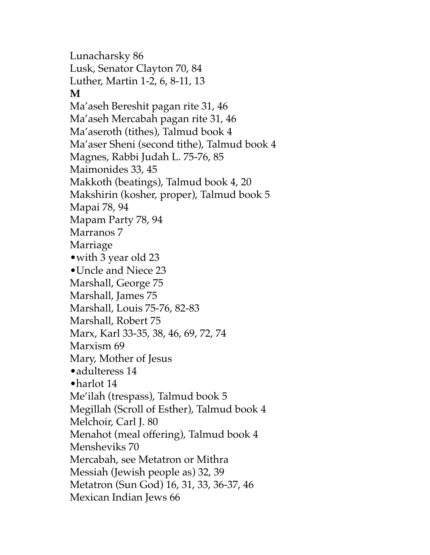Lunacharsky 86 Lusk, Senator Clayton 70, 84 Luther, Martin 1-2, 6, 8-11, 13 **M** Ma'aseh Bereshit pagan rite 31, 46 Ma'aseh Mercabah pagan rite 31, 46 Ma'aseroth (tithes), Talmud book 4 Ma'aser Sheni (second tithe), Talmud book 4 Magnes, Rabbi Judah L. 75-76, 85 Maimonides 33, 45 Makkoth (beatings), Talmud book 4, 20 Makshirin (kosher, proper), Talmud book 5 Mapai 78, 94 Mapam Party 78, 94 Marranos 7 Marriage • with 3 year old 23 • Uncle and Niece 23 Marshall, George 75 Marshall, James 75 Marshall, Louis 75-76, 82-83 Marshall, Robert 75 Marx, Karl 33-35, 38, 46, 69, 72, 74 Marxism 69 Mary, Mother of Jesus • adulteress 14 • harlot 14 Me'ilah (trespass), Talmud book 5 Megillah (Scroll of Esther), Talmud book 4 Melchoir, Carl J. 80 Menahot (meal offering), Talmud book 4 Mensheviks 70 Mercabah, see Metatron or Mithra Messiah (Jewish people as) 32, 39 Metatron (Sun God) 16, 31, 33, 36-37, 46 Mexican Indian Jews 66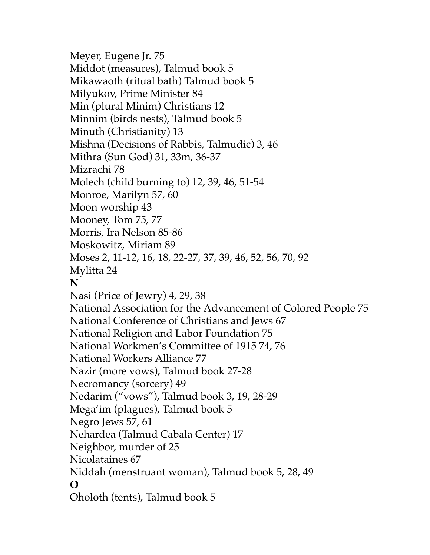Meyer, Eugene Jr. 75 Middot (measures), Talmud book 5 Mikawaoth (ritual bath) Talmud book 5 Milyukov, Prime Minister 84 Min (plural Minim) Christians 12 Minnim (birds nests), Talmud book 5 Minuth (Christianity) 13 Mishna (Decisions of Rabbis, Talmudic) 3, 46 Mithra (Sun God) 31, 33m, 36-37 Mizrachi 78 Molech (child burning to) 12, 39, 46, 51-54 Monroe, Marilyn 57, 60 Moon worship 43 Mooney, Tom 75, 77 Morris, Ira Nelson 85-86 Moskowitz, Miriam 89 Moses 2, 11-12, 16, 18, 22-27, 37, 39, 46, 52, 56, 70, 92 Mylitta 24 **N** Nasi (Price of Jewry) 4, 29, 38 National Association for the Advancement of Colored People 75 National Conference of Christians and Jews 67 National Religion and Labor Foundation 75 National Workmen's Committee of 1915 74, 76 National Workers Alliance 77 Nazir (more vows), Talmud book 27-28 Necromancy (sorcery) 49 Nedarim ("vows"), Talmud book 3, 19, 28-29 Mega'im (plagues), Talmud book 5 Negro Jews 57, 61 Nehardea (Talmud Cabala Center) 17 Neighbor, murder of 25 Nicolataines 67 Niddah (menstruant woman), Talmud book 5, 28, 49 **O** Oholoth (tents), Talmud book 5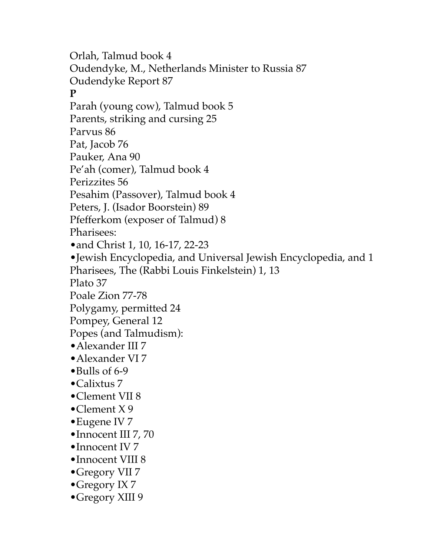Orlah, Talmud book 4 Oudendyke, M., Netherlands Minister to Russia 87 Oudendyke Report 87 **P** Parah (young cow), Talmud book 5 Parents, striking and cursing 25 Parvus 86 Pat, Jacob 76 Pauker, Ana 90 Pe'ah (comer), Talmud book 4 Perizzites 56 Pesahim (Passover), Talmud book 4 Peters, J. (Isador Boorstein) 89 Pfefferkom (exposer of Talmud) 8 Pharisees: • and Christ 1, 10, 16-17, 22-23 • Jewish Encyclopedia, and Universal Jewish Encyclopedia, and 1 Pharisees, The (Rabbi Louis Finkelstein) 1, 13 Plato 37 Poale Zion 77-78 Polygamy, permitted 24 Pompey, General 12 Popes (and Talmudism): • Alexander III 7 • Alexander VI 7 • Bulls of 6-9 • Calixtus 7 • Clement VII 8 • Clement  $X$  9 • Eugene IV 7 • Innocent III 7, 70 • Innocent IV 7 • Innocent VIII 8 • Gregory VII 7 • Gregory IX 7 • Gregory XIII 9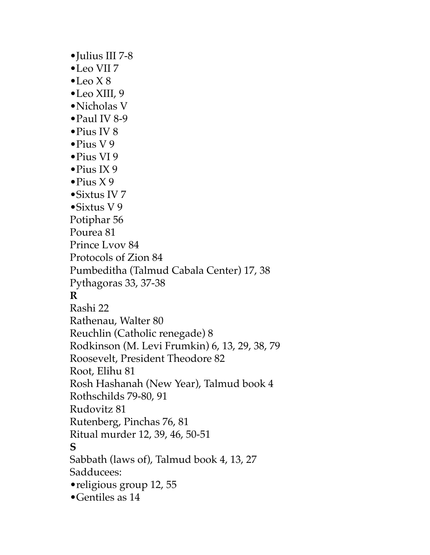• Julius III 7-8

- Leo VII 7
- $\bullet$  Leo X8
- Leo XIII, 9
- Nicholas V
- Paul IV 8-9
- Pius IV 8
- $\bullet$  Pius V9
- Pius VI 9
- $\bullet$  Pius IX 9
- $\bullet$  Pius  $X$  9
- Sixtus IV 7
- Sixtus V 9
- Potiphar 56
- Pourea 81
- Prince Lvov 84
- Protocols of Zion 84
- Pumbeditha (Talmud Cabala Center) 17, 38
- Pythagoras 33, 37-38

## **R**

- Rashi 22
- Rathenau, Walter 80
- Reuchlin (Catholic renegade) 8
- Rodkinson (M. Levi Frumkin) 6, 13, 29, 38, 79
- Roosevelt, President Theodore 82
- Root, Elihu 81
- Rosh Hashanah (New Year), Talmud book 4
- Rothschilds 79-80, 91
- Rudovitz 81
- Rutenberg, Pinchas 76, 81
- Ritual murder 12, 39, 46, 50-51

## **S**

- Sabbath (laws of), Talmud book 4, 13, 27
- Sadducees:
- religious group 12, 55
- Gentiles as 14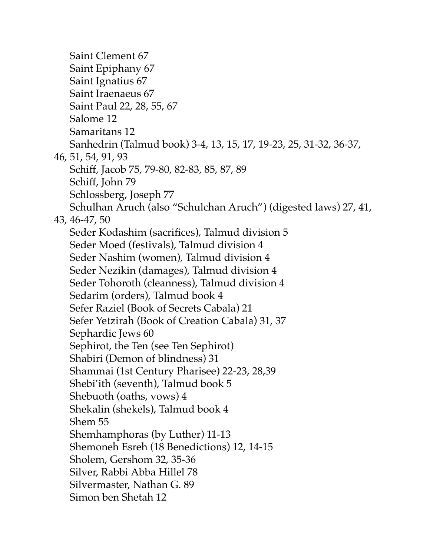Saint Clement 67 Saint Epiphany 67 Saint Ignatius 67 Saint Iraenaeus 67 Saint Paul 22, 28, 55, 67 Salome 12 Samaritans 12 Sanhedrin (Talmud book) 3-4, 13, 15, 17, 19-23, 25, 31-32, 36-37, 46, 51, 54, 91, 93 Schiff, Jacob 75, 79-80, 82-83, 85, 87, 89 Schiff, John 79 Schlossberg, Joseph 77 Schulhan Aruch (also "Schulchan Aruch") (digested laws) 27, 41, 43, 46-47, 50 Seder Kodashim (sacrifices), Talmud division 5 Seder Moed (festivals), Talmud division 4 Seder Nashim (women), Talmud division 4 Seder Nezikin (damages), Talmud division 4 Seder Tohoroth (cleanness), Talmud division 4 Sedarim (orders), Talmud book 4 Sefer Raziel (Book of Secrets Cabala) 21 Sefer Yetzirah (Book of Creation Cabala) 31, 37 Sephardic Jews 60 Sephirot, the Ten (see Ten Sephirot) Shabiri (Demon of blindness) 31 Shammai (1st Century Pharisee) 22-23, 28,39 Shebi'ith (seventh), Talmud book 5 Shebuoth (oaths, vows) 4 Shekalin (shekels), Talmud book 4 Shem 55 Shemhamphoras (by Luther) 11-13 Shemoneh Esreh (18 Benedictions) 12, 14-15 Sholem, Gershom 32, 35-36 Silver, Rabbi Abba Hillel 78 Silvermaster, Nathan G. 89 Simon ben Shetah 12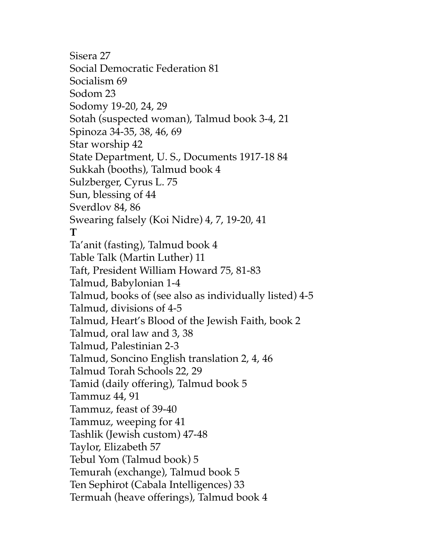Sisera 27 Social Democratic Federation 81 Socialism 69 Sodom 23 Sodomy 19-20, 24, 29 Sotah (suspected woman), Talmud book 3-4, 21 Spinoza 34-35, 38, 46, 69 Star worship 42 State Department, U. S., Documents 1917-18 84 Sukkah (booths), Talmud book 4 Sulzberger, Cyrus L. 75 Sun, blessing of 44 Sverdlov 84, 86 Swearing falsely (Koi Nidre) 4, 7, 19-20, 41 **T** Ta'anit (fasting), Talmud book 4 Table Talk (Martin Luther) 11 Taft, President William Howard 75, 81-83 Talmud, Babylonian 1-4 Talmud, books of (see also as individually listed) 4-5 Talmud, divisions of 4-5 Talmud, Heart's Blood of the Jewish Faith, book 2 Talmud, oral law and 3, 38 Talmud, Palestinian 2-3 Talmud, Soncino English translation 2, 4, 46 Talmud Torah Schools 22, 29 Tamid (daily offering), Talmud book 5 Tammuz 44, 91 Tammuz, feast of 39-40 Tammuz, weeping for 41 Tashlik (Jewish custom) 47-48 Taylor, Elizabeth 57 Tebul Yom (Talmud book) 5 Temurah (exchange), Talmud book 5 Ten Sephirot (Cabala Intelligences) 33 Termuah (heave offerings), Talmud book 4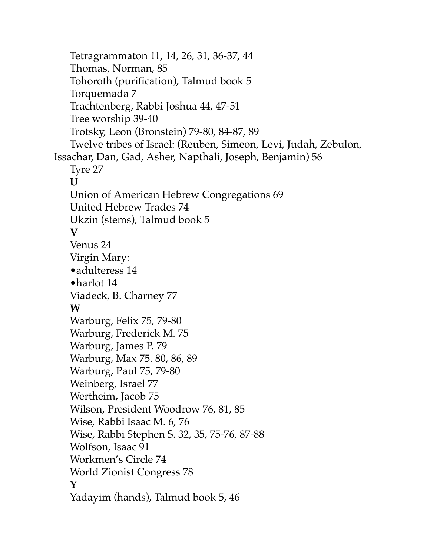Tetragrammaton 11, 14, 26, 31, 36-37, 44 Thomas, Norman, 85 Tohoroth (purification), Talmud book 5 Torquemada 7 Trachtenberg, Rabbi Joshua 44, 47-51 Tree worship 39-40 Trotsky, Leon (Bronstein) 79-80, 84-87, 89 Twelve tribes of Israel: (Reuben, Simeon, Levi, Judah, Zebulon, Issachar, Dan, Gad, Asher, Napthali, Joseph, Benjamin) 56 Tyre 27 **U** Union of American Hebrew Congregations 69 United Hebrew Trades 74 Ukzin (stems), Talmud book 5 **V** Venus 24 Virgin Mary: • adulteress 14 • harlot 14 Viadeck, B. Charney 77 **W** Warburg, Felix 75, 79-80 Warburg, Frederick M. 75 Warburg, James P. 79 Warburg, Max 75. 80, 86, 89 Warburg, Paul 75, 79-80 Weinberg, Israel 77 Wertheim, Jacob 75 Wilson, President Woodrow 76, 81, 85 Wise, Rabbi Isaac M. 6, 76 Wise, Rabbi Stephen S. 32, 35, 75-76, 87-88 Wolfson, Isaac 91 Workmen's Circle 74 World Zionist Congress 78 **Y** Yadayim (hands), Talmud book 5, 46